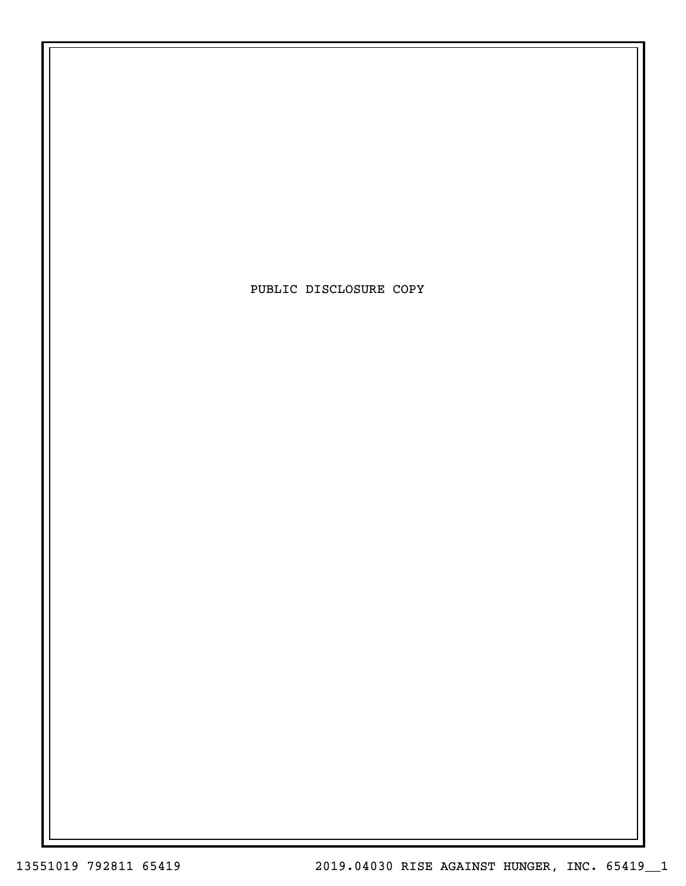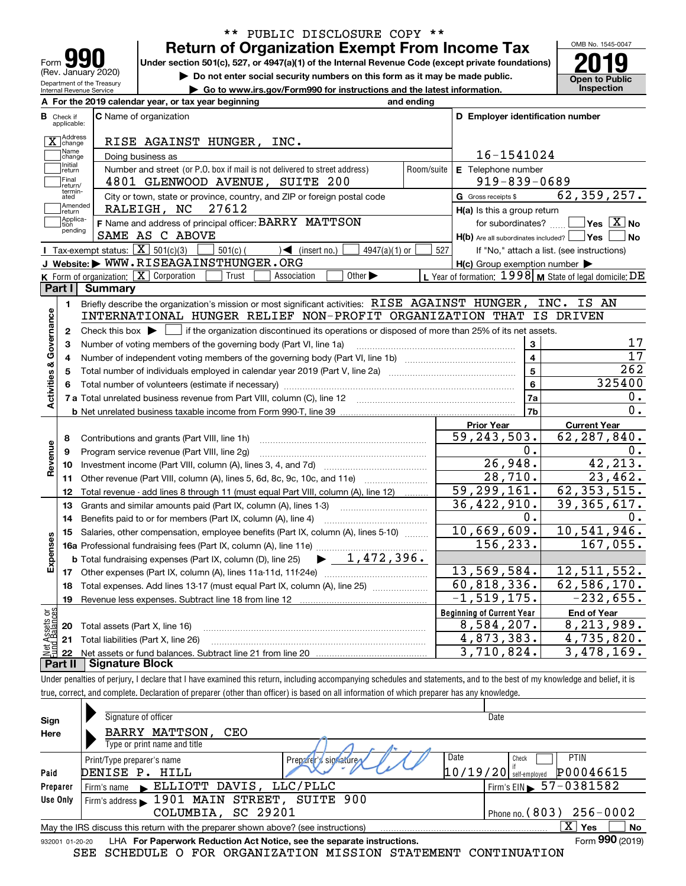| 990<br>Form<br>(Rev. January 2020) |
|------------------------------------|
| Department of the Treasury         |

### **Return of Organization Exempt From Income Tax** \*\* PUBLIC DISCLOSURE COPY \*\*

Under section 501(c), 527, or 4947(a)(1) of the Internal Revenue Code (except private foundations) **2019** 

OMB No. 1545-0047 **Open to Public** 

| Do not enter social security numbers on this form as it may be made public. |
|-----------------------------------------------------------------------------|
|-----------------------------------------------------------------------------|

|                         | Internal Revenue Service         | Go to www.irs.gov/Form990 for instructions and the latest information.                                                                      |                                                           | <b>Inspection</b>                               |
|-------------------------|----------------------------------|---------------------------------------------------------------------------------------------------------------------------------------------|-----------------------------------------------------------|-------------------------------------------------|
|                         |                                  | A For the 2019 calendar year, or tax year beginning<br>and ending                                                                           |                                                           |                                                 |
|                         | <b>B</b> Check if<br>applicable: | <b>C</b> Name of organization                                                                                                               | D Employer identification number                          |                                                 |
|                         | X Address                        | RISE AGAINST HUNGER, INC.                                                                                                                   |                                                           |                                                 |
|                         | .<br> Name<br> change            | Doing business as                                                                                                                           | 16-1541024                                                |                                                 |
|                         | Initial<br>return                | Number and street (or P.O. box if mail is not delivered to street address)                                                                  | E Telephone number<br>Room/suite                          |                                                 |
|                         | Final<br>return/                 | 4801 GLENWOOD AVENUE, SUITE 200                                                                                                             | $919 - 839 - 0689$                                        |                                                 |
|                         | termin-<br>ated                  | City or town, state or province, country, and ZIP or foreign postal code                                                                    | G Gross receipts \$                                       | 62, 359, 257.                                   |
|                         | Amended<br> return               | 27612<br>RALEIGH, NC                                                                                                                        | H(a) Is this a group return                               |                                                 |
|                         | Applica-<br>tion<br>pending      | F Name and address of principal officer: BARRY MATTSON                                                                                      | for subordinates?                                         | $\overline{\ }$ Yes $\overline{\phantom{X}}$ No |
|                         |                                  | SAME AS C ABOVE                                                                                                                             | $H(b)$ Are all subordinates included? $\Box$ Yes          | ∣No                                             |
|                         |                                  | <b>I</b> Tax-exempt status: $\boxed{\mathbf{X}}$ 501(c)(3)<br>$501(c)$ (<br>$\sqrt{\frac{1}{1}}$ (insert no.)<br>$4947(a)(1)$ or            | 527<br>If "No," attach a list. (see instructions)         |                                                 |
|                         |                                  | J Website: WWW.RISEAGAINSTHUNGER.ORG                                                                                                        | $H(c)$ Group exemption number $\blacktriangleright$       |                                                 |
|                         |                                  | K Form of organization:   X Corporation<br>Trust<br>Association<br>Other $\blacktriangleright$                                              | L Year of formation: $1998$ M State of legal domicile: DE |                                                 |
|                         | Part I                           | <b>Summary</b>                                                                                                                              |                                                           |                                                 |
|                         | 1.                               | Briefly describe the organization's mission or most significant activities: RISE AGAINST HUNGER,                                            |                                                           | INC. IS AN                                      |
| Activities & Governance |                                  | INTERNATIONAL HUNGER RELIEF NON-PROFIT ORGANIZATION THAT IS DRIVEN                                                                          |                                                           |                                                 |
|                         | $\mathbf{2}$                     | Check this box $\blacktriangleright$ $\Box$ if the organization discontinued its operations or disposed of more than 25% of its net assets. |                                                           |                                                 |
|                         | 3                                | Number of voting members of the governing body (Part VI, line 1a)                                                                           | 3<br>$\overline{\mathbf{A}}$                              | 17<br>$\overline{17}$                           |
|                         | 4                                |                                                                                                                                             | $\overline{5}$                                            | $\overline{262}$                                |
|                         | 5                                | Total number of individuals employed in calendar year 2019 (Part V, line 2a)                                                                |                                                           | 325400                                          |
|                         | 6                                |                                                                                                                                             | 6<br>7a                                                   | 0.                                              |
|                         |                                  |                                                                                                                                             | 7b                                                        | $\overline{0}$ .                                |
|                         |                                  |                                                                                                                                             | <b>Prior Year</b>                                         |                                                 |
|                         | 8                                |                                                                                                                                             | $\overline{59}$ , 243, 503.                               | <b>Current Year</b><br>62, 287, 840.            |
|                         | 9                                | Contributions and grants (Part VIII, line 1h)<br>Program service revenue (Part VIII, line 2g)                                               | Ο.                                                        | ο.                                              |
| Revenue                 | 10                               |                                                                                                                                             | 26,948.                                                   | 42, 213.                                        |
|                         | 11                               | Other revenue (Part VIII, column (A), lines 5, 6d, 8c, 9c, 10c, and 11e)                                                                    | 28,710.                                                   | 23,462.                                         |
|                         | 12                               | Total revenue - add lines 8 through 11 (must equal Part VIII, column (A), line 12)                                                          | 59,299,161.                                               | 62, 353, 515.                                   |
|                         | 13                               | Grants and similar amounts paid (Part IX, column (A), lines 1-3)                                                                            | 36,422,910.                                               | $\overline{39}$ , $\overline{365}$ , $617$ .    |
|                         | 14                               | Benefits paid to or for members (Part IX, column (A), line 4)                                                                               | 0.                                                        | 0.                                              |
|                         | 15                               | Salaries, other compensation, employee benefits (Part IX, column (A), lines 5-10)                                                           | 10,669,609.                                               | 10, 541, 946.                                   |
| Expenses                |                                  |                                                                                                                                             | 156, 233.                                                 | 167,055.                                        |
|                         |                                  | $\blacktriangleright$ $1,472,396$ .<br><b>b</b> Total fundraising expenses (Part IX, column (D), line 25)                                   |                                                           |                                                 |
|                         |                                  |                                                                                                                                             | 13,569,584.                                               | 12, 511, 552.                                   |
|                         | 18                               | Total expenses. Add lines 13-17 (must equal Part IX, column (A), line 25)                                                                   | 60,818,336.                                               | 62,586,170.                                     |
|                         | 19                               |                                                                                                                                             | $-1, 519, 175.$                                           | $-232,655.$                                     |
| äğ                      |                                  |                                                                                                                                             | <b>Beginning of Current Year</b>                          | <b>End of Year</b>                              |
| sets<br>alanc           |                                  | <b>20</b> Total assets (Part X, line 16)                                                                                                    | 8,584,207.                                                | 8,213,989.                                      |
|                         |                                  | 21 Total liabilities (Part X, line 26)                                                                                                      | 4,873,383.                                                | 4,735,820.                                      |
|                         |                                  |                                                                                                                                             |                                                           |                                                 |

**Part II Signature Block**

Under penalties of perjury, I declare that I have examined this return, including accompanying schedules and statements, and to the best of my knowledge and belief, it is true, correct, and complete. Declaration of preparer (other than officer) is based on all information of which preparer has any knowledge.

| Sign            | Signature of officer                                                              | Date                                   |
|-----------------|-----------------------------------------------------------------------------------|----------------------------------------|
| Here            | BARRY MATTSON,<br>CEO                                                             |                                        |
|                 | Type or print name and title                                                      |                                        |
|                 | Print/Type preparer's name<br>Preparer's signature                                | Date<br>PTIN<br>Check                  |
| Paid            | DENISE P. HILL                                                                    | P00046615<br>$10/19/20$ self-employed  |
| Preparer        | Firm's name ELLIOTT DAVIS, LLC/PLLC                                               | Firm's EIN $\triangleright$ 57-0381582 |
| Use Only        | Firm's address 1901 MAIN STREET, SUITE 900                                        |                                        |
|                 | COLUMBIA, SC 29201                                                                | Phone no. $(803)$ $256 - 0002$         |
|                 | May the IRS discuss this return with the preparer shown above? (see instructions) | $\mathbf{X}$<br><b>No</b><br>Yes       |
| 932001 01-20-20 | LHA For Paperwork Reduction Act Notice, see the separate instructions.            | Form 990 (2019)                        |
|                 | SCHEDULE O FOR ORGANIZATION MISSION STATEMENT CONTINUATION<br>SEE                 |                                        |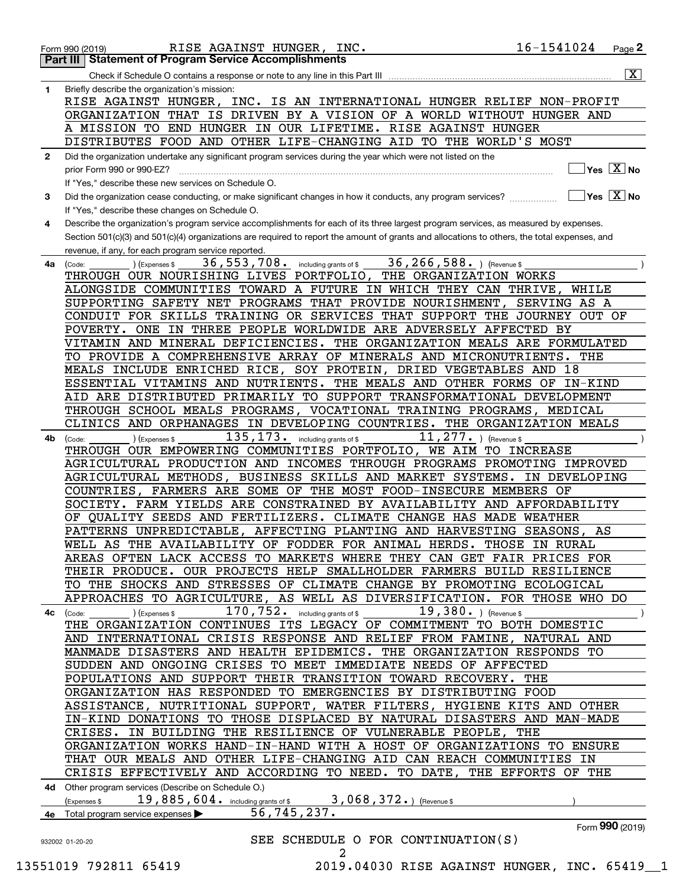|              | 16-1541024<br>RISE AGAINST HUNGER, INC.<br>Page 2<br>Form 990 (2019)                                                                                            |                         |
|--------------|-----------------------------------------------------------------------------------------------------------------------------------------------------------------|-------------------------|
|              | <b>Part III Statement of Program Service Accomplishments</b>                                                                                                    |                         |
|              |                                                                                                                                                                 | $\overline{\mathbf{X}}$ |
| 1            | Briefly describe the organization's mission:                                                                                                                    |                         |
|              | INC. IS AN INTERNATIONAL HUNGER RELIEF NON-PROFIT<br>RISE AGAINST HUNGER,                                                                                       |                         |
|              | ORGANIZATION THAT IS DRIVEN BY A VISION OF A WORLD WITHOUT HUNGER AND                                                                                           |                         |
|              | A MISSION TO END HUNGER IN OUR LIFETIME. RISE AGAINST HUNGER                                                                                                    |                         |
|              | DISTRIBUTES FOOD AND OTHER LIFE-CHANGING AID TO THE WORLD'S MOST                                                                                                |                         |
| $\mathbf{2}$ | Did the organization undertake any significant program services during the year which were not listed on the                                                    |                         |
|              | $\sqrt{}$ Yes $\sqrt{}$ $\overline{\rm X}$ No<br>prior Form 990 or 990-EZ?                                                                                      |                         |
|              | If "Yes," describe these new services on Schedule O.                                                                                                            |                         |
| 3            | $\overline{\ }$ Yes $\overline{\phantom{X}}$ No<br>Did the organization cease conducting, or make significant changes in how it conducts, any program services? |                         |
|              | If "Yes," describe these changes on Schedule O.                                                                                                                 |                         |
| 4            | Describe the organization's program service accomplishments for each of its three largest program services, as measured by expenses.                            |                         |
|              | Section 501(c)(3) and 501(c)(4) organizations are required to report the amount of grants and allocations to others, the total expenses, and                    |                         |
|              | revenue, if any, for each program service reported.                                                                                                             |                         |
| 4a           | 36, 266, 588. ) (Revenue \$<br>36, 553, 708.<br>) (Expenses \$<br>including grants of \$<br>(Code:                                                              |                         |
|              | THROUGH OUR NOURISHING LIVES PORTFOLIO, THE ORGANIZATION WORKS                                                                                                  |                         |
|              | ALONGSIDE COMMUNITIES TOWARD A FUTURE IN WHICH THEY CAN THRIVE,<br>WHILE                                                                                        |                         |
|              | SUPPORTING SAFETY NET PROGRAMS THAT PROVIDE NOURISHMENT,<br>SERVING AS A                                                                                        |                         |
|              | CONDUIT FOR SKILLS TRAINING OR SERVICES THAT SUPPORT THE JOURNEY OUT OF                                                                                         |                         |
|              | POVERTY. ONE IN THREE PEOPLE WORLDWIDE ARE ADVERSELY AFFECTED BY                                                                                                |                         |
|              | VITAMIN AND MINERAL DEFICIENCIES. THE ORGANIZATION MEALS ARE FORMULATED                                                                                         |                         |
|              | TO PROVIDE A COMPREHENSIVE ARRAY OF MINERALS AND MICRONUTRIENTS.<br>THE                                                                                         |                         |
|              | MEALS INCLUDE ENRICHED RICE, SOY PROTEIN, DRIED VEGETABLES AND 18                                                                                               |                         |
|              | ESSENTIAL VITAMINS AND NUTRIENTS. THE MEALS AND OTHER FORMS OF<br>IN-KIND                                                                                       |                         |
|              |                                                                                                                                                                 |                         |
|              | AID ARE DISTRIBUTED PRIMARILY TO SUPPORT TRANSFORMATIONAL DEVELOPMENT                                                                                           |                         |
|              | THROUGH SCHOOL MEALS PROGRAMS, VOCATIONAL TRAINING PROGRAMS,<br><b>MEDICAL</b>                                                                                  |                         |
|              | CLINICS AND ORPHANAGES IN DEVELOPING COUNTRIES. THE ORGANIZATION MEALS                                                                                          |                         |
| 4b           | 135,173.<br>11, 277. $ $ (Revenue \$<br>including grants of \$<br>(Expenses \$<br>(Code:                                                                        |                         |
|              | THROUGH OUR EMPOWERING COMMUNITIES PORTFOLIO, WE AIM TO INCREASE                                                                                                |                         |
|              | AGRICULTURAL PRODUCTION AND INCOMES THROUGH PROGRAMS PROMOTING IMPROVED                                                                                         |                         |
|              | AGRICULTURAL METHODS, BUSINESS SKILLS AND MARKET SYSTEMS.<br>IN DEVELOPING                                                                                      |                         |
|              | COUNTRIES, FARMERS ARE SOME OF THE MOST FOOD-INSECURE MEMBERS OF                                                                                                |                         |
|              | SOCIETY. FARM YIELDS ARE CONSTRAINED BY AVAILABILITY AND AFFORDABILITY                                                                                          |                         |
|              | OF QUALITY SEEDS AND FERTILIZERS. CLIMATE CHANGE HAS MADE WEATHER                                                                                               |                         |
|              | PATTERNS UNPREDICTABLE, AFFECTING PLANTING AND HARVESTING SEASONS, AS                                                                                           |                         |
|              | WELL AS THE AVAILABILITY OF FODDER FOR ANIMAL HERDS. THOSE IN RURAL                                                                                             |                         |
|              | AREAS OFTEN LACK ACCESS TO MARKETS WHERE THEY CAN GET FAIR PRICES FOR                                                                                           |                         |
|              | THEIR PRODUCE. OUR PROJECTS HELP SMALLHOLDER FARMERS BUILD RESILIENCE                                                                                           |                         |
|              | TO THE SHOCKS AND STRESSES OF CLIMATE CHANGE BY PROMOTING ECOLOGICAL                                                                                            |                         |
|              | APPROACHES TO AGRICULTURE, AS WELL AS DIVERSIFICATION. FOR THOSE WHO DO                                                                                         |                         |
| 4с           | $170$ , $752$ $\cdot$ including grants of \$<br>$19,380.$ ) (Revenue \$<br>) (Expenses \$<br>(Code:                                                             |                         |
|              | THE ORGANIZATION CONTINUES ITS LEGACY OF COMMITMENT TO BOTH DOMESTIC                                                                                            |                         |
|              | AND INTERNATIONAL CRISIS RESPONSE AND RELIEF FROM FAMINE, NATURAL AND                                                                                           |                         |
|              | MANMADE DISASTERS AND HEALTH EPIDEMICS. THE ORGANIZATION RESPONDS TO                                                                                            |                         |
|              | SUDDEN AND ONGOING CRISES TO MEET IMMEDIATE NEEDS OF AFFECTED                                                                                                   |                         |
|              | POPULATIONS AND SUPPORT THEIR TRANSITION TOWARD RECOVERY. THE                                                                                                   |                         |
|              | ORGANIZATION HAS RESPONDED TO EMERGENCIES BY DISTRIBUTING FOOD                                                                                                  |                         |
|              | ASSISTANCE, NUTRITIONAL SUPPORT, WATER FILTERS, HYGIENE KITS AND OTHER                                                                                          |                         |
|              | IN-KIND DONATIONS TO THOSE DISPLACED BY NATURAL DISASTERS AND MAN-MADE                                                                                          |                         |
|              | CRISES. IN BUILDING THE RESILIENCE OF VULNERABLE PEOPLE, THE                                                                                                    |                         |
|              | ORGANIZATION WORKS HAND-IN-HAND WITH A HOST OF ORGANIZATIONS TO ENSURE                                                                                          |                         |
|              | THAT OUR MEALS AND OTHER LIFE-CHANGING AID CAN REACH COMMUNITIES IN                                                                                             |                         |
|              | CRISIS EFFECTIVELY AND ACCORDING TO NEED. TO DATE, THE EFFORTS OF THE                                                                                           |                         |
|              | 4d Other program services (Describe on Schedule O.)                                                                                                             |                         |
|              | 19,885,604. including grants of \$ 3,068,372.) (Revenue \$<br>(Expenses \$                                                                                      |                         |
|              | 56, 745, 237.<br>4e Total program service expenses                                                                                                              |                         |
|              | Form 990 (2019)                                                                                                                                                 |                         |
|              | SEE SCHEDULE O FOR CONTINUATION(S)<br>932002 01-20-20                                                                                                           |                         |
|              | 2                                                                                                                                                               |                         |
|              |                                                                                                                                                                 |                         |

 <sup>13551019 792811 65419 2019.04030</sup> RISE AGAINST HUNGER, INC. 65419\_\_1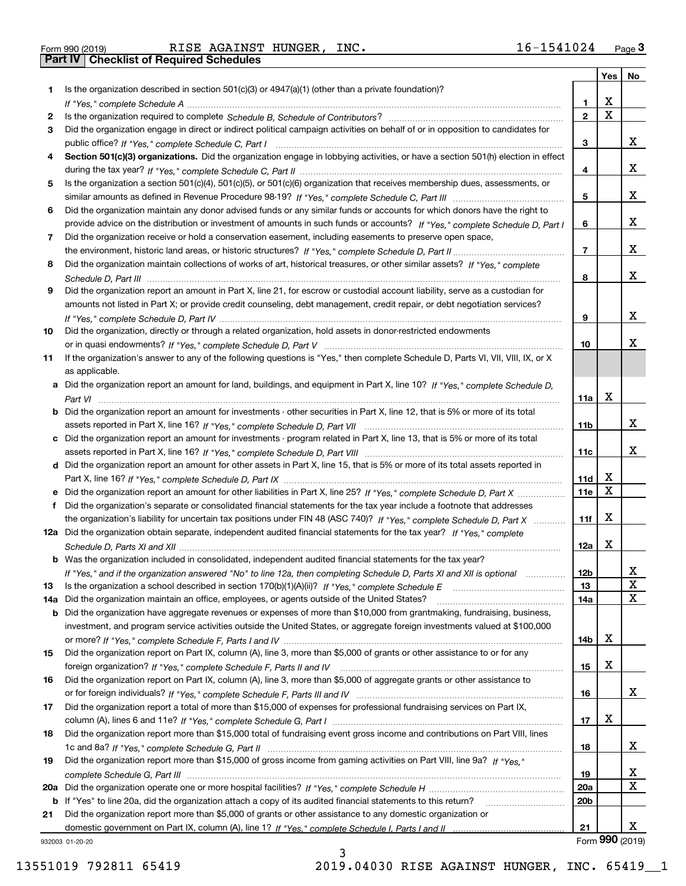Form 990 (2019) RISE AGAINST HUNGER, INC. 16-1541024 <sub>Page</sub> 3<br>**Part IV | Checklist of Required Schedules** 

| Is the organization described in section $501(c)(3)$ or $4947(a)(1)$ (other than a private foundation)?<br>1<br>X<br>1.<br>$\overline{\mathbf{x}}$<br>$\overline{2}$<br>2<br>Did the organization engage in direct or indirect political campaign activities on behalf of or in opposition to candidates for<br>3<br>x<br>3<br>Section 501(c)(3) organizations. Did the organization engage in lobbying activities, or have a section 501(h) election in effect<br>4<br>x<br>4<br>Is the organization a section 501(c)(4), 501(c)(5), or 501(c)(6) organization that receives membership dues, assessments, or<br>5<br>x<br>5<br>Did the organization maintain any donor advised funds or any similar funds or accounts for which donors have the right to<br>6<br>X<br>provide advice on the distribution or investment of amounts in such funds or accounts? If "Yes," complete Schedule D, Part I<br>6<br>Did the organization receive or hold a conservation easement, including easements to preserve open space,<br>7<br>X<br>$\overline{7}$<br>Did the organization maintain collections of works of art, historical treasures, or other similar assets? If "Yes," complete<br>8<br>X<br>8<br>Did the organization report an amount in Part X, line 21, for escrow or custodial account liability, serve as a custodian for<br>9<br>amounts not listed in Part X; or provide credit counseling, debt management, credit repair, or debt negotiation services?<br>X<br>9<br>Did the organization, directly or through a related organization, hold assets in donor-restricted endowments<br>10<br>x<br>10<br>If the organization's answer to any of the following questions is "Yes," then complete Schedule D, Parts VI, VII, VIII, IX, or X<br>11<br>as applicable.<br>a Did the organization report an amount for land, buildings, and equipment in Part X, line 10? If "Yes," complete Schedule D,<br>X<br>11a<br><b>b</b> Did the organization report an amount for investments - other securities in Part X, line 12, that is 5% or more of its total<br>x<br>11b<br>c Did the organization report an amount for investments - program related in Part X, line 13, that is 5% or more of its total<br>x<br>11c<br>d Did the organization report an amount for other assets in Part X, line 15, that is 5% or more of its total assets reported in<br>х<br>11d<br>$\mathbf X$<br>11e<br>e Did the organization report an amount for other liabilities in Part X, line 25? If "Yes," complete Schedule D, Part X<br>Did the organization's separate or consolidated financial statements for the tax year include a footnote that addresses<br>f<br>X<br>the organization's liability for uncertain tax positions under FIN 48 (ASC 740)? If "Yes," complete Schedule D, Part X<br>11f<br>12a Did the organization obtain separate, independent audited financial statements for the tax year? If "Yes," complete<br>х<br>12a<br><b>b</b> Was the organization included in consolidated, independent audited financial statements for the tax year?<br>If "Yes," and if the organization answered "No" to line 12a, then completing Schedule D, Parts XI and XII is optional<br>12b<br>4<br>X<br>13<br>$\mathbf X$<br>Did the organization maintain an office, employees, or agents outside of the United States?<br>14a<br>14a<br><b>b</b> Did the organization have aggregate revenues or expenses of more than \$10,000 from grantmaking, fundraising, business,<br>investment, and program service activities outside the United States, or aggregate foreign investments valued at \$100,000<br>х<br>14b<br>Did the organization report on Part IX, column (A), line 3, more than \$5,000 of grants or other assistance to or for any<br>х<br>15<br>Did the organization report on Part IX, column (A), line 3, more than \$5,000 of aggregate grants or other assistance to<br>x<br>16<br>Did the organization report a total of more than \$15,000 of expenses for professional fundraising services on Part IX,<br>17<br>х<br>17<br>Did the organization report more than \$15,000 total of fundraising event gross income and contributions on Part VIII, lines<br>18<br>x<br>18<br>Did the organization report more than \$15,000 of gross income from gaming activities on Part VIII, line 9a? If "Yes."<br>19<br>х<br>19<br>$\mathbf x$<br><b>20a</b><br>b If "Yes" to line 20a, did the organization attach a copy of its audited financial statements to this return?<br>20 <sub>b</sub><br>Did the organization report more than \$5,000 of grants or other assistance to any domestic organization or<br>21<br>x<br>21<br>932003 01-20-20 |    |  | Yes   No |  |
|---------------------------------------------------------------------------------------------------------------------------------------------------------------------------------------------------------------------------------------------------------------------------------------------------------------------------------------------------------------------------------------------------------------------------------------------------------------------------------------------------------------------------------------------------------------------------------------------------------------------------------------------------------------------------------------------------------------------------------------------------------------------------------------------------------------------------------------------------------------------------------------------------------------------------------------------------------------------------------------------------------------------------------------------------------------------------------------------------------------------------------------------------------------------------------------------------------------------------------------------------------------------------------------------------------------------------------------------------------------------------------------------------------------------------------------------------------------------------------------------------------------------------------------------------------------------------------------------------------------------------------------------------------------------------------------------------------------------------------------------------------------------------------------------------------------------------------------------------------------------------------------------------------------------------------------------------------------------------------------------------------------------------------------------------------------------------------------------------------------------------------------------------------------------------------------------------------------------------------------------------------------------------------------------------------------------------------------------------------------------------------------------------------------------------------------------------------------------------------------------------------------------------------------------------------------------------------------------------------------------------------------------------------------------------------------------------------------------------------------------------------------------------------------------------------------------------------------------------------------------------------------------------------------------------------------------------------------------------------------------------------------------------------------------------------------------------------------------------------------------------------------------------------------------------------------------------------------------------------------------------------------------------------------------------------------------------------------------------------------------------------------------------------------------------------------------------------------------------------------------------------------------------------------------------------------------------------------------------------------------------------------------------------------------------------------------------------------------------------------------------------------------------------------------------------------------------------------------------------------------------------------------------------------------------------------------------------------------------------------------------------------------------------------------------------------------------------------------------------------------------------------------------------------------------------------------------------------------------------------------------------------------------------------------------------------------------------------------------------------------------------------------------------------------------------------------------------------------------------------------------------------------------------------------------------------------------------------------------------------------------------------------------------------------|----|--|----------|--|
|                                                                                                                                                                                                                                                                                                                                                                                                                                                                                                                                                                                                                                                                                                                                                                                                                                                                                                                                                                                                                                                                                                                                                                                                                                                                                                                                                                                                                                                                                                                                                                                                                                                                                                                                                                                                                                                                                                                                                                                                                                                                                                                                                                                                                                                                                                                                                                                                                                                                                                                                                                                                                                                                                                                                                                                                                                                                                                                                                                                                                                                                                                                                                                                                                                                                                                                                                                                                                                                                                                                                                                                                                                                                                                                                                                                                                                                                                                                                                                                                                                                                                                                                                                                                                                                                                                                                                                                                                                                                                                                                                                                                                                                                     |    |  |          |  |
|                                                                                                                                                                                                                                                                                                                                                                                                                                                                                                                                                                                                                                                                                                                                                                                                                                                                                                                                                                                                                                                                                                                                                                                                                                                                                                                                                                                                                                                                                                                                                                                                                                                                                                                                                                                                                                                                                                                                                                                                                                                                                                                                                                                                                                                                                                                                                                                                                                                                                                                                                                                                                                                                                                                                                                                                                                                                                                                                                                                                                                                                                                                                                                                                                                                                                                                                                                                                                                                                                                                                                                                                                                                                                                                                                                                                                                                                                                                                                                                                                                                                                                                                                                                                                                                                                                                                                                                                                                                                                                                                                                                                                                                                     |    |  |          |  |
|                                                                                                                                                                                                                                                                                                                                                                                                                                                                                                                                                                                                                                                                                                                                                                                                                                                                                                                                                                                                                                                                                                                                                                                                                                                                                                                                                                                                                                                                                                                                                                                                                                                                                                                                                                                                                                                                                                                                                                                                                                                                                                                                                                                                                                                                                                                                                                                                                                                                                                                                                                                                                                                                                                                                                                                                                                                                                                                                                                                                                                                                                                                                                                                                                                                                                                                                                                                                                                                                                                                                                                                                                                                                                                                                                                                                                                                                                                                                                                                                                                                                                                                                                                                                                                                                                                                                                                                                                                                                                                                                                                                                                                                                     |    |  |          |  |
|                                                                                                                                                                                                                                                                                                                                                                                                                                                                                                                                                                                                                                                                                                                                                                                                                                                                                                                                                                                                                                                                                                                                                                                                                                                                                                                                                                                                                                                                                                                                                                                                                                                                                                                                                                                                                                                                                                                                                                                                                                                                                                                                                                                                                                                                                                                                                                                                                                                                                                                                                                                                                                                                                                                                                                                                                                                                                                                                                                                                                                                                                                                                                                                                                                                                                                                                                                                                                                                                                                                                                                                                                                                                                                                                                                                                                                                                                                                                                                                                                                                                                                                                                                                                                                                                                                                                                                                                                                                                                                                                                                                                                                                                     |    |  |          |  |
| Form 990 (2019)                                                                                                                                                                                                                                                                                                                                                                                                                                                                                                                                                                                                                                                                                                                                                                                                                                                                                                                                                                                                                                                                                                                                                                                                                                                                                                                                                                                                                                                                                                                                                                                                                                                                                                                                                                                                                                                                                                                                                                                                                                                                                                                                                                                                                                                                                                                                                                                                                                                                                                                                                                                                                                                                                                                                                                                                                                                                                                                                                                                                                                                                                                                                                                                                                                                                                                                                                                                                                                                                                                                                                                                                                                                                                                                                                                                                                                                                                                                                                                                                                                                                                                                                                                                                                                                                                                                                                                                                                                                                                                                                                                                                                                                     |    |  |          |  |
|                                                                                                                                                                                                                                                                                                                                                                                                                                                                                                                                                                                                                                                                                                                                                                                                                                                                                                                                                                                                                                                                                                                                                                                                                                                                                                                                                                                                                                                                                                                                                                                                                                                                                                                                                                                                                                                                                                                                                                                                                                                                                                                                                                                                                                                                                                                                                                                                                                                                                                                                                                                                                                                                                                                                                                                                                                                                                                                                                                                                                                                                                                                                                                                                                                                                                                                                                                                                                                                                                                                                                                                                                                                                                                                                                                                                                                                                                                                                                                                                                                                                                                                                                                                                                                                                                                                                                                                                                                                                                                                                                                                                                                                                     |    |  |          |  |
|                                                                                                                                                                                                                                                                                                                                                                                                                                                                                                                                                                                                                                                                                                                                                                                                                                                                                                                                                                                                                                                                                                                                                                                                                                                                                                                                                                                                                                                                                                                                                                                                                                                                                                                                                                                                                                                                                                                                                                                                                                                                                                                                                                                                                                                                                                                                                                                                                                                                                                                                                                                                                                                                                                                                                                                                                                                                                                                                                                                                                                                                                                                                                                                                                                                                                                                                                                                                                                                                                                                                                                                                                                                                                                                                                                                                                                                                                                                                                                                                                                                                                                                                                                                                                                                                                                                                                                                                                                                                                                                                                                                                                                                                     |    |  |          |  |
|                                                                                                                                                                                                                                                                                                                                                                                                                                                                                                                                                                                                                                                                                                                                                                                                                                                                                                                                                                                                                                                                                                                                                                                                                                                                                                                                                                                                                                                                                                                                                                                                                                                                                                                                                                                                                                                                                                                                                                                                                                                                                                                                                                                                                                                                                                                                                                                                                                                                                                                                                                                                                                                                                                                                                                                                                                                                                                                                                                                                                                                                                                                                                                                                                                                                                                                                                                                                                                                                                                                                                                                                                                                                                                                                                                                                                                                                                                                                                                                                                                                                                                                                                                                                                                                                                                                                                                                                                                                                                                                                                                                                                                                                     |    |  |          |  |
|                                                                                                                                                                                                                                                                                                                                                                                                                                                                                                                                                                                                                                                                                                                                                                                                                                                                                                                                                                                                                                                                                                                                                                                                                                                                                                                                                                                                                                                                                                                                                                                                                                                                                                                                                                                                                                                                                                                                                                                                                                                                                                                                                                                                                                                                                                                                                                                                                                                                                                                                                                                                                                                                                                                                                                                                                                                                                                                                                                                                                                                                                                                                                                                                                                                                                                                                                                                                                                                                                                                                                                                                                                                                                                                                                                                                                                                                                                                                                                                                                                                                                                                                                                                                                                                                                                                                                                                                                                                                                                                                                                                                                                                                     |    |  |          |  |
|                                                                                                                                                                                                                                                                                                                                                                                                                                                                                                                                                                                                                                                                                                                                                                                                                                                                                                                                                                                                                                                                                                                                                                                                                                                                                                                                                                                                                                                                                                                                                                                                                                                                                                                                                                                                                                                                                                                                                                                                                                                                                                                                                                                                                                                                                                                                                                                                                                                                                                                                                                                                                                                                                                                                                                                                                                                                                                                                                                                                                                                                                                                                                                                                                                                                                                                                                                                                                                                                                                                                                                                                                                                                                                                                                                                                                                                                                                                                                                                                                                                                                                                                                                                                                                                                                                                                                                                                                                                                                                                                                                                                                                                                     |    |  |          |  |
|                                                                                                                                                                                                                                                                                                                                                                                                                                                                                                                                                                                                                                                                                                                                                                                                                                                                                                                                                                                                                                                                                                                                                                                                                                                                                                                                                                                                                                                                                                                                                                                                                                                                                                                                                                                                                                                                                                                                                                                                                                                                                                                                                                                                                                                                                                                                                                                                                                                                                                                                                                                                                                                                                                                                                                                                                                                                                                                                                                                                                                                                                                                                                                                                                                                                                                                                                                                                                                                                                                                                                                                                                                                                                                                                                                                                                                                                                                                                                                                                                                                                                                                                                                                                                                                                                                                                                                                                                                                                                                                                                                                                                                                                     |    |  |          |  |
|                                                                                                                                                                                                                                                                                                                                                                                                                                                                                                                                                                                                                                                                                                                                                                                                                                                                                                                                                                                                                                                                                                                                                                                                                                                                                                                                                                                                                                                                                                                                                                                                                                                                                                                                                                                                                                                                                                                                                                                                                                                                                                                                                                                                                                                                                                                                                                                                                                                                                                                                                                                                                                                                                                                                                                                                                                                                                                                                                                                                                                                                                                                                                                                                                                                                                                                                                                                                                                                                                                                                                                                                                                                                                                                                                                                                                                                                                                                                                                                                                                                                                                                                                                                                                                                                                                                                                                                                                                                                                                                                                                                                                                                                     |    |  |          |  |
|                                                                                                                                                                                                                                                                                                                                                                                                                                                                                                                                                                                                                                                                                                                                                                                                                                                                                                                                                                                                                                                                                                                                                                                                                                                                                                                                                                                                                                                                                                                                                                                                                                                                                                                                                                                                                                                                                                                                                                                                                                                                                                                                                                                                                                                                                                                                                                                                                                                                                                                                                                                                                                                                                                                                                                                                                                                                                                                                                                                                                                                                                                                                                                                                                                                                                                                                                                                                                                                                                                                                                                                                                                                                                                                                                                                                                                                                                                                                                                                                                                                                                                                                                                                                                                                                                                                                                                                                                                                                                                                                                                                                                                                                     |    |  |          |  |
|                                                                                                                                                                                                                                                                                                                                                                                                                                                                                                                                                                                                                                                                                                                                                                                                                                                                                                                                                                                                                                                                                                                                                                                                                                                                                                                                                                                                                                                                                                                                                                                                                                                                                                                                                                                                                                                                                                                                                                                                                                                                                                                                                                                                                                                                                                                                                                                                                                                                                                                                                                                                                                                                                                                                                                                                                                                                                                                                                                                                                                                                                                                                                                                                                                                                                                                                                                                                                                                                                                                                                                                                                                                                                                                                                                                                                                                                                                                                                                                                                                                                                                                                                                                                                                                                                                                                                                                                                                                                                                                                                                                                                                                                     |    |  |          |  |
|                                                                                                                                                                                                                                                                                                                                                                                                                                                                                                                                                                                                                                                                                                                                                                                                                                                                                                                                                                                                                                                                                                                                                                                                                                                                                                                                                                                                                                                                                                                                                                                                                                                                                                                                                                                                                                                                                                                                                                                                                                                                                                                                                                                                                                                                                                                                                                                                                                                                                                                                                                                                                                                                                                                                                                                                                                                                                                                                                                                                                                                                                                                                                                                                                                                                                                                                                                                                                                                                                                                                                                                                                                                                                                                                                                                                                                                                                                                                                                                                                                                                                                                                                                                                                                                                                                                                                                                                                                                                                                                                                                                                                                                                     |    |  |          |  |
|                                                                                                                                                                                                                                                                                                                                                                                                                                                                                                                                                                                                                                                                                                                                                                                                                                                                                                                                                                                                                                                                                                                                                                                                                                                                                                                                                                                                                                                                                                                                                                                                                                                                                                                                                                                                                                                                                                                                                                                                                                                                                                                                                                                                                                                                                                                                                                                                                                                                                                                                                                                                                                                                                                                                                                                                                                                                                                                                                                                                                                                                                                                                                                                                                                                                                                                                                                                                                                                                                                                                                                                                                                                                                                                                                                                                                                                                                                                                                                                                                                                                                                                                                                                                                                                                                                                                                                                                                                                                                                                                                                                                                                                                     |    |  |          |  |
|                                                                                                                                                                                                                                                                                                                                                                                                                                                                                                                                                                                                                                                                                                                                                                                                                                                                                                                                                                                                                                                                                                                                                                                                                                                                                                                                                                                                                                                                                                                                                                                                                                                                                                                                                                                                                                                                                                                                                                                                                                                                                                                                                                                                                                                                                                                                                                                                                                                                                                                                                                                                                                                                                                                                                                                                                                                                                                                                                                                                                                                                                                                                                                                                                                                                                                                                                                                                                                                                                                                                                                                                                                                                                                                                                                                                                                                                                                                                                                                                                                                                                                                                                                                                                                                                                                                                                                                                                                                                                                                                                                                                                                                                     |    |  |          |  |
|                                                                                                                                                                                                                                                                                                                                                                                                                                                                                                                                                                                                                                                                                                                                                                                                                                                                                                                                                                                                                                                                                                                                                                                                                                                                                                                                                                                                                                                                                                                                                                                                                                                                                                                                                                                                                                                                                                                                                                                                                                                                                                                                                                                                                                                                                                                                                                                                                                                                                                                                                                                                                                                                                                                                                                                                                                                                                                                                                                                                                                                                                                                                                                                                                                                                                                                                                                                                                                                                                                                                                                                                                                                                                                                                                                                                                                                                                                                                                                                                                                                                                                                                                                                                                                                                                                                                                                                                                                                                                                                                                                                                                                                                     |    |  |          |  |
|                                                                                                                                                                                                                                                                                                                                                                                                                                                                                                                                                                                                                                                                                                                                                                                                                                                                                                                                                                                                                                                                                                                                                                                                                                                                                                                                                                                                                                                                                                                                                                                                                                                                                                                                                                                                                                                                                                                                                                                                                                                                                                                                                                                                                                                                                                                                                                                                                                                                                                                                                                                                                                                                                                                                                                                                                                                                                                                                                                                                                                                                                                                                                                                                                                                                                                                                                                                                                                                                                                                                                                                                                                                                                                                                                                                                                                                                                                                                                                                                                                                                                                                                                                                                                                                                                                                                                                                                                                                                                                                                                                                                                                                                     |    |  |          |  |
|                                                                                                                                                                                                                                                                                                                                                                                                                                                                                                                                                                                                                                                                                                                                                                                                                                                                                                                                                                                                                                                                                                                                                                                                                                                                                                                                                                                                                                                                                                                                                                                                                                                                                                                                                                                                                                                                                                                                                                                                                                                                                                                                                                                                                                                                                                                                                                                                                                                                                                                                                                                                                                                                                                                                                                                                                                                                                                                                                                                                                                                                                                                                                                                                                                                                                                                                                                                                                                                                                                                                                                                                                                                                                                                                                                                                                                                                                                                                                                                                                                                                                                                                                                                                                                                                                                                                                                                                                                                                                                                                                                                                                                                                     |    |  |          |  |
|                                                                                                                                                                                                                                                                                                                                                                                                                                                                                                                                                                                                                                                                                                                                                                                                                                                                                                                                                                                                                                                                                                                                                                                                                                                                                                                                                                                                                                                                                                                                                                                                                                                                                                                                                                                                                                                                                                                                                                                                                                                                                                                                                                                                                                                                                                                                                                                                                                                                                                                                                                                                                                                                                                                                                                                                                                                                                                                                                                                                                                                                                                                                                                                                                                                                                                                                                                                                                                                                                                                                                                                                                                                                                                                                                                                                                                                                                                                                                                                                                                                                                                                                                                                                                                                                                                                                                                                                                                                                                                                                                                                                                                                                     |    |  |          |  |
|                                                                                                                                                                                                                                                                                                                                                                                                                                                                                                                                                                                                                                                                                                                                                                                                                                                                                                                                                                                                                                                                                                                                                                                                                                                                                                                                                                                                                                                                                                                                                                                                                                                                                                                                                                                                                                                                                                                                                                                                                                                                                                                                                                                                                                                                                                                                                                                                                                                                                                                                                                                                                                                                                                                                                                                                                                                                                                                                                                                                                                                                                                                                                                                                                                                                                                                                                                                                                                                                                                                                                                                                                                                                                                                                                                                                                                                                                                                                                                                                                                                                                                                                                                                                                                                                                                                                                                                                                                                                                                                                                                                                                                                                     |    |  |          |  |
|                                                                                                                                                                                                                                                                                                                                                                                                                                                                                                                                                                                                                                                                                                                                                                                                                                                                                                                                                                                                                                                                                                                                                                                                                                                                                                                                                                                                                                                                                                                                                                                                                                                                                                                                                                                                                                                                                                                                                                                                                                                                                                                                                                                                                                                                                                                                                                                                                                                                                                                                                                                                                                                                                                                                                                                                                                                                                                                                                                                                                                                                                                                                                                                                                                                                                                                                                                                                                                                                                                                                                                                                                                                                                                                                                                                                                                                                                                                                                                                                                                                                                                                                                                                                                                                                                                                                                                                                                                                                                                                                                                                                                                                                     |    |  |          |  |
|                                                                                                                                                                                                                                                                                                                                                                                                                                                                                                                                                                                                                                                                                                                                                                                                                                                                                                                                                                                                                                                                                                                                                                                                                                                                                                                                                                                                                                                                                                                                                                                                                                                                                                                                                                                                                                                                                                                                                                                                                                                                                                                                                                                                                                                                                                                                                                                                                                                                                                                                                                                                                                                                                                                                                                                                                                                                                                                                                                                                                                                                                                                                                                                                                                                                                                                                                                                                                                                                                                                                                                                                                                                                                                                                                                                                                                                                                                                                                                                                                                                                                                                                                                                                                                                                                                                                                                                                                                                                                                                                                                                                                                                                     |    |  |          |  |
|                                                                                                                                                                                                                                                                                                                                                                                                                                                                                                                                                                                                                                                                                                                                                                                                                                                                                                                                                                                                                                                                                                                                                                                                                                                                                                                                                                                                                                                                                                                                                                                                                                                                                                                                                                                                                                                                                                                                                                                                                                                                                                                                                                                                                                                                                                                                                                                                                                                                                                                                                                                                                                                                                                                                                                                                                                                                                                                                                                                                                                                                                                                                                                                                                                                                                                                                                                                                                                                                                                                                                                                                                                                                                                                                                                                                                                                                                                                                                                                                                                                                                                                                                                                                                                                                                                                                                                                                                                                                                                                                                                                                                                                                     |    |  |          |  |
|                                                                                                                                                                                                                                                                                                                                                                                                                                                                                                                                                                                                                                                                                                                                                                                                                                                                                                                                                                                                                                                                                                                                                                                                                                                                                                                                                                                                                                                                                                                                                                                                                                                                                                                                                                                                                                                                                                                                                                                                                                                                                                                                                                                                                                                                                                                                                                                                                                                                                                                                                                                                                                                                                                                                                                                                                                                                                                                                                                                                                                                                                                                                                                                                                                                                                                                                                                                                                                                                                                                                                                                                                                                                                                                                                                                                                                                                                                                                                                                                                                                                                                                                                                                                                                                                                                                                                                                                                                                                                                                                                                                                                                                                     |    |  |          |  |
|                                                                                                                                                                                                                                                                                                                                                                                                                                                                                                                                                                                                                                                                                                                                                                                                                                                                                                                                                                                                                                                                                                                                                                                                                                                                                                                                                                                                                                                                                                                                                                                                                                                                                                                                                                                                                                                                                                                                                                                                                                                                                                                                                                                                                                                                                                                                                                                                                                                                                                                                                                                                                                                                                                                                                                                                                                                                                                                                                                                                                                                                                                                                                                                                                                                                                                                                                                                                                                                                                                                                                                                                                                                                                                                                                                                                                                                                                                                                                                                                                                                                                                                                                                                                                                                                                                                                                                                                                                                                                                                                                                                                                                                                     |    |  |          |  |
|                                                                                                                                                                                                                                                                                                                                                                                                                                                                                                                                                                                                                                                                                                                                                                                                                                                                                                                                                                                                                                                                                                                                                                                                                                                                                                                                                                                                                                                                                                                                                                                                                                                                                                                                                                                                                                                                                                                                                                                                                                                                                                                                                                                                                                                                                                                                                                                                                                                                                                                                                                                                                                                                                                                                                                                                                                                                                                                                                                                                                                                                                                                                                                                                                                                                                                                                                                                                                                                                                                                                                                                                                                                                                                                                                                                                                                                                                                                                                                                                                                                                                                                                                                                                                                                                                                                                                                                                                                                                                                                                                                                                                                                                     |    |  |          |  |
|                                                                                                                                                                                                                                                                                                                                                                                                                                                                                                                                                                                                                                                                                                                                                                                                                                                                                                                                                                                                                                                                                                                                                                                                                                                                                                                                                                                                                                                                                                                                                                                                                                                                                                                                                                                                                                                                                                                                                                                                                                                                                                                                                                                                                                                                                                                                                                                                                                                                                                                                                                                                                                                                                                                                                                                                                                                                                                                                                                                                                                                                                                                                                                                                                                                                                                                                                                                                                                                                                                                                                                                                                                                                                                                                                                                                                                                                                                                                                                                                                                                                                                                                                                                                                                                                                                                                                                                                                                                                                                                                                                                                                                                                     |    |  |          |  |
|                                                                                                                                                                                                                                                                                                                                                                                                                                                                                                                                                                                                                                                                                                                                                                                                                                                                                                                                                                                                                                                                                                                                                                                                                                                                                                                                                                                                                                                                                                                                                                                                                                                                                                                                                                                                                                                                                                                                                                                                                                                                                                                                                                                                                                                                                                                                                                                                                                                                                                                                                                                                                                                                                                                                                                                                                                                                                                                                                                                                                                                                                                                                                                                                                                                                                                                                                                                                                                                                                                                                                                                                                                                                                                                                                                                                                                                                                                                                                                                                                                                                                                                                                                                                                                                                                                                                                                                                                                                                                                                                                                                                                                                                     |    |  |          |  |
|                                                                                                                                                                                                                                                                                                                                                                                                                                                                                                                                                                                                                                                                                                                                                                                                                                                                                                                                                                                                                                                                                                                                                                                                                                                                                                                                                                                                                                                                                                                                                                                                                                                                                                                                                                                                                                                                                                                                                                                                                                                                                                                                                                                                                                                                                                                                                                                                                                                                                                                                                                                                                                                                                                                                                                                                                                                                                                                                                                                                                                                                                                                                                                                                                                                                                                                                                                                                                                                                                                                                                                                                                                                                                                                                                                                                                                                                                                                                                                                                                                                                                                                                                                                                                                                                                                                                                                                                                                                                                                                                                                                                                                                                     |    |  |          |  |
|                                                                                                                                                                                                                                                                                                                                                                                                                                                                                                                                                                                                                                                                                                                                                                                                                                                                                                                                                                                                                                                                                                                                                                                                                                                                                                                                                                                                                                                                                                                                                                                                                                                                                                                                                                                                                                                                                                                                                                                                                                                                                                                                                                                                                                                                                                                                                                                                                                                                                                                                                                                                                                                                                                                                                                                                                                                                                                                                                                                                                                                                                                                                                                                                                                                                                                                                                                                                                                                                                                                                                                                                                                                                                                                                                                                                                                                                                                                                                                                                                                                                                                                                                                                                                                                                                                                                                                                                                                                                                                                                                                                                                                                                     |    |  |          |  |
|                                                                                                                                                                                                                                                                                                                                                                                                                                                                                                                                                                                                                                                                                                                                                                                                                                                                                                                                                                                                                                                                                                                                                                                                                                                                                                                                                                                                                                                                                                                                                                                                                                                                                                                                                                                                                                                                                                                                                                                                                                                                                                                                                                                                                                                                                                                                                                                                                                                                                                                                                                                                                                                                                                                                                                                                                                                                                                                                                                                                                                                                                                                                                                                                                                                                                                                                                                                                                                                                                                                                                                                                                                                                                                                                                                                                                                                                                                                                                                                                                                                                                                                                                                                                                                                                                                                                                                                                                                                                                                                                                                                                                                                                     |    |  |          |  |
|                                                                                                                                                                                                                                                                                                                                                                                                                                                                                                                                                                                                                                                                                                                                                                                                                                                                                                                                                                                                                                                                                                                                                                                                                                                                                                                                                                                                                                                                                                                                                                                                                                                                                                                                                                                                                                                                                                                                                                                                                                                                                                                                                                                                                                                                                                                                                                                                                                                                                                                                                                                                                                                                                                                                                                                                                                                                                                                                                                                                                                                                                                                                                                                                                                                                                                                                                                                                                                                                                                                                                                                                                                                                                                                                                                                                                                                                                                                                                                                                                                                                                                                                                                                                                                                                                                                                                                                                                                                                                                                                                                                                                                                                     |    |  |          |  |
|                                                                                                                                                                                                                                                                                                                                                                                                                                                                                                                                                                                                                                                                                                                                                                                                                                                                                                                                                                                                                                                                                                                                                                                                                                                                                                                                                                                                                                                                                                                                                                                                                                                                                                                                                                                                                                                                                                                                                                                                                                                                                                                                                                                                                                                                                                                                                                                                                                                                                                                                                                                                                                                                                                                                                                                                                                                                                                                                                                                                                                                                                                                                                                                                                                                                                                                                                                                                                                                                                                                                                                                                                                                                                                                                                                                                                                                                                                                                                                                                                                                                                                                                                                                                                                                                                                                                                                                                                                                                                                                                                                                                                                                                     |    |  |          |  |
|                                                                                                                                                                                                                                                                                                                                                                                                                                                                                                                                                                                                                                                                                                                                                                                                                                                                                                                                                                                                                                                                                                                                                                                                                                                                                                                                                                                                                                                                                                                                                                                                                                                                                                                                                                                                                                                                                                                                                                                                                                                                                                                                                                                                                                                                                                                                                                                                                                                                                                                                                                                                                                                                                                                                                                                                                                                                                                                                                                                                                                                                                                                                                                                                                                                                                                                                                                                                                                                                                                                                                                                                                                                                                                                                                                                                                                                                                                                                                                                                                                                                                                                                                                                                                                                                                                                                                                                                                                                                                                                                                                                                                                                                     |    |  |          |  |
|                                                                                                                                                                                                                                                                                                                                                                                                                                                                                                                                                                                                                                                                                                                                                                                                                                                                                                                                                                                                                                                                                                                                                                                                                                                                                                                                                                                                                                                                                                                                                                                                                                                                                                                                                                                                                                                                                                                                                                                                                                                                                                                                                                                                                                                                                                                                                                                                                                                                                                                                                                                                                                                                                                                                                                                                                                                                                                                                                                                                                                                                                                                                                                                                                                                                                                                                                                                                                                                                                                                                                                                                                                                                                                                                                                                                                                                                                                                                                                                                                                                                                                                                                                                                                                                                                                                                                                                                                                                                                                                                                                                                                                                                     | 13 |  |          |  |
|                                                                                                                                                                                                                                                                                                                                                                                                                                                                                                                                                                                                                                                                                                                                                                                                                                                                                                                                                                                                                                                                                                                                                                                                                                                                                                                                                                                                                                                                                                                                                                                                                                                                                                                                                                                                                                                                                                                                                                                                                                                                                                                                                                                                                                                                                                                                                                                                                                                                                                                                                                                                                                                                                                                                                                                                                                                                                                                                                                                                                                                                                                                                                                                                                                                                                                                                                                                                                                                                                                                                                                                                                                                                                                                                                                                                                                                                                                                                                                                                                                                                                                                                                                                                                                                                                                                                                                                                                                                                                                                                                                                                                                                                     |    |  |          |  |
|                                                                                                                                                                                                                                                                                                                                                                                                                                                                                                                                                                                                                                                                                                                                                                                                                                                                                                                                                                                                                                                                                                                                                                                                                                                                                                                                                                                                                                                                                                                                                                                                                                                                                                                                                                                                                                                                                                                                                                                                                                                                                                                                                                                                                                                                                                                                                                                                                                                                                                                                                                                                                                                                                                                                                                                                                                                                                                                                                                                                                                                                                                                                                                                                                                                                                                                                                                                                                                                                                                                                                                                                                                                                                                                                                                                                                                                                                                                                                                                                                                                                                                                                                                                                                                                                                                                                                                                                                                                                                                                                                                                                                                                                     |    |  |          |  |
|                                                                                                                                                                                                                                                                                                                                                                                                                                                                                                                                                                                                                                                                                                                                                                                                                                                                                                                                                                                                                                                                                                                                                                                                                                                                                                                                                                                                                                                                                                                                                                                                                                                                                                                                                                                                                                                                                                                                                                                                                                                                                                                                                                                                                                                                                                                                                                                                                                                                                                                                                                                                                                                                                                                                                                                                                                                                                                                                                                                                                                                                                                                                                                                                                                                                                                                                                                                                                                                                                                                                                                                                                                                                                                                                                                                                                                                                                                                                                                                                                                                                                                                                                                                                                                                                                                                                                                                                                                                                                                                                                                                                                                                                     |    |  |          |  |
|                                                                                                                                                                                                                                                                                                                                                                                                                                                                                                                                                                                                                                                                                                                                                                                                                                                                                                                                                                                                                                                                                                                                                                                                                                                                                                                                                                                                                                                                                                                                                                                                                                                                                                                                                                                                                                                                                                                                                                                                                                                                                                                                                                                                                                                                                                                                                                                                                                                                                                                                                                                                                                                                                                                                                                                                                                                                                                                                                                                                                                                                                                                                                                                                                                                                                                                                                                                                                                                                                                                                                                                                                                                                                                                                                                                                                                                                                                                                                                                                                                                                                                                                                                                                                                                                                                                                                                                                                                                                                                                                                                                                                                                                     |    |  |          |  |
|                                                                                                                                                                                                                                                                                                                                                                                                                                                                                                                                                                                                                                                                                                                                                                                                                                                                                                                                                                                                                                                                                                                                                                                                                                                                                                                                                                                                                                                                                                                                                                                                                                                                                                                                                                                                                                                                                                                                                                                                                                                                                                                                                                                                                                                                                                                                                                                                                                                                                                                                                                                                                                                                                                                                                                                                                                                                                                                                                                                                                                                                                                                                                                                                                                                                                                                                                                                                                                                                                                                                                                                                                                                                                                                                                                                                                                                                                                                                                                                                                                                                                                                                                                                                                                                                                                                                                                                                                                                                                                                                                                                                                                                                     | 15 |  |          |  |
|                                                                                                                                                                                                                                                                                                                                                                                                                                                                                                                                                                                                                                                                                                                                                                                                                                                                                                                                                                                                                                                                                                                                                                                                                                                                                                                                                                                                                                                                                                                                                                                                                                                                                                                                                                                                                                                                                                                                                                                                                                                                                                                                                                                                                                                                                                                                                                                                                                                                                                                                                                                                                                                                                                                                                                                                                                                                                                                                                                                                                                                                                                                                                                                                                                                                                                                                                                                                                                                                                                                                                                                                                                                                                                                                                                                                                                                                                                                                                                                                                                                                                                                                                                                                                                                                                                                                                                                                                                                                                                                                                                                                                                                                     |    |  |          |  |
|                                                                                                                                                                                                                                                                                                                                                                                                                                                                                                                                                                                                                                                                                                                                                                                                                                                                                                                                                                                                                                                                                                                                                                                                                                                                                                                                                                                                                                                                                                                                                                                                                                                                                                                                                                                                                                                                                                                                                                                                                                                                                                                                                                                                                                                                                                                                                                                                                                                                                                                                                                                                                                                                                                                                                                                                                                                                                                                                                                                                                                                                                                                                                                                                                                                                                                                                                                                                                                                                                                                                                                                                                                                                                                                                                                                                                                                                                                                                                                                                                                                                                                                                                                                                                                                                                                                                                                                                                                                                                                                                                                                                                                                                     | 16 |  |          |  |
|                                                                                                                                                                                                                                                                                                                                                                                                                                                                                                                                                                                                                                                                                                                                                                                                                                                                                                                                                                                                                                                                                                                                                                                                                                                                                                                                                                                                                                                                                                                                                                                                                                                                                                                                                                                                                                                                                                                                                                                                                                                                                                                                                                                                                                                                                                                                                                                                                                                                                                                                                                                                                                                                                                                                                                                                                                                                                                                                                                                                                                                                                                                                                                                                                                                                                                                                                                                                                                                                                                                                                                                                                                                                                                                                                                                                                                                                                                                                                                                                                                                                                                                                                                                                                                                                                                                                                                                                                                                                                                                                                                                                                                                                     |    |  |          |  |
|                                                                                                                                                                                                                                                                                                                                                                                                                                                                                                                                                                                                                                                                                                                                                                                                                                                                                                                                                                                                                                                                                                                                                                                                                                                                                                                                                                                                                                                                                                                                                                                                                                                                                                                                                                                                                                                                                                                                                                                                                                                                                                                                                                                                                                                                                                                                                                                                                                                                                                                                                                                                                                                                                                                                                                                                                                                                                                                                                                                                                                                                                                                                                                                                                                                                                                                                                                                                                                                                                                                                                                                                                                                                                                                                                                                                                                                                                                                                                                                                                                                                                                                                                                                                                                                                                                                                                                                                                                                                                                                                                                                                                                                                     |    |  |          |  |
|                                                                                                                                                                                                                                                                                                                                                                                                                                                                                                                                                                                                                                                                                                                                                                                                                                                                                                                                                                                                                                                                                                                                                                                                                                                                                                                                                                                                                                                                                                                                                                                                                                                                                                                                                                                                                                                                                                                                                                                                                                                                                                                                                                                                                                                                                                                                                                                                                                                                                                                                                                                                                                                                                                                                                                                                                                                                                                                                                                                                                                                                                                                                                                                                                                                                                                                                                                                                                                                                                                                                                                                                                                                                                                                                                                                                                                                                                                                                                                                                                                                                                                                                                                                                                                                                                                                                                                                                                                                                                                                                                                                                                                                                     |    |  |          |  |
|                                                                                                                                                                                                                                                                                                                                                                                                                                                                                                                                                                                                                                                                                                                                                                                                                                                                                                                                                                                                                                                                                                                                                                                                                                                                                                                                                                                                                                                                                                                                                                                                                                                                                                                                                                                                                                                                                                                                                                                                                                                                                                                                                                                                                                                                                                                                                                                                                                                                                                                                                                                                                                                                                                                                                                                                                                                                                                                                                                                                                                                                                                                                                                                                                                                                                                                                                                                                                                                                                                                                                                                                                                                                                                                                                                                                                                                                                                                                                                                                                                                                                                                                                                                                                                                                                                                                                                                                                                                                                                                                                                                                                                                                     |    |  |          |  |
|                                                                                                                                                                                                                                                                                                                                                                                                                                                                                                                                                                                                                                                                                                                                                                                                                                                                                                                                                                                                                                                                                                                                                                                                                                                                                                                                                                                                                                                                                                                                                                                                                                                                                                                                                                                                                                                                                                                                                                                                                                                                                                                                                                                                                                                                                                                                                                                                                                                                                                                                                                                                                                                                                                                                                                                                                                                                                                                                                                                                                                                                                                                                                                                                                                                                                                                                                                                                                                                                                                                                                                                                                                                                                                                                                                                                                                                                                                                                                                                                                                                                                                                                                                                                                                                                                                                                                                                                                                                                                                                                                                                                                                                                     |    |  |          |  |
|                                                                                                                                                                                                                                                                                                                                                                                                                                                                                                                                                                                                                                                                                                                                                                                                                                                                                                                                                                                                                                                                                                                                                                                                                                                                                                                                                                                                                                                                                                                                                                                                                                                                                                                                                                                                                                                                                                                                                                                                                                                                                                                                                                                                                                                                                                                                                                                                                                                                                                                                                                                                                                                                                                                                                                                                                                                                                                                                                                                                                                                                                                                                                                                                                                                                                                                                                                                                                                                                                                                                                                                                                                                                                                                                                                                                                                                                                                                                                                                                                                                                                                                                                                                                                                                                                                                                                                                                                                                                                                                                                                                                                                                                     |    |  |          |  |
|                                                                                                                                                                                                                                                                                                                                                                                                                                                                                                                                                                                                                                                                                                                                                                                                                                                                                                                                                                                                                                                                                                                                                                                                                                                                                                                                                                                                                                                                                                                                                                                                                                                                                                                                                                                                                                                                                                                                                                                                                                                                                                                                                                                                                                                                                                                                                                                                                                                                                                                                                                                                                                                                                                                                                                                                                                                                                                                                                                                                                                                                                                                                                                                                                                                                                                                                                                                                                                                                                                                                                                                                                                                                                                                                                                                                                                                                                                                                                                                                                                                                                                                                                                                                                                                                                                                                                                                                                                                                                                                                                                                                                                                                     |    |  |          |  |
|                                                                                                                                                                                                                                                                                                                                                                                                                                                                                                                                                                                                                                                                                                                                                                                                                                                                                                                                                                                                                                                                                                                                                                                                                                                                                                                                                                                                                                                                                                                                                                                                                                                                                                                                                                                                                                                                                                                                                                                                                                                                                                                                                                                                                                                                                                                                                                                                                                                                                                                                                                                                                                                                                                                                                                                                                                                                                                                                                                                                                                                                                                                                                                                                                                                                                                                                                                                                                                                                                                                                                                                                                                                                                                                                                                                                                                                                                                                                                                                                                                                                                                                                                                                                                                                                                                                                                                                                                                                                                                                                                                                                                                                                     |    |  |          |  |
|                                                                                                                                                                                                                                                                                                                                                                                                                                                                                                                                                                                                                                                                                                                                                                                                                                                                                                                                                                                                                                                                                                                                                                                                                                                                                                                                                                                                                                                                                                                                                                                                                                                                                                                                                                                                                                                                                                                                                                                                                                                                                                                                                                                                                                                                                                                                                                                                                                                                                                                                                                                                                                                                                                                                                                                                                                                                                                                                                                                                                                                                                                                                                                                                                                                                                                                                                                                                                                                                                                                                                                                                                                                                                                                                                                                                                                                                                                                                                                                                                                                                                                                                                                                                                                                                                                                                                                                                                                                                                                                                                                                                                                                                     |    |  |          |  |
|                                                                                                                                                                                                                                                                                                                                                                                                                                                                                                                                                                                                                                                                                                                                                                                                                                                                                                                                                                                                                                                                                                                                                                                                                                                                                                                                                                                                                                                                                                                                                                                                                                                                                                                                                                                                                                                                                                                                                                                                                                                                                                                                                                                                                                                                                                                                                                                                                                                                                                                                                                                                                                                                                                                                                                                                                                                                                                                                                                                                                                                                                                                                                                                                                                                                                                                                                                                                                                                                                                                                                                                                                                                                                                                                                                                                                                                                                                                                                                                                                                                                                                                                                                                                                                                                                                                                                                                                                                                                                                                                                                                                                                                                     |    |  |          |  |
|                                                                                                                                                                                                                                                                                                                                                                                                                                                                                                                                                                                                                                                                                                                                                                                                                                                                                                                                                                                                                                                                                                                                                                                                                                                                                                                                                                                                                                                                                                                                                                                                                                                                                                                                                                                                                                                                                                                                                                                                                                                                                                                                                                                                                                                                                                                                                                                                                                                                                                                                                                                                                                                                                                                                                                                                                                                                                                                                                                                                                                                                                                                                                                                                                                                                                                                                                                                                                                                                                                                                                                                                                                                                                                                                                                                                                                                                                                                                                                                                                                                                                                                                                                                                                                                                                                                                                                                                                                                                                                                                                                                                                                                                     |    |  |          |  |

3

932003 01-20-20

13551019 792811 65419 2019.04030 RISE AGAINST HUNGER, INC. 65419\_\_1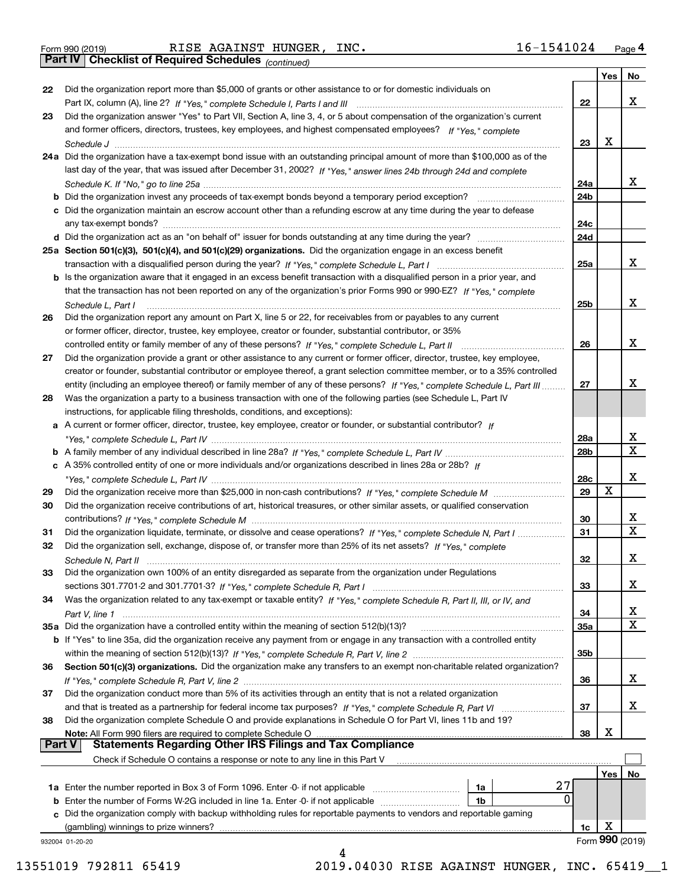*(continued)*

|    |                                                                                                                                                                                                   |                 | Yes | No.                     |
|----|---------------------------------------------------------------------------------------------------------------------------------------------------------------------------------------------------|-----------------|-----|-------------------------|
| 22 | Did the organization report more than \$5,000 of grants or other assistance to or for domestic individuals on                                                                                     |                 |     | x                       |
|    |                                                                                                                                                                                                   | 22              |     |                         |
| 23 | Did the organization answer "Yes" to Part VII, Section A, line 3, 4, or 5 about compensation of the organization's current                                                                        |                 |     |                         |
|    | and former officers, directors, trustees, key employees, and highest compensated employees? If "Yes," complete                                                                                    |                 | x   |                         |
|    |                                                                                                                                                                                                   | 23              |     |                         |
|    | 24a Did the organization have a tax-exempt bond issue with an outstanding principal amount of more than \$100,000 as of the                                                                       |                 |     |                         |
|    | last day of the year, that was issued after December 31, 2002? If "Yes," answer lines 24b through 24d and complete                                                                                |                 |     |                         |
|    |                                                                                                                                                                                                   | 24a             |     | x                       |
|    | <b>b</b> Did the organization invest any proceeds of tax-exempt bonds beyond a temporary period exception?                                                                                        | 24b             |     |                         |
|    | c Did the organization maintain an escrow account other than a refunding escrow at any time during the year to defease                                                                            |                 |     |                         |
|    |                                                                                                                                                                                                   | 24c             |     |                         |
|    |                                                                                                                                                                                                   | 24d             |     |                         |
|    | 25a Section 501(c)(3), 501(c)(4), and 501(c)(29) organizations. Did the organization engage in an excess benefit                                                                                  |                 |     |                         |
|    |                                                                                                                                                                                                   | 25a             |     | x                       |
|    | b Is the organization aware that it engaged in an excess benefit transaction with a disqualified person in a prior year, and                                                                      |                 |     |                         |
|    | that the transaction has not been reported on any of the organization's prior Forms 990 or 990-EZ? If "Yes." complete                                                                             |                 |     | х                       |
|    | Schedule L. Part I                                                                                                                                                                                | 25 <sub>b</sub> |     |                         |
| 26 | Did the organization report any amount on Part X, line 5 or 22, for receivables from or payables to any current                                                                                   |                 |     |                         |
|    | or former officer, director, trustee, key employee, creator or founder, substantial contributor, or 35%                                                                                           | 26              |     | х                       |
|    |                                                                                                                                                                                                   |                 |     |                         |
| 27 | Did the organization provide a grant or other assistance to any current or former officer, director, trustee, key employee,                                                                       |                 |     |                         |
|    | creator or founder, substantial contributor or employee thereof, a grant selection committee member, or to a 35% controlled                                                                       | 27              |     | х                       |
| 28 | entity (including an employee thereof) or family member of any of these persons? If "Yes," complete Schedule L, Part III                                                                          |                 |     |                         |
|    | Was the organization a party to a business transaction with one of the following parties (see Schedule L, Part IV<br>instructions, for applicable filing thresholds, conditions, and exceptions): |                 |     |                         |
|    | a A current or former officer, director, trustee, key employee, creator or founder, or substantial contributor? If                                                                                |                 |     |                         |
|    |                                                                                                                                                                                                   | 28a             |     | x                       |
|    |                                                                                                                                                                                                   | 28 <sub>b</sub> |     | $\mathbf X$             |
|    | c A 35% controlled entity of one or more individuals and/or organizations described in lines 28a or 28b? If                                                                                       |                 |     |                         |
|    |                                                                                                                                                                                                   | 28c             |     | х                       |
| 29 |                                                                                                                                                                                                   | 29              | X   |                         |
| 30 | Did the organization receive contributions of art, historical treasures, or other similar assets, or qualified conservation                                                                       |                 |     |                         |
|    |                                                                                                                                                                                                   | 30              |     | X.                      |
| 31 | Did the organization liquidate, terminate, or dissolve and cease operations? If "Yes," complete Schedule N, Part I                                                                                | 31              |     | $\overline{\mathbf{x}}$ |
| 32 | Did the organization sell, exchange, dispose of, or transfer more than 25% of its net assets? If "Yes," complete                                                                                  |                 |     |                         |
|    | Schedule N, Part II                                                                                                                                                                               | 32              |     | х                       |
| 33 | Did the organization own 100% of an entity disregarded as separate from the organization under Regulations                                                                                        |                 |     |                         |
|    |                                                                                                                                                                                                   | 33              |     | х                       |
| 34 | Was the organization related to any tax-exempt or taxable entity? If "Yes," complete Schedule R, Part II, III, or IV, and                                                                         |                 |     |                         |
|    |                                                                                                                                                                                                   | 34              |     | x                       |
|    | 35a Did the organization have a controlled entity within the meaning of section 512(b)(13)?                                                                                                       | 35a             |     | X                       |
|    | b If "Yes" to line 35a, did the organization receive any payment from or engage in any transaction with a controlled entity                                                                       |                 |     |                         |
|    |                                                                                                                                                                                                   | 35b             |     |                         |
| 36 | Section 501(c)(3) organizations. Did the organization make any transfers to an exempt non-charitable related organization?                                                                        |                 |     |                         |
|    |                                                                                                                                                                                                   | 36              |     | x                       |
| 37 | Did the organization conduct more than 5% of its activities through an entity that is not a related organization                                                                                  |                 |     |                         |
|    | and that is treated as a partnership for federal income tax purposes? If "Yes," complete Schedule R, Part VI                                                                                      | 37              |     | x                       |
| 38 | Did the organization complete Schedule O and provide explanations in Schedule O for Part VI, lines 11b and 19?                                                                                    |                 |     |                         |
|    | Note: All Form 990 filers are required to complete Schedule O                                                                                                                                     | 38              | х   |                         |
|    | <b>Statements Regarding Other IRS Filings and Tax Compliance</b><br><b>Part V</b>                                                                                                                 |                 |     |                         |
|    | Check if Schedule O contains a response or note to any line in this Part V                                                                                                                        |                 |     |                         |
|    |                                                                                                                                                                                                   |                 | Yes | No.                     |
|    | 27<br>1a<br><b>1a</b> Enter the number reported in Box 3 of Form 1096. Enter -0- if not applicable <i>manumumumum</i>                                                                             |                 |     |                         |
|    | 0<br><b>b</b> Enter the number of Forms W-2G included in line 1a. Enter -0- if not applicable<br>1b                                                                                               |                 |     |                         |
|    | c Did the organization comply with backup withholding rules for reportable payments to vendors and reportable gaming                                                                              |                 |     |                         |
|    | (gambling) winnings to prize winners?                                                                                                                                                             | 1c              | х   |                         |
|    | 932004 01-20-20                                                                                                                                                                                   |                 |     | Form 990 (2019)         |
|    | 4                                                                                                                                                                                                 |                 |     |                         |

13551019 792811 65419 2019.04030 RISE AGAINST HUNGER, INC. 65419\_\_1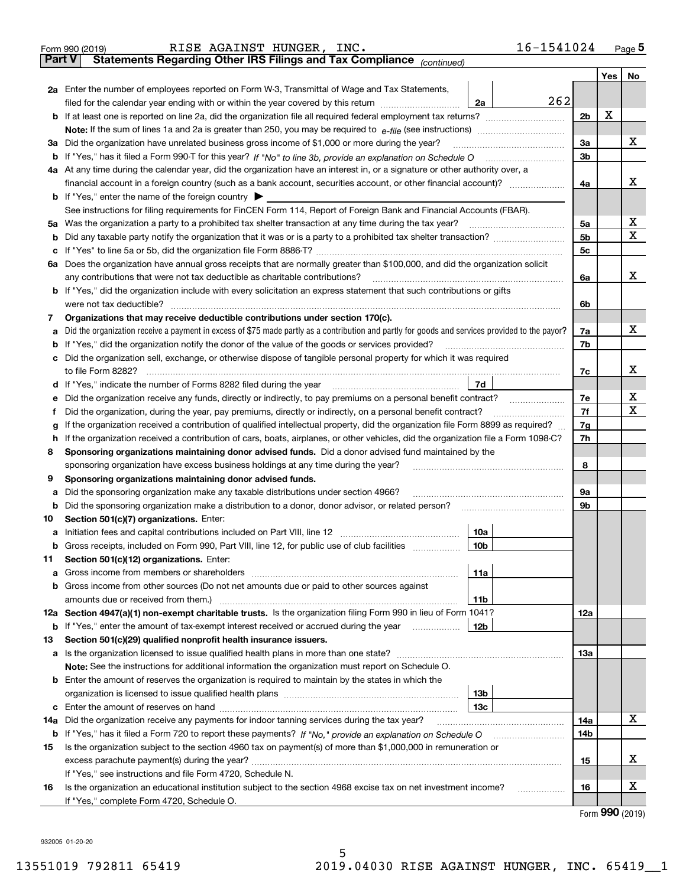|               | 16-1541024<br>RISE AGAINST HUNGER, INC.<br>Form 990 (2019)                                                                                      |                |     | $Page$ <sup>5</sup> |
|---------------|-------------------------------------------------------------------------------------------------------------------------------------------------|----------------|-----|---------------------|
| <b>Part V</b> | Statements Regarding Other IRS Filings and Tax Compliance (continued)                                                                           |                |     |                     |
|               |                                                                                                                                                 |                | Yes | No                  |
|               | 2a Enter the number of employees reported on Form W-3, Transmittal of Wage and Tax Statements,                                                  |                |     |                     |
|               | 262<br>filed for the calendar year ending with or within the year covered by this return <i>manumumumum</i><br>2a                               |                |     |                     |
|               |                                                                                                                                                 | 2 <sub>b</sub> | х   |                     |
|               |                                                                                                                                                 |                |     |                     |
| За            | Did the organization have unrelated business gross income of \$1,000 or more during the year?                                                   | 3a             |     | х                   |
|               |                                                                                                                                                 | 3b             |     |                     |
|               | 4a At any time during the calendar year, did the organization have an interest in, or a signature or other authority over, a                    |                |     |                     |
|               |                                                                                                                                                 | 4a             |     | х                   |
|               | <b>b</b> If "Yes," enter the name of the foreign country $\blacktriangleright$                                                                  |                |     |                     |
|               | See instructions for filing requirements for FinCEN Form 114, Report of Foreign Bank and Financial Accounts (FBAR).                             |                |     |                     |
| 5a            | Was the organization a party to a prohibited tax shelter transaction at any time during the tax year?                                           | 5a             |     | х                   |
| b             |                                                                                                                                                 | 5b             |     | х                   |
| с             |                                                                                                                                                 | 5c             |     |                     |
|               | 6a Does the organization have annual gross receipts that are normally greater than \$100,000, and did the organization solicit                  |                |     |                     |
|               | any contributions that were not tax deductible as charitable contributions?                                                                     | 6a             |     | x                   |
|               | <b>b</b> If "Yes," did the organization include with every solicitation an express statement that such contributions or gifts                   |                |     |                     |
|               | were not tax deductible?                                                                                                                        | 6b             |     |                     |
| 7             | Organizations that may receive deductible contributions under section 170(c).                                                                   |                |     |                     |
| a             | Did the organization receive a payment in excess of \$75 made partly as a contribution and partly for goods and services provided to the payor? | 7a             |     | х                   |
| b             | If "Yes," did the organization notify the donor of the value of the goods or services provided?                                                 | 7b             |     |                     |
| с             | Did the organization sell, exchange, or otherwise dispose of tangible personal property for which it was required                               |                |     |                     |
|               |                                                                                                                                                 | 7c             |     | x                   |
| d             | 7d                                                                                                                                              |                |     |                     |
| е             |                                                                                                                                                 | 7e             |     | х                   |
| f             | Did the organization, during the year, pay premiums, directly or indirectly, on a personal benefit contract?                                    | 7f             |     | X                   |
| g             | If the organization received a contribution of qualified intellectual property, did the organization file Form 8899 as required?                | 7g             |     |                     |
| h             | If the organization received a contribution of cars, boats, airplanes, or other vehicles, did the organization file a Form 1098-C?              | 7h             |     |                     |
| 8             | Sponsoring organizations maintaining donor advised funds. Did a donor advised fund maintained by the                                            |                |     |                     |
|               | sponsoring organization have excess business holdings at any time during the year?                                                              | 8              |     |                     |
| 9             | Sponsoring organizations maintaining donor advised funds.                                                                                       |                |     |                     |
| а             | Did the sponsoring organization make any taxable distributions under section 4966?                                                              | 9а             |     |                     |
| b             | Did the sponsoring organization make a distribution to a donor, donor advisor, or related person?                                               | 9b             |     |                     |
| 10            | Section 501(c)(7) organizations. Enter:                                                                                                         |                |     |                     |
|               | 10a                                                                                                                                             |                |     |                     |
|               | 10b <br>Gross receipts, included on Form 990, Part VIII, line 12, for public use of club facilities                                             |                |     |                     |
| 11            | Section 501(c)(12) organizations. Enter:                                                                                                        |                |     |                     |
| a             | Gross income from members or shareholders<br>11a                                                                                                |                |     |                     |
| b             | Gross income from other sources (Do not net amounts due or paid to other sources against                                                        |                |     |                     |
|               | 11b                                                                                                                                             |                |     |                     |
|               | 12a Section 4947(a)(1) non-exempt charitable trusts. Is the organization filing Form 990 in lieu of Form 1041?                                  | 12a            |     |                     |
|               | 12b<br><b>b</b> If "Yes," enter the amount of tax-exempt interest received or accrued during the year                                           |                |     |                     |
| 13            | Section 501(c)(29) qualified nonprofit health insurance issuers.                                                                                |                |     |                     |
| a             | Is the organization licensed to issue qualified health plans in more than one state?                                                            | 13а            |     |                     |
|               | Note: See the instructions for additional information the organization must report on Schedule O.                                               |                |     |                     |
| b             | Enter the amount of reserves the organization is required to maintain by the states in which the                                                |                |     |                     |
|               | 13 <sub>b</sub>                                                                                                                                 |                |     |                     |
|               | 13с                                                                                                                                             |                |     | х                   |
| 14a           | Did the organization receive any payments for indoor tanning services during the tax year?                                                      | 14a            |     |                     |
|               | <b>b</b> If "Yes," has it filed a Form 720 to report these payments? If "No," provide an explanation on Schedule O                              | 14b            |     |                     |
| 15            | Is the organization subject to the section 4960 tax on payment(s) of more than \$1,000,000 in remuneration or                                   |                |     | X                   |
|               | excess parachute payment(s) during the year?                                                                                                    | 15             |     |                     |
|               | If "Yes," see instructions and file Form 4720, Schedule N.                                                                                      |                |     | X                   |
| 16            | Is the organization an educational institution subject to the section 4968 excise tax on net investment income?                                 | 16             |     |                     |
|               | If "Yes," complete Form 4720, Schedule O.                                                                                                       |                |     |                     |

5

Form (2019) **990**

932005 01-20-20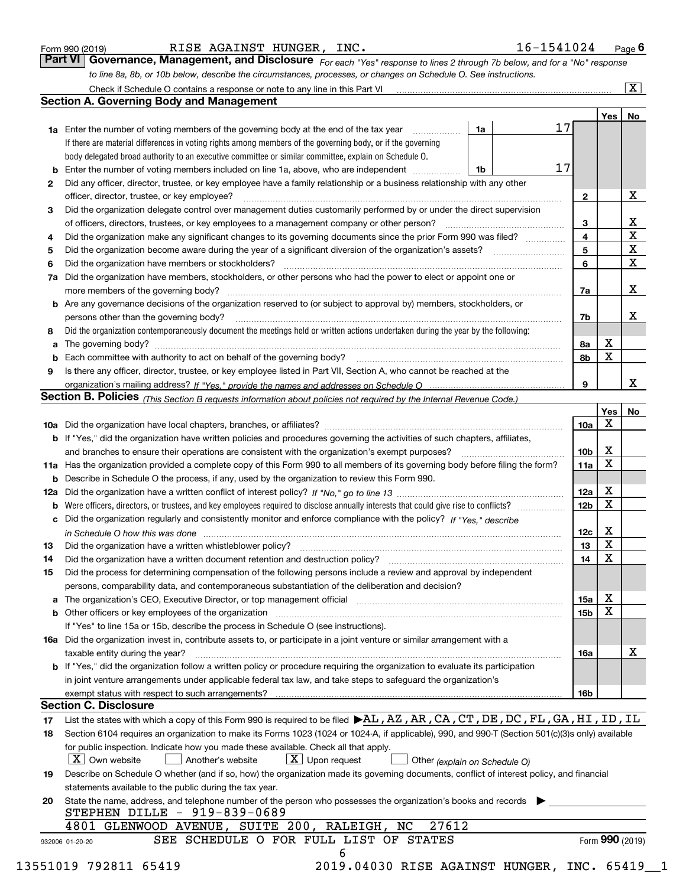| Form 990 (2019) |  |  |
|-----------------|--|--|

RISE AGAINST HUNGER, INC. 16-1541024

*For each "Yes" response to lines 2 through 7b below, and for a "No" response to line 8a, 8b, or 10b below, describe the circumstances, processes, or changes on Schedule O. See instructions.* Form 990 (2019) **RISE AGAINST HUNGER, INC.** 16-1541024 Page 6<br>**Part VI Governance, Management, and Disclosure** For each "Yes" response to lines 2 through 7b below, and for a "No" response

|     | <b>Section A. Governing Body and Management</b>                                                                                                                            |                               |    |                 | Yes <sub>1</sub> | No                           |
|-----|----------------------------------------------------------------------------------------------------------------------------------------------------------------------------|-------------------------------|----|-----------------|------------------|------------------------------|
|     | <b>1a</b> Enter the number of voting members of the governing body at the end of the tax year                                                                              | 1a                            | 17 |                 |                  |                              |
|     | .<br>If there are material differences in voting rights among members of the governing body, or if the governing                                                           |                               |    |                 |                  |                              |
|     | body delegated broad authority to an executive committee or similar committee, explain on Schedule O.                                                                      |                               |    |                 |                  |                              |
|     |                                                                                                                                                                            |                               | 17 |                 |                  |                              |
|     | <b>b</b> Enter the number of voting members included on line 1a, above, who are independent                                                                                | 1b                            |    |                 |                  |                              |
| 2   | Did any officer, director, trustee, or key employee have a family relationship or a business relationship with any other                                                   |                               |    |                 |                  | X                            |
|     | officer, director, trustee, or key employee?                                                                                                                               |                               |    | $\mathbf{2}$    |                  |                              |
| 3   | Did the organization delegate control over management duties customarily performed by or under the direct supervision                                                      |                               |    |                 |                  |                              |
|     |                                                                                                                                                                            |                               |    | 3               |                  | х<br>$\overline{\mathbf{x}}$ |
| 4   | Did the organization make any significant changes to its governing documents since the prior Form 990 was filed?                                                           |                               |    | 4               |                  |                              |
| 5   |                                                                                                                                                                            |                               |    | 5               |                  | $\overline{\mathbf{x}}$      |
| 6   | Did the organization have members or stockholders?                                                                                                                         |                               |    | 6               |                  | $\overline{\mathbf{x}}$      |
| 7a  | Did the organization have members, stockholders, or other persons who had the power to elect or appoint one or                                                             |                               |    |                 |                  |                              |
|     |                                                                                                                                                                            |                               |    | 7a              |                  | X                            |
|     | <b>b</b> Are any governance decisions of the organization reserved to (or subject to approval by) members, stockholders, or                                                |                               |    |                 |                  |                              |
|     | persons other than the governing body?                                                                                                                                     |                               |    | 7b              |                  | х                            |
| 8   | Did the organization contemporaneously document the meetings held or written actions undertaken during the year by the following:                                          |                               |    |                 |                  |                              |
| a   |                                                                                                                                                                            |                               |    | 8a              | х                |                              |
|     |                                                                                                                                                                            |                               |    | 8b              | X                |                              |
| 9   | Is there any officer, director, trustee, or key employee listed in Part VII, Section A, who cannot be reached at the                                                       |                               |    |                 |                  |                              |
|     |                                                                                                                                                                            |                               |    | 9               |                  | x                            |
|     | Section B. Policies (This Section B requests information about policies not required by the Internal Revenue Code.)                                                        |                               |    |                 |                  |                              |
|     |                                                                                                                                                                            |                               |    |                 | Yes              | No                           |
|     |                                                                                                                                                                            |                               |    | 10a             | Χ                |                              |
|     | b If "Yes," did the organization have written policies and procedures governing the activities of such chapters, affiliates,                                               |                               |    |                 |                  |                              |
|     |                                                                                                                                                                            |                               |    | 10b             | х                |                              |
|     | 11a Has the organization provided a complete copy of this Form 990 to all members of its governing body before filing the form?                                            |                               |    | 11a             | $\mathbf X$      |                              |
|     | <b>b</b> Describe in Schedule O the process, if any, used by the organization to review this Form 990.                                                                     |                               |    |                 |                  |                              |
| 12a |                                                                                                                                                                            |                               |    | 12a             | х                |                              |
| b   |                                                                                                                                                                            |                               |    | 12 <sub>b</sub> | $\mathbf X$      |                              |
|     | c Did the organization regularly and consistently monitor and enforce compliance with the policy? If "Yes," describe                                                       |                               |    |                 |                  |                              |
|     | in Schedule O how this was done www.communication.com/www.communications.com/www.communications.com/                                                                       |                               |    | 12c             | х                |                              |
| 13  |                                                                                                                                                                            |                               |    | 13              | X                |                              |
| 14  | Did the organization have a written document retention and destruction policy? manufactured and the organization have a written document retention and destruction policy? |                               |    | 14              | $\mathbf X$      |                              |
|     |                                                                                                                                                                            |                               |    |                 |                  |                              |
| 15  | Did the process for determining compensation of the following persons include a review and approval by independent                                                         |                               |    |                 |                  |                              |
|     | persons, comparability data, and contemporaneous substantiation of the deliberation and decision?                                                                          |                               |    |                 | х                |                              |
|     |                                                                                                                                                                            |                               |    | 15a             | $\mathbf X$      |                              |
|     | <b>b</b> Other officers or key employees of the organization                                                                                                               |                               |    | 15b             |                  |                              |
|     | If "Yes" to line 15a or 15b, describe the process in Schedule O (see instructions).                                                                                        |                               |    |                 |                  |                              |
|     | 16a Did the organization invest in, contribute assets to, or participate in a joint venture or similar arrangement with a                                                  |                               |    |                 |                  |                              |
|     | taxable entity during the year?                                                                                                                                            |                               |    | 16a             |                  | х                            |
|     | <b>b</b> If "Yes," did the organization follow a written policy or procedure requiring the organization to evaluate its participation                                      |                               |    |                 |                  |                              |
|     | in joint venture arrangements under applicable federal tax law, and take steps to safeguard the organization's                                                             |                               |    |                 |                  |                              |
|     |                                                                                                                                                                            |                               |    | 16b             |                  |                              |
|     | <b>Section C. Disclosure</b>                                                                                                                                               |                               |    |                 |                  |                              |
| 17  | List the states with which a copy of this Form 990 is required to be filed $\blacktriangleright$ AL, AZ, AR, CA, CT, DE, DC, FL, GA, HI, ID, IL                            |                               |    |                 |                  |                              |
| 18  | Section 6104 requires an organization to make its Forms 1023 (1024 or 1024-A, if applicable), 990, and 990-T (Section 501(c)(3)s only) available                           |                               |    |                 |                  |                              |
|     | for public inspection. Indicate how you made these available. Check all that apply.                                                                                        |                               |    |                 |                  |                              |
|     | $\boxed{\text{X}}$ Own website<br>$X$ Upon request<br>Another's website                                                                                                    | Other (explain on Schedule O) |    |                 |                  |                              |
| 19  | Describe on Schedule O whether (and if so, how) the organization made its governing documents, conflict of interest policy, and financial                                  |                               |    |                 |                  |                              |
|     | statements available to the public during the tax year.                                                                                                                    |                               |    |                 |                  |                              |
| 20  | State the name, address, and telephone number of the person who possesses the organization's books and records                                                             |                               |    |                 |                  |                              |
|     | STEPHEN DILLE - 919-839-0689                                                                                                                                               |                               |    |                 |                  |                              |
|     | 27612<br>4801 GLENWOOD AVENUE, SUITE 200, RALEIGH, NC                                                                                                                      |                               |    |                 |                  |                              |
|     |                                                                                                                                                                            |                               |    |                 |                  |                              |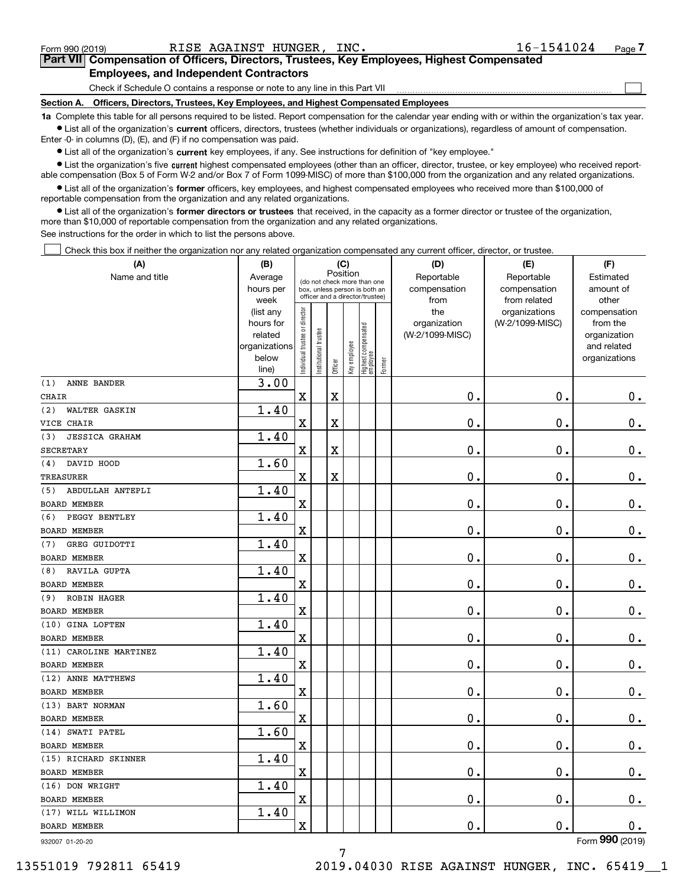| Form 990 (2019) |  |  |
|-----------------|--|--|
|                 |  |  |

 $\mathcal{L}^{\text{max}}$ 

## **7Part VII Compensation of Officers, Directors, Trustees, Key Employees, Highest Compensated Employees, and Independent Contractors**

Check if Schedule O contains a response or note to any line in this Part VII

**Section A. Officers, Directors, Trustees, Key Employees, and Highest Compensated Employees**

**1a**  Complete this table for all persons required to be listed. Report compensation for the calendar year ending with or within the organization's tax year. **•** List all of the organization's current officers, directors, trustees (whether individuals or organizations), regardless of amount of compensation.

Enter -0- in columns (D), (E), and (F) if no compensation was paid.

 $\bullet$  List all of the organization's  $\,$ current key employees, if any. See instructions for definition of "key employee."

**•** List the organization's five current highest compensated employees (other than an officer, director, trustee, or key employee) who received reportable compensation (Box 5 of Form W-2 and/or Box 7 of Form 1099-MISC) of more than \$100,000 from the organization and any related organizations.

**•** List all of the organization's former officers, key employees, and highest compensated employees who received more than \$100,000 of reportable compensation from the organization and any related organizations.

**former directors or trustees**  ¥ List all of the organization's that received, in the capacity as a former director or trustee of the organization, more than \$10,000 of reportable compensation from the organization and any related organizations.

See instructions for the order in which to list the persons above.

Check this box if neither the organization nor any related organization compensated any current officer, director, or trustee.  $\mathcal{L}^{\text{max}}$ 

| (A)                          | (B)                    |                                |                                                                  | (C)                     |              |                                  |        | (D)                 | (E)                              | (F)                      |
|------------------------------|------------------------|--------------------------------|------------------------------------------------------------------|-------------------------|--------------|----------------------------------|--------|---------------------|----------------------------------|--------------------------|
| Name and title               | Average                |                                | (do not check more than one                                      | Position                |              |                                  |        | Reportable          | Reportable                       | Estimated                |
|                              | hours per              |                                | box, unless person is both an<br>officer and a director/trustee) |                         |              |                                  |        | compensation        | compensation                     | amount of                |
|                              | week                   |                                |                                                                  |                         |              |                                  |        | from                | from related                     | other                    |
|                              | (list any<br>hours for |                                |                                                                  |                         |              |                                  |        | the<br>organization | organizations<br>(W-2/1099-MISC) | compensation<br>from the |
|                              | related                |                                |                                                                  |                         |              |                                  |        | (W-2/1099-MISC)     |                                  | organization             |
|                              | organizations          |                                |                                                                  |                         |              |                                  |        |                     |                                  | and related              |
|                              | below                  | Individual trustee or director | nstitutional trustee                                             |                         | Key employee |                                  |        |                     |                                  | organizations            |
|                              | line)                  |                                |                                                                  | Officer                 |              | Highest compensated<br> employee | Former |                     |                                  |                          |
| (1)<br>ANNE BANDER           | 3.00                   |                                |                                                                  |                         |              |                                  |        |                     |                                  |                          |
| <b>CHAIR</b>                 |                        | $\mathbf X$                    |                                                                  | $\rm X$                 |              |                                  |        | 0.                  | $\mathbf 0$ .                    | $0_{.}$                  |
| WALTER GASKIN<br>(2)         | 1.40                   |                                |                                                                  |                         |              |                                  |        |                     |                                  |                          |
| VICE CHAIR                   |                        | X                              |                                                                  | X                       |              |                                  |        | 0.                  | $\mathbf 0$ .                    | 0.                       |
| (3)<br><b>JESSICA GRAHAM</b> | 1.40                   |                                |                                                                  |                         |              |                                  |        |                     |                                  |                          |
| <b>SECRETARY</b>             |                        | $\mathbf X$                    |                                                                  | $\overline{\textbf{X}}$ |              |                                  |        | 0.                  | $\mathbf 0$ .                    | $\mathbf 0$ .            |
| DAVID HOOD<br>(4)            | 1.60                   |                                |                                                                  |                         |              |                                  |        |                     |                                  |                          |
| TREASURER                    |                        | X                              |                                                                  | $\overline{\textbf{X}}$ |              |                                  |        | 0.                  | $\mathbf 0$ .                    | $\mathbf 0$ .            |
| ABDULLAH ANTEPLI<br>(5)      | 1.40                   |                                |                                                                  |                         |              |                                  |        |                     |                                  |                          |
| <b>BOARD MEMBER</b>          |                        | X                              |                                                                  |                         |              |                                  |        | $\mathbf 0$ .       | $\mathbf 0$ .                    | $\mathbf 0$ .            |
| PEGGY BENTLEY<br>(6)         | 1.40                   |                                |                                                                  |                         |              |                                  |        |                     |                                  |                          |
| <b>BOARD MEMBER</b>          |                        | X                              |                                                                  |                         |              |                                  |        | 0.                  | $\mathbf 0$ .                    | 0.                       |
| GREG GUIDOTTI<br>(7)         | 1.40                   |                                |                                                                  |                         |              |                                  |        |                     |                                  |                          |
| BOARD MEMBER                 |                        | X                              |                                                                  |                         |              |                                  |        | 0.                  | $\mathbf 0$ .                    | 0.                       |
| RAVILA GUPTA<br>(8)          | 1.40                   |                                |                                                                  |                         |              |                                  |        |                     |                                  |                          |
| <b>BOARD MEMBER</b>          |                        | $\overline{\textbf{X}}$        |                                                                  |                         |              |                                  |        | 0.                  | $\mathbf{0}$ .                   | $\mathbf 0$ .            |
| ROBIN HAGER<br>(9)           | 1.40                   |                                |                                                                  |                         |              |                                  |        |                     |                                  |                          |
| <b>BOARD MEMBER</b>          |                        | X                              |                                                                  |                         |              |                                  |        | 0.                  | $\mathbf 0$ .                    | $\mathbf 0$ .            |
| (10) GINA LOFTEN             | 1.40                   |                                |                                                                  |                         |              |                                  |        |                     |                                  |                          |
| <b>BOARD MEMBER</b>          |                        | $\mathbf X$                    |                                                                  |                         |              |                                  |        | $\mathbf 0$ .       | $\mathbf 0$ .                    | $\mathbf 0$ .            |
| (11) CAROLINE MARTINEZ       | 1.40                   |                                |                                                                  |                         |              |                                  |        |                     |                                  |                          |
| <b>BOARD MEMBER</b>          |                        | $\overline{\textbf{X}}$        |                                                                  |                         |              |                                  |        | 0.                  | $\mathbf 0$ .                    | $\mathbf 0$ .            |
| (12) ANNE MATTHEWS           | 1.40                   |                                |                                                                  |                         |              |                                  |        |                     |                                  |                          |
| <b>BOARD MEMBER</b>          |                        | $\mathbf X$                    |                                                                  |                         |              |                                  |        | 0.                  | $\mathbf 0$ .                    | $0$ .                    |
| (13) BART NORMAN             | 1.60                   |                                |                                                                  |                         |              |                                  |        |                     |                                  |                          |
| BOARD MEMBER                 |                        | X                              |                                                                  |                         |              |                                  |        | 0.                  | $\mathbf 0$ .                    | $\mathbf 0$ .            |
| (14) SWATI PATEL             | 1.60                   |                                |                                                                  |                         |              |                                  |        |                     |                                  |                          |
| <b>BOARD MEMBER</b>          |                        | $\overline{\textbf{X}}$        |                                                                  |                         |              |                                  |        | 0.                  | $\mathbf{0}$ .                   | $0$ .                    |
| (15) RICHARD SKINNER         | 1.40                   |                                |                                                                  |                         |              |                                  |        |                     |                                  |                          |
| <b>BOARD MEMBER</b>          |                        | X                              |                                                                  |                         |              |                                  |        | 0.                  | $\mathbf 0$ .                    | 0.                       |
| (16) DON WRIGHT              | 1.40                   |                                |                                                                  |                         |              |                                  |        |                     |                                  |                          |
| BOARD MEMBER                 |                        | $\mathbf X$                    |                                                                  |                         |              |                                  |        | 0.                  | $\mathbf 0$ .                    | 0.                       |
| (17) WILL WILLIMON           | 1.40                   |                                |                                                                  |                         |              |                                  |        |                     |                                  |                          |
| <b>BOARD MEMBER</b>          |                        | X                              |                                                                  |                         |              |                                  |        | 0.                  | 0.                               | 0.                       |
|                              |                        |                                |                                                                  |                         |              |                                  |        |                     |                                  | noo                      |

932007 01-20-20

7 13551019 792811 65419 2019.04030 RISE AGAINST HUNGER, INC. 65419\_\_1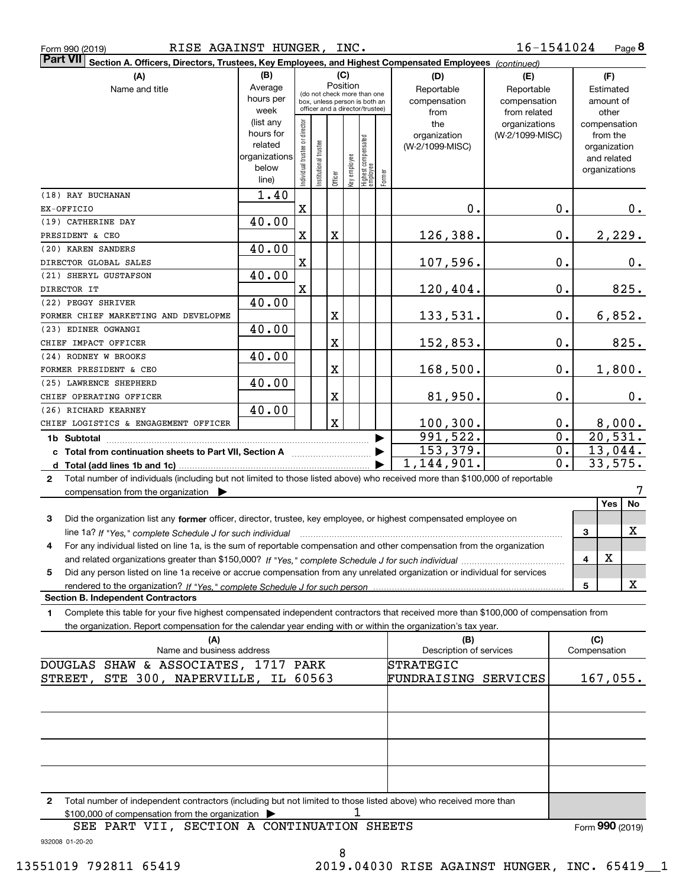| Form 990 (2019) |  |  |
|-----------------|--|--|
|                 |  |  |

| Part VII Section A. Officers, Directors, Trustees, Key Employees, and Highest Compensated Employees (continued)                           |                          |                                         |                                 |                |              |                                  |        |                                |                 |       |                     |
|-------------------------------------------------------------------------------------------------------------------------------------------|--------------------------|-----------------------------------------|---------------------------------|----------------|--------------|----------------------------------|--------|--------------------------------|-----------------|-------|---------------------|
| (A)                                                                                                                                       | (B)                      |                                         |                                 |                | (C)          |                                  |        | (D)                            | (E)             |       | (F)                 |
| Name and title                                                                                                                            | Average                  | Position<br>(do not check more than one |                                 |                |              |                                  |        | Reportable                     | Reportable      |       | Estimated           |
|                                                                                                                                           | hours per                |                                         | box, unless person is both an   |                |              |                                  |        | compensation                   | compensation    |       | amount of           |
|                                                                                                                                           | week                     |                                         | officer and a director/trustee) |                |              |                                  |        | from                           | from related    |       | other               |
|                                                                                                                                           | (list any                |                                         |                                 |                |              |                                  |        | the                            | organizations   |       | compensation        |
|                                                                                                                                           | hours for                |                                         |                                 |                |              |                                  |        | organization                   | (W-2/1099-MISC) |       | from the            |
|                                                                                                                                           | related<br>organizations |                                         |                                 |                |              |                                  |        | (W-2/1099-MISC)                |                 |       | organization        |
|                                                                                                                                           | below                    |                                         |                                 |                |              |                                  |        |                                |                 |       | and related         |
|                                                                                                                                           | line)                    | ndividual trustee or director           | Institutional trustee           | $\overline{O}$ | Key employee | Highest compensated<br> employee | Former |                                |                 |       | organizations       |
| (18) RAY BUCHANAN                                                                                                                         | 1.40                     |                                         |                                 |                |              |                                  |        |                                |                 |       |                     |
| EX-OFFICIO                                                                                                                                |                          | X                                       |                                 |                |              |                                  |        | $0$ .                          |                 | 0.    | 0.                  |
| (19) CATHERINE DAY                                                                                                                        | 40.00                    |                                         |                                 |                |              |                                  |        |                                |                 |       |                     |
| PRESIDENT & CEO                                                                                                                           |                          | X                                       |                                 | X              |              |                                  |        | 126,388.                       |                 | $0$ . | 2,229.              |
| (20) KAREN SANDERS                                                                                                                        | 40.00                    |                                         |                                 |                |              |                                  |        |                                |                 |       |                     |
| DIRECTOR GLOBAL SALES                                                                                                                     |                          | X                                       |                                 |                |              |                                  |        | 107,596.                       |                 | $0$ . | 0.                  |
| (21) SHERYL GUSTAFSON                                                                                                                     | 40.00                    |                                         |                                 |                |              |                                  |        |                                |                 |       |                     |
| DIRECTOR IT                                                                                                                               |                          | X                                       |                                 |                |              |                                  |        | 120,404.                       |                 | $0$ . | 825.                |
| (22) PEGGY SHRIVER                                                                                                                        | 40.00                    |                                         |                                 |                |              |                                  |        |                                |                 |       |                     |
| FORMER CHIEF MARKETING AND DEVELOPME                                                                                                      |                          |                                         |                                 | X              |              |                                  |        | 133,531.                       |                 | $0$ . | 6,852.              |
| (23) EDINER OGWANGI                                                                                                                       | 40.00                    |                                         |                                 |                |              |                                  |        |                                |                 |       |                     |
| CHIEF IMPACT OFFICER                                                                                                                      |                          |                                         |                                 | $\mathbf X$    |              |                                  |        | 152,853.                       |                 | 0.    | 825.                |
| (24) RODNEY W BROOKS                                                                                                                      | 40.00                    |                                         |                                 |                |              |                                  |        |                                |                 |       |                     |
| FORMER PRESIDENT & CEO                                                                                                                    |                          |                                         |                                 | $\mathbf X$    |              |                                  |        | 168,500.                       |                 | $0$ . | 1,800.              |
| (25) LAWRENCE SHEPHERD                                                                                                                    | 40.00                    |                                         |                                 |                |              |                                  |        |                                |                 |       |                     |
| CHIEF OPERATING OFFICER                                                                                                                   |                          |                                         |                                 | $\mathbf X$    |              |                                  |        | 81,950.                        |                 | $0$ . | 0.                  |
| (26) RICHARD KEARNEY                                                                                                                      | 40.00                    |                                         |                                 |                |              |                                  |        |                                |                 |       |                     |
| CHIEF LOGISTICS & ENGAGEMENT OFFICER                                                                                                      |                          |                                         |                                 | $\mathbf X$    |              |                                  |        | 100, 300.                      |                 | 0.    |                     |
|                                                                                                                                           |                          |                                         |                                 |                |              |                                  |        | $\overline{991,522}$           |                 | 0.    | 8,000.<br>20,531.   |
| 1b Subtotal                                                                                                                               |                          |                                         |                                 |                |              |                                  |        | 153,379.                       |                 | 0.    | 13,044.             |
|                                                                                                                                           |                          |                                         |                                 |                |              |                                  |        | 1,144,901.                     |                 | 0.    | 33,575.             |
| Total number of individuals (including but not limited to those listed above) who received more than \$100,000 of reportable              |                          |                                         |                                 |                |              |                                  |        |                                |                 |       |                     |
| $\mathbf{2}$                                                                                                                              |                          |                                         |                                 |                |              |                                  |        |                                |                 |       |                     |
| compensation from the organization $\blacktriangleright$                                                                                  |                          |                                         |                                 |                |              |                                  |        |                                |                 |       | No<br><b>Yes</b>    |
|                                                                                                                                           |                          |                                         |                                 |                |              |                                  |        |                                |                 |       |                     |
| 3<br>Did the organization list any former officer, director, trustee, key employee, or highest compensated employee on                    |                          |                                         |                                 |                |              |                                  |        |                                |                 |       | х                   |
| line 1a? If "Yes," complete Schedule J for such individual manufactured contained and the complete schedule J                             |                          |                                         |                                 |                |              |                                  |        |                                |                 |       | 3                   |
| For any individual listed on line 1a, is the sum of reportable compensation and other compensation from the organization<br>4             |                          |                                         |                                 |                |              |                                  |        |                                |                 |       | X                   |
|                                                                                                                                           |                          |                                         |                                 |                |              |                                  |        |                                |                 |       | 4                   |
| Did any person listed on line 1a receive or accrue compensation from any unrelated organization or individual for services<br>5           |                          |                                         |                                 |                |              |                                  |        |                                |                 |       | x                   |
| rendered to the organization? If "Yes." complete Schedule J for such person<br><b>Section B. Independent Contractors</b>                  |                          |                                         |                                 |                |              |                                  |        |                                |                 |       | 5                   |
|                                                                                                                                           |                          |                                         |                                 |                |              |                                  |        |                                |                 |       |                     |
| Complete this table for your five highest compensated independent contractors that received more than \$100,000 of compensation from<br>1 |                          |                                         |                                 |                |              |                                  |        |                                |                 |       |                     |
| the organization. Report compensation for the calendar year ending with or within the organization's tax year.                            |                          |                                         |                                 |                |              |                                  |        |                                |                 |       |                     |
| (A)<br>Name and business address                                                                                                          |                          |                                         |                                 |                |              |                                  |        | (B)<br>Description of services |                 |       | (C)<br>Compensation |
| DOUGLAS SHAW & ASSOCIATES, 1717 PARK                                                                                                      |                          |                                         |                                 |                |              |                                  |        | STRATEGIC                      |                 |       |                     |
| STREET, STE 300, NAPERVILLE, IL 60563                                                                                                     |                          |                                         |                                 |                |              |                                  |        | FUNDRAISING SERVICES           |                 |       | 167,055.            |
|                                                                                                                                           |                          |                                         |                                 |                |              |                                  |        |                                |                 |       |                     |
|                                                                                                                                           |                          |                                         |                                 |                |              |                                  |        |                                |                 |       |                     |
|                                                                                                                                           |                          |                                         |                                 |                |              |                                  |        |                                |                 |       |                     |
|                                                                                                                                           |                          |                                         |                                 |                |              |                                  |        |                                |                 |       |                     |
|                                                                                                                                           |                          |                                         |                                 |                |              |                                  |        |                                |                 |       |                     |
|                                                                                                                                           |                          |                                         |                                 |                |              |                                  |        |                                |                 |       |                     |
|                                                                                                                                           |                          |                                         |                                 |                |              |                                  |        |                                |                 |       |                     |
|                                                                                                                                           |                          |                                         |                                 |                |              |                                  |        |                                |                 |       |                     |
| Total number of independent contractors (including but not limited to those listed above) who received more than<br>$\mathbf{2}$          |                          |                                         |                                 |                |              |                                  |        |                                |                 |       |                     |

932008 01-20-20 SEE PART VII, SECTION A CONTINUATION SHEETS

Form (2019) **990**

8

1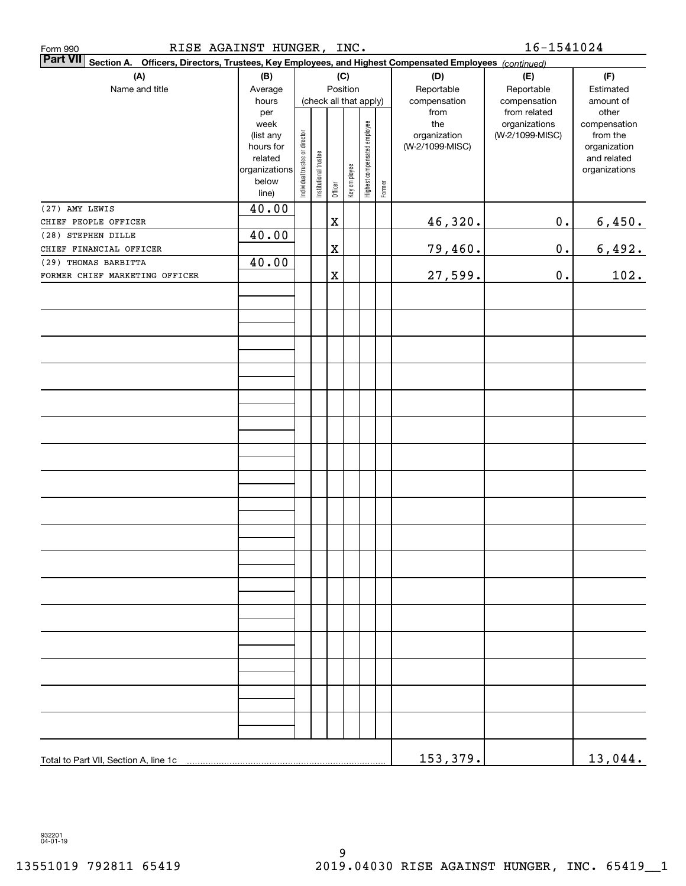| RISE AGAINST HUNGER,<br>Form 990                                                                                   |                        |                                |                        |             | INC.         |                              |        |                     | 16-1541024                       |                          |
|--------------------------------------------------------------------------------------------------------------------|------------------------|--------------------------------|------------------------|-------------|--------------|------------------------------|--------|---------------------|----------------------------------|--------------------------|
| Part VII Section A.<br>Officers, Directors, Trustees, Key Employees, and Highest Compensated Employees (continued) |                        |                                |                        |             |              |                              |        |                     |                                  |                          |
| (A)                                                                                                                | (B)                    |                                |                        |             | (C)          |                              |        | (D)                 | (E)                              | (F)                      |
| Name and title                                                                                                     | Average                |                                |                        |             | Position     |                              |        | Reportable          | Reportable                       | Estimated                |
|                                                                                                                    | hours                  |                                | (check all that apply) |             |              |                              |        | compensation        | compensation                     | amount of                |
|                                                                                                                    | per                    |                                |                        |             |              |                              |        | from                | from related                     | other                    |
|                                                                                                                    | week                   |                                |                        |             |              |                              |        | the<br>organization | organizations<br>(W-2/1099-MISC) | compensation<br>from the |
|                                                                                                                    | (list any<br>hours for |                                |                        |             |              |                              |        | (W-2/1099-MISC)     |                                  | organization             |
|                                                                                                                    | related                |                                |                        |             |              |                              |        |                     |                                  | and related              |
|                                                                                                                    | organizations          | Individual trustee or director | Institutional trustee  |             | Key employee | Highest compensated employee |        |                     |                                  | organizations            |
|                                                                                                                    | below                  |                                |                        | Officer     |              |                              | Former |                     |                                  |                          |
|                                                                                                                    | line)                  |                                |                        |             |              |                              |        |                     |                                  |                          |
| (27) AMY LEWIS                                                                                                     | 40.00                  |                                |                        |             |              |                              |        |                     |                                  |                          |
| CHIEF PEOPLE OFFICER                                                                                               |                        |                                |                        | $\mathbf X$ |              |                              |        | 46,320.             | $\mathbf 0$ .                    | 6,450.                   |
| (28) STEPHEN DILLE                                                                                                 | 40.00                  |                                |                        |             |              |                              |        |                     |                                  |                          |
| CHIEF FINANCIAL OFFICER                                                                                            |                        |                                |                        | $\mathbf X$ |              |                              |        | 79,460.             | $\mathbf 0$ .                    | 6,492.                   |
| (29) THOMAS BARBITTA                                                                                               | 40.00                  |                                |                        |             |              |                              |        |                     |                                  |                          |
| FORMER CHIEF MARKETING OFFICER                                                                                     |                        |                                |                        | $\mathbf X$ |              |                              |        | 27,599.             | $\mathbf 0$ .                    | 102.                     |
|                                                                                                                    |                        |                                |                        |             |              |                              |        |                     |                                  |                          |
|                                                                                                                    |                        |                                |                        |             |              |                              |        |                     |                                  |                          |
|                                                                                                                    |                        |                                |                        |             |              |                              |        |                     |                                  |                          |
|                                                                                                                    |                        |                                |                        |             |              |                              |        |                     |                                  |                          |
|                                                                                                                    |                        |                                |                        |             |              |                              |        |                     |                                  |                          |
|                                                                                                                    |                        |                                |                        |             |              |                              |        |                     |                                  |                          |
|                                                                                                                    |                        |                                |                        |             |              |                              |        |                     |                                  |                          |
|                                                                                                                    |                        |                                |                        |             |              |                              |        |                     |                                  |                          |
|                                                                                                                    |                        |                                |                        |             |              |                              |        |                     |                                  |                          |
|                                                                                                                    |                        |                                |                        |             |              |                              |        |                     |                                  |                          |
|                                                                                                                    |                        |                                |                        |             |              |                              |        |                     |                                  |                          |
|                                                                                                                    |                        |                                |                        |             |              |                              |        |                     |                                  |                          |
|                                                                                                                    |                        |                                |                        |             |              |                              |        |                     |                                  |                          |
|                                                                                                                    |                        |                                |                        |             |              |                              |        |                     |                                  |                          |
|                                                                                                                    |                        |                                |                        |             |              |                              |        |                     |                                  |                          |
|                                                                                                                    |                        |                                |                        |             |              |                              |        |                     |                                  |                          |
|                                                                                                                    |                        |                                |                        |             |              |                              |        |                     |                                  |                          |
|                                                                                                                    |                        |                                |                        |             |              |                              |        |                     |                                  |                          |
|                                                                                                                    |                        |                                |                        |             |              |                              |        |                     |                                  |                          |
|                                                                                                                    |                        |                                |                        |             |              |                              |        |                     |                                  |                          |
|                                                                                                                    |                        |                                |                        |             |              |                              |        |                     |                                  |                          |
|                                                                                                                    |                        |                                |                        |             |              |                              |        |                     |                                  |                          |
|                                                                                                                    |                        |                                |                        |             |              |                              |        |                     |                                  |                          |
|                                                                                                                    |                        |                                |                        |             |              |                              |        |                     |                                  |                          |
|                                                                                                                    |                        |                                |                        |             |              |                              |        |                     |                                  |                          |
|                                                                                                                    |                        |                                |                        |             |              |                              |        |                     |                                  |                          |
|                                                                                                                    |                        |                                |                        |             |              |                              |        |                     |                                  |                          |
|                                                                                                                    |                        |                                |                        |             |              |                              |        |                     |                                  |                          |
|                                                                                                                    |                        |                                |                        |             |              |                              |        |                     |                                  |                          |
|                                                                                                                    |                        |                                |                        |             |              |                              |        |                     |                                  |                          |
|                                                                                                                    |                        |                                |                        |             |              |                              |        |                     |                                  |                          |
|                                                                                                                    |                        |                                |                        |             |              |                              |        |                     |                                  |                          |
|                                                                                                                    |                        |                                |                        |             |              |                              |        |                     |                                  |                          |
|                                                                                                                    |                        |                                |                        |             |              |                              |        | 153,379.            |                                  | 13,044.                  |

932201 04-01-19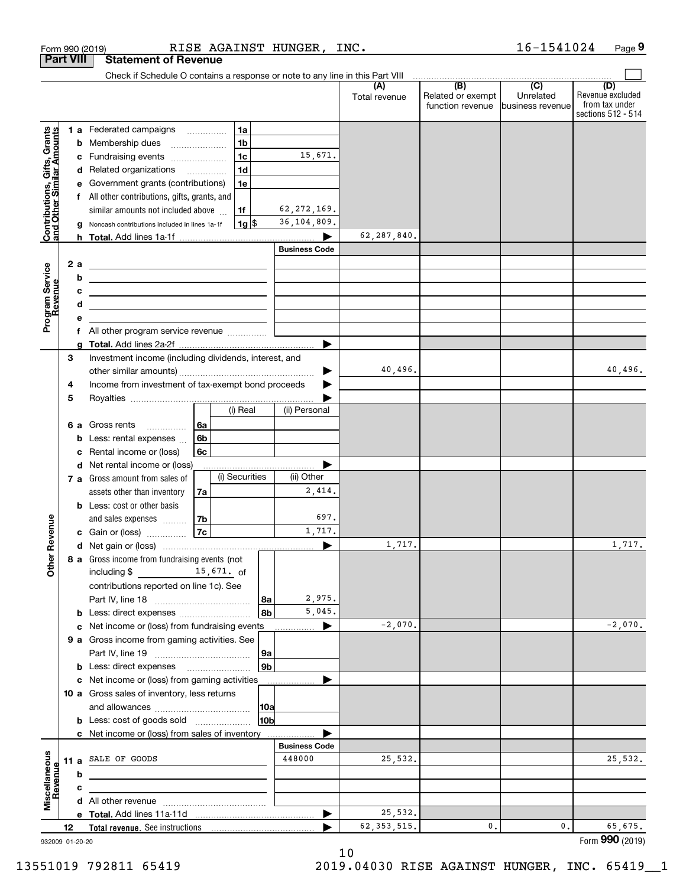|                                                           |                  | RISE AGAINST HUNGER,<br>Form 990 (2019)                                                                                                                                               |                      | INC.                 |                                                                                                          | 16-1541024                    | Page 9                                                          |
|-----------------------------------------------------------|------------------|---------------------------------------------------------------------------------------------------------------------------------------------------------------------------------------|----------------------|----------------------|----------------------------------------------------------------------------------------------------------|-------------------------------|-----------------------------------------------------------------|
|                                                           | <b>Part VIII</b> | <b>Statement of Revenue</b>                                                                                                                                                           |                      |                      |                                                                                                          |                               |                                                                 |
|                                                           |                  | Check if Schedule O contains a response or note to any line in this Part VIII                                                                                                         |                      |                      | $\begin{array}{c c c c c c} \hline \text{ } & \text{(B)} & \text{ } & \text{(C)} & \text{ } \end{array}$ |                               |                                                                 |
|                                                           |                  |                                                                                                                                                                                       |                      | (A)<br>Total revenue | Related or exempt<br>function revenue                                                                    | Unrelated<br>business revenue | (D)<br>Revenue excluded<br>from tax under<br>sections 512 - 514 |
|                                                           |                  | 1 a Federated campaigns<br>1a                                                                                                                                                         |                      |                      |                                                                                                          |                               |                                                                 |
|                                                           |                  | 1 <sub>b</sub><br><b>b</b> Membership dues                                                                                                                                            |                      |                      |                                                                                                          |                               |                                                                 |
|                                                           | с                | 1 <sub>c</sub><br>Fundraising events                                                                                                                                                  | 15,671.              |                      |                                                                                                          |                               |                                                                 |
|                                                           |                  | 1 <sub>d</sub><br>d Related organizations                                                                                                                                             |                      |                      |                                                                                                          |                               |                                                                 |
| Contributions, Gifts, Grants<br>and Other Similar Amounts | е                | Government grants (contributions)<br>1e                                                                                                                                               |                      |                      |                                                                                                          |                               |                                                                 |
|                                                           |                  | f All other contributions, gifts, grants, and                                                                                                                                         |                      |                      |                                                                                                          |                               |                                                                 |
|                                                           |                  | similar amounts not included above<br>1f                                                                                                                                              | 62, 272, 169.        |                      |                                                                                                          |                               |                                                                 |
|                                                           | g                | $1g$ \$<br>Noncash contributions included in lines 1a-1f                                                                                                                              | 36, 104, 809.        |                      |                                                                                                          |                               |                                                                 |
|                                                           |                  |                                                                                                                                                                                       |                      | 62,287,840.          |                                                                                                          |                               |                                                                 |
|                                                           |                  |                                                                                                                                                                                       | <b>Business Code</b> |                      |                                                                                                          |                               |                                                                 |
|                                                           | 2 a              | <u> 1989 - Johann Harry Harry Harry Harry Harry Harry Harry Harry Harry Harry Harry Harry Harry Harry Harry Harry</u>                                                                 |                      |                      |                                                                                                          |                               |                                                                 |
| Program Service<br>Revenue                                | b<br>с           | <u> 1989 - Johann John Stone, meil in der Stone aus der Stone aus der Stone aus der Stone aus der Stone anderes E</u>                                                                 |                      |                      |                                                                                                          |                               |                                                                 |
|                                                           | d                | <u> Alexandro Alexandro Alexandro Alexandro Alexandro Alexandro Alexandro Alexandro Alexandro Alexandro Alexandro A</u><br><u> 1989 - Johann Barn, amerikansk politiker (d. 1989)</u> |                      |                      |                                                                                                          |                               |                                                                 |
|                                                           | е                |                                                                                                                                                                                       |                      |                      |                                                                                                          |                               |                                                                 |
|                                                           |                  | f All other program service revenue                                                                                                                                                   |                      |                      |                                                                                                          |                               |                                                                 |
|                                                           | g                |                                                                                                                                                                                       |                      |                      |                                                                                                          |                               |                                                                 |
|                                                           | 3                | Investment income (including dividends, interest, and                                                                                                                                 |                      |                      |                                                                                                          |                               |                                                                 |
|                                                           |                  |                                                                                                                                                                                       |                      | 40,496.              |                                                                                                          |                               | 40,496.                                                         |
|                                                           | 4                | Income from investment of tax-exempt bond proceeds                                                                                                                                    |                      |                      |                                                                                                          |                               |                                                                 |
|                                                           | 5                |                                                                                                                                                                                       |                      |                      |                                                                                                          |                               |                                                                 |
|                                                           |                  | (i) Real                                                                                                                                                                              | (ii) Personal        |                      |                                                                                                          |                               |                                                                 |
|                                                           |                  | 6a<br>6 a Gross rents                                                                                                                                                                 |                      |                      |                                                                                                          |                               |                                                                 |
|                                                           | b                | 6b<br>Less: rental expenses                                                                                                                                                           |                      |                      |                                                                                                          |                               |                                                                 |
|                                                           | c                | Rental income or (loss)<br>6с<br>d Net rental income or (loss)                                                                                                                        |                      |                      |                                                                                                          |                               |                                                                 |
|                                                           |                  | (i) Securities<br>7 a Gross amount from sales of                                                                                                                                      | (ii) Other           |                      |                                                                                                          |                               |                                                                 |
|                                                           |                  | assets other than inventory<br>7a                                                                                                                                                     | 2,414.               |                      |                                                                                                          |                               |                                                                 |
|                                                           |                  | <b>b</b> Less: cost or other basis                                                                                                                                                    |                      |                      |                                                                                                          |                               |                                                                 |
|                                                           |                  | 7b<br>and sales expenses                                                                                                                                                              | 697.                 |                      |                                                                                                          |                               |                                                                 |
| evenue                                                    |                  | <b>7c</b><br>c Gain or (loss)                                                                                                                                                         | 1,717.               |                      |                                                                                                          |                               |                                                                 |
|                                                           |                  |                                                                                                                                                                                       |                      | 1,717.               |                                                                                                          |                               | 1,717.                                                          |
| Other <sub>R</sub>                                        |                  | 8 a Gross income from fundraising events (not                                                                                                                                         |                      |                      |                                                                                                          |                               |                                                                 |
|                                                           |                  | including $\frac{2}{3}$ 15,671. of                                                                                                                                                    |                      |                      |                                                                                                          |                               |                                                                 |
|                                                           |                  | contributions reported on line 1c). See                                                                                                                                               |                      |                      |                                                                                                          |                               |                                                                 |
|                                                           |                  | 8a                                                                                                                                                                                    | 2,975.               |                      |                                                                                                          |                               |                                                                 |
|                                                           |                  | 8b<br><b>b</b> Less: direct expenses <i></i>                                                                                                                                          | 5,045.               |                      |                                                                                                          |                               |                                                                 |
|                                                           |                  | c Net income or (loss) from fundraising events                                                                                                                                        | ▶                    | $-2,070.$            |                                                                                                          |                               | $-2,070.$                                                       |
|                                                           |                  | 9 a Gross income from gaming activities. See                                                                                                                                          |                      |                      |                                                                                                          |                               |                                                                 |
|                                                           |                  | 9a<br>9b<br><b>b</b> Less: direct expenses <b>manually</b>                                                                                                                            |                      |                      |                                                                                                          |                               |                                                                 |
|                                                           |                  | c Net income or (loss) from gaming activities                                                                                                                                         |                      |                      |                                                                                                          |                               |                                                                 |
|                                                           |                  | 10 a Gross sales of inventory, less returns                                                                                                                                           |                      |                      |                                                                                                          |                               |                                                                 |
|                                                           |                  | 10a                                                                                                                                                                                   |                      |                      |                                                                                                          |                               |                                                                 |
|                                                           |                  | 10b<br><b>b</b> Less: cost of goods sold                                                                                                                                              |                      |                      |                                                                                                          |                               |                                                                 |
|                                                           |                  | c Net income or (loss) from sales of inventory                                                                                                                                        |                      |                      |                                                                                                          |                               |                                                                 |
|                                                           |                  |                                                                                                                                                                                       | <b>Business Code</b> |                      |                                                                                                          |                               |                                                                 |
| Miscellaneous<br>Revenue                                  |                  | 11 a SALE OF GOODS                                                                                                                                                                    | 448000               | 25,532.              |                                                                                                          |                               | 25,532.                                                         |
|                                                           | b                |                                                                                                                                                                                       |                      |                      |                                                                                                          |                               |                                                                 |
|                                                           | с                |                                                                                                                                                                                       |                      |                      |                                                                                                          |                               |                                                                 |
|                                                           |                  |                                                                                                                                                                                       |                      |                      |                                                                                                          |                               |                                                                 |
|                                                           |                  |                                                                                                                                                                                       |                      | 25,532.              |                                                                                                          | 0.                            |                                                                 |
|                                                           | 12               |                                                                                                                                                                                       |                      | 62, 353, 515.        | 0.                                                                                                       |                               | 65,675.<br>Form 990 (2019)                                      |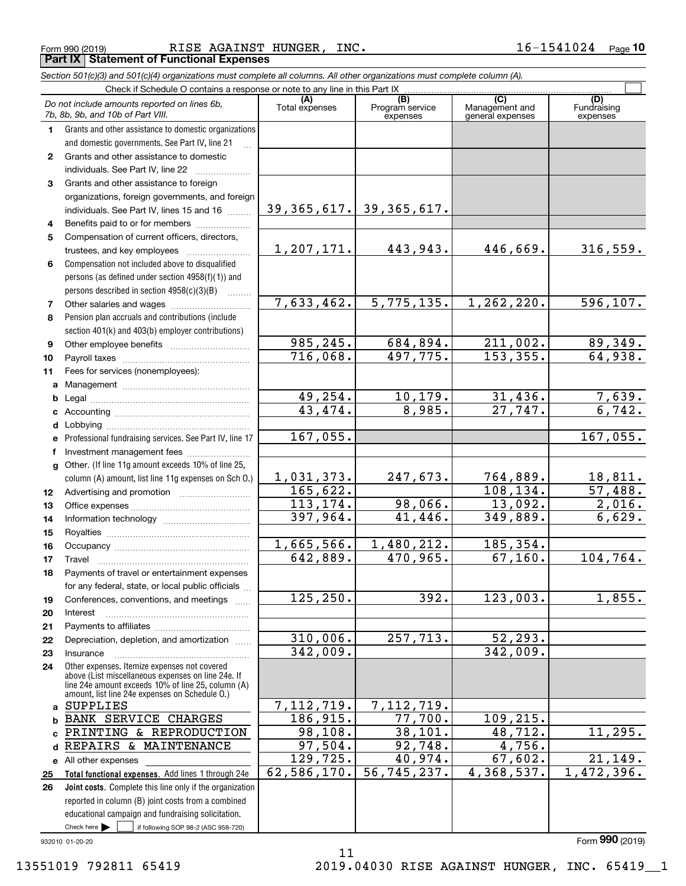Form 990 (2019) RISE AGAINST HUNGER, INC.  $16\hbox{--}1541024$   $_{\sf Page}$ 

|              |                      | <b>Part IX Statement of Functional Expenses</b>                                                                                                                                                            |                       |                                    |                                           |                                |
|--------------|----------------------|------------------------------------------------------------------------------------------------------------------------------------------------------------------------------------------------------------|-----------------------|------------------------------------|-------------------------------------------|--------------------------------|
|              |                      | Section 501(c)(3) and 501(c)(4) organizations must complete all columns. All other organizations must complete column (A).                                                                                 |                       |                                    |                                           |                                |
|              |                      | Check if Schedule O contains a response or note to any line in this Part IX                                                                                                                                |                       |                                    |                                           |                                |
|              |                      | Do not include amounts reported on lines 6b,<br>7b, 8b, 9b, and 10b of Part VIII.                                                                                                                          | (A)<br>Total expenses | (B)<br>Program service<br>expenses | (C)<br>Management and<br>general expenses | (D)<br>Fundraising<br>expenses |
| 1.           |                      | Grants and other assistance to domestic organizations                                                                                                                                                      |                       |                                    |                                           |                                |
|              |                      | and domestic governments. See Part IV, line 21                                                                                                                                                             |                       |                                    |                                           |                                |
| $\mathbf{2}$ |                      | Grants and other assistance to domestic                                                                                                                                                                    |                       |                                    |                                           |                                |
|              |                      | individuals. See Part IV, line 22                                                                                                                                                                          |                       |                                    |                                           |                                |
| 3            |                      | Grants and other assistance to foreign                                                                                                                                                                     |                       |                                    |                                           |                                |
|              |                      | organizations, foreign governments, and foreign                                                                                                                                                            |                       |                                    |                                           |                                |
|              |                      | individuals. See Part IV, lines 15 and 16                                                                                                                                                                  | 39, 365, 617.         | 39, 365, 617.                      |                                           |                                |
| 4            |                      | Benefits paid to or for members                                                                                                                                                                            |                       |                                    |                                           |                                |
| 5            |                      | Compensation of current officers, directors,                                                                                                                                                               |                       |                                    |                                           |                                |
|              |                      | trustees, and key employees                                                                                                                                                                                | 1,207,171.            | 443,943.                           | 446,669.                                  | 316,559.                       |
| 6            |                      | Compensation not included above to disqualified                                                                                                                                                            |                       |                                    |                                           |                                |
|              |                      | persons (as defined under section 4958(f)(1)) and                                                                                                                                                          |                       |                                    |                                           |                                |
|              |                      | persons described in section 4958(c)(3)(B)                                                                                                                                                                 |                       |                                    |                                           |                                |
| 7            |                      |                                                                                                                                                                                                            | 7,633,462.            | 5,775,135.                         | 1,262,220.                                | 596, 107.                      |
| 8            |                      | Pension plan accruals and contributions (include                                                                                                                                                           |                       |                                    |                                           |                                |
|              |                      | section 401(k) and 403(b) employer contributions)                                                                                                                                                          | 985, 245.             | 684,894.                           | 211,002.                                  | 89,349.                        |
| 9            |                      |                                                                                                                                                                                                            | 716,068.              | $\overline{497,775.}$              | 153, 355.                                 | 64,938.                        |
| 10           |                      |                                                                                                                                                                                                            |                       |                                    |                                           |                                |
| 11           |                      | Fees for services (nonemployees):                                                                                                                                                                          |                       |                                    |                                           |                                |
| a<br>b       |                      |                                                                                                                                                                                                            | 49, 254.              | 10, 179.                           |                                           |                                |
| c            |                      |                                                                                                                                                                                                            | 43, 474.              | 8,985.                             | $\frac{31,436}{27,747}$                   | $\frac{7,639.}{6,742.}$        |
| d            |                      |                                                                                                                                                                                                            |                       |                                    |                                           |                                |
| e            |                      | Professional fundraising services. See Part IV, line 17                                                                                                                                                    | 167,055.              |                                    |                                           | 167,055.                       |
| f            |                      | Investment management fees                                                                                                                                                                                 |                       |                                    |                                           |                                |
| g            |                      | Other. (If line 11g amount exceeds 10% of line 25,                                                                                                                                                         |                       |                                    |                                           |                                |
|              |                      | column (A) amount, list line 11g expenses on Sch O.)                                                                                                                                                       | 1,031,373.            | 247,673.                           | 764,889.                                  | 18,811.                        |
| 12           |                      | Advertising and promotion <i>manually contained</i>                                                                                                                                                        | 165,622.              |                                    | 108, 134.                                 | 57,488.                        |
| 13           |                      |                                                                                                                                                                                                            | 113, 174.             | 98,066.                            | 13,092.                                   | 2,016.                         |
| 14           |                      |                                                                                                                                                                                                            | 397,964.              | 41,446.                            | 349,889.                                  | 6,629.                         |
| 15           |                      |                                                                                                                                                                                                            |                       |                                    |                                           |                                |
| 16           |                      |                                                                                                                                                                                                            | 1,665,566.            | 1,480,212.                         | 185,354.                                  |                                |
| 17           | Travel               |                                                                                                                                                                                                            | 642,889.              | 470,965.                           | 67,160.                                   | 104,764.                       |
| 18           |                      | Payments of travel or entertainment expenses                                                                                                                                                               |                       |                                    |                                           |                                |
|              |                      | for any federal, state, or local public officials                                                                                                                                                          |                       |                                    |                                           |                                |
| 19           |                      | Conferences, conventions, and meetings                                                                                                                                                                     | 125, 250.             | 392.                               | 123,003.                                  | 1,855.                         |
| 20           | Interest             |                                                                                                                                                                                                            |                       |                                    |                                           |                                |
| 21           |                      |                                                                                                                                                                                                            |                       |                                    |                                           |                                |
| 22           |                      | Depreciation, depletion, and amortization                                                                                                                                                                  | 310,006.<br>342,009.  | 257,713.                           | 52, 293.<br>342,009.                      |                                |
| 23           | Insurance            |                                                                                                                                                                                                            |                       |                                    |                                           |                                |
| 24           |                      | Other expenses. Itemize expenses not covered<br>above (List miscellaneous expenses on line 24e. If<br>line 24e amount exceeds 10% of line 25, column (A)<br>amount, list line 24e expenses on Schedule O.) |                       |                                    |                                           |                                |
| a            | SUPPLIES             |                                                                                                                                                                                                            | 7, 112, 719.          | 7, 112, 719.                       |                                           |                                |
| b            |                      | <b>BANK SERVICE CHARGES</b>                                                                                                                                                                                | 186,915.              | 77,700.                            | 109,215.                                  |                                |
| C            |                      | PRINTING & REPRODUCTION                                                                                                                                                                                    | 98, 108.              | 38,101.                            | $\overline{48, 712}$ .                    | 11, 295.                       |
| d            |                      | REPAIRS & MAINTENANCE                                                                                                                                                                                      | 97,504.               | 92,748.                            | 4,756.                                    |                                |
|              | e All other expenses |                                                                                                                                                                                                            | 129,725.              | 40,974.                            | 67,602.                                   | 21,149.                        |
| 25           |                      | Total functional expenses. Add lines 1 through 24e                                                                                                                                                         | 62,586,170.           | 56,745,237.                        | 4,368,537.                                | 1,472,396.                     |
| 26           |                      | Joint costs. Complete this line only if the organization                                                                                                                                                   |                       |                                    |                                           |                                |
|              |                      | reported in column (B) joint costs from a combined                                                                                                                                                         |                       |                                    |                                           |                                |
|              |                      | educational campaign and fundraising solicitation.                                                                                                                                                         |                       |                                    |                                           |                                |

11

932010 01-20-20

 $\mathcal{L}^{\text{max}}$ 

Check here

if following SOP 98-2 (ASC 958-720)

Form (2019) **990**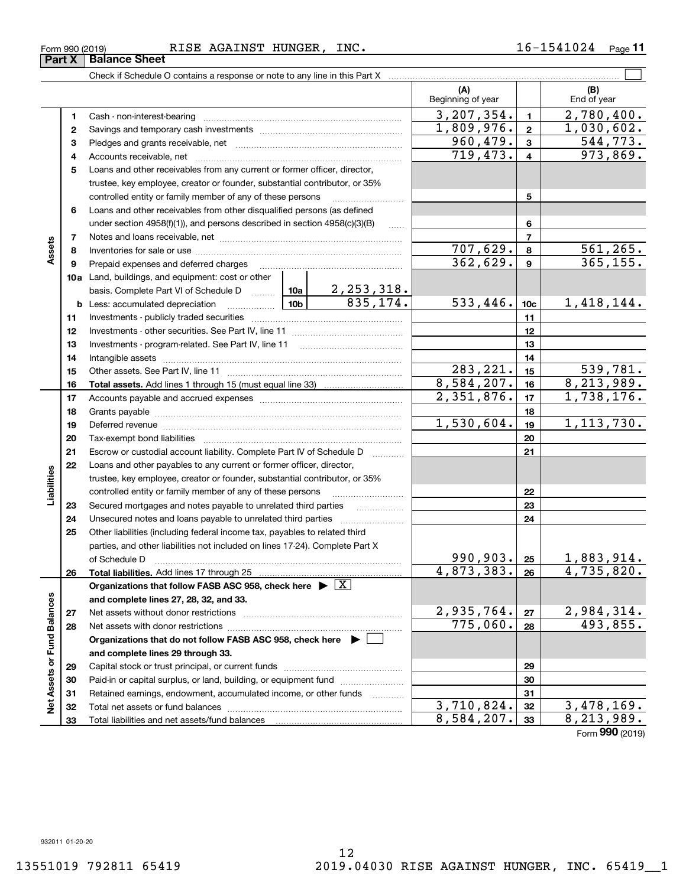#### Form 990 (2019) RISE AGAINST HUNGER, INC.  $16\hbox{--}1541024$   $_{\sf Page}$ **Part X** Balance Sheet

Check if Schedule O contains a response or note to any line in this Part X

Retained earnings, endowment, accumulated income, or other funds Total net assets or fund balances ~~~~~~~~~~~~~~~~~~~~~~

Total liabilities and net assets/fund balances

**123** Pledges and grants receivable, net  $\ldots$  **multimes contained and grants receivable**, net **multimes contained and grants receivable**, net **multimes contained and grants receivable 45**Loans and other receivables from any current or former officer, director, **6910a**Land, buildings, and equipment: cost or other **1112142122232412345678910c11121314151617181920212223242526b** Less: accumulated depreciation  $\ldots$  **10b** basis. Complete Part VI of Schedule D will aller **Total assets.**  Add lines 1 through 15 (must equal line 33) **Total liabilities.**  Add lines 17 through 25 **Organizations that follow FASB ASC 958, check here** | X **and complete lines 27, 28, 32, and 33. 2728Organizations that do not follow FASB ASC 958, check here** | **and complete lines 29 through 33. 2930**Beginning of year | | End of year Cash - non-interest-bearing ~~~~~~~~~~~~~~~~~~~~~~~~~ Savings and temporary cash investments ~~~~~~~~~~~~~~~~~~Accounts receivable, net ~~~~~~~~~~~~~~~~~~~~~~~~~~ trustee, key employee, creator or founder, substantial contributor, or 35% controlled entity or family member of any of these persons ............................ Loans and other receivables from other disqualified persons (as defined under section 4958(f)(1)), and persons described in section  $4958(c)(3)(B)$  ...... Notes and loans receivable, net ~~~~~~~~~~~~~~~~~~~~~~~Inventories for sale or use ~~~~~~~~~~~~~~~~~~~~~~~~~~Prepaid expenses and deferred charges ~~~~~~~~~~~~~~~~~~ Investments - publicly traded securities ~~~~~~~~~~~~~~~~~~~ Investments - other securities. See Part IV, line 11 ~~~~~~~~~~~~~~ Investments - program-related. See Part IV, line 11 [2010] [2010] [2010] [2010] [2010] [2010] [2010] [2010] [2 Intangible assets …………………………………………………………………………………… Other assets. See Part IV, line 11 ~~~~~~~~~~~~~~~~~~~~~~ Accounts payable and accrued expenses ~~~~~~~~~~~~~~~~~~ Grants payable ~~~~~~~~~~~~~~~~~~~~~~~~~~~~~~~ Deferred revenue ~~~~~~~~~~~~~~~~~~~~~~~~~~~~~~ Tax-exempt bond liabilities …………………………………………………………… Escrow or custodial account liability. Complete Part IV of Schedule D Loans and other payables to any current or former officer, director, trustee, key employee, creator or founder, substantial contributor, or 35% controlled entity or family member of any of these persons ~~~~~~~~~Secured mortgages and notes payable to unrelated third parties Unsecured notes and loans payable to unrelated third parties Other liabilities (including federal income tax, payables to related third parties, and other liabilities not included on lines 17-24). Complete Part X of Schedule D ~~~~~~~~~~~~~~~~~~~~~~~~~~~~~~~ Net assets without donor restrictions ~~~~~~~~~~~~~~~~~~~~ Net assets with donor restrictions ~~~~~~~~~~~~~~~~~~~~~~ Capital stock or trust principal, or current funds ~~~~~~~~~~~~~~~Paid-in or capital surplus, or land, building, or equipment fund www.commun.com  $3,207,354.$   $1 \quad 2,780,400.$  $719,473. | 4 | 973,869.$ 960,479. 544,773. 707,629. 561,265.  $362,629$ .  $9$  365,155. 2,253,318.  $835, 174.$  533, 446.  $|10c|$  1, 418, 144.  $283,221.$   $15$  539,781.  $8,584,207.$  16  $8,213,989.$  $1,809,976.$  2 1,030,602.  $2,351,876.$  17 | 1,738,176.  $1,530,604.$  1, 1, 113, 730.  $990,903$ . |  $25$  | 1,883,914.  $4,873,383.$   $26$  4,735,820.  $2,935,764. |z_7| 2,984,314.$  $775,060. |28| 493,855.$ 

Form (2019) **990**

**313233**

 $3,710,824.$   $32 \mid 3,478,169.$  $8,584,207$ .  $|33|$   $8,213,989$ .

 $\mathcal{L}^{\text{max}}$ 

**(A) (B)**

**78**

**Assets**

**13**

**25**

**Liabilities**

iabilities

**26**

**2728**

**Net Assets or Fund Balances**

 $\frac{1}{2}$ 

Assets or Fund Balances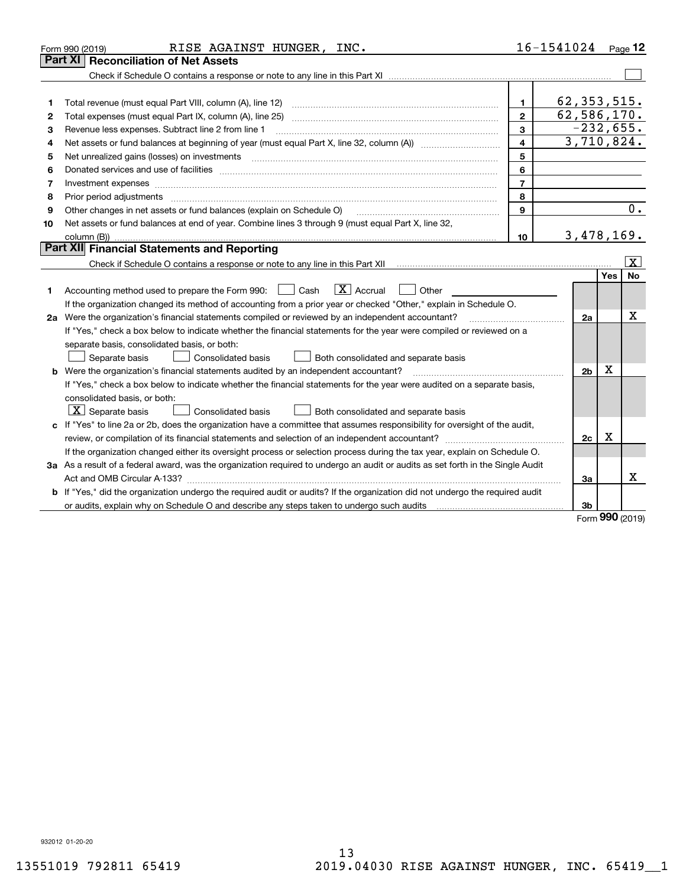|    | RISE AGAINST HUNGER, INC.<br>Form 990 (2019)                                                                                    |                          | 16-1541024 Page 12 |            |                         |
|----|---------------------------------------------------------------------------------------------------------------------------------|--------------------------|--------------------|------------|-------------------------|
|    | <b>Part XI   Reconciliation of Net Assets</b>                                                                                   |                          |                    |            |                         |
|    |                                                                                                                                 |                          |                    |            |                         |
|    |                                                                                                                                 |                          |                    |            |                         |
| 1  | Total revenue (must equal Part VIII, column (A), line 12)                                                                       | 1.                       | 62, 353, 515.      |            |                         |
| 2  |                                                                                                                                 | $\mathbf{2}$             | 62,586,170.        |            |                         |
| з  | Revenue less expenses. Subtract line 2 from line 1                                                                              | 3                        | $-232,655.$        |            |                         |
| 4  |                                                                                                                                 | $\overline{\mathbf{4}}$  | 3,710,824.         |            |                         |
| 5  | Net unrealized gains (losses) on investments                                                                                    | 5                        |                    |            |                         |
| 6  |                                                                                                                                 | 6                        |                    |            |                         |
| 7  | Investment expenses www.communication.com/www.communication.com/www.communication.com/www.com                                   | $\overline{\phantom{a}}$ |                    |            |                         |
| 8  | Prior period adjustments                                                                                                        | 8                        |                    |            |                         |
| 9  | Other changes in net assets or fund balances (explain on Schedule O)                                                            | $\mathbf{9}$             |                    |            | 0.                      |
| 10 | Net assets or fund balances at end of year. Combine lines 3 through 9 (must equal Part X, line 32,                              |                          |                    |            |                         |
|    | column (B))                                                                                                                     | 10                       | 3,478,169.         |            |                         |
|    | Part XII Financial Statements and Reporting                                                                                     |                          |                    |            |                         |
|    |                                                                                                                                 |                          |                    |            | $\overline{\mathbf{x}}$ |
|    |                                                                                                                                 |                          |                    | <b>Yes</b> | <b>No</b>               |
| 1  | $ X $ Accrual<br>Accounting method used to prepare the Form 990: <u>June</u> Cash<br>Other                                      |                          |                    |            |                         |
|    | If the organization changed its method of accounting from a prior year or checked "Other," explain in Schedule O.               |                          |                    |            |                         |
|    | 2a Were the organization's financial statements compiled or reviewed by an independent accountant?                              |                          | 2a                 |            | Х                       |
|    | If "Yes," check a box below to indicate whether the financial statements for the year were compiled or reviewed on a            |                          |                    |            |                         |
|    | separate basis, consolidated basis, or both:                                                                                    |                          |                    |            |                         |
|    | Separate basis<br><b>Consolidated basis</b><br>Both consolidated and separate basis                                             |                          |                    |            |                         |
|    | <b>b</b> Were the organization's financial statements audited by an independent accountant?                                     |                          | 2 <sub>b</sub>     | х          |                         |
|    | If "Yes," check a box below to indicate whether the financial statements for the year were audited on a separate basis,         |                          |                    |            |                         |
|    | consolidated basis, or both:                                                                                                    |                          |                    |            |                         |
|    | $X$ Separate basis<br>Consolidated basis<br>Both consolidated and separate basis                                                |                          |                    |            |                         |
|    | c If "Yes" to line 2a or 2b, does the organization have a committee that assumes responsibility for oversight of the audit,     |                          |                    |            |                         |
|    |                                                                                                                                 |                          | 2c                 | x          |                         |
|    | If the organization changed either its oversight process or selection process during the tax year, explain on Schedule O.       |                          |                    |            |                         |
|    | 3a As a result of a federal award, was the organization required to undergo an audit or audits as set forth in the Single Audit |                          |                    |            |                         |
|    |                                                                                                                                 |                          | Зa                 |            | x                       |
|    | b If "Yes," did the organization undergo the required audit or audits? If the organization did not undergo the required audit   |                          |                    |            |                         |
|    |                                                                                                                                 |                          | 3b                 |            |                         |

Form (2019) **990**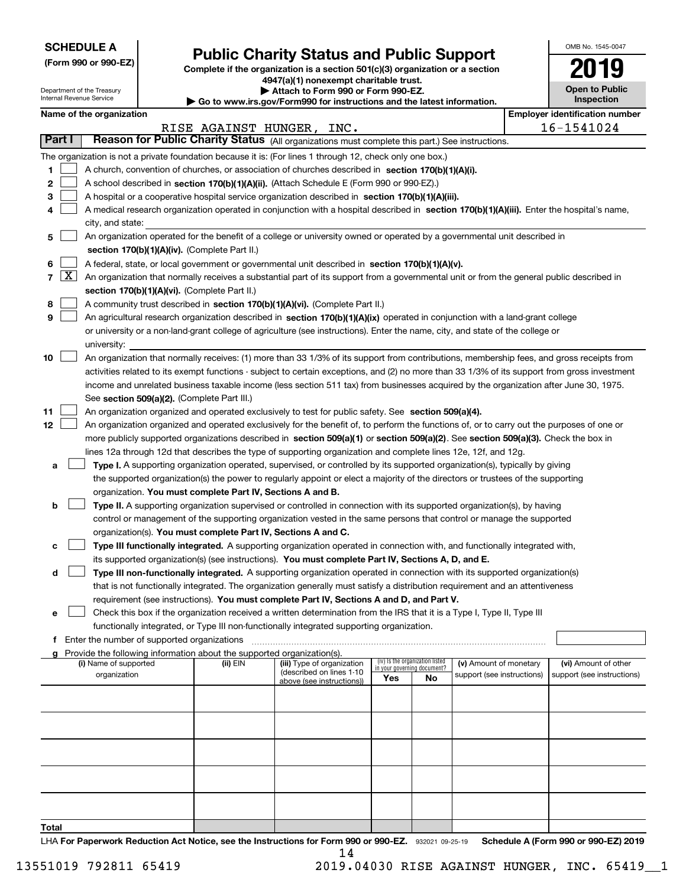| <b>SCHEDULE A</b> |
|-------------------|
|-------------------|

Department of the Treasury Internal Revenue Service

**(Form 990 or 990-EZ)**

## **Public Charity Status and Public Support**

**Complete if the organization is a section 501(c)(3) organization or a section 4947(a)(1) nonexempt charitable trust.**

**| Attach to Form 990 or Form 990-EZ.** 

**| Go to www.irs.gov/Form990 for instructions and the latest information.**

| OMB No. 1545-0047                   |
|-------------------------------------|
| 2019                                |
| <b>Open to Public</b><br>Inspection |

| Name of the organization                                                                            | Emplover identification number |
|-----------------------------------------------------------------------------------------------------|--------------------------------|
| INC.<br>RISE AGAINST HUNGER,                                                                        | 16-1541024                     |
| <b>Dogson for Dublio Charity Status</b> (All experience work consistential assistantially<br>Dort L |                                |

|                 |         |                                                                                                                                               | RISE AGAINST HUNGER, |                                                        | INC. |                                                                |    |                            |  | 16-1541024                 |  |  |  |
|-----------------|---------|-----------------------------------------------------------------------------------------------------------------------------------------------|----------------------|--------------------------------------------------------|------|----------------------------------------------------------------|----|----------------------------|--|----------------------------|--|--|--|
|                 | Part I  | Reason for Public Charity Status (All organizations must complete this part.) See instructions.                                               |                      |                                                        |      |                                                                |    |                            |  |                            |  |  |  |
|                 |         | The organization is not a private foundation because it is: (For lines 1 through 12, check only one box.)                                     |                      |                                                        |      |                                                                |    |                            |  |                            |  |  |  |
| 1               |         | A church, convention of churches, or association of churches described in section 170(b)(1)(A)(i).                                            |                      |                                                        |      |                                                                |    |                            |  |                            |  |  |  |
| 2               |         | A school described in section 170(b)(1)(A)(ii). (Attach Schedule E (Form 990 or 990-EZ).)                                                     |                      |                                                        |      |                                                                |    |                            |  |                            |  |  |  |
| 3               |         | A hospital or a cooperative hospital service organization described in section 170(b)(1)(A)(iii).                                             |                      |                                                        |      |                                                                |    |                            |  |                            |  |  |  |
| 4               |         | A medical research organization operated in conjunction with a hospital described in section 170(b)(1)(A)(iii). Enter the hospital's name,    |                      |                                                        |      |                                                                |    |                            |  |                            |  |  |  |
|                 |         | city, and state:                                                                                                                              |                      |                                                        |      |                                                                |    |                            |  |                            |  |  |  |
|                 |         | An organization operated for the benefit of a college or university owned or operated by a governmental unit described in                     |                      |                                                        |      |                                                                |    |                            |  |                            |  |  |  |
| 5               |         |                                                                                                                                               |                      |                                                        |      |                                                                |    |                            |  |                            |  |  |  |
|                 |         | section 170(b)(1)(A)(iv). (Complete Part II.)                                                                                                 |                      |                                                        |      |                                                                |    |                            |  |                            |  |  |  |
| 6               |         | A federal, state, or local government or governmental unit described in section 170(b)(1)(A)(v).                                              |                      |                                                        |      |                                                                |    |                            |  |                            |  |  |  |
|                 | 7 $ X $ | An organization that normally receives a substantial part of its support from a governmental unit or from the general public described in     |                      |                                                        |      |                                                                |    |                            |  |                            |  |  |  |
|                 |         | section 170(b)(1)(A)(vi). (Complete Part II.)                                                                                                 |                      |                                                        |      |                                                                |    |                            |  |                            |  |  |  |
| 8               |         | A community trust described in section 170(b)(1)(A)(vi). (Complete Part II.)                                                                  |                      |                                                        |      |                                                                |    |                            |  |                            |  |  |  |
| 9               |         | An agricultural research organization described in section 170(b)(1)(A)(ix) operated in conjunction with a land-grant college                 |                      |                                                        |      |                                                                |    |                            |  |                            |  |  |  |
|                 |         | or university or a non-land-grant college of agriculture (see instructions). Enter the name, city, and state of the college or                |                      |                                                        |      |                                                                |    |                            |  |                            |  |  |  |
|                 |         | university:                                                                                                                                   |                      |                                                        |      |                                                                |    |                            |  |                            |  |  |  |
| 10              |         | An organization that normally receives: (1) more than 33 1/3% of its support from contributions, membership fees, and gross receipts from     |                      |                                                        |      |                                                                |    |                            |  |                            |  |  |  |
|                 |         | activities related to its exempt functions - subject to certain exceptions, and (2) no more than 33 1/3% of its support from gross investment |                      |                                                        |      |                                                                |    |                            |  |                            |  |  |  |
|                 |         | income and unrelated business taxable income (less section 511 tax) from businesses acquired by the organization after June 30, 1975.         |                      |                                                        |      |                                                                |    |                            |  |                            |  |  |  |
|                 |         | See section 509(a)(2). (Complete Part III.)                                                                                                   |                      |                                                        |      |                                                                |    |                            |  |                            |  |  |  |
| 11              |         | An organization organized and operated exclusively to test for public safety. See section 509(a)(4).                                          |                      |                                                        |      |                                                                |    |                            |  |                            |  |  |  |
| 12 <sub>2</sub> |         | An organization organized and operated exclusively for the benefit of, to perform the functions of, or to carry out the purposes of one or    |                      |                                                        |      |                                                                |    |                            |  |                            |  |  |  |
|                 |         | more publicly supported organizations described in section 509(a)(1) or section 509(a)(2). See section 509(a)(3). Check the box in            |                      |                                                        |      |                                                                |    |                            |  |                            |  |  |  |
|                 |         | lines 12a through 12d that describes the type of supporting organization and complete lines 12e, 12f, and 12g.                                |                      |                                                        |      |                                                                |    |                            |  |                            |  |  |  |
|                 |         | Type I. A supporting organization operated, supervised, or controlled by its supported organization(s), typically by giving                   |                      |                                                        |      |                                                                |    |                            |  |                            |  |  |  |
| а               |         |                                                                                                                                               |                      |                                                        |      |                                                                |    |                            |  |                            |  |  |  |
|                 |         | the supported organization(s) the power to regularly appoint or elect a majority of the directors or trustees of the supporting               |                      |                                                        |      |                                                                |    |                            |  |                            |  |  |  |
|                 |         | organization. You must complete Part IV, Sections A and B.                                                                                    |                      |                                                        |      |                                                                |    |                            |  |                            |  |  |  |
| b               |         | Type II. A supporting organization supervised or controlled in connection with its supported organization(s), by having                       |                      |                                                        |      |                                                                |    |                            |  |                            |  |  |  |
|                 |         | control or management of the supporting organization vested in the same persons that control or manage the supported                          |                      |                                                        |      |                                                                |    |                            |  |                            |  |  |  |
|                 |         | organization(s). You must complete Part IV, Sections A and C.                                                                                 |                      |                                                        |      |                                                                |    |                            |  |                            |  |  |  |
| с               |         | Type III functionally integrated. A supporting organization operated in connection with, and functionally integrated with,                    |                      |                                                        |      |                                                                |    |                            |  |                            |  |  |  |
|                 |         | its supported organization(s) (see instructions). You must complete Part IV, Sections A, D, and E.                                            |                      |                                                        |      |                                                                |    |                            |  |                            |  |  |  |
| d               |         | Type III non-functionally integrated. A supporting organization operated in connection with its supported organization(s)                     |                      |                                                        |      |                                                                |    |                            |  |                            |  |  |  |
|                 |         | that is not functionally integrated. The organization generally must satisfy a distribution requirement and an attentiveness                  |                      |                                                        |      |                                                                |    |                            |  |                            |  |  |  |
|                 |         | requirement (see instructions). You must complete Part IV, Sections A and D, and Part V.                                                      |                      |                                                        |      |                                                                |    |                            |  |                            |  |  |  |
| е               |         | Check this box if the organization received a written determination from the IRS that it is a Type I, Type II, Type III                       |                      |                                                        |      |                                                                |    |                            |  |                            |  |  |  |
|                 |         | functionally integrated, or Type III non-functionally integrated supporting organization.                                                     |                      |                                                        |      |                                                                |    |                            |  |                            |  |  |  |
| f               |         | Enter the number of supported organizations                                                                                                   |                      |                                                        |      |                                                                |    |                            |  |                            |  |  |  |
|                 |         | g Provide the following information about the supported organization(s).                                                                      |                      |                                                        |      |                                                                |    |                            |  |                            |  |  |  |
|                 |         | (i) Name of supported                                                                                                                         | (ii) EIN             | (iii) Type of organization<br>(described on lines 1-10 |      | (iv) Is the organization listed<br>in your governing document? |    | (v) Amount of monetary     |  | (vi) Amount of other       |  |  |  |
|                 |         | organization                                                                                                                                  |                      | above (see instructions))                              |      | Yes                                                            | No | support (see instructions) |  | support (see instructions) |  |  |  |
|                 |         |                                                                                                                                               |                      |                                                        |      |                                                                |    |                            |  |                            |  |  |  |
|                 |         |                                                                                                                                               |                      |                                                        |      |                                                                |    |                            |  |                            |  |  |  |
|                 |         |                                                                                                                                               |                      |                                                        |      |                                                                |    |                            |  |                            |  |  |  |
|                 |         |                                                                                                                                               |                      |                                                        |      |                                                                |    |                            |  |                            |  |  |  |
|                 |         |                                                                                                                                               |                      |                                                        |      |                                                                |    |                            |  |                            |  |  |  |
|                 |         |                                                                                                                                               |                      |                                                        |      |                                                                |    |                            |  |                            |  |  |  |
|                 |         |                                                                                                                                               |                      |                                                        |      |                                                                |    |                            |  |                            |  |  |  |
|                 |         |                                                                                                                                               |                      |                                                        |      |                                                                |    |                            |  |                            |  |  |  |
|                 |         |                                                                                                                                               |                      |                                                        |      |                                                                |    |                            |  |                            |  |  |  |

**Total**

LHA For Paperwork Reduction Act Notice, see the Instructions for Form 990 or 990-EZ. 932021 09-25-19 Schedule A (Form 990 or 990-EZ) 2019 14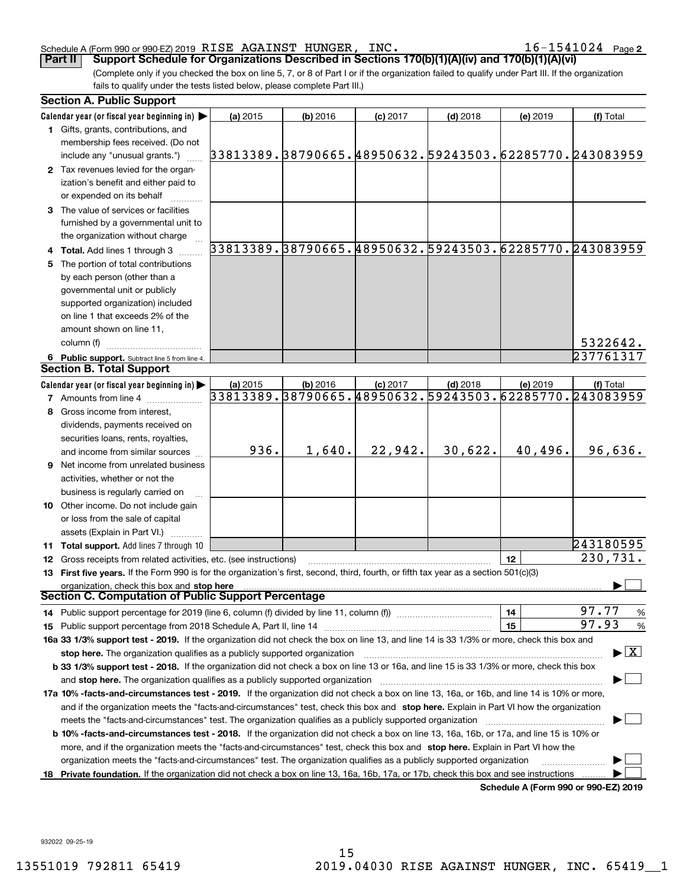#### Schedule A (Form 990 or 990-EZ) 2019 KISE AGAINS'I' HUNGER, INC。 I b - I b 4 I U Z 4 Page RISE AGAINST HUNGER, INC. 16-1541024

**2**

(Complete only if you checked the box on line 5, 7, or 8 of Part I or if the organization failed to qualify under Part III. If the organization fails to qualify under the tests listed below, please complete Part III.) **Part II Support Schedule for Organizations Described in Sections 170(b)(1)(A)(iv) and 170(b)(1)(A)(vi)**

|    | <b>Section A. Public Support</b>                                                                                                                                                                                               |                                                        |            |            |            |          |                                                        |
|----|--------------------------------------------------------------------------------------------------------------------------------------------------------------------------------------------------------------------------------|--------------------------------------------------------|------------|------------|------------|----------|--------------------------------------------------------|
|    | Calendar year (or fiscal year beginning in) $\blacktriangleright$                                                                                                                                                              | (a) 2015                                               | $(b)$ 2016 | $(c)$ 2017 | $(d)$ 2018 | (e) 2019 | (f) Total                                              |
|    | 1 Gifts, grants, contributions, and<br>membership fees received. (Do not                                                                                                                                                       |                                                        |            |            |            |          |                                                        |
|    | include any "unusual grants.")                                                                                                                                                                                                 | 33813389.38790665.48950632.59243503.62285770.243083959 |            |            |            |          |                                                        |
|    | 2 Tax revenues levied for the organ-                                                                                                                                                                                           |                                                        |            |            |            |          |                                                        |
|    | ization's benefit and either paid to                                                                                                                                                                                           |                                                        |            |            |            |          |                                                        |
|    | or expended on its behalf                                                                                                                                                                                                      |                                                        |            |            |            |          |                                                        |
|    | 3 The value of services or facilities                                                                                                                                                                                          |                                                        |            |            |            |          |                                                        |
|    | furnished by a governmental unit to                                                                                                                                                                                            |                                                        |            |            |            |          |                                                        |
|    | the organization without charge                                                                                                                                                                                                |                                                        |            |            |            |          |                                                        |
|    | 4 Total. Add lines 1 through 3                                                                                                                                                                                                 |                                                        |            |            |            |          | 33813389.38790665.48950632.59243503.62285770.243083959 |
| 5  | The portion of total contributions                                                                                                                                                                                             |                                                        |            |            |            |          |                                                        |
|    | by each person (other than a                                                                                                                                                                                                   |                                                        |            |            |            |          |                                                        |
|    | governmental unit or publicly                                                                                                                                                                                                  |                                                        |            |            |            |          |                                                        |
|    | supported organization) included                                                                                                                                                                                               |                                                        |            |            |            |          |                                                        |
|    | on line 1 that exceeds 2% of the                                                                                                                                                                                               |                                                        |            |            |            |          |                                                        |
|    | amount shown on line 11,                                                                                                                                                                                                       |                                                        |            |            |            |          |                                                        |
|    | column (f)                                                                                                                                                                                                                     |                                                        |            |            |            |          | 5322642.                                               |
|    | 6 Public support. Subtract line 5 from line 4.                                                                                                                                                                                 |                                                        |            |            |            |          | 237761317                                              |
|    | <b>Section B. Total Support</b>                                                                                                                                                                                                |                                                        |            |            |            |          |                                                        |
|    | Calendar year (or fiscal year beginning in) $\blacktriangleright$                                                                                                                                                              | $(a)$ 2015                                             | $(b)$ 2016 | $(c)$ 2017 | $(d)$ 2018 | (e) 2019 | (f) Total                                              |
|    | <b>7</b> Amounts from line 4                                                                                                                                                                                                   |                                                        |            |            |            |          | 33813389.38790665.48950632.59243503.62285770.243083959 |
|    | Gross income from interest,                                                                                                                                                                                                    |                                                        |            |            |            |          |                                                        |
|    | dividends, payments received on                                                                                                                                                                                                |                                                        |            |            |            |          |                                                        |
|    | securities loans, rents, royalties,                                                                                                                                                                                            |                                                        |            |            |            |          |                                                        |
|    | and income from similar sources                                                                                                                                                                                                | 936.                                                   | 1,640.     | 22,942.    | 30,622.    | 40,496.  | 96,636.                                                |
|    | 9 Net income from unrelated business                                                                                                                                                                                           |                                                        |            |            |            |          |                                                        |
|    | activities, whether or not the                                                                                                                                                                                                 |                                                        |            |            |            |          |                                                        |
|    | business is regularly carried on                                                                                                                                                                                               |                                                        |            |            |            |          |                                                        |
|    | 10 Other income. Do not include gain                                                                                                                                                                                           |                                                        |            |            |            |          |                                                        |
|    | or loss from the sale of capital                                                                                                                                                                                               |                                                        |            |            |            |          |                                                        |
|    | assets (Explain in Part VI.)                                                                                                                                                                                                   |                                                        |            |            |            |          |                                                        |
|    | <b>11 Total support.</b> Add lines 7 through 10                                                                                                                                                                                |                                                        |            |            |            |          | 243180595                                              |
|    | 12 Gross receipts from related activities, etc. (see instructions)                                                                                                                                                             |                                                        |            |            |            | 12       | 230,731.                                               |
|    | 13 First five years. If the Form 990 is for the organization's first, second, third, fourth, or fifth tax year as a section 501(c)(3)                                                                                          |                                                        |            |            |            |          |                                                        |
|    | organization, check this box and stop here<br>Section C. Computation of Public Support Percentage                                                                                                                              |                                                        |            |            |            |          |                                                        |
|    |                                                                                                                                                                                                                                |                                                        |            |            |            | 14       | 97.77<br>$\frac{9}{6}$                                 |
|    |                                                                                                                                                                                                                                |                                                        |            |            |            | 15       | 97.93<br>%                                             |
|    | 16a 33 1/3% support test - 2019. If the organization did not check the box on line 13, and line 14 is 33 1/3% or more, check this box and                                                                                      |                                                        |            |            |            |          |                                                        |
|    | stop here. The organization qualifies as a publicly supported organization                                                                                                                                                     |                                                        |            |            |            |          | $\blacktriangleright$ $\boxed{\text{X}}$               |
|    | b 33 1/3% support test - 2018. If the organization did not check a box on line 13 or 16a, and line 15 is 33 1/3% or more, check this box                                                                                       |                                                        |            |            |            |          |                                                        |
|    | and stop here. The organization qualifies as a publicly supported organization [11] manuscription manuscription manuscription manuscription manuscription manuscription manuscription manuscription manuscription manuscriptio |                                                        |            |            |            |          |                                                        |
|    | 17a 10% -facts-and-circumstances test - 2019. If the organization did not check a box on line 13, 16a, or 16b, and line 14 is 10% or more,                                                                                     |                                                        |            |            |            |          |                                                        |
|    | and if the organization meets the "facts-and-circumstances" test, check this box and stop here. Explain in Part VI how the organization                                                                                        |                                                        |            |            |            |          |                                                        |
|    | meets the "facts-and-circumstances" test. The organization qualifies as a publicly supported organization <i>manumumumumum</i>                                                                                                 |                                                        |            |            |            |          |                                                        |
|    | <b>b 10% -facts-and-circumstances test - 2018.</b> If the organization did not check a box on line 13, 16a, 16b, or 17a, and line 15 is 10% or                                                                                 |                                                        |            |            |            |          |                                                        |
|    | more, and if the organization meets the "facts-and-circumstances" test, check this box and stop here. Explain in Part VI how the                                                                                               |                                                        |            |            |            |          |                                                        |
|    | organization meets the "facts-and-circumstances" test. The organization qualifies as a publicly supported organization                                                                                                         |                                                        |            |            |            |          |                                                        |
| 18 | Private foundation. If the organization did not check a box on line 13, 16a, 16b, 17a, or 17b, check this box and see instructions                                                                                             |                                                        |            |            |            |          |                                                        |
|    |                                                                                                                                                                                                                                |                                                        |            |            |            |          | Schedule A (Form 990 or 990-EZ) 2019                   |

932022 09-25-19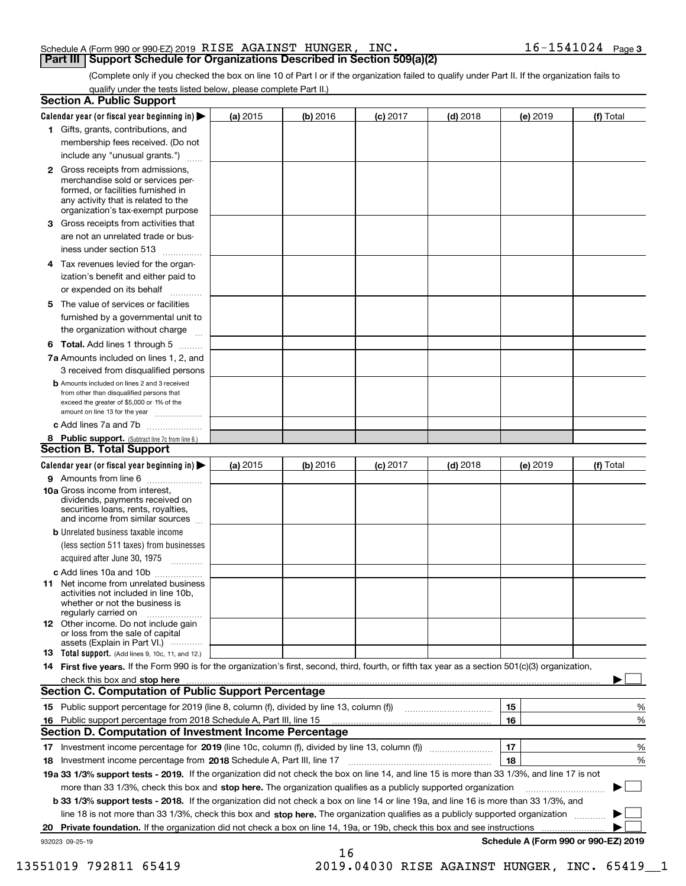#### Schedule A (Form 990 or 990-EZ) 2019 Page RISE AGAINST HUNGER, INC. 16-1541024 **Part III Support Schedule for Organizations Described in Section 509(a)(2)**

(Complete only if you checked the box on line 10 of Part I or if the organization failed to qualify under Part II. If the organization fails to qualify under the tests listed below, please complete Part II.)

|    | <b>Section A. Public Support</b>                                                                                                                                                                                                                                                             |          |            |            |            |          |                                      |
|----|----------------------------------------------------------------------------------------------------------------------------------------------------------------------------------------------------------------------------------------------------------------------------------------------|----------|------------|------------|------------|----------|--------------------------------------|
|    | Calendar year (or fiscal year beginning in) $\blacktriangleright$                                                                                                                                                                                                                            | (a) 2015 | $(b)$ 2016 | $(c)$ 2017 | $(d)$ 2018 | (e) 2019 | (f) Total                            |
|    | 1 Gifts, grants, contributions, and                                                                                                                                                                                                                                                          |          |            |            |            |          |                                      |
|    | membership fees received. (Do not                                                                                                                                                                                                                                                            |          |            |            |            |          |                                      |
|    | include any "unusual grants.")                                                                                                                                                                                                                                                               |          |            |            |            |          |                                      |
|    | 2 Gross receipts from admissions,<br>merchandise sold or services per-<br>formed, or facilities furnished in<br>any activity that is related to the<br>organization's tax-exempt purpose                                                                                                     |          |            |            |            |          |                                      |
|    | 3 Gross receipts from activities that<br>are not an unrelated trade or bus-                                                                                                                                                                                                                  |          |            |            |            |          |                                      |
|    | iness under section 513                                                                                                                                                                                                                                                                      |          |            |            |            |          |                                      |
|    | 4 Tax revenues levied for the organ-                                                                                                                                                                                                                                                         |          |            |            |            |          |                                      |
|    | ization's benefit and either paid to<br>or expended on its behalf<br>.                                                                                                                                                                                                                       |          |            |            |            |          |                                      |
|    | 5 The value of services or facilities                                                                                                                                                                                                                                                        |          |            |            |            |          |                                      |
|    | furnished by a governmental unit to                                                                                                                                                                                                                                                          |          |            |            |            |          |                                      |
|    | the organization without charge                                                                                                                                                                                                                                                              |          |            |            |            |          |                                      |
|    | <b>6 Total.</b> Add lines 1 through 5                                                                                                                                                                                                                                                        |          |            |            |            |          |                                      |
|    | 7a Amounts included on lines 1, 2, and<br>3 received from disqualified persons                                                                                                                                                                                                               |          |            |            |            |          |                                      |
|    | <b>b</b> Amounts included on lines 2 and 3 received<br>from other than disqualified persons that<br>exceed the greater of \$5,000 or 1% of the<br>amount on line 13 for the year                                                                                                             |          |            |            |            |          |                                      |
|    | c Add lines 7a and 7b                                                                                                                                                                                                                                                                        |          |            |            |            |          |                                      |
|    | 8 Public support. (Subtract line 7c from line 6.)<br><b>Section B. Total Support</b>                                                                                                                                                                                                         |          |            |            |            |          |                                      |
|    | Calendar year (or fiscal year beginning in) $\blacktriangleright$                                                                                                                                                                                                                            | (a) 2015 | (b) 2016   | $(c)$ 2017 | $(d)$ 2018 | (e) 2019 | (f) Total                            |
|    | 9 Amounts from line 6                                                                                                                                                                                                                                                                        |          |            |            |            |          |                                      |
|    | 10a Gross income from interest,<br>dividends, payments received on<br>securities loans, rents, royalties,<br>and income from similar sources                                                                                                                                                 |          |            |            |            |          |                                      |
|    | <b>b</b> Unrelated business taxable income                                                                                                                                                                                                                                                   |          |            |            |            |          |                                      |
|    | (less section 511 taxes) from businesses                                                                                                                                                                                                                                                     |          |            |            |            |          |                                      |
|    | acquired after June 30, 1975                                                                                                                                                                                                                                                                 |          |            |            |            |          |                                      |
|    | c Add lines 10a and 10b                                                                                                                                                                                                                                                                      |          |            |            |            |          |                                      |
|    | 11 Net income from unrelated business<br>activities not included in line 10b,<br>whether or not the business is<br>regularly carried on                                                                                                                                                      |          |            |            |            |          |                                      |
|    | 12 Other income. Do not include gain<br>or loss from the sale of capital<br>assets (Explain in Part VI.)                                                                                                                                                                                     |          |            |            |            |          |                                      |
|    | <b>13</b> Total support. (Add lines 9, 10c, 11, and 12.)                                                                                                                                                                                                                                     |          |            |            |            |          |                                      |
|    | 14 First five years. If the Form 990 is for the organization's first, second, third, fourth, or fifth tax year as a section 501(c)(3) organization,                                                                                                                                          |          |            |            |            |          |                                      |
|    | check this box and stop here manufactured and control to the state of the state of the state of the state of the state of the state of the state of the state of the state of the state of the state of the state of the state<br><b>Section C. Computation of Public Support Percentage</b> |          |            |            |            |          |                                      |
|    | 15 Public support percentage for 2019 (line 8, column (f), divided by line 13, column (f))                                                                                                                                                                                                   |          |            |            |            | 15       | %                                    |
|    | 16 Public support percentage from 2018 Schedule A, Part III, line 15                                                                                                                                                                                                                         |          |            |            |            | 16       | %                                    |
|    | <b>Section D. Computation of Investment Income Percentage</b>                                                                                                                                                                                                                                |          |            |            |            |          |                                      |
|    | 17 Investment income percentage for 2019 (line 10c, column (f), divided by line 13, column (f))                                                                                                                                                                                              |          |            |            |            | 17       | %                                    |
|    | <b>18</b> Investment income percentage from <b>2018</b> Schedule A, Part III, line 17                                                                                                                                                                                                        |          |            |            |            | 18       | %                                    |
|    | 19a 33 1/3% support tests - 2019. If the organization did not check the box on line 14, and line 15 is more than 33 1/3%, and line 17 is not                                                                                                                                                 |          |            |            |            |          |                                      |
|    | more than 33 1/3%, check this box and stop here. The organization qualifies as a publicly supported organization                                                                                                                                                                             |          |            |            |            |          | ▶                                    |
|    | b 33 1/3% support tests - 2018. If the organization did not check a box on line 14 or line 19a, and line 16 is more than 33 1/3%, and                                                                                                                                                        |          |            |            |            |          |                                      |
|    | line 18 is not more than 33 1/3%, check this box and stop here. The organization qualifies as a publicly supported organization                                                                                                                                                              |          |            |            |            |          |                                      |
| 20 | <b>Private foundation.</b> If the organization did not check a box on line 14, 19a, or 19b, check this box and see instructions                                                                                                                                                              |          |            |            |            |          |                                      |
|    | 932023 09-25-19                                                                                                                                                                                                                                                                              |          | 16         |            |            |          | Schedule A (Form 990 or 990-EZ) 2019 |

13551019 792811 65419 2019.04030 RISE AGAINST HUNGER, INC. 65419\_\_1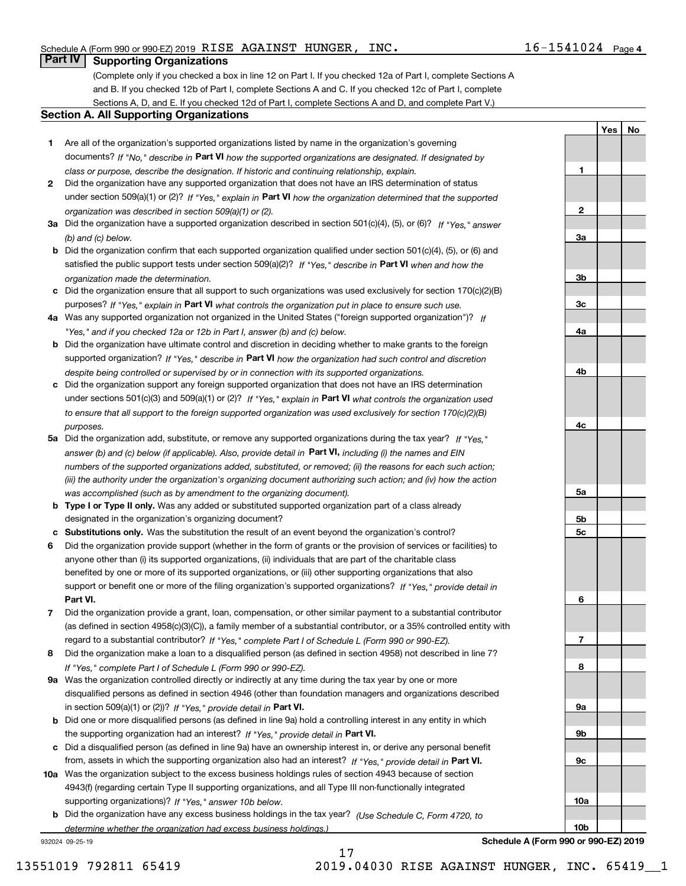**1**

**2**

**YesNo**

## **Part IV Supporting Organizations**

(Complete only if you checked a box in line 12 on Part I. If you checked 12a of Part I, complete Sections A and B. If you checked 12b of Part I, complete Sections A and C. If you checked 12c of Part I, complete Sections A, D, and E. If you checked 12d of Part I, complete Sections A and D, and complete Part V.)

#### **Section A. All Supporting Organizations**

- **1** Are all of the organization's supported organizations listed by name in the organization's governing documents? If "No," describe in **Part VI** how the supported organizations are designated. If designated by *class or purpose, describe the designation. If historic and continuing relationship, explain.*
- **2** Did the organization have any supported organization that does not have an IRS determination of status under section 509(a)(1) or (2)? If "Yes," explain in Part VI how the organization determined that the supported *organization was described in section 509(a)(1) or (2).*
- **3a** Did the organization have a supported organization described in section 501(c)(4), (5), or (6)? If "Yes," answer *(b) and (c) below.*
- **b** Did the organization confirm that each supported organization qualified under section 501(c)(4), (5), or (6) and satisfied the public support tests under section 509(a)(2)? If "Yes," describe in **Part VI** when and how the *organization made the determination.*
- **c**Did the organization ensure that all support to such organizations was used exclusively for section 170(c)(2)(B) purposes? If "Yes," explain in **Part VI** what controls the organization put in place to ensure such use.
- **4a***If* Was any supported organization not organized in the United States ("foreign supported organization")? *"Yes," and if you checked 12a or 12b in Part I, answer (b) and (c) below.*
- **b** Did the organization have ultimate control and discretion in deciding whether to make grants to the foreign supported organization? If "Yes," describe in **Part VI** how the organization had such control and discretion *despite being controlled or supervised by or in connection with its supported organizations.*
- **c** Did the organization support any foreign supported organization that does not have an IRS determination under sections 501(c)(3) and 509(a)(1) or (2)? If "Yes," explain in **Part VI** what controls the organization used *to ensure that all support to the foreign supported organization was used exclusively for section 170(c)(2)(B) purposes.*
- **5a** Did the organization add, substitute, or remove any supported organizations during the tax year? If "Yes," answer (b) and (c) below (if applicable). Also, provide detail in **Part VI,** including (i) the names and EIN *numbers of the supported organizations added, substituted, or removed; (ii) the reasons for each such action; (iii) the authority under the organization's organizing document authorizing such action; and (iv) how the action was accomplished (such as by amendment to the organizing document).*
- **b** Type I or Type II only. Was any added or substituted supported organization part of a class already designated in the organization's organizing document?
- **cSubstitutions only.**  Was the substitution the result of an event beyond the organization's control?
- **6** Did the organization provide support (whether in the form of grants or the provision of services or facilities) to **Part VI.** *If "Yes," provide detail in* support or benefit one or more of the filing organization's supported organizations? anyone other than (i) its supported organizations, (ii) individuals that are part of the charitable class benefited by one or more of its supported organizations, or (iii) other supporting organizations that also
- **7**Did the organization provide a grant, loan, compensation, or other similar payment to a substantial contributor *If "Yes," complete Part I of Schedule L (Form 990 or 990-EZ).* regard to a substantial contributor? (as defined in section 4958(c)(3)(C)), a family member of a substantial contributor, or a 35% controlled entity with
- **8** Did the organization make a loan to a disqualified person (as defined in section 4958) not described in line 7? *If "Yes," complete Part I of Schedule L (Form 990 or 990-EZ).*
- **9a** Was the organization controlled directly or indirectly at any time during the tax year by one or more in section 509(a)(1) or (2))? If "Yes," *provide detail in* <code>Part VI.</code> disqualified persons as defined in section 4946 (other than foundation managers and organizations described
- **b** Did one or more disqualified persons (as defined in line 9a) hold a controlling interest in any entity in which the supporting organization had an interest? If "Yes," provide detail in P**art VI**.
- **c**Did a disqualified person (as defined in line 9a) have an ownership interest in, or derive any personal benefit from, assets in which the supporting organization also had an interest? If "Yes," provide detail in P**art VI.**
- **10a** Was the organization subject to the excess business holdings rules of section 4943 because of section supporting organizations)? If "Yes," answer 10b below. 4943(f) (regarding certain Type II supporting organizations, and all Type III non-functionally integrated
- **b** Did the organization have any excess business holdings in the tax year? (Use Schedule C, Form 4720, to *determine whether the organization had excess business holdings.)*

17

932024 09-25-19



**Schedule A (Form 990 or 990-EZ) 2019**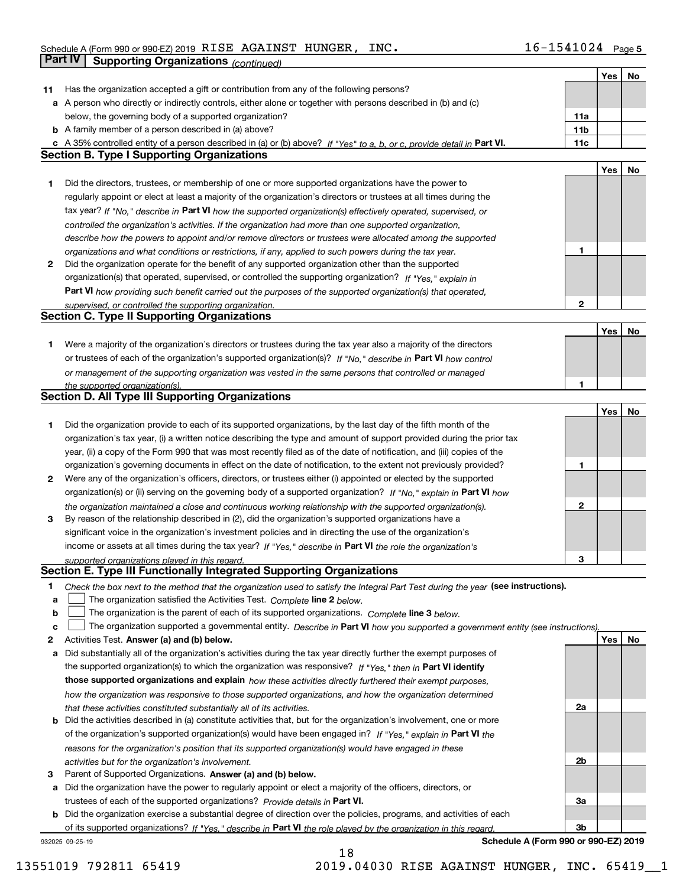|              |                                                                                                                                   |                 | Yes | No |
|--------------|-----------------------------------------------------------------------------------------------------------------------------------|-----------------|-----|----|
| 11           | Has the organization accepted a gift or contribution from any of the following persons?                                           |                 |     |    |
|              | a A person who directly or indirectly controls, either alone or together with persons described in (b) and (c)                    |                 |     |    |
|              | below, the governing body of a supported organization?                                                                            | 11a             |     |    |
|              | <b>b</b> A family member of a person described in (a) above?                                                                      | 11 <sub>b</sub> |     |    |
|              | c A 35% controlled entity of a person described in (a) or (b) above? If "Yes" to a, b, or c, provide detail in Part VI.           | 11c             |     |    |
|              | <b>Section B. Type I Supporting Organizations</b>                                                                                 |                 |     |    |
|              |                                                                                                                                   |                 | Yes | No |
| 1            | Did the directors, trustees, or membership of one or more supported organizations have the power to                               |                 |     |    |
|              | regularly appoint or elect at least a majority of the organization's directors or trustees at all times during the                |                 |     |    |
|              | tax year? If "No," describe in Part VI how the supported organization(s) effectively operated, supervised, or                     |                 |     |    |
|              | controlled the organization's activities. If the organization had more than one supported organization,                           |                 |     |    |
|              | describe how the powers to appoint and/or remove directors or trustees were allocated among the supported                         |                 |     |    |
|              | organizations and what conditions or restrictions, if any, applied to such powers during the tax year.                            | 1               |     |    |
| $\mathbf{2}$ | Did the organization operate for the benefit of any supported organization other than the supported                               |                 |     |    |
|              | organization(s) that operated, supervised, or controlled the supporting organization? If "Yes," explain in                        |                 |     |    |
|              | Part VI how providing such benefit carried out the purposes of the supported organization(s) that operated,                       |                 |     |    |
|              | supervised, or controlled the supporting organization.                                                                            | $\mathbf{2}$    |     |    |
|              | <b>Section C. Type II Supporting Organizations</b>                                                                                |                 |     |    |
|              |                                                                                                                                   |                 | Yes | No |
| 1.           | Were a majority of the organization's directors or trustees during the tax year also a majority of the directors                  |                 |     |    |
|              | or trustees of each of the organization's supported organization(s)? If "No," describe in Part VI how control                     |                 |     |    |
|              | or management of the supporting organization was vested in the same persons that controlled or managed                            |                 |     |    |
|              | the supported organization(s).                                                                                                    | 1               |     |    |
|              | Section D. All Type III Supporting Organizations                                                                                  |                 |     |    |
|              |                                                                                                                                   |                 | Yes | No |
| 1            | Did the organization provide to each of its supported organizations, by the last day of the fifth month of the                    |                 |     |    |
|              | organization's tax year, (i) a written notice describing the type and amount of support provided during the prior tax             |                 |     |    |
|              | year, (ii) a copy of the Form 990 that was most recently filed as of the date of notification, and (iii) copies of the            |                 |     |    |
|              | organization's governing documents in effect on the date of notification, to the extent not previously provided?                  | 1               |     |    |
| 2            | Were any of the organization's officers, directors, or trustees either (i) appointed or elected by the supported                  |                 |     |    |
|              | organization(s) or (ii) serving on the governing body of a supported organization? If "No," explain in Part VI how                |                 |     |    |
|              | the organization maintained a close and continuous working relationship with the supported organization(s).                       | $\mathbf 2$     |     |    |
| 3            | By reason of the relationship described in (2), did the organization's supported organizations have a                             |                 |     |    |
|              | significant voice in the organization's investment policies and in directing the use of the organization's                        |                 |     |    |
|              | income or assets at all times during the tax year? If "Yes," describe in Part VI the role the organization's                      |                 |     |    |
|              | supported organizations played in this regard.                                                                                    | 3               |     |    |
|              | Section E. Type III Functionally Integrated Supporting Organizations                                                              |                 |     |    |
| 1.           | Check the box next to the method that the organization used to satisfy the Integral Part Test during the year (see instructions). |                 |     |    |
| а            | The organization satisfied the Activities Test. Complete line 2 below.                                                            |                 |     |    |
| b            | The organization is the parent of each of its supported organizations. Complete line 3 below.                                     |                 |     |    |
| с            | The organization supported a governmental entity. Describe in Part VI how you supported a government entity (see instructions),   |                 |     |    |
| 2            | Activities Test. Answer (a) and (b) below.                                                                                        |                 | Yes | No |
| а            | Did substantially all of the organization's activities during the tax year directly further the exempt purposes of                |                 |     |    |
|              | the supported organization(s) to which the organization was responsive? If "Yes," then in Part VI identify                        |                 |     |    |
|              | those supported organizations and explain how these activities directly furthered their exempt purposes,                          |                 |     |    |
|              | how the organization was responsive to those supported organizations, and how the organization determined                         |                 |     |    |
|              | that these activities constituted substantially all of its activities.                                                            | 2a              |     |    |
| b            | Did the activities described in (a) constitute activities that, but for the organization's involvement, one or more               |                 |     |    |
|              | of the organization's supported organization(s) would have been engaged in? If "Yes," explain in Part VI the                      |                 |     |    |
|              | reasons for the organization's position that its supported organization(s) would have engaged in these                            |                 |     |    |
|              | activities but for the organization's involvement.                                                                                | 2b              |     |    |
| 3            | Parent of Supported Organizations. Answer (a) and (b) below.                                                                      |                 |     |    |
| а            | Did the organization have the power to regularly appoint or elect a majority of the officers, directors, or                       |                 |     |    |
|              | trustees of each of the supported organizations? Provide details in Part VI.                                                      | За              |     |    |
| b            | Did the organization exercise a substantial degree of direction over the policies, programs, and activities of each               |                 |     |    |
|              | of its supported organizations? If "Yes," describe in Part VI the role played by the organization in this regard.                 | 3b              |     |    |
|              |                                                                                                                                   |                 |     |    |

18

932025 09-25-19

**Schedule A (Form 990 or 990-EZ) 2019**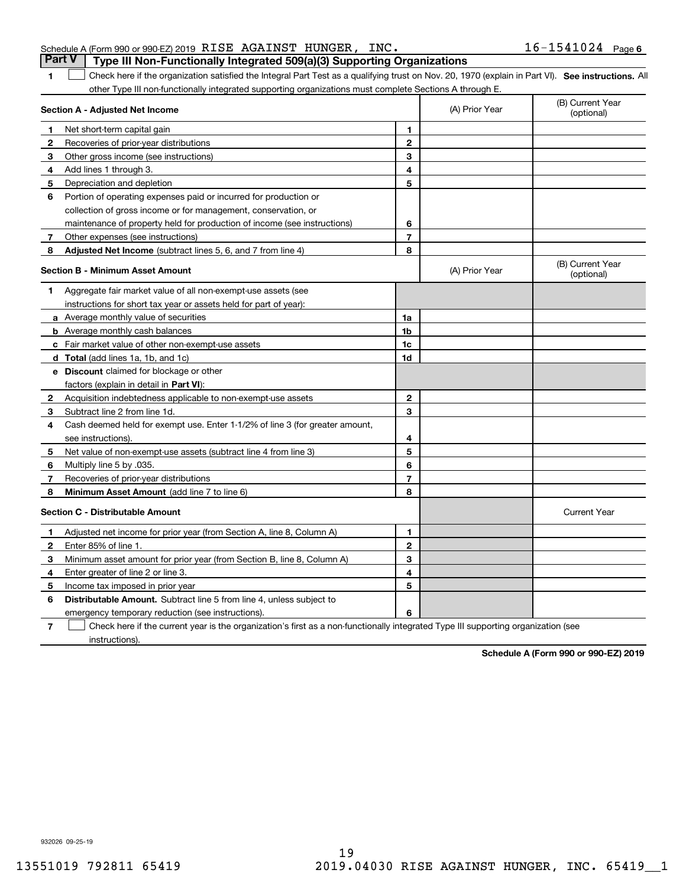### Schedule A (Form 990 or 990-EZ) 2019 Page RISE AGAINST HUNGER, INC. 16-1541024 **Part V** Type III Non-Functionally Integrated 509(a)(3) Supporting Organizations

**1**

1 Check here if the organization satisfied the Integral Part Test as a qualifying trust on Nov. 20, 1970 (explain in Part VI). See instructions. All other Type III non-functionally integrated supporting organizations must complete Sections A through E.

|              | Section A - Adjusted Net Income                                              |                | (A) Prior Year | (B) Current Year<br>(optional) |
|--------------|------------------------------------------------------------------------------|----------------|----------------|--------------------------------|
| 1            | Net short-term capital gain                                                  | 1              |                |                                |
| $\mathbf{2}$ | Recoveries of prior-year distributions                                       | $\overline{2}$ |                |                                |
| 3            | Other gross income (see instructions)                                        | 3              |                |                                |
| 4            | Add lines 1 through 3.                                                       | 4              |                |                                |
| 5            | Depreciation and depletion                                                   | 5              |                |                                |
| 6            | Portion of operating expenses paid or incurred for production or             |                |                |                                |
|              | collection of gross income or for management, conservation, or               |                |                |                                |
|              | maintenance of property held for production of income (see instructions)     | 6              |                |                                |
| 7            | Other expenses (see instructions)                                            | $\overline{7}$ |                |                                |
| 8            | Adjusted Net Income (subtract lines 5, 6, and 7 from line 4)                 | 8              |                |                                |
|              | <b>Section B - Minimum Asset Amount</b>                                      |                | (A) Prior Year | (B) Current Year<br>(optional) |
| 1            | Aggregate fair market value of all non-exempt-use assets (see                |                |                |                                |
|              | instructions for short tax year or assets held for part of year):            |                |                |                                |
|              | a Average monthly value of securities                                        | 1a             |                |                                |
|              | <b>b</b> Average monthly cash balances                                       | 1b             |                |                                |
|              | c Fair market value of other non-exempt-use assets                           | 1c             |                |                                |
|              | <b>d</b> Total (add lines 1a, 1b, and 1c)                                    | 1d             |                |                                |
|              | e Discount claimed for blockage or other                                     |                |                |                                |
|              | factors (explain in detail in <b>Part VI</b> ):                              |                |                |                                |
| $\mathbf{2}$ | Acquisition indebtedness applicable to non-exempt-use assets                 | $\mathbf{2}$   |                |                                |
| З.           | Subtract line 2 from line 1d.                                                | 3              |                |                                |
| 4            | Cash deemed held for exempt use. Enter 1-1/2% of line 3 (for greater amount, |                |                |                                |
|              | see instructions)                                                            | 4              |                |                                |
| 5            | Net value of non-exempt-use assets (subtract line 4 from line 3)             | 5              |                |                                |
| 6            | Multiply line 5 by .035.                                                     | 6              |                |                                |
| 7            | Recoveries of prior-year distributions                                       | 7              |                |                                |
| 8            | Minimum Asset Amount (add line 7 to line 6)                                  | 8              |                |                                |
|              | <b>Section C - Distributable Amount</b>                                      |                |                | <b>Current Year</b>            |
| $\mathbf 1$  | Adjusted net income for prior year (from Section A, line 8, Column A)        | 1              |                |                                |
| $\mathbf{2}$ | Enter 85% of line 1.                                                         | $\mathbf{2}$   |                |                                |
| з            | Minimum asset amount for prior year (from Section B, line 8, Column A)       | 3              |                |                                |
| 4            | Enter greater of line 2 or line 3.                                           | 4              |                |                                |
| 5            | Income tax imposed in prior year                                             | 5              |                |                                |
| 6            | <b>Distributable Amount.</b> Subtract line 5 from line 4, unless subject to  |                |                |                                |
|              | emergency temporary reduction (see instructions).                            | 6              |                |                                |

**7**Check here if the current year is the organization's first as a non-functionally integrated Type III supporting organization (see instructions).

**Schedule A (Form 990 or 990-EZ) 2019**

932026 09-25-19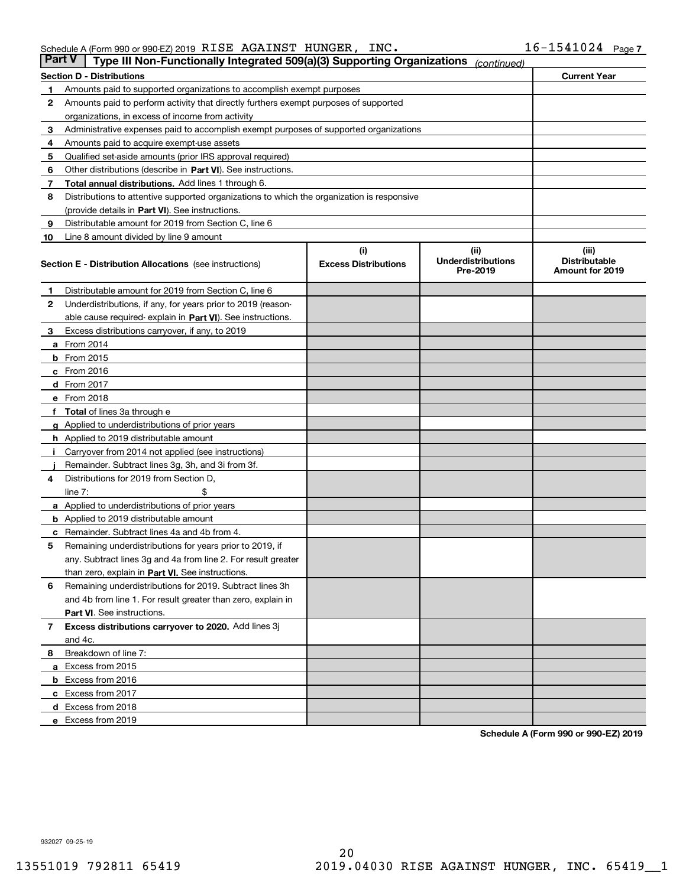#### Schedule A (Form 990 or 990-EZ) 2019 Page RISE AGAINST HUNGER, INC. 16-1541024

| <b>Part V</b> | Type III Non-Functionally Integrated 509(a)(3) Supporting Organizations                    |                             | (continued)                           |                                         |  |  |
|---------------|--------------------------------------------------------------------------------------------|-----------------------------|---------------------------------------|-----------------------------------------|--|--|
|               | <b>Section D - Distributions</b>                                                           |                             |                                       | <b>Current Year</b>                     |  |  |
| 1             | Amounts paid to supported organizations to accomplish exempt purposes                      |                             |                                       |                                         |  |  |
| 2             | Amounts paid to perform activity that directly furthers exempt purposes of supported       |                             |                                       |                                         |  |  |
|               | organizations, in excess of income from activity                                           |                             |                                       |                                         |  |  |
| 3             | Administrative expenses paid to accomplish exempt purposes of supported organizations      |                             |                                       |                                         |  |  |
| 4             | Amounts paid to acquire exempt-use assets                                                  |                             |                                       |                                         |  |  |
| 5             | Qualified set-aside amounts (prior IRS approval required)                                  |                             |                                       |                                         |  |  |
| 6             | Other distributions (describe in Part VI). See instructions.                               |                             |                                       |                                         |  |  |
| 7             | <b>Total annual distributions.</b> Add lines 1 through 6.                                  |                             |                                       |                                         |  |  |
| 8             | Distributions to attentive supported organizations to which the organization is responsive |                             |                                       |                                         |  |  |
|               | (provide details in Part VI). See instructions.                                            |                             |                                       |                                         |  |  |
| 9             | Distributable amount for 2019 from Section C, line 6                                       |                             |                                       |                                         |  |  |
| 10            | Line 8 amount divided by line 9 amount                                                     |                             |                                       |                                         |  |  |
|               |                                                                                            | (i)                         | (iii)                                 | (iii)                                   |  |  |
|               | <b>Section E - Distribution Allocations</b> (see instructions)                             | <b>Excess Distributions</b> | <b>Underdistributions</b><br>Pre-2019 | <b>Distributable</b><br>Amount for 2019 |  |  |
| 1             | Distributable amount for 2019 from Section C, line 6                                       |                             |                                       |                                         |  |  |
| 2             | Underdistributions, if any, for years prior to 2019 (reason-                               |                             |                                       |                                         |  |  |
|               | able cause required- explain in Part VI). See instructions.                                |                             |                                       |                                         |  |  |
| З             | Excess distributions carryover, if any, to 2019                                            |                             |                                       |                                         |  |  |
|               | <b>a</b> From 2014                                                                         |                             |                                       |                                         |  |  |
|               | <b>b</b> From 2015                                                                         |                             |                                       |                                         |  |  |
|               | $c$ From 2016                                                                              |                             |                                       |                                         |  |  |
|               | d From 2017                                                                                |                             |                                       |                                         |  |  |
|               | e From 2018                                                                                |                             |                                       |                                         |  |  |
|               | Total of lines 3a through e                                                                |                             |                                       |                                         |  |  |
| g             | Applied to underdistributions of prior years                                               |                             |                                       |                                         |  |  |
|               | <b>h</b> Applied to 2019 distributable amount                                              |                             |                                       |                                         |  |  |
|               | Carryover from 2014 not applied (see instructions)                                         |                             |                                       |                                         |  |  |
|               | Remainder. Subtract lines 3g, 3h, and 3i from 3f.                                          |                             |                                       |                                         |  |  |
| 4             | Distributions for 2019 from Section D,                                                     |                             |                                       |                                         |  |  |
|               | line $7:$                                                                                  |                             |                                       |                                         |  |  |
|               | <b>a</b> Applied to underdistributions of prior years                                      |                             |                                       |                                         |  |  |
|               | <b>b</b> Applied to 2019 distributable amount                                              |                             |                                       |                                         |  |  |
|               | c Remainder. Subtract lines 4a and 4b from 4.                                              |                             |                                       |                                         |  |  |
| 5             | Remaining underdistributions for years prior to 2019, if                                   |                             |                                       |                                         |  |  |
|               | any. Subtract lines 3g and 4a from line 2. For result greater                              |                             |                                       |                                         |  |  |
|               | than zero, explain in Part VI. See instructions.                                           |                             |                                       |                                         |  |  |
| 6             | Remaining underdistributions for 2019. Subtract lines 3h                                   |                             |                                       |                                         |  |  |
|               | and 4b from line 1. For result greater than zero, explain in                               |                             |                                       |                                         |  |  |
|               | Part VI. See instructions.                                                                 |                             |                                       |                                         |  |  |
| 7             | Excess distributions carryover to 2020. Add lines 3j                                       |                             |                                       |                                         |  |  |
|               | and 4c.                                                                                    |                             |                                       |                                         |  |  |
| 8             | Breakdown of line 7:                                                                       |                             |                                       |                                         |  |  |
|               | a Excess from 2015                                                                         |                             |                                       |                                         |  |  |
|               | <b>b</b> Excess from 2016                                                                  |                             |                                       |                                         |  |  |
|               | c Excess from 2017                                                                         |                             |                                       |                                         |  |  |
|               | d Excess from 2018                                                                         |                             |                                       |                                         |  |  |
|               | e Excess from 2019                                                                         |                             |                                       |                                         |  |  |

**Schedule A (Form 990 or 990-EZ) 2019**

932027 09-25-19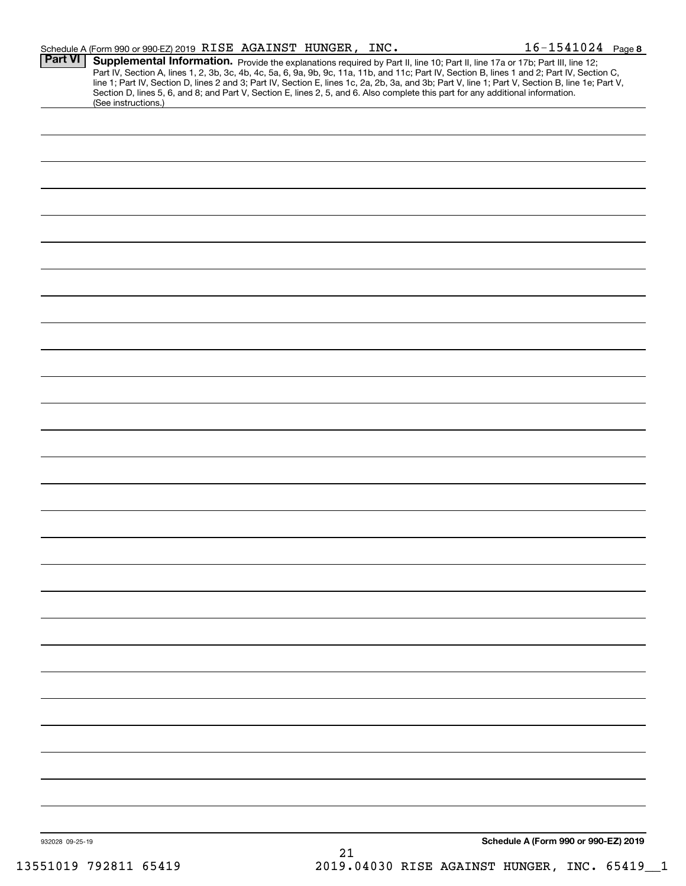|                 | Schedule A (Form 990 or 990-EZ) 2019 RISE AGAINST HUNGER, INC.                                                                                                                                                                                                                                                                                                                                                                                                                                                                                                                              |    |  | $16 - 1541024$ Page 8                |
|-----------------|---------------------------------------------------------------------------------------------------------------------------------------------------------------------------------------------------------------------------------------------------------------------------------------------------------------------------------------------------------------------------------------------------------------------------------------------------------------------------------------------------------------------------------------------------------------------------------------------|----|--|--------------------------------------|
| Part VI         | Supplemental Information. Provide the explanations required by Part II, line 10; Part II, line 17a or 17b; Part III, line 12;<br>Part IV, Section A, lines 1, 2, 3b, 3c, 4b, 4c, 5a, 6, 9a, 9b, 9c, 11a, 11b, and 11c; Part IV, Section B, lines 1 and 2; Part IV, Section C,<br>line 1; Part IV, Section D, lines 2 and 3; Part IV, Section E, lines 1c, 2a, 2b, 3a, and 3b; Part V, line 1; Part V, Section B, line 1e; Part V,<br>Section D, lines 5, 6, and 8; and Part V, Section E, lines 2, 5, and 6. Also complete this part for any additional information.<br>(See instructions.) |    |  |                                      |
|                 |                                                                                                                                                                                                                                                                                                                                                                                                                                                                                                                                                                                             |    |  |                                      |
|                 |                                                                                                                                                                                                                                                                                                                                                                                                                                                                                                                                                                                             |    |  |                                      |
|                 |                                                                                                                                                                                                                                                                                                                                                                                                                                                                                                                                                                                             |    |  |                                      |
|                 |                                                                                                                                                                                                                                                                                                                                                                                                                                                                                                                                                                                             |    |  |                                      |
|                 |                                                                                                                                                                                                                                                                                                                                                                                                                                                                                                                                                                                             |    |  |                                      |
|                 |                                                                                                                                                                                                                                                                                                                                                                                                                                                                                                                                                                                             |    |  |                                      |
|                 |                                                                                                                                                                                                                                                                                                                                                                                                                                                                                                                                                                                             |    |  |                                      |
|                 |                                                                                                                                                                                                                                                                                                                                                                                                                                                                                                                                                                                             |    |  |                                      |
|                 |                                                                                                                                                                                                                                                                                                                                                                                                                                                                                                                                                                                             |    |  |                                      |
|                 |                                                                                                                                                                                                                                                                                                                                                                                                                                                                                                                                                                                             |    |  |                                      |
|                 |                                                                                                                                                                                                                                                                                                                                                                                                                                                                                                                                                                                             |    |  |                                      |
|                 |                                                                                                                                                                                                                                                                                                                                                                                                                                                                                                                                                                                             |    |  |                                      |
|                 |                                                                                                                                                                                                                                                                                                                                                                                                                                                                                                                                                                                             |    |  |                                      |
|                 |                                                                                                                                                                                                                                                                                                                                                                                                                                                                                                                                                                                             |    |  |                                      |
|                 |                                                                                                                                                                                                                                                                                                                                                                                                                                                                                                                                                                                             |    |  |                                      |
|                 |                                                                                                                                                                                                                                                                                                                                                                                                                                                                                                                                                                                             |    |  |                                      |
|                 |                                                                                                                                                                                                                                                                                                                                                                                                                                                                                                                                                                                             |    |  |                                      |
|                 |                                                                                                                                                                                                                                                                                                                                                                                                                                                                                                                                                                                             |    |  |                                      |
|                 |                                                                                                                                                                                                                                                                                                                                                                                                                                                                                                                                                                                             |    |  |                                      |
|                 |                                                                                                                                                                                                                                                                                                                                                                                                                                                                                                                                                                                             |    |  |                                      |
|                 |                                                                                                                                                                                                                                                                                                                                                                                                                                                                                                                                                                                             |    |  |                                      |
|                 |                                                                                                                                                                                                                                                                                                                                                                                                                                                                                                                                                                                             |    |  |                                      |
|                 |                                                                                                                                                                                                                                                                                                                                                                                                                                                                                                                                                                                             |    |  |                                      |
|                 |                                                                                                                                                                                                                                                                                                                                                                                                                                                                                                                                                                                             |    |  |                                      |
|                 |                                                                                                                                                                                                                                                                                                                                                                                                                                                                                                                                                                                             |    |  |                                      |
|                 |                                                                                                                                                                                                                                                                                                                                                                                                                                                                                                                                                                                             |    |  |                                      |
|                 |                                                                                                                                                                                                                                                                                                                                                                                                                                                                                                                                                                                             |    |  |                                      |
|                 |                                                                                                                                                                                                                                                                                                                                                                                                                                                                                                                                                                                             |    |  |                                      |
| 932028 09-25-19 |                                                                                                                                                                                                                                                                                                                                                                                                                                                                                                                                                                                             | 21 |  | Schedule A (Form 990 or 990-EZ) 2019 |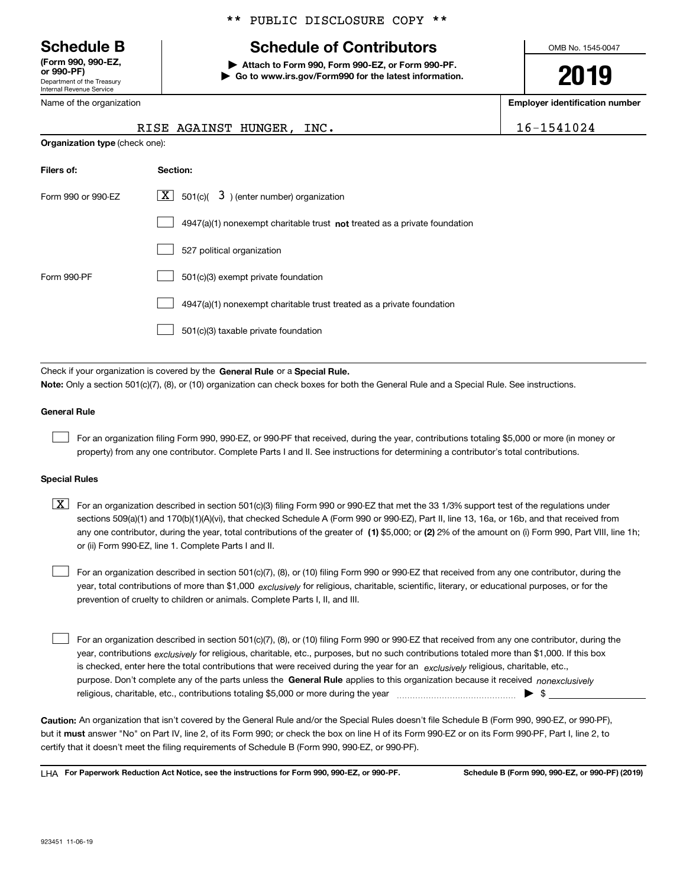Department of the Treasury Internal Revenue Service **(Form 990, 990-EZ, or 990-PF)**

Name of the organization

**Organization type** (check one):

#### \*\* PUBLIC DISCLOSURE COPY \*\*

## **Schedule B Schedule of Contributors**

**| Attach to Form 990, Form 990-EZ, or Form 990-PF. | Go to www.irs.gov/Form990 for the latest information.** OMB No. 1545-0047

**2019**

**Employer identification number**

|  |  |  |  | 541024 |  |
|--|--|--|--|--------|--|
|  |  |  |  |        |  |

| RISE AGAINST HUNGER, INC. |  |  |  | 16-1541024 |
|---------------------------|--|--|--|------------|
|---------------------------|--|--|--|------------|

| Filers of:         | Section:                                                                           |
|--------------------|------------------------------------------------------------------------------------|
| Form 990 or 990-EZ | $\lfloor x \rfloor$ 501(c)( 3) (enter number) organization                         |
|                    | $4947(a)(1)$ nonexempt charitable trust <b>not</b> treated as a private foundation |
|                    | 527 political organization                                                         |
| Form 990-PF        | 501(c)(3) exempt private foundation                                                |
|                    | 4947(a)(1) nonexempt charitable trust treated as a private foundation              |
|                    | 501(c)(3) taxable private foundation                                               |

Check if your organization is covered by the **General Rule** or a **Special Rule. Note:**  Only a section 501(c)(7), (8), or (10) organization can check boxes for both the General Rule and a Special Rule. See instructions.

#### **General Rule**

 $\mathcal{L}^{\text{max}}$ 

For an organization filing Form 990, 990-EZ, or 990-PF that received, during the year, contributions totaling \$5,000 or more (in money or property) from any one contributor. Complete Parts I and II. See instructions for determining a contributor's total contributions.

#### **Special Rules**

any one contributor, during the year, total contributions of the greater of  $\,$  (1) \$5,000; or **(2)** 2% of the amount on (i) Form 990, Part VIII, line 1h;  $\boxed{\textbf{X}}$  For an organization described in section 501(c)(3) filing Form 990 or 990-EZ that met the 33 1/3% support test of the regulations under sections 509(a)(1) and 170(b)(1)(A)(vi), that checked Schedule A (Form 990 or 990-EZ), Part II, line 13, 16a, or 16b, and that received from or (ii) Form 990-EZ, line 1. Complete Parts I and II.

year, total contributions of more than \$1,000 *exclusively* for religious, charitable, scientific, literary, or educational purposes, or for the For an organization described in section 501(c)(7), (8), or (10) filing Form 990 or 990-EZ that received from any one contributor, during the prevention of cruelty to children or animals. Complete Parts I, II, and III.  $\mathcal{L}^{\text{max}}$ 

purpose. Don't complete any of the parts unless the **General Rule** applies to this organization because it received *nonexclusively* year, contributions <sub>exclusively</sub> for religious, charitable, etc., purposes, but no such contributions totaled more than \$1,000. If this box is checked, enter here the total contributions that were received during the year for an  $\;$ exclusively religious, charitable, etc., For an organization described in section 501(c)(7), (8), or (10) filing Form 990 or 990-EZ that received from any one contributor, during the religious, charitable, etc., contributions totaling \$5,000 or more during the year  $\Box$ — $\Box$   $\Box$  $\mathcal{L}^{\text{max}}$ 

**Caution:**  An organization that isn't covered by the General Rule and/or the Special Rules doesn't file Schedule B (Form 990, 990-EZ, or 990-PF),  **must** but it answer "No" on Part IV, line 2, of its Form 990; or check the box on line H of its Form 990-EZ or on its Form 990-PF, Part I, line 2, to certify that it doesn't meet the filing requirements of Schedule B (Form 990, 990-EZ, or 990-PF).

**For Paperwork Reduction Act Notice, see the instructions for Form 990, 990-EZ, or 990-PF. Schedule B (Form 990, 990-EZ, or 990-PF) (2019)** LHA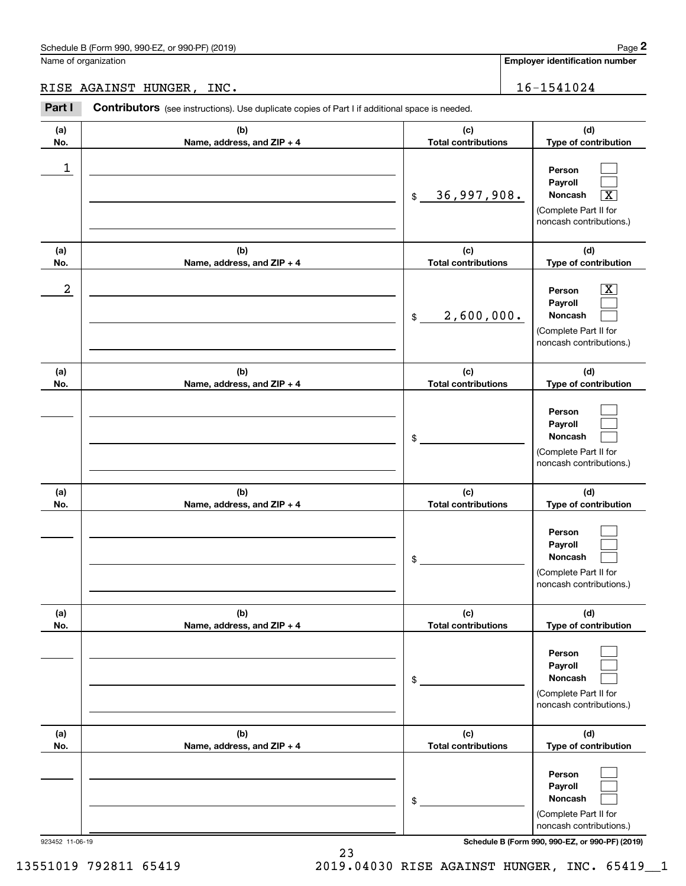|                  | Schedule B (Form 990, 990-EZ, or 990-PF) (2019)                                                |                                   | Page 2                                                                                                      |
|------------------|------------------------------------------------------------------------------------------------|-----------------------------------|-------------------------------------------------------------------------------------------------------------|
|                  | Name of organization                                                                           |                                   | <b>Employer identification number</b>                                                                       |
|                  | RISE AGAINST HUNGER, INC.                                                                      |                                   | 16-1541024                                                                                                  |
| Part I           | Contributors (see instructions). Use duplicate copies of Part I if additional space is needed. |                                   |                                                                                                             |
| (a)<br>No.       | (b)<br>Name, address, and ZIP + 4                                                              | (c)<br><b>Total contributions</b> | (d)<br>Type of contribution                                                                                 |
| 1                |                                                                                                | 36,997,908.<br>$$\mathbb{S}$$     | Person<br>Payroll<br>$\boxed{\text{X}}$<br>Noncash<br>(Complete Part II for<br>noncash contributions.)      |
| (a)<br>No.       | (b)<br>Name, address, and ZIP + 4                                                              | (c)<br><b>Total contributions</b> | (d)<br>Type of contribution                                                                                 |
| $\boldsymbol{2}$ |                                                                                                | 2,600,000.<br>$$\mathbb{S}$$      | $\overline{\mathbf{X}}$<br>Person<br>Payroll<br>Noncash<br>(Complete Part II for<br>noncash contributions.) |
| (a)<br>No.       | (b)<br>Name, address, and ZIP + 4                                                              | (c)<br><b>Total contributions</b> | (d)<br>Type of contribution                                                                                 |
|                  |                                                                                                | \$                                | Person<br>Payroll<br>Noncash<br>(Complete Part II for<br>noncash contributions.)                            |
| (a)<br>No.       | (b)<br>Name, address, and ZIP + 4                                                              | (c)<br><b>Total contributions</b> | (d)<br>Type of contribution                                                                                 |
|                  |                                                                                                | \$                                | Person<br>Payroll<br>Noncash<br>(Complete Part II for<br>noncash contributions.)                            |
| (a)<br>No.       | (b)<br>Name, address, and ZIP + 4                                                              | (c)<br><b>Total contributions</b> | (d)<br>Type of contribution                                                                                 |
|                  |                                                                                                | \$                                | Person<br>Payroll<br>Noncash<br>(Complete Part II for<br>noncash contributions.)                            |
| (a)<br>No.       | (b)<br>Name, address, and ZIP + 4                                                              | (c)<br><b>Total contributions</b> | (d)<br>Type of contribution                                                                                 |
|                  |                                                                                                | \$                                | Person<br>Payroll<br>Noncash<br>(Complete Part II for<br>noncash contributions.)                            |

923452 11-06-19 **Schedule B (Form 990, 990-EZ, or 990-PF) (2019)**

13551019 792811 65419 2019.04030 RISE AGAINST HUNGER, INC. 65419\_\_1

23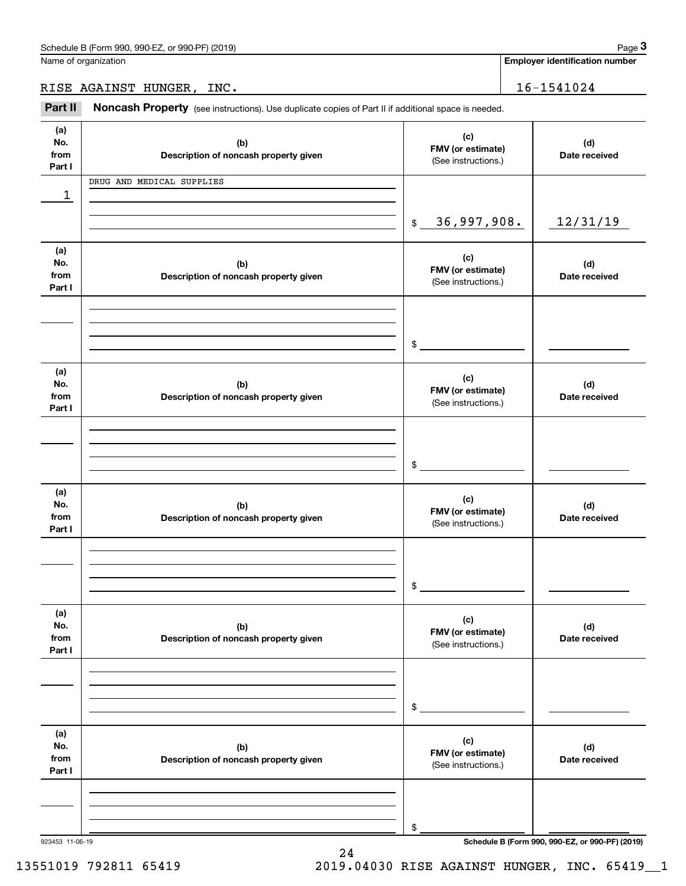**Employer identification number**

RISE AGAINST HUNGER, INC. 16-1541024

Chedule B (Form 990, 990-EZ, or 990-PF) (2019)<br> **2Part II is AGAINST HUNGER, INC.**<br> **2Part II Noncash Property** (see instructions). Use duplicate copies of Part II if additional space is needed.

| (a)<br>No.<br>from<br>Part I | (b)<br>Description of noncash property given | (c)<br>FMV (or estimate)<br>(See instructions.) | (d)<br>Date received                            |
|------------------------------|----------------------------------------------|-------------------------------------------------|-------------------------------------------------|
| 1                            | DRUG AND MEDICAL SUPPLIES                    |                                                 |                                                 |
|                              |                                              | 36,997,908.<br>\$                               | 12/31/19                                        |
| (a)<br>No.<br>from<br>Part I | (b)<br>Description of noncash property given | (c)<br>FMV (or estimate)<br>(See instructions.) | (d)<br>Date received                            |
|                              |                                              | $\frac{1}{2}$                                   |                                                 |
| (a)<br>No.<br>from<br>Part I | (b)<br>Description of noncash property given | (c)<br>FMV (or estimate)<br>(See instructions.) | (d)<br>Date received                            |
|                              |                                              | $\frac{1}{2}$                                   |                                                 |
| (a)<br>No.<br>from<br>Part I | (b)<br>Description of noncash property given | (c)<br>FMV (or estimate)<br>(See instructions.) | (d)<br>Date received                            |
|                              |                                              | \$                                              |                                                 |
| (a)<br>No.<br>from<br>Part I | (b)<br>Description of noncash property given | (c)<br>FMV (or estimate)<br>(See instructions.) | (d)<br>Date received                            |
|                              |                                              | \$                                              |                                                 |
| (a)<br>No.<br>from<br>Part I | (b)<br>Description of noncash property given | (c)<br>FMV (or estimate)<br>(See instructions.) | (d)<br>Date received                            |
| 923453 11-06-19              |                                              | \$                                              | Schedule B (Form 990, 990-EZ, or 990-PF) (2019) |

24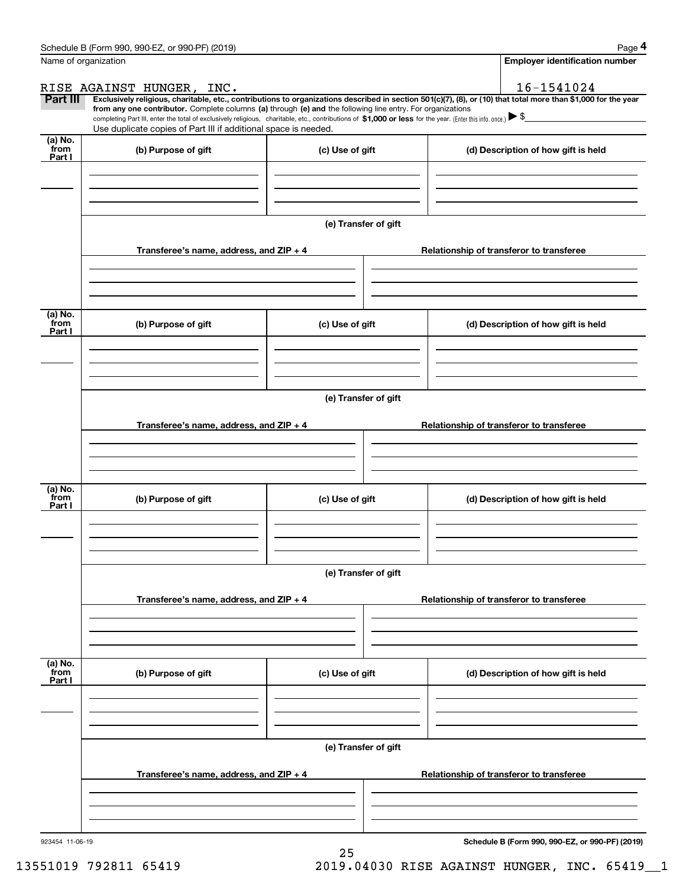|                           | Schedule B (Form 990, 990-EZ, or 990-PF) (2019)                                                                                                                                                                                                                              |                      |                                          | Page 4                                          |  |  |  |  |
|---------------------------|------------------------------------------------------------------------------------------------------------------------------------------------------------------------------------------------------------------------------------------------------------------------------|----------------------|------------------------------------------|-------------------------------------------------|--|--|--|--|
|                           | Name of organization                                                                                                                                                                                                                                                         |                      |                                          | Employer identification number                  |  |  |  |  |
|                           | RISE AGAINST HUNGER, INC.                                                                                                                                                                                                                                                    |                      |                                          | 16-1541024                                      |  |  |  |  |
| Part III                  | Exclusively religious, charitable, etc., contributions to organizations described in section 501(c)(7), (8), or (10) that total more than \$1,000 for the year<br>from any one contributor. Complete columns (a) through (e) and the following line entry. For organizations |                      |                                          |                                                 |  |  |  |  |
|                           | completing Part III, enter the total of exclusively religious, charitable, etc., contributions of \$1,000 or less for the year. (Enter this info. once.) \\$                                                                                                                 |                      |                                          |                                                 |  |  |  |  |
|                           | Use duplicate copies of Part III if additional space is needed.                                                                                                                                                                                                              |                      |                                          |                                                 |  |  |  |  |
| (a) No.<br>from<br>Part I | (b) Purpose of gift                                                                                                                                                                                                                                                          | (c) Use of gift      |                                          | (d) Description of how gift is held             |  |  |  |  |
|                           |                                                                                                                                                                                                                                                                              |                      |                                          |                                                 |  |  |  |  |
|                           |                                                                                                                                                                                                                                                                              | (e) Transfer of gift |                                          |                                                 |  |  |  |  |
|                           | Transferee's name, address, and ZIP + 4                                                                                                                                                                                                                                      |                      | Relationship of transferor to transferee |                                                 |  |  |  |  |
|                           |                                                                                                                                                                                                                                                                              |                      |                                          |                                                 |  |  |  |  |
| (a) No.                   |                                                                                                                                                                                                                                                                              |                      |                                          |                                                 |  |  |  |  |
| from<br>Part I            | (b) Purpose of gift                                                                                                                                                                                                                                                          | (c) Use of gift      |                                          | (d) Description of how gift is held             |  |  |  |  |
|                           |                                                                                                                                                                                                                                                                              |                      |                                          |                                                 |  |  |  |  |
|                           | (e) Transfer of gift                                                                                                                                                                                                                                                         |                      |                                          |                                                 |  |  |  |  |
|                           | Transferee's name, address, and $ZIP + 4$<br>Relationship of transferor to transferee                                                                                                                                                                                        |                      |                                          |                                                 |  |  |  |  |
|                           |                                                                                                                                                                                                                                                                              |                      |                                          |                                                 |  |  |  |  |
| (a) No.                   |                                                                                                                                                                                                                                                                              |                      |                                          |                                                 |  |  |  |  |
| from<br>Part I            | (b) Purpose of gift<br>(c) Use of gift                                                                                                                                                                                                                                       |                      |                                          | (d) Description of how gift is held             |  |  |  |  |
|                           |                                                                                                                                                                                                                                                                              |                      |                                          |                                                 |  |  |  |  |
|                           |                                                                                                                                                                                                                                                                              | (e) Transfer of gift |                                          |                                                 |  |  |  |  |
|                           | Transferee's name, address, and ZIP + 4                                                                                                                                                                                                                                      |                      | Relationship of transferor to transferee |                                                 |  |  |  |  |
|                           |                                                                                                                                                                                                                                                                              |                      |                                          |                                                 |  |  |  |  |
| (a) No.<br>from           | (b) Purpose of gift                                                                                                                                                                                                                                                          | (c) Use of gift      |                                          | (d) Description of how gift is held             |  |  |  |  |
| Part I                    |                                                                                                                                                                                                                                                                              |                      |                                          |                                                 |  |  |  |  |
|                           |                                                                                                                                                                                                                                                                              |                      |                                          |                                                 |  |  |  |  |
|                           |                                                                                                                                                                                                                                                                              | (e) Transfer of gift |                                          |                                                 |  |  |  |  |
|                           | Transferee's name, address, and $ZIP + 4$                                                                                                                                                                                                                                    |                      |                                          | Relationship of transferor to transferee        |  |  |  |  |
|                           |                                                                                                                                                                                                                                                                              |                      |                                          |                                                 |  |  |  |  |
| 923454 11-06-19           |                                                                                                                                                                                                                                                                              |                      |                                          | Schedule B (Form 990, 990-EZ, or 990-PF) (2019) |  |  |  |  |

25

13551019 792811 65419 2019.04030 RISE AGAINST HUNGER, INC. 65419\_\_1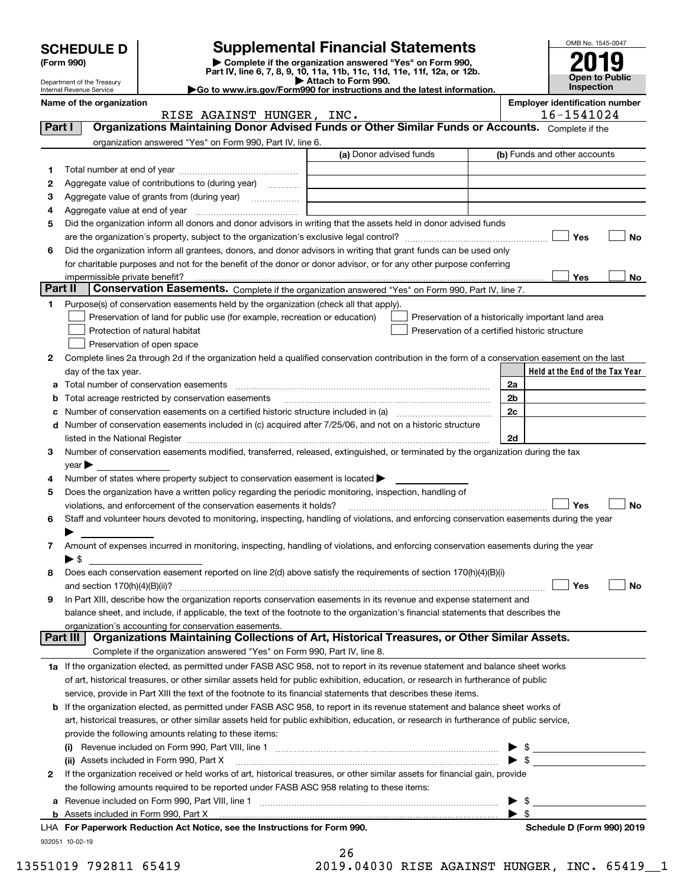| Open to Public<br>Attach to Form 990.<br>Department of the Treasury<br><b>Inspection</b><br>Go to www.irs.gov/Form990 for instructions and the latest information.<br>Internal Revenue Service<br><b>Employer identification number</b><br>Name of the organization<br>16-1541024<br>RISE AGAINST HUNGER, INC.<br>Organizations Maintaining Donor Advised Funds or Other Similar Funds or Accounts. Complete if the<br>Part I<br>organization answered "Yes" on Form 990, Part IV, line 6.<br>(a) Donor advised funds<br>(b) Funds and other accounts<br>1<br>Aggregate value of contributions to (during year)<br>2<br>з<br>4<br>Did the organization inform all donors and donor advisors in writing that the assets held in donor advised funds<br>5<br>Yes<br>No<br>Did the organization inform all grantees, donors, and donor advisors in writing that grant funds can be used only<br>6<br>for charitable purposes and not for the benefit of the donor or donor advisor, or for any other purpose conferring<br>Yes<br>No<br>impermissible private benefit?<br>Part II<br>Conservation Easements. Complete if the organization answered "Yes" on Form 990, Part IV, line 7.<br>Purpose(s) of conservation easements held by the organization (check all that apply).<br>1<br>Preservation of land for public use (for example, recreation or education)<br>Preservation of a historically important land area<br>Protection of natural habitat<br>Preservation of a certified historic structure<br>Preservation of open space<br>Complete lines 2a through 2d if the organization held a qualified conservation contribution in the form of a conservation easement on the last<br>2<br>Held at the End of the Tax Year<br>day of the tax year.<br>2a<br>2 <sub>b</sub><br>Total acreage restricted by conservation easements<br>2c<br>Number of conservation easements on a certified historic structure included in (a) manufacture included in (a)<br>Number of conservation easements included in (c) acquired after 7/25/06, and not on a historic structure<br>d<br>2d<br>Number of conservation easements modified, transferred, released, extinguished, or terminated by the organization during the tax<br>з<br>$\vee$ ear<br>Number of states where property subject to conservation easement is located ><br>4<br>Does the organization have a written policy regarding the periodic monitoring, inspection, handling of<br>5<br>Yes<br>No<br>violations, and enforcement of the conservation easements it holds?<br>Staff and volunteer hours devoted to monitoring, inspecting, handling of violations, and enforcing conservation easements during the year<br>6<br>Amount of expenses incurred in monitoring, inspecting, handling of violations, and enforcing conservation easements during the year<br>7<br>$\blacktriangleright$ \$<br>Does each conservation easement reported on line 2(d) above satisfy the requirements of section 170(h)(4)(B)(i)<br>8<br>Yes<br>No<br>In Part XIII, describe how the organization reports conservation easements in its revenue and expense statement and<br>9<br>balance sheet, and include, if applicable, the text of the footnote to the organization's financial statements that describes the<br>organization's accounting for conservation easements.<br>Organizations Maintaining Collections of Art, Historical Treasures, or Other Similar Assets.<br>Part III<br>Complete if the organization answered "Yes" on Form 990, Part IV, line 8.<br>1a If the organization elected, as permitted under FASB ASC 958, not to report in its revenue statement and balance sheet works<br>of art, historical treasures, or other similar assets held for public exhibition, education, or research in furtherance of public<br>service, provide in Part XIII the text of the footnote to its financial statements that describes these items.<br><b>b</b> If the organization elected, as permitted under FASB ASC 958, to report in its revenue statement and balance sheet works of<br>art, historical treasures, or other similar assets held for public exhibition, education, or research in furtherance of public service,<br>provide the following amounts relating to these items:<br>(ii) Assets included in Form 990, Part X<br>If the organization received or held works of art, historical treasures, or other similar assets for financial gain, provide<br>2<br>the following amounts required to be reported under FASB ASC 958 relating to these items:<br>- \$<br>а<br>For Paperwork Reduction Act Notice, see the Instructions for Form 000 | <b>SCHEDULE D</b><br>(Form 990) | Part IV, line 6, 7, 8, 9, 10, 11a, 11b, 11c, 11d, 11e, 11f, 12a, or 12b. | <b>Supplemental Financial Statements</b><br>Complete if the organization answered "Yes" on Form 990, |  |  | OMB No. 1545-0047 |
|------------------------------------------------------------------------------------------------------------------------------------------------------------------------------------------------------------------------------------------------------------------------------------------------------------------------------------------------------------------------------------------------------------------------------------------------------------------------------------------------------------------------------------------------------------------------------------------------------------------------------------------------------------------------------------------------------------------------------------------------------------------------------------------------------------------------------------------------------------------------------------------------------------------------------------------------------------------------------------------------------------------------------------------------------------------------------------------------------------------------------------------------------------------------------------------------------------------------------------------------------------------------------------------------------------------------------------------------------------------------------------------------------------------------------------------------------------------------------------------------------------------------------------------------------------------------------------------------------------------------------------------------------------------------------------------------------------------------------------------------------------------------------------------------------------------------------------------------------------------------------------------------------------------------------------------------------------------------------------------------------------------------------------------------------------------------------------------------------------------------------------------------------------------------------------------------------------------------------------------------------------------------------------------------------------------------------------------------------------------------------------------------------------------------------------------------------------------------------------------------------------------------------------------------------------------------------------------------------------------------------------------------------------------------------------------------------------------------------------------------------------------------------------------------------------------------------------------------------------------------------------------------------------------------------------------------------------------------------------------------------------------------------------------------------------------------------------------------------------------------------------------------------------------------------------------------------------------------------------------------------------------------------------------------------------------------------------------------------------------------------------------------------------------------------------------------------------------------------------------------------------------------------------------------------------------------------------------------------------------------------------------------------------------------------------------------------------------------------------------------------------------------------------------------------------------------------------------------------------------------------------------------------------------------------------------------------------------------------------------------------------------------------------------------------------------------------------------------------------------------------------------------------------------------------------------------------------------------------------------------------------------------------------------------------------------------------------------------------------------------------------------------------------------------------------------------------------------------------------------------------------------------------------------------------------------------------------------------------------------------------------|---------------------------------|--------------------------------------------------------------------------|------------------------------------------------------------------------------------------------------|--|--|-------------------|
| Schedule D (Form 000) 2010                                                                                                                                                                                                                                                                                                                                                                                                                                                                                                                                                                                                                                                                                                                                                                                                                                                                                                                                                                                                                                                                                                                                                                                                                                                                                                                                                                                                                                                                                                                                                                                                                                                                                                                                                                                                                                                                                                                                                                                                                                                                                                                                                                                                                                                                                                                                                                                                                                                                                                                                                                                                                                                                                                                                                                                                                                                                                                                                                                                                                                                                                                                                                                                                                                                                                                                                                                                                                                                                                                                                                                                                                                                                                                                                                                                                                                                                                                                                                                                                                                                                                                                                                                                                                                                                                                                                                                                                                                                                                                                                                                                                         |                                 |                                                                          |                                                                                                      |  |  |                   |
|                                                                                                                                                                                                                                                                                                                                                                                                                                                                                                                                                                                                                                                                                                                                                                                                                                                                                                                                                                                                                                                                                                                                                                                                                                                                                                                                                                                                                                                                                                                                                                                                                                                                                                                                                                                                                                                                                                                                                                                                                                                                                                                                                                                                                                                                                                                                                                                                                                                                                                                                                                                                                                                                                                                                                                                                                                                                                                                                                                                                                                                                                                                                                                                                                                                                                                                                                                                                                                                                                                                                                                                                                                                                                                                                                                                                                                                                                                                                                                                                                                                                                                                                                                                                                                                                                                                                                                                                                                                                                                                                                                                                                                    |                                 |                                                                          |                                                                                                      |  |  |                   |
|                                                                                                                                                                                                                                                                                                                                                                                                                                                                                                                                                                                                                                                                                                                                                                                                                                                                                                                                                                                                                                                                                                                                                                                                                                                                                                                                                                                                                                                                                                                                                                                                                                                                                                                                                                                                                                                                                                                                                                                                                                                                                                                                                                                                                                                                                                                                                                                                                                                                                                                                                                                                                                                                                                                                                                                                                                                                                                                                                                                                                                                                                                                                                                                                                                                                                                                                                                                                                                                                                                                                                                                                                                                                                                                                                                                                                                                                                                                                                                                                                                                                                                                                                                                                                                                                                                                                                                                                                                                                                                                                                                                                                                    |                                 |                                                                          |                                                                                                      |  |  |                   |
|                                                                                                                                                                                                                                                                                                                                                                                                                                                                                                                                                                                                                                                                                                                                                                                                                                                                                                                                                                                                                                                                                                                                                                                                                                                                                                                                                                                                                                                                                                                                                                                                                                                                                                                                                                                                                                                                                                                                                                                                                                                                                                                                                                                                                                                                                                                                                                                                                                                                                                                                                                                                                                                                                                                                                                                                                                                                                                                                                                                                                                                                                                                                                                                                                                                                                                                                                                                                                                                                                                                                                                                                                                                                                                                                                                                                                                                                                                                                                                                                                                                                                                                                                                                                                                                                                                                                                                                                                                                                                                                                                                                                                                    |                                 |                                                                          |                                                                                                      |  |  |                   |
|                                                                                                                                                                                                                                                                                                                                                                                                                                                                                                                                                                                                                                                                                                                                                                                                                                                                                                                                                                                                                                                                                                                                                                                                                                                                                                                                                                                                                                                                                                                                                                                                                                                                                                                                                                                                                                                                                                                                                                                                                                                                                                                                                                                                                                                                                                                                                                                                                                                                                                                                                                                                                                                                                                                                                                                                                                                                                                                                                                                                                                                                                                                                                                                                                                                                                                                                                                                                                                                                                                                                                                                                                                                                                                                                                                                                                                                                                                                                                                                                                                                                                                                                                                                                                                                                                                                                                                                                                                                                                                                                                                                                                                    |                                 |                                                                          |                                                                                                      |  |  |                   |
|                                                                                                                                                                                                                                                                                                                                                                                                                                                                                                                                                                                                                                                                                                                                                                                                                                                                                                                                                                                                                                                                                                                                                                                                                                                                                                                                                                                                                                                                                                                                                                                                                                                                                                                                                                                                                                                                                                                                                                                                                                                                                                                                                                                                                                                                                                                                                                                                                                                                                                                                                                                                                                                                                                                                                                                                                                                                                                                                                                                                                                                                                                                                                                                                                                                                                                                                                                                                                                                                                                                                                                                                                                                                                                                                                                                                                                                                                                                                                                                                                                                                                                                                                                                                                                                                                                                                                                                                                                                                                                                                                                                                                                    |                                 |                                                                          |                                                                                                      |  |  |                   |
|                                                                                                                                                                                                                                                                                                                                                                                                                                                                                                                                                                                                                                                                                                                                                                                                                                                                                                                                                                                                                                                                                                                                                                                                                                                                                                                                                                                                                                                                                                                                                                                                                                                                                                                                                                                                                                                                                                                                                                                                                                                                                                                                                                                                                                                                                                                                                                                                                                                                                                                                                                                                                                                                                                                                                                                                                                                                                                                                                                                                                                                                                                                                                                                                                                                                                                                                                                                                                                                                                                                                                                                                                                                                                                                                                                                                                                                                                                                                                                                                                                                                                                                                                                                                                                                                                                                                                                                                                                                                                                                                                                                                                                    |                                 |                                                                          |                                                                                                      |  |  |                   |
|                                                                                                                                                                                                                                                                                                                                                                                                                                                                                                                                                                                                                                                                                                                                                                                                                                                                                                                                                                                                                                                                                                                                                                                                                                                                                                                                                                                                                                                                                                                                                                                                                                                                                                                                                                                                                                                                                                                                                                                                                                                                                                                                                                                                                                                                                                                                                                                                                                                                                                                                                                                                                                                                                                                                                                                                                                                                                                                                                                                                                                                                                                                                                                                                                                                                                                                                                                                                                                                                                                                                                                                                                                                                                                                                                                                                                                                                                                                                                                                                                                                                                                                                                                                                                                                                                                                                                                                                                                                                                                                                                                                                                                    |                                 |                                                                          |                                                                                                      |  |  |                   |
|                                                                                                                                                                                                                                                                                                                                                                                                                                                                                                                                                                                                                                                                                                                                                                                                                                                                                                                                                                                                                                                                                                                                                                                                                                                                                                                                                                                                                                                                                                                                                                                                                                                                                                                                                                                                                                                                                                                                                                                                                                                                                                                                                                                                                                                                                                                                                                                                                                                                                                                                                                                                                                                                                                                                                                                                                                                                                                                                                                                                                                                                                                                                                                                                                                                                                                                                                                                                                                                                                                                                                                                                                                                                                                                                                                                                                                                                                                                                                                                                                                                                                                                                                                                                                                                                                                                                                                                                                                                                                                                                                                                                                                    |                                 |                                                                          |                                                                                                      |  |  |                   |
|                                                                                                                                                                                                                                                                                                                                                                                                                                                                                                                                                                                                                                                                                                                                                                                                                                                                                                                                                                                                                                                                                                                                                                                                                                                                                                                                                                                                                                                                                                                                                                                                                                                                                                                                                                                                                                                                                                                                                                                                                                                                                                                                                                                                                                                                                                                                                                                                                                                                                                                                                                                                                                                                                                                                                                                                                                                                                                                                                                                                                                                                                                                                                                                                                                                                                                                                                                                                                                                                                                                                                                                                                                                                                                                                                                                                                                                                                                                                                                                                                                                                                                                                                                                                                                                                                                                                                                                                                                                                                                                                                                                                                                    |                                 |                                                                          |                                                                                                      |  |  |                   |
|                                                                                                                                                                                                                                                                                                                                                                                                                                                                                                                                                                                                                                                                                                                                                                                                                                                                                                                                                                                                                                                                                                                                                                                                                                                                                                                                                                                                                                                                                                                                                                                                                                                                                                                                                                                                                                                                                                                                                                                                                                                                                                                                                                                                                                                                                                                                                                                                                                                                                                                                                                                                                                                                                                                                                                                                                                                                                                                                                                                                                                                                                                                                                                                                                                                                                                                                                                                                                                                                                                                                                                                                                                                                                                                                                                                                                                                                                                                                                                                                                                                                                                                                                                                                                                                                                                                                                                                                                                                                                                                                                                                                                                    |                                 |                                                                          |                                                                                                      |  |  |                   |
|                                                                                                                                                                                                                                                                                                                                                                                                                                                                                                                                                                                                                                                                                                                                                                                                                                                                                                                                                                                                                                                                                                                                                                                                                                                                                                                                                                                                                                                                                                                                                                                                                                                                                                                                                                                                                                                                                                                                                                                                                                                                                                                                                                                                                                                                                                                                                                                                                                                                                                                                                                                                                                                                                                                                                                                                                                                                                                                                                                                                                                                                                                                                                                                                                                                                                                                                                                                                                                                                                                                                                                                                                                                                                                                                                                                                                                                                                                                                                                                                                                                                                                                                                                                                                                                                                                                                                                                                                                                                                                                                                                                                                                    |                                 |                                                                          |                                                                                                      |  |  |                   |
|                                                                                                                                                                                                                                                                                                                                                                                                                                                                                                                                                                                                                                                                                                                                                                                                                                                                                                                                                                                                                                                                                                                                                                                                                                                                                                                                                                                                                                                                                                                                                                                                                                                                                                                                                                                                                                                                                                                                                                                                                                                                                                                                                                                                                                                                                                                                                                                                                                                                                                                                                                                                                                                                                                                                                                                                                                                                                                                                                                                                                                                                                                                                                                                                                                                                                                                                                                                                                                                                                                                                                                                                                                                                                                                                                                                                                                                                                                                                                                                                                                                                                                                                                                                                                                                                                                                                                                                                                                                                                                                                                                                                                                    |                                 |                                                                          |                                                                                                      |  |  |                   |
|                                                                                                                                                                                                                                                                                                                                                                                                                                                                                                                                                                                                                                                                                                                                                                                                                                                                                                                                                                                                                                                                                                                                                                                                                                                                                                                                                                                                                                                                                                                                                                                                                                                                                                                                                                                                                                                                                                                                                                                                                                                                                                                                                                                                                                                                                                                                                                                                                                                                                                                                                                                                                                                                                                                                                                                                                                                                                                                                                                                                                                                                                                                                                                                                                                                                                                                                                                                                                                                                                                                                                                                                                                                                                                                                                                                                                                                                                                                                                                                                                                                                                                                                                                                                                                                                                                                                                                                                                                                                                                                                                                                                                                    |                                 |                                                                          |                                                                                                      |  |  |                   |
|                                                                                                                                                                                                                                                                                                                                                                                                                                                                                                                                                                                                                                                                                                                                                                                                                                                                                                                                                                                                                                                                                                                                                                                                                                                                                                                                                                                                                                                                                                                                                                                                                                                                                                                                                                                                                                                                                                                                                                                                                                                                                                                                                                                                                                                                                                                                                                                                                                                                                                                                                                                                                                                                                                                                                                                                                                                                                                                                                                                                                                                                                                                                                                                                                                                                                                                                                                                                                                                                                                                                                                                                                                                                                                                                                                                                                                                                                                                                                                                                                                                                                                                                                                                                                                                                                                                                                                                                                                                                                                                                                                                                                                    |                                 |                                                                          |                                                                                                      |  |  |                   |
|                                                                                                                                                                                                                                                                                                                                                                                                                                                                                                                                                                                                                                                                                                                                                                                                                                                                                                                                                                                                                                                                                                                                                                                                                                                                                                                                                                                                                                                                                                                                                                                                                                                                                                                                                                                                                                                                                                                                                                                                                                                                                                                                                                                                                                                                                                                                                                                                                                                                                                                                                                                                                                                                                                                                                                                                                                                                                                                                                                                                                                                                                                                                                                                                                                                                                                                                                                                                                                                                                                                                                                                                                                                                                                                                                                                                                                                                                                                                                                                                                                                                                                                                                                                                                                                                                                                                                                                                                                                                                                                                                                                                                                    |                                 |                                                                          |                                                                                                      |  |  |                   |
|                                                                                                                                                                                                                                                                                                                                                                                                                                                                                                                                                                                                                                                                                                                                                                                                                                                                                                                                                                                                                                                                                                                                                                                                                                                                                                                                                                                                                                                                                                                                                                                                                                                                                                                                                                                                                                                                                                                                                                                                                                                                                                                                                                                                                                                                                                                                                                                                                                                                                                                                                                                                                                                                                                                                                                                                                                                                                                                                                                                                                                                                                                                                                                                                                                                                                                                                                                                                                                                                                                                                                                                                                                                                                                                                                                                                                                                                                                                                                                                                                                                                                                                                                                                                                                                                                                                                                                                                                                                                                                                                                                                                                                    |                                 |                                                                          |                                                                                                      |  |  |                   |
|                                                                                                                                                                                                                                                                                                                                                                                                                                                                                                                                                                                                                                                                                                                                                                                                                                                                                                                                                                                                                                                                                                                                                                                                                                                                                                                                                                                                                                                                                                                                                                                                                                                                                                                                                                                                                                                                                                                                                                                                                                                                                                                                                                                                                                                                                                                                                                                                                                                                                                                                                                                                                                                                                                                                                                                                                                                                                                                                                                                                                                                                                                                                                                                                                                                                                                                                                                                                                                                                                                                                                                                                                                                                                                                                                                                                                                                                                                                                                                                                                                                                                                                                                                                                                                                                                                                                                                                                                                                                                                                                                                                                                                    |                                 |                                                                          |                                                                                                      |  |  |                   |
|                                                                                                                                                                                                                                                                                                                                                                                                                                                                                                                                                                                                                                                                                                                                                                                                                                                                                                                                                                                                                                                                                                                                                                                                                                                                                                                                                                                                                                                                                                                                                                                                                                                                                                                                                                                                                                                                                                                                                                                                                                                                                                                                                                                                                                                                                                                                                                                                                                                                                                                                                                                                                                                                                                                                                                                                                                                                                                                                                                                                                                                                                                                                                                                                                                                                                                                                                                                                                                                                                                                                                                                                                                                                                                                                                                                                                                                                                                                                                                                                                                                                                                                                                                                                                                                                                                                                                                                                                                                                                                                                                                                                                                    |                                 |                                                                          |                                                                                                      |  |  |                   |
|                                                                                                                                                                                                                                                                                                                                                                                                                                                                                                                                                                                                                                                                                                                                                                                                                                                                                                                                                                                                                                                                                                                                                                                                                                                                                                                                                                                                                                                                                                                                                                                                                                                                                                                                                                                                                                                                                                                                                                                                                                                                                                                                                                                                                                                                                                                                                                                                                                                                                                                                                                                                                                                                                                                                                                                                                                                                                                                                                                                                                                                                                                                                                                                                                                                                                                                                                                                                                                                                                                                                                                                                                                                                                                                                                                                                                                                                                                                                                                                                                                                                                                                                                                                                                                                                                                                                                                                                                                                                                                                                                                                                                                    |                                 |                                                                          |                                                                                                      |  |  |                   |
|                                                                                                                                                                                                                                                                                                                                                                                                                                                                                                                                                                                                                                                                                                                                                                                                                                                                                                                                                                                                                                                                                                                                                                                                                                                                                                                                                                                                                                                                                                                                                                                                                                                                                                                                                                                                                                                                                                                                                                                                                                                                                                                                                                                                                                                                                                                                                                                                                                                                                                                                                                                                                                                                                                                                                                                                                                                                                                                                                                                                                                                                                                                                                                                                                                                                                                                                                                                                                                                                                                                                                                                                                                                                                                                                                                                                                                                                                                                                                                                                                                                                                                                                                                                                                                                                                                                                                                                                                                                                                                                                                                                                                                    |                                 |                                                                          |                                                                                                      |  |  |                   |
|                                                                                                                                                                                                                                                                                                                                                                                                                                                                                                                                                                                                                                                                                                                                                                                                                                                                                                                                                                                                                                                                                                                                                                                                                                                                                                                                                                                                                                                                                                                                                                                                                                                                                                                                                                                                                                                                                                                                                                                                                                                                                                                                                                                                                                                                                                                                                                                                                                                                                                                                                                                                                                                                                                                                                                                                                                                                                                                                                                                                                                                                                                                                                                                                                                                                                                                                                                                                                                                                                                                                                                                                                                                                                                                                                                                                                                                                                                                                                                                                                                                                                                                                                                                                                                                                                                                                                                                                                                                                                                                                                                                                                                    |                                 |                                                                          |                                                                                                      |  |  |                   |
|                                                                                                                                                                                                                                                                                                                                                                                                                                                                                                                                                                                                                                                                                                                                                                                                                                                                                                                                                                                                                                                                                                                                                                                                                                                                                                                                                                                                                                                                                                                                                                                                                                                                                                                                                                                                                                                                                                                                                                                                                                                                                                                                                                                                                                                                                                                                                                                                                                                                                                                                                                                                                                                                                                                                                                                                                                                                                                                                                                                                                                                                                                                                                                                                                                                                                                                                                                                                                                                                                                                                                                                                                                                                                                                                                                                                                                                                                                                                                                                                                                                                                                                                                                                                                                                                                                                                                                                                                                                                                                                                                                                                                                    |                                 |                                                                          |                                                                                                      |  |  |                   |
|                                                                                                                                                                                                                                                                                                                                                                                                                                                                                                                                                                                                                                                                                                                                                                                                                                                                                                                                                                                                                                                                                                                                                                                                                                                                                                                                                                                                                                                                                                                                                                                                                                                                                                                                                                                                                                                                                                                                                                                                                                                                                                                                                                                                                                                                                                                                                                                                                                                                                                                                                                                                                                                                                                                                                                                                                                                                                                                                                                                                                                                                                                                                                                                                                                                                                                                                                                                                                                                                                                                                                                                                                                                                                                                                                                                                                                                                                                                                                                                                                                                                                                                                                                                                                                                                                                                                                                                                                                                                                                                                                                                                                                    |                                 |                                                                          |                                                                                                      |  |  |                   |
|                                                                                                                                                                                                                                                                                                                                                                                                                                                                                                                                                                                                                                                                                                                                                                                                                                                                                                                                                                                                                                                                                                                                                                                                                                                                                                                                                                                                                                                                                                                                                                                                                                                                                                                                                                                                                                                                                                                                                                                                                                                                                                                                                                                                                                                                                                                                                                                                                                                                                                                                                                                                                                                                                                                                                                                                                                                                                                                                                                                                                                                                                                                                                                                                                                                                                                                                                                                                                                                                                                                                                                                                                                                                                                                                                                                                                                                                                                                                                                                                                                                                                                                                                                                                                                                                                                                                                                                                                                                                                                                                                                                                                                    |                                 |                                                                          |                                                                                                      |  |  |                   |
|                                                                                                                                                                                                                                                                                                                                                                                                                                                                                                                                                                                                                                                                                                                                                                                                                                                                                                                                                                                                                                                                                                                                                                                                                                                                                                                                                                                                                                                                                                                                                                                                                                                                                                                                                                                                                                                                                                                                                                                                                                                                                                                                                                                                                                                                                                                                                                                                                                                                                                                                                                                                                                                                                                                                                                                                                                                                                                                                                                                                                                                                                                                                                                                                                                                                                                                                                                                                                                                                                                                                                                                                                                                                                                                                                                                                                                                                                                                                                                                                                                                                                                                                                                                                                                                                                                                                                                                                                                                                                                                                                                                                                                    |                                 |                                                                          |                                                                                                      |  |  |                   |
|                                                                                                                                                                                                                                                                                                                                                                                                                                                                                                                                                                                                                                                                                                                                                                                                                                                                                                                                                                                                                                                                                                                                                                                                                                                                                                                                                                                                                                                                                                                                                                                                                                                                                                                                                                                                                                                                                                                                                                                                                                                                                                                                                                                                                                                                                                                                                                                                                                                                                                                                                                                                                                                                                                                                                                                                                                                                                                                                                                                                                                                                                                                                                                                                                                                                                                                                                                                                                                                                                                                                                                                                                                                                                                                                                                                                                                                                                                                                                                                                                                                                                                                                                                                                                                                                                                                                                                                                                                                                                                                                                                                                                                    |                                 |                                                                          |                                                                                                      |  |  |                   |
|                                                                                                                                                                                                                                                                                                                                                                                                                                                                                                                                                                                                                                                                                                                                                                                                                                                                                                                                                                                                                                                                                                                                                                                                                                                                                                                                                                                                                                                                                                                                                                                                                                                                                                                                                                                                                                                                                                                                                                                                                                                                                                                                                                                                                                                                                                                                                                                                                                                                                                                                                                                                                                                                                                                                                                                                                                                                                                                                                                                                                                                                                                                                                                                                                                                                                                                                                                                                                                                                                                                                                                                                                                                                                                                                                                                                                                                                                                                                                                                                                                                                                                                                                                                                                                                                                                                                                                                                                                                                                                                                                                                                                                    |                                 |                                                                          |                                                                                                      |  |  |                   |
|                                                                                                                                                                                                                                                                                                                                                                                                                                                                                                                                                                                                                                                                                                                                                                                                                                                                                                                                                                                                                                                                                                                                                                                                                                                                                                                                                                                                                                                                                                                                                                                                                                                                                                                                                                                                                                                                                                                                                                                                                                                                                                                                                                                                                                                                                                                                                                                                                                                                                                                                                                                                                                                                                                                                                                                                                                                                                                                                                                                                                                                                                                                                                                                                                                                                                                                                                                                                                                                                                                                                                                                                                                                                                                                                                                                                                                                                                                                                                                                                                                                                                                                                                                                                                                                                                                                                                                                                                                                                                                                                                                                                                                    |                                 |                                                                          |                                                                                                      |  |  |                   |
|                                                                                                                                                                                                                                                                                                                                                                                                                                                                                                                                                                                                                                                                                                                                                                                                                                                                                                                                                                                                                                                                                                                                                                                                                                                                                                                                                                                                                                                                                                                                                                                                                                                                                                                                                                                                                                                                                                                                                                                                                                                                                                                                                                                                                                                                                                                                                                                                                                                                                                                                                                                                                                                                                                                                                                                                                                                                                                                                                                                                                                                                                                                                                                                                                                                                                                                                                                                                                                                                                                                                                                                                                                                                                                                                                                                                                                                                                                                                                                                                                                                                                                                                                                                                                                                                                                                                                                                                                                                                                                                                                                                                                                    |                                 |                                                                          |                                                                                                      |  |  |                   |
|                                                                                                                                                                                                                                                                                                                                                                                                                                                                                                                                                                                                                                                                                                                                                                                                                                                                                                                                                                                                                                                                                                                                                                                                                                                                                                                                                                                                                                                                                                                                                                                                                                                                                                                                                                                                                                                                                                                                                                                                                                                                                                                                                                                                                                                                                                                                                                                                                                                                                                                                                                                                                                                                                                                                                                                                                                                                                                                                                                                                                                                                                                                                                                                                                                                                                                                                                                                                                                                                                                                                                                                                                                                                                                                                                                                                                                                                                                                                                                                                                                                                                                                                                                                                                                                                                                                                                                                                                                                                                                                                                                                                                                    |                                 |                                                                          |                                                                                                      |  |  |                   |
|                                                                                                                                                                                                                                                                                                                                                                                                                                                                                                                                                                                                                                                                                                                                                                                                                                                                                                                                                                                                                                                                                                                                                                                                                                                                                                                                                                                                                                                                                                                                                                                                                                                                                                                                                                                                                                                                                                                                                                                                                                                                                                                                                                                                                                                                                                                                                                                                                                                                                                                                                                                                                                                                                                                                                                                                                                                                                                                                                                                                                                                                                                                                                                                                                                                                                                                                                                                                                                                                                                                                                                                                                                                                                                                                                                                                                                                                                                                                                                                                                                                                                                                                                                                                                                                                                                                                                                                                                                                                                                                                                                                                                                    |                                 |                                                                          |                                                                                                      |  |  |                   |
|                                                                                                                                                                                                                                                                                                                                                                                                                                                                                                                                                                                                                                                                                                                                                                                                                                                                                                                                                                                                                                                                                                                                                                                                                                                                                                                                                                                                                                                                                                                                                                                                                                                                                                                                                                                                                                                                                                                                                                                                                                                                                                                                                                                                                                                                                                                                                                                                                                                                                                                                                                                                                                                                                                                                                                                                                                                                                                                                                                                                                                                                                                                                                                                                                                                                                                                                                                                                                                                                                                                                                                                                                                                                                                                                                                                                                                                                                                                                                                                                                                                                                                                                                                                                                                                                                                                                                                                                                                                                                                                                                                                                                                    |                                 |                                                                          |                                                                                                      |  |  |                   |
|                                                                                                                                                                                                                                                                                                                                                                                                                                                                                                                                                                                                                                                                                                                                                                                                                                                                                                                                                                                                                                                                                                                                                                                                                                                                                                                                                                                                                                                                                                                                                                                                                                                                                                                                                                                                                                                                                                                                                                                                                                                                                                                                                                                                                                                                                                                                                                                                                                                                                                                                                                                                                                                                                                                                                                                                                                                                                                                                                                                                                                                                                                                                                                                                                                                                                                                                                                                                                                                                                                                                                                                                                                                                                                                                                                                                                                                                                                                                                                                                                                                                                                                                                                                                                                                                                                                                                                                                                                                                                                                                                                                                                                    |                                 |                                                                          |                                                                                                      |  |  |                   |
|                                                                                                                                                                                                                                                                                                                                                                                                                                                                                                                                                                                                                                                                                                                                                                                                                                                                                                                                                                                                                                                                                                                                                                                                                                                                                                                                                                                                                                                                                                                                                                                                                                                                                                                                                                                                                                                                                                                                                                                                                                                                                                                                                                                                                                                                                                                                                                                                                                                                                                                                                                                                                                                                                                                                                                                                                                                                                                                                                                                                                                                                                                                                                                                                                                                                                                                                                                                                                                                                                                                                                                                                                                                                                                                                                                                                                                                                                                                                                                                                                                                                                                                                                                                                                                                                                                                                                                                                                                                                                                                                                                                                                                    |                                 |                                                                          |                                                                                                      |  |  |                   |
|                                                                                                                                                                                                                                                                                                                                                                                                                                                                                                                                                                                                                                                                                                                                                                                                                                                                                                                                                                                                                                                                                                                                                                                                                                                                                                                                                                                                                                                                                                                                                                                                                                                                                                                                                                                                                                                                                                                                                                                                                                                                                                                                                                                                                                                                                                                                                                                                                                                                                                                                                                                                                                                                                                                                                                                                                                                                                                                                                                                                                                                                                                                                                                                                                                                                                                                                                                                                                                                                                                                                                                                                                                                                                                                                                                                                                                                                                                                                                                                                                                                                                                                                                                                                                                                                                                                                                                                                                                                                                                                                                                                                                                    |                                 |                                                                          |                                                                                                      |  |  |                   |
|                                                                                                                                                                                                                                                                                                                                                                                                                                                                                                                                                                                                                                                                                                                                                                                                                                                                                                                                                                                                                                                                                                                                                                                                                                                                                                                                                                                                                                                                                                                                                                                                                                                                                                                                                                                                                                                                                                                                                                                                                                                                                                                                                                                                                                                                                                                                                                                                                                                                                                                                                                                                                                                                                                                                                                                                                                                                                                                                                                                                                                                                                                                                                                                                                                                                                                                                                                                                                                                                                                                                                                                                                                                                                                                                                                                                                                                                                                                                                                                                                                                                                                                                                                                                                                                                                                                                                                                                                                                                                                                                                                                                                                    |                                 |                                                                          |                                                                                                      |  |  |                   |
|                                                                                                                                                                                                                                                                                                                                                                                                                                                                                                                                                                                                                                                                                                                                                                                                                                                                                                                                                                                                                                                                                                                                                                                                                                                                                                                                                                                                                                                                                                                                                                                                                                                                                                                                                                                                                                                                                                                                                                                                                                                                                                                                                                                                                                                                                                                                                                                                                                                                                                                                                                                                                                                                                                                                                                                                                                                                                                                                                                                                                                                                                                                                                                                                                                                                                                                                                                                                                                                                                                                                                                                                                                                                                                                                                                                                                                                                                                                                                                                                                                                                                                                                                                                                                                                                                                                                                                                                                                                                                                                                                                                                                                    |                                 |                                                                          |                                                                                                      |  |  |                   |
|                                                                                                                                                                                                                                                                                                                                                                                                                                                                                                                                                                                                                                                                                                                                                                                                                                                                                                                                                                                                                                                                                                                                                                                                                                                                                                                                                                                                                                                                                                                                                                                                                                                                                                                                                                                                                                                                                                                                                                                                                                                                                                                                                                                                                                                                                                                                                                                                                                                                                                                                                                                                                                                                                                                                                                                                                                                                                                                                                                                                                                                                                                                                                                                                                                                                                                                                                                                                                                                                                                                                                                                                                                                                                                                                                                                                                                                                                                                                                                                                                                                                                                                                                                                                                                                                                                                                                                                                                                                                                                                                                                                                                                    |                                 |                                                                          |                                                                                                      |  |  |                   |
|                                                                                                                                                                                                                                                                                                                                                                                                                                                                                                                                                                                                                                                                                                                                                                                                                                                                                                                                                                                                                                                                                                                                                                                                                                                                                                                                                                                                                                                                                                                                                                                                                                                                                                                                                                                                                                                                                                                                                                                                                                                                                                                                                                                                                                                                                                                                                                                                                                                                                                                                                                                                                                                                                                                                                                                                                                                                                                                                                                                                                                                                                                                                                                                                                                                                                                                                                                                                                                                                                                                                                                                                                                                                                                                                                                                                                                                                                                                                                                                                                                                                                                                                                                                                                                                                                                                                                                                                                                                                                                                                                                                                                                    |                                 |                                                                          |                                                                                                      |  |  |                   |
|                                                                                                                                                                                                                                                                                                                                                                                                                                                                                                                                                                                                                                                                                                                                                                                                                                                                                                                                                                                                                                                                                                                                                                                                                                                                                                                                                                                                                                                                                                                                                                                                                                                                                                                                                                                                                                                                                                                                                                                                                                                                                                                                                                                                                                                                                                                                                                                                                                                                                                                                                                                                                                                                                                                                                                                                                                                                                                                                                                                                                                                                                                                                                                                                                                                                                                                                                                                                                                                                                                                                                                                                                                                                                                                                                                                                                                                                                                                                                                                                                                                                                                                                                                                                                                                                                                                                                                                                                                                                                                                                                                                                                                    |                                 |                                                                          |                                                                                                      |  |  |                   |
|                                                                                                                                                                                                                                                                                                                                                                                                                                                                                                                                                                                                                                                                                                                                                                                                                                                                                                                                                                                                                                                                                                                                                                                                                                                                                                                                                                                                                                                                                                                                                                                                                                                                                                                                                                                                                                                                                                                                                                                                                                                                                                                                                                                                                                                                                                                                                                                                                                                                                                                                                                                                                                                                                                                                                                                                                                                                                                                                                                                                                                                                                                                                                                                                                                                                                                                                                                                                                                                                                                                                                                                                                                                                                                                                                                                                                                                                                                                                                                                                                                                                                                                                                                                                                                                                                                                                                                                                                                                                                                                                                                                                                                    |                                 |                                                                          |                                                                                                      |  |  |                   |
|                                                                                                                                                                                                                                                                                                                                                                                                                                                                                                                                                                                                                                                                                                                                                                                                                                                                                                                                                                                                                                                                                                                                                                                                                                                                                                                                                                                                                                                                                                                                                                                                                                                                                                                                                                                                                                                                                                                                                                                                                                                                                                                                                                                                                                                                                                                                                                                                                                                                                                                                                                                                                                                                                                                                                                                                                                                                                                                                                                                                                                                                                                                                                                                                                                                                                                                                                                                                                                                                                                                                                                                                                                                                                                                                                                                                                                                                                                                                                                                                                                                                                                                                                                                                                                                                                                                                                                                                                                                                                                                                                                                                                                    |                                 |                                                                          |                                                                                                      |  |  |                   |
|                                                                                                                                                                                                                                                                                                                                                                                                                                                                                                                                                                                                                                                                                                                                                                                                                                                                                                                                                                                                                                                                                                                                                                                                                                                                                                                                                                                                                                                                                                                                                                                                                                                                                                                                                                                                                                                                                                                                                                                                                                                                                                                                                                                                                                                                                                                                                                                                                                                                                                                                                                                                                                                                                                                                                                                                                                                                                                                                                                                                                                                                                                                                                                                                                                                                                                                                                                                                                                                                                                                                                                                                                                                                                                                                                                                                                                                                                                                                                                                                                                                                                                                                                                                                                                                                                                                                                                                                                                                                                                                                                                                                                                    |                                 |                                                                          |                                                                                                      |  |  |                   |
|                                                                                                                                                                                                                                                                                                                                                                                                                                                                                                                                                                                                                                                                                                                                                                                                                                                                                                                                                                                                                                                                                                                                                                                                                                                                                                                                                                                                                                                                                                                                                                                                                                                                                                                                                                                                                                                                                                                                                                                                                                                                                                                                                                                                                                                                                                                                                                                                                                                                                                                                                                                                                                                                                                                                                                                                                                                                                                                                                                                                                                                                                                                                                                                                                                                                                                                                                                                                                                                                                                                                                                                                                                                                                                                                                                                                                                                                                                                                                                                                                                                                                                                                                                                                                                                                                                                                                                                                                                                                                                                                                                                                                                    |                                 |                                                                          |                                                                                                      |  |  |                   |
|                                                                                                                                                                                                                                                                                                                                                                                                                                                                                                                                                                                                                                                                                                                                                                                                                                                                                                                                                                                                                                                                                                                                                                                                                                                                                                                                                                                                                                                                                                                                                                                                                                                                                                                                                                                                                                                                                                                                                                                                                                                                                                                                                                                                                                                                                                                                                                                                                                                                                                                                                                                                                                                                                                                                                                                                                                                                                                                                                                                                                                                                                                                                                                                                                                                                                                                                                                                                                                                                                                                                                                                                                                                                                                                                                                                                                                                                                                                                                                                                                                                                                                                                                                                                                                                                                                                                                                                                                                                                                                                                                                                                                                    |                                 |                                                                          |                                                                                                      |  |  |                   |
|                                                                                                                                                                                                                                                                                                                                                                                                                                                                                                                                                                                                                                                                                                                                                                                                                                                                                                                                                                                                                                                                                                                                                                                                                                                                                                                                                                                                                                                                                                                                                                                                                                                                                                                                                                                                                                                                                                                                                                                                                                                                                                                                                                                                                                                                                                                                                                                                                                                                                                                                                                                                                                                                                                                                                                                                                                                                                                                                                                                                                                                                                                                                                                                                                                                                                                                                                                                                                                                                                                                                                                                                                                                                                                                                                                                                                                                                                                                                                                                                                                                                                                                                                                                                                                                                                                                                                                                                                                                                                                                                                                                                                                    |                                 |                                                                          |                                                                                                      |  |  |                   |
|                                                                                                                                                                                                                                                                                                                                                                                                                                                                                                                                                                                                                                                                                                                                                                                                                                                                                                                                                                                                                                                                                                                                                                                                                                                                                                                                                                                                                                                                                                                                                                                                                                                                                                                                                                                                                                                                                                                                                                                                                                                                                                                                                                                                                                                                                                                                                                                                                                                                                                                                                                                                                                                                                                                                                                                                                                                                                                                                                                                                                                                                                                                                                                                                                                                                                                                                                                                                                                                                                                                                                                                                                                                                                                                                                                                                                                                                                                                                                                                                                                                                                                                                                                                                                                                                                                                                                                                                                                                                                                                                                                                                                                    |                                 |                                                                          |                                                                                                      |  |  |                   |
|                                                                                                                                                                                                                                                                                                                                                                                                                                                                                                                                                                                                                                                                                                                                                                                                                                                                                                                                                                                                                                                                                                                                                                                                                                                                                                                                                                                                                                                                                                                                                                                                                                                                                                                                                                                                                                                                                                                                                                                                                                                                                                                                                                                                                                                                                                                                                                                                                                                                                                                                                                                                                                                                                                                                                                                                                                                                                                                                                                                                                                                                                                                                                                                                                                                                                                                                                                                                                                                                                                                                                                                                                                                                                                                                                                                                                                                                                                                                                                                                                                                                                                                                                                                                                                                                                                                                                                                                                                                                                                                                                                                                                                    |                                 |                                                                          |                                                                                                      |  |  |                   |
|                                                                                                                                                                                                                                                                                                                                                                                                                                                                                                                                                                                                                                                                                                                                                                                                                                                                                                                                                                                                                                                                                                                                                                                                                                                                                                                                                                                                                                                                                                                                                                                                                                                                                                                                                                                                                                                                                                                                                                                                                                                                                                                                                                                                                                                                                                                                                                                                                                                                                                                                                                                                                                                                                                                                                                                                                                                                                                                                                                                                                                                                                                                                                                                                                                                                                                                                                                                                                                                                                                                                                                                                                                                                                                                                                                                                                                                                                                                                                                                                                                                                                                                                                                                                                                                                                                                                                                                                                                                                                                                                                                                                                                    |                                 |                                                                          |                                                                                                      |  |  |                   |
|                                                                                                                                                                                                                                                                                                                                                                                                                                                                                                                                                                                                                                                                                                                                                                                                                                                                                                                                                                                                                                                                                                                                                                                                                                                                                                                                                                                                                                                                                                                                                                                                                                                                                                                                                                                                                                                                                                                                                                                                                                                                                                                                                                                                                                                                                                                                                                                                                                                                                                                                                                                                                                                                                                                                                                                                                                                                                                                                                                                                                                                                                                                                                                                                                                                                                                                                                                                                                                                                                                                                                                                                                                                                                                                                                                                                                                                                                                                                                                                                                                                                                                                                                                                                                                                                                                                                                                                                                                                                                                                                                                                                                                    |                                 |                                                                          |                                                                                                      |  |  |                   |
|                                                                                                                                                                                                                                                                                                                                                                                                                                                                                                                                                                                                                                                                                                                                                                                                                                                                                                                                                                                                                                                                                                                                                                                                                                                                                                                                                                                                                                                                                                                                                                                                                                                                                                                                                                                                                                                                                                                                                                                                                                                                                                                                                                                                                                                                                                                                                                                                                                                                                                                                                                                                                                                                                                                                                                                                                                                                                                                                                                                                                                                                                                                                                                                                                                                                                                                                                                                                                                                                                                                                                                                                                                                                                                                                                                                                                                                                                                                                                                                                                                                                                                                                                                                                                                                                                                                                                                                                                                                                                                                                                                                                                                    |                                 |                                                                          |                                                                                                      |  |  |                   |
|                                                                                                                                                                                                                                                                                                                                                                                                                                                                                                                                                                                                                                                                                                                                                                                                                                                                                                                                                                                                                                                                                                                                                                                                                                                                                                                                                                                                                                                                                                                                                                                                                                                                                                                                                                                                                                                                                                                                                                                                                                                                                                                                                                                                                                                                                                                                                                                                                                                                                                                                                                                                                                                                                                                                                                                                                                                                                                                                                                                                                                                                                                                                                                                                                                                                                                                                                                                                                                                                                                                                                                                                                                                                                                                                                                                                                                                                                                                                                                                                                                                                                                                                                                                                                                                                                                                                                                                                                                                                                                                                                                                                                                    |                                 |                                                                          |                                                                                                      |  |  |                   |
|                                                                                                                                                                                                                                                                                                                                                                                                                                                                                                                                                                                                                                                                                                                                                                                                                                                                                                                                                                                                                                                                                                                                                                                                                                                                                                                                                                                                                                                                                                                                                                                                                                                                                                                                                                                                                                                                                                                                                                                                                                                                                                                                                                                                                                                                                                                                                                                                                                                                                                                                                                                                                                                                                                                                                                                                                                                                                                                                                                                                                                                                                                                                                                                                                                                                                                                                                                                                                                                                                                                                                                                                                                                                                                                                                                                                                                                                                                                                                                                                                                                                                                                                                                                                                                                                                                                                                                                                                                                                                                                                                                                                                                    |                                 |                                                                          |                                                                                                      |  |  |                   |
|                                                                                                                                                                                                                                                                                                                                                                                                                                                                                                                                                                                                                                                                                                                                                                                                                                                                                                                                                                                                                                                                                                                                                                                                                                                                                                                                                                                                                                                                                                                                                                                                                                                                                                                                                                                                                                                                                                                                                                                                                                                                                                                                                                                                                                                                                                                                                                                                                                                                                                                                                                                                                                                                                                                                                                                                                                                                                                                                                                                                                                                                                                                                                                                                                                                                                                                                                                                                                                                                                                                                                                                                                                                                                                                                                                                                                                                                                                                                                                                                                                                                                                                                                                                                                                                                                                                                                                                                                                                                                                                                                                                                                                    |                                 |                                                                          |                                                                                                      |  |  |                   |

932051 10-02-19 **For Paperwork Reduction Act Notice, see the Instructions for Form 990. Schedule D (Form 990) 2019** LHA

26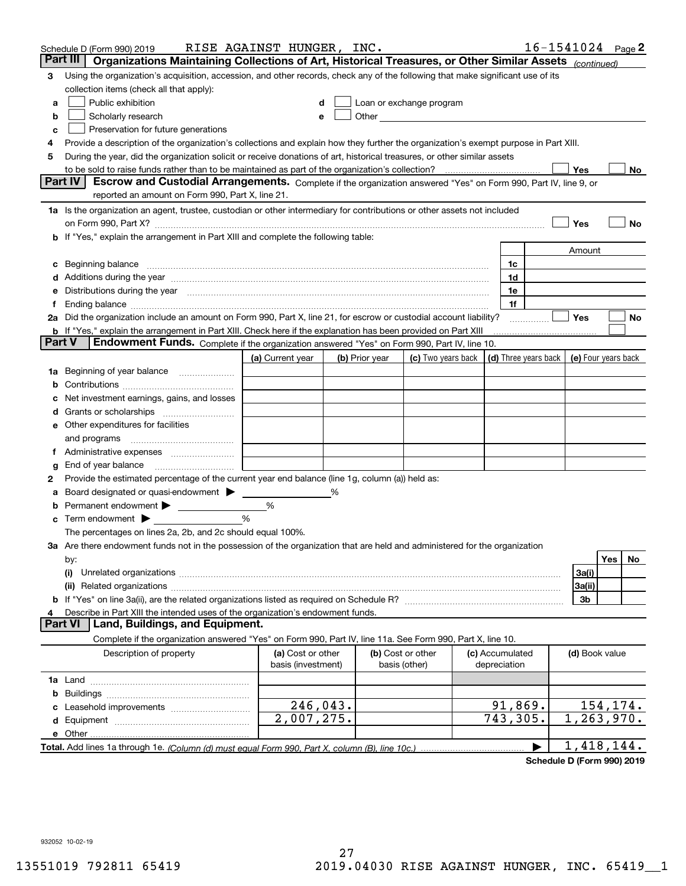|        | Schedule D (Form 990) 2019                                                                                                                                                                                                     | RISE AGAINST HUNGER, INC.               |                |                                                                                                                                                                                                                               |                    |                                            |                | $16 - 1541024$ Page 2 |
|--------|--------------------------------------------------------------------------------------------------------------------------------------------------------------------------------------------------------------------------------|-----------------------------------------|----------------|-------------------------------------------------------------------------------------------------------------------------------------------------------------------------------------------------------------------------------|--------------------|--------------------------------------------|----------------|-----------------------|
|        | Part III<br>Organizations Maintaining Collections of Art, Historical Treasures, or Other Similar Assets (continued)                                                                                                            |                                         |                |                                                                                                                                                                                                                               |                    |                                            |                |                       |
| 3      | Using the organization's acquisition, accession, and other records, check any of the following that make significant use of its                                                                                                |                                         |                |                                                                                                                                                                                                                               |                    |                                            |                |                       |
|        | collection items (check all that apply):                                                                                                                                                                                       |                                         |                |                                                                                                                                                                                                                               |                    |                                            |                |                       |
| a      | Public exhibition                                                                                                                                                                                                              |                                         |                | Loan or exchange program                                                                                                                                                                                                      |                    |                                            |                |                       |
| b      | Scholarly research                                                                                                                                                                                                             |                                         |                | Other and the contract of the contract of the contract of the contract of the contract of the contract of the contract of the contract of the contract of the contract of the contract of the contract of the contract of the |                    |                                            |                |                       |
| с      | Preservation for future generations                                                                                                                                                                                            |                                         |                |                                                                                                                                                                                                                               |                    |                                            |                |                       |
| 4      | Provide a description of the organization's collections and explain how they further the organization's exempt purpose in Part XIII.                                                                                           |                                         |                |                                                                                                                                                                                                                               |                    |                                            |                |                       |
| 5      | During the year, did the organization solicit or receive donations of art, historical treasures, or other similar assets                                                                                                       |                                         |                |                                                                                                                                                                                                                               |                    |                                            |                |                       |
|        | to be sold to raise funds rather than to be maintained as part of the organization's collection?                                                                                                                               |                                         |                |                                                                                                                                                                                                                               |                    |                                            | Yes            | No                    |
|        | <b>Part IV</b><br>Escrow and Custodial Arrangements. Complete if the organization answered "Yes" on Form 990, Part IV, line 9, or                                                                                              |                                         |                |                                                                                                                                                                                                                               |                    |                                            |                |                       |
|        | reported an amount on Form 990, Part X, line 21.                                                                                                                                                                               |                                         |                |                                                                                                                                                                                                                               |                    |                                            |                |                       |
|        | 1a Is the organization an agent, trustee, custodian or other intermediary for contributions or other assets not included                                                                                                       |                                         |                |                                                                                                                                                                                                                               |                    |                                            |                |                       |
|        | on Form 990, Part X? [11] matter contracts and contracts and contracts are contracted as a form 990, Part X?                                                                                                                   |                                         |                |                                                                                                                                                                                                                               |                    |                                            | Yes            | No                    |
|        | b If "Yes," explain the arrangement in Part XIII and complete the following table:                                                                                                                                             |                                         |                |                                                                                                                                                                                                                               |                    |                                            |                |                       |
|        |                                                                                                                                                                                                                                |                                         |                |                                                                                                                                                                                                                               |                    |                                            | Amount         |                       |
| c      | Beginning balance <b>contract to the contract of the contract of the contract of the contract of the contract of t</b>                                                                                                         |                                         |                |                                                                                                                                                                                                                               |                    | 1c                                         |                |                       |
|        | Additions during the year manufactured and an account of the year manufactured and account of the year manufactured and account of the year manufactured and account of the year manufactured and account of the year manufact |                                         |                |                                                                                                                                                                                                                               |                    | 1d                                         |                |                       |
|        | Distributions during the year manufactured and an account of the state of the state of the state of the state o                                                                                                                |                                         |                |                                                                                                                                                                                                                               |                    | 1e                                         |                |                       |
| t.     |                                                                                                                                                                                                                                |                                         |                |                                                                                                                                                                                                                               |                    | 1f                                         |                |                       |
|        | 2a Did the organization include an amount on Form 990, Part X, line 21, for escrow or custodial account liability?                                                                                                             |                                         |                |                                                                                                                                                                                                                               |                    |                                            | Yes            | No                    |
|        | <b>b</b> If "Yes," explain the arrangement in Part XIII. Check here if the explanation has been provided on Part XIII                                                                                                          |                                         |                |                                                                                                                                                                                                                               |                    |                                            |                |                       |
| Part V | Endowment Funds. Complete if the organization answered "Yes" on Form 990, Part IV, line 10.                                                                                                                                    |                                         |                |                                                                                                                                                                                                                               |                    |                                            |                |                       |
|        |                                                                                                                                                                                                                                | (a) Current year                        | (b) Prior year |                                                                                                                                                                                                                               | (c) Two years back | (d) Three years back   (e) Four years back |                |                       |
| 1a     | Beginning of year balance                                                                                                                                                                                                      |                                         |                |                                                                                                                                                                                                                               |                    |                                            |                |                       |
|        |                                                                                                                                                                                                                                |                                         |                |                                                                                                                                                                                                                               |                    |                                            |                |                       |
|        | Net investment earnings, gains, and losses                                                                                                                                                                                     |                                         |                |                                                                                                                                                                                                                               |                    |                                            |                |                       |
| d      |                                                                                                                                                                                                                                |                                         |                |                                                                                                                                                                                                                               |                    |                                            |                |                       |
|        | e Other expenditures for facilities                                                                                                                                                                                            |                                         |                |                                                                                                                                                                                                                               |                    |                                            |                |                       |
|        | and programs                                                                                                                                                                                                                   |                                         |                |                                                                                                                                                                                                                               |                    |                                            |                |                       |
|        |                                                                                                                                                                                                                                |                                         |                |                                                                                                                                                                                                                               |                    |                                            |                |                       |
| g      | End of year balance                                                                                                                                                                                                            |                                         |                |                                                                                                                                                                                                                               |                    |                                            |                |                       |
| 2      | Provide the estimated percentage of the current year end balance (line 1g, column (a)) held as:                                                                                                                                |                                         |                |                                                                                                                                                                                                                               |                    |                                            |                |                       |
| а      | Board designated or quasi-endowment                                                                                                                                                                                            |                                         | %              |                                                                                                                                                                                                                               |                    |                                            |                |                       |
|        | Permanent endowment > <u>example</u>                                                                                                                                                                                           | %                                       |                |                                                                                                                                                                                                                               |                    |                                            |                |                       |
|        | Term endowment $\blacktriangleright$                                                                                                                                                                                           | %                                       |                |                                                                                                                                                                                                                               |                    |                                            |                |                       |
|        | The percentages on lines 2a, 2b, and 2c should equal 100%.                                                                                                                                                                     |                                         |                |                                                                                                                                                                                                                               |                    |                                            |                |                       |
|        | 3a Are there endowment funds not in the possession of the organization that are held and administered for the organization                                                                                                     |                                         |                |                                                                                                                                                                                                                               |                    |                                            |                |                       |
|        | by:                                                                                                                                                                                                                            |                                         |                |                                                                                                                                                                                                                               |                    |                                            |                | Yes<br>No.            |
|        | (i)                                                                                                                                                                                                                            |                                         |                |                                                                                                                                                                                                                               |                    |                                            | 3a(i)          |                       |
|        |                                                                                                                                                                                                                                |                                         |                |                                                                                                                                                                                                                               |                    |                                            | 3a(ii)         |                       |
|        |                                                                                                                                                                                                                                |                                         |                |                                                                                                                                                                                                                               |                    |                                            | 3b             |                       |
|        | Describe in Part XIII the intended uses of the organization's endowment funds.<br>Land, Buildings, and Equipment.<br>Part VI                                                                                                   |                                         |                |                                                                                                                                                                                                                               |                    |                                            |                |                       |
|        |                                                                                                                                                                                                                                |                                         |                |                                                                                                                                                                                                                               |                    |                                            |                |                       |
|        | Complete if the organization answered "Yes" on Form 990, Part IV, line 11a. See Form 990, Part X, line 10.                                                                                                                     |                                         |                |                                                                                                                                                                                                                               |                    |                                            |                |                       |
|        | Description of property                                                                                                                                                                                                        | (a) Cost or other<br>basis (investment) |                | (b) Cost or other<br>basis (other)                                                                                                                                                                                            |                    | (c) Accumulated<br>depreciation            | (d) Book value |                       |
|        |                                                                                                                                                                                                                                |                                         |                |                                                                                                                                                                                                                               |                    |                                            |                |                       |
|        |                                                                                                                                                                                                                                |                                         |                |                                                                                                                                                                                                                               |                    |                                            |                |                       |
| b      |                                                                                                                                                                                                                                | 246,043.                                |                |                                                                                                                                                                                                                               |                    | 91,869.                                    |                | 154, 174.             |
|        | Leasehold improvements                                                                                                                                                                                                         | 2,007,275.                              |                |                                                                                                                                                                                                                               |                    | 743,305.                                   |                | 1, 263, 970.          |
|        |                                                                                                                                                                                                                                |                                         |                |                                                                                                                                                                                                                               |                    |                                            |                |                       |
|        | Total. Add lines 1a through 1e. (Column (d) must equal Form 990. Part X. column (B). line 10c.)                                                                                                                                |                                         |                |                                                                                                                                                                                                                               |                    |                                            |                | 1,418,144.            |
|        |                                                                                                                                                                                                                                |                                         |                |                                                                                                                                                                                                                               |                    |                                            |                |                       |

**Schedule D (Form 990) 2019**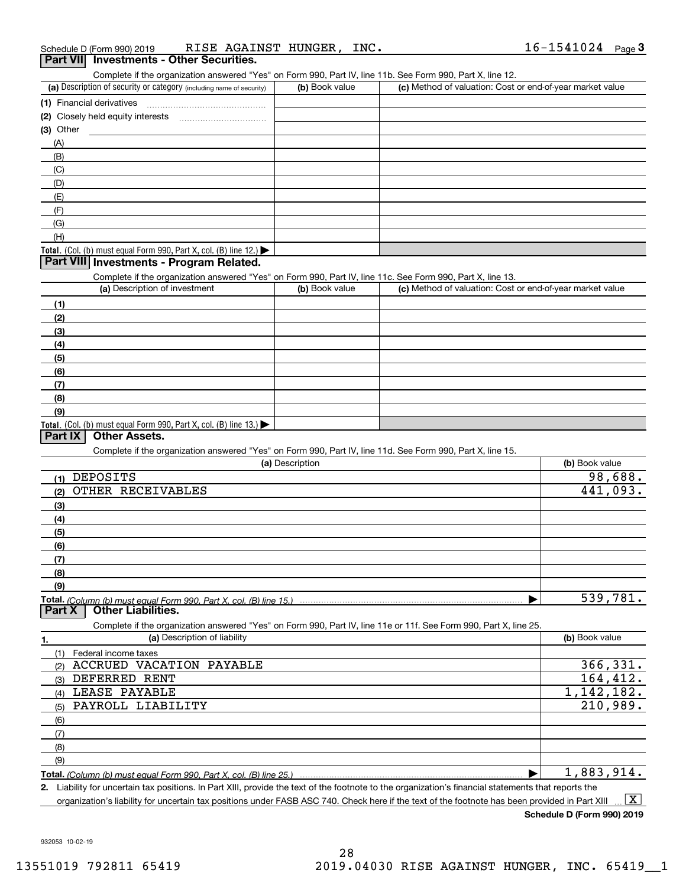| Schedule D (Form 990) 2019                      | RISE AGAINST HUNGER, | INC. | 16-1541024 | Page |
|-------------------------------------------------|----------------------|------|------------|------|
| <b>Part VII</b> Investments - Other Securities. |                      |      |            |      |

Complete if the organization answered "Yes" on Form 990, Part IV, line 11b. See Form 990, Part X, line 12.

| (a) Description of security or category (including name of security)                   | (b) Book value | (c) Method of valuation: Cost or end-of-year market value |
|----------------------------------------------------------------------------------------|----------------|-----------------------------------------------------------|
| (1) Financial derivatives                                                              |                |                                                           |
| (2) Closely held equity interests<br>                                                  |                |                                                           |
| $(3)$ Other                                                                            |                |                                                           |
| (A)                                                                                    |                |                                                           |
| (B)                                                                                    |                |                                                           |
| (C)                                                                                    |                |                                                           |
| (D)                                                                                    |                |                                                           |
| (E)                                                                                    |                |                                                           |
| (F)                                                                                    |                |                                                           |
| (G)                                                                                    |                |                                                           |
| (H)                                                                                    |                |                                                           |
| Total. (Col. (b) must equal Form 990, Part X, col. (B) line 12.) $\blacktriangleright$ |                |                                                           |

#### **Part VIII Investments - Program Related.**

Complete if the organization answered "Yes" on Form 990, Part IV, line 11c. See Form 990, Part X, line 13.

| (a) Description of investment                                       | (b) Book value | (c) Method of valuation: Cost or end-of-year market value |
|---------------------------------------------------------------------|----------------|-----------------------------------------------------------|
| (1)                                                                 |                |                                                           |
| (2)                                                                 |                |                                                           |
| $\qquad \qquad (3)$                                                 |                |                                                           |
| (4)                                                                 |                |                                                           |
| $\frac{1}{2}$                                                       |                |                                                           |
| (6)                                                                 |                |                                                           |
| (7)                                                                 |                |                                                           |
| (8)                                                                 |                |                                                           |
| (9)                                                                 |                |                                                           |
| Total. (Col. (b) must equal Form 990, Part X, col. (B) line $13$ .) |                |                                                           |

#### **Part IX Other Assets.**

Complete if the organization answered "Yes" on Form 990, Part IV, line 11d. See Form 990, Part X, line 15.

| oomploto il tho organization anoworda - roo- on riomn ooo, rialtiri, illio-rialtioco riomn ooo, rialti7), illio-rol<br>(a) Description | (b) Book value |
|----------------------------------------------------------------------------------------------------------------------------------------|----------------|
| DEPOSITS<br>(1)                                                                                                                        | 98,688.        |
| OTHER RECEIVABLES<br>(2)                                                                                                               | 441,093.       |
| (3)                                                                                                                                    |                |
| (4)                                                                                                                                    |                |
| (5)                                                                                                                                    |                |
| (6)                                                                                                                                    |                |
| (7)                                                                                                                                    |                |
| (8)                                                                                                                                    |                |
| (9)                                                                                                                                    |                |
| Total. (Column (b) must equal Form 990, Part X, col. (B) line 15.)                                                                     | 539,781.       |
| <b>Other Liabilities.</b><br>Part X                                                                                                    |                |
| Complete if the organization answered "Yes" on Form 990, Part IV, line 11e or 11f. See Form 990, Part X, line 25.                      |                |
| (a) Description of liability<br>1.                                                                                                     | (b) Book value |
| (1)<br>Federal income taxes                                                                                                            |                |
| ACCRUED<br>VACATION PAYABLE<br>(2)                                                                                                     | 366, 331.      |
| DEFERRED<br>RENT<br>(3)                                                                                                                | 164, 412.      |
| LEASE PAYABLE<br>(4)                                                                                                                   | 1, 142, 182.   |
| PAYROLL LIABILITY<br>(5)                                                                                                               | 210,989.       |
| (6)                                                                                                                                    |                |
| (7)                                                                                                                                    |                |
| (8)                                                                                                                                    |                |
| (9)                                                                                                                                    |                |
| <b>Total.</b> (Column (b) must equal Form 990. Part X. col. (B) line 25.) ………………………………………………………………………                                  | 1,883,914.     |

**2.** Liability for uncertain tax positions. In Part XIII, provide the text of the footnote to the organization's financial statements that reports the organization's liability for uncertain tax positions under FASB ASC 740. Check here if the text of the footnote has been provided in Part XIII  $\boxed{\text{X}}$ 

**Schedule D (Form 990) 2019**

932053 10-02-19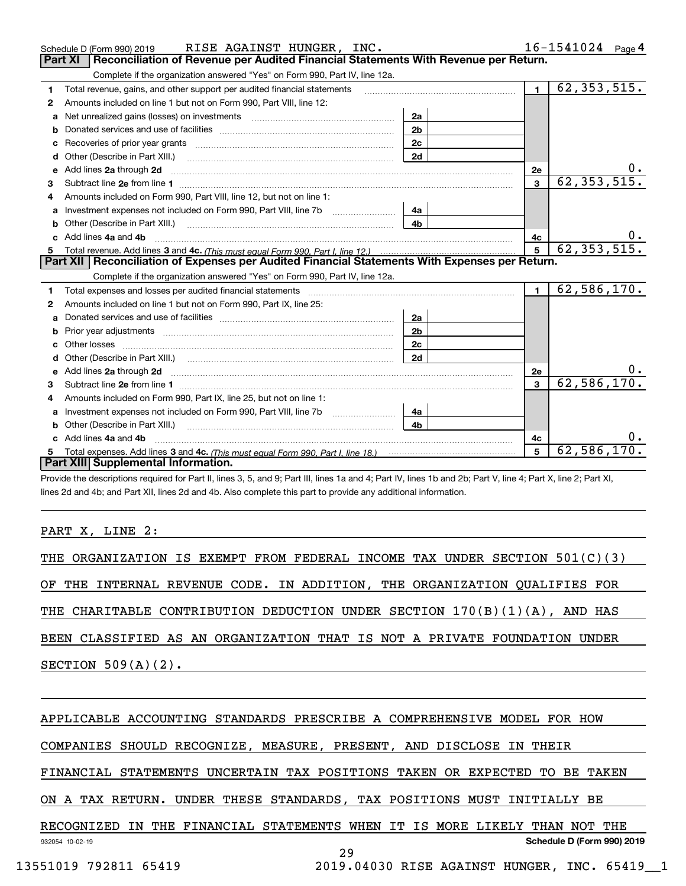|    | RISE AGAINST HUNGER, INC.<br>Schedule D (Form 990) 2019                                                                                                                                                                             |                | $16 - 1541024$ Page 4 |                             |
|----|-------------------------------------------------------------------------------------------------------------------------------------------------------------------------------------------------------------------------------------|----------------|-----------------------|-----------------------------|
|    | <b>Part XI</b><br>Reconciliation of Revenue per Audited Financial Statements With Revenue per Return.                                                                                                                               |                |                       |                             |
|    | Complete if the organization answered "Yes" on Form 990, Part IV, line 12a.                                                                                                                                                         |                |                       |                             |
| 1. | Total revenue, gains, and other support per audited financial statements                                                                                                                                                            |                | $\blacksquare$        | $\overline{62, 353, 515}$ . |
| 2  | Amounts included on line 1 but not on Form 990, Part VIII, line 12:                                                                                                                                                                 |                |                       |                             |
| a  | Net unrealized gains (losses) on investments [11] matter contracts and the unrealized gains (losses) on investments                                                                                                                 | 2a             |                       |                             |
|    |                                                                                                                                                                                                                                     | 2 <sub>b</sub> |                       |                             |
|    | Recoveries of prior year grants [11] Recoveries of prior year grants [11] Recoveries of prior year grants                                                                                                                           |                |                       |                             |
| d  | Other (Describe in Part XIII.) <b>Construction Contract Construction</b> [                                                                                                                                                          | 2d             |                       |                             |
| е  | Add lines 2a through 2d                                                                                                                                                                                                             |                | 2e                    | υ.                          |
| 3  |                                                                                                                                                                                                                                     |                | $\mathbf{3}$          | 62, 353, 515.               |
| 4  | Amounts included on Form 990, Part VIII, line 12, but not on line 1:                                                                                                                                                                |                |                       |                             |
|    | Investment expenses not included on Form 990, Part VIII, line 7b [100] [100] [100] [100] [100] [100] [100] [100] [100] [100] [100] [100] [100] [100] [100] [100] [100] [100] [100] [100] [100] [100] [100] [100] [100] [100] [      |                |                       |                             |
|    |                                                                                                                                                                                                                                     | 4 <sub>b</sub> |                       |                             |
| c. | Add lines 4a and 4b                                                                                                                                                                                                                 | 4с             |                       |                             |
|    |                                                                                                                                                                                                                                     |                | 5                     | 62, 353, 515.               |
|    |                                                                                                                                                                                                                                     |                |                       |                             |
|    | Part XII   Reconciliation of Expenses per Audited Financial Statements With Expenses per Return.                                                                                                                                    |                |                       |                             |
|    | Complete if the organization answered "Yes" on Form 990, Part IV, line 12a.                                                                                                                                                         |                |                       |                             |
| 1  | Total expenses and losses per audited financial statements [11,11] [11] Total expenses and losses per audited financial statements [11] [11] Total expenses and losses per audited financial statements                             |                | $\blacksquare$        | 62, 586, 170.               |
| 2  | Amounts included on line 1 but not on Form 990, Part IX, line 25:                                                                                                                                                                   |                |                       |                             |
| a  |                                                                                                                                                                                                                                     | 2a             |                       |                             |
| b  |                                                                                                                                                                                                                                     | 2 <sub>b</sub> |                       |                             |
|    |                                                                                                                                                                                                                                     | 2c             |                       |                             |
| d  |                                                                                                                                                                                                                                     | 2d             |                       |                             |
|    | Add lines 2a through 2d <b>contained a contained a contained a contained a</b> contained a contact the state of the state of the state of the state of the state of the state of the state of the state of the state of the state o |                | 2e                    |                             |
| 3  |                                                                                                                                                                                                                                     |                | $\mathbf{3}$          | 62,586,170.                 |
| 4  | Amounts included on Form 990, Part IX, line 25, but not on line 1:                                                                                                                                                                  |                |                       |                             |
| a  |                                                                                                                                                                                                                                     |                |                       |                             |
|    |                                                                                                                                                                                                                                     | 4 <sub>b</sub> |                       |                             |
|    | c Add lines 4a and 4b                                                                                                                                                                                                               |                | 4с                    |                             |
|    | Part XIII Supplemental Information.                                                                                                                                                                                                 |                | 5                     | 62,586,170.                 |

Provide the descriptions required for Part II, lines 3, 5, and 9; Part III, lines 1a and 4; Part IV, lines 1b and 2b; Part V, line 4; Part X, line 2; Part XI, lines 2d and 4b; and Part XII, lines 2d and 4b. Also complete this part to provide any additional information.

#### PART X, LINE 2:

|  |  |                       |  |  | THE ORGANIZATION IS EXEMPT FROM FEDERAL INCOME TAX UNDER SECTION 501(C)(3) |  |  |  |  |  |  |
|--|--|-----------------------|--|--|----------------------------------------------------------------------------|--|--|--|--|--|--|
|  |  |                       |  |  | OF THE INTERNAL REVENUE CODE. IN ADDITION, THE ORGANIZATION QUALIFIES FOR  |  |  |  |  |  |  |
|  |  |                       |  |  | THE CHARITABLE CONTRIBUTION DEDUCTION UNDER SECTION 170(B)(1)(A), AND HAS  |  |  |  |  |  |  |
|  |  |                       |  |  | BEEN CLASSIFIED AS AN ORGANIZATION THAT IS NOT A PRIVATE FOUNDATION UNDER  |  |  |  |  |  |  |
|  |  | SECTION $509(A)(2)$ . |  |  |                                                                            |  |  |  |  |  |  |
|  |  |                       |  |  |                                                                            |  |  |  |  |  |  |

### APPLICABLE ACCOUNTING STANDARDS PRESCRIBE A COMPREHENSIVE MODEL FOR HOW

COMPANIES SHOULD RECOGNIZE, MEASURE, PRESENT, AND DISCLOSE IN THEIR

FINANCIAL STATEMENTS UNCERTAIN TAX POSITIONS TAKEN OR EXPECTED TO BE TAKEN

#### ON A TAX RETURN. UNDER THESE STANDARDS, TAX POSITIONS MUST INITIALLY BE

932054 10-02-19 **Schedule D (Form 990) 2019** RECOGNIZED IN THE FINANCIAL STATEMENTS WHEN IT IS MORE LIKELY THAN NOT THE 29

13551019 792811 65419 2019.04030 RISE AGAINST HUNGER, INC. 65419\_\_1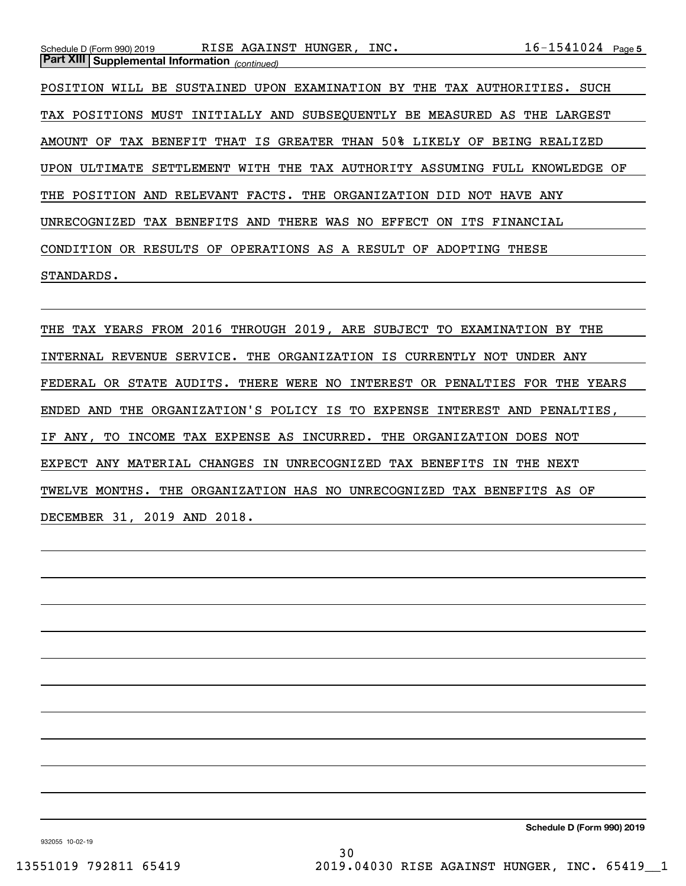| RISE AGAINST HUNGER, INC.<br>Schedule D (Form 990) 2019                                 | $16 - 1541024$ Page 5 |
|-----------------------------------------------------------------------------------------|-----------------------|
| <b>Part XIII Supplemental Information</b> (continued)                                   |                       |
| BE SUSTAINED UPON EXAMINATION BY<br>THE<br>POSITION<br>TAX AUTHORITIES.<br>WILL         | SUCH                  |
| TAX POSITIONS MUST INITIALLY AND SUBSEOUENTLY BE MEASURED AS THE LARGEST                |                       |
| TAX BENEFIT THAT IS GREATER THAN 50% LIKELY<br>OF<br>OF.<br>AMOUNT                      | BEING REALIZED        |
| SETTLEMENT WITH THE TAX AUTHORITY ASSUMING FULL KNOWLEDGE OF<br><b>UPON</b><br>ULTIMATE |                       |
| THE POSITION AND RELEVANT FACTS. THE ORGANIZATION<br>DID NOT HAVE ANY                   |                       |
| TAX BENEFITS AND<br>THERE WAS NO<br>EFFECT<br>UNRECOGNIZED<br>ON<br>ITS FINANCIAL       |                       |

CONDITION OR RESULTS OF OPERATIONS AS A RESULT OF ADOPTING THESE

#### STANDARDS.

THE TAX YEARS FROM 2016 THROUGH 2019, ARE SUBJECT TO EXAMINATION BY THE INTERNAL REVENUE SERVICE. THE ORGANIZATION IS CURRENTLY NOT UNDER ANY FEDERAL OR STATE AUDITS. THERE WERE NO INTEREST OR PENALTIES FOR THE YEARS ENDED AND THE ORGANIZATION'S POLICY IS TO EXPENSE INTEREST AND PENALTIES, IF ANY, TO INCOME TAX EXPENSE AS INCURRED. THE ORGANIZATION DOES NOT EXPECT ANY MATERIAL CHANGES IN UNRECOGNIZED TAX BENEFITS IN THE NEXT TWELVE MONTHS. THE ORGANIZATION HAS NO UNRECOGNIZED TAX BENEFITS AS OF DECEMBER 31, 2019 AND 2018.

932055 10-02-19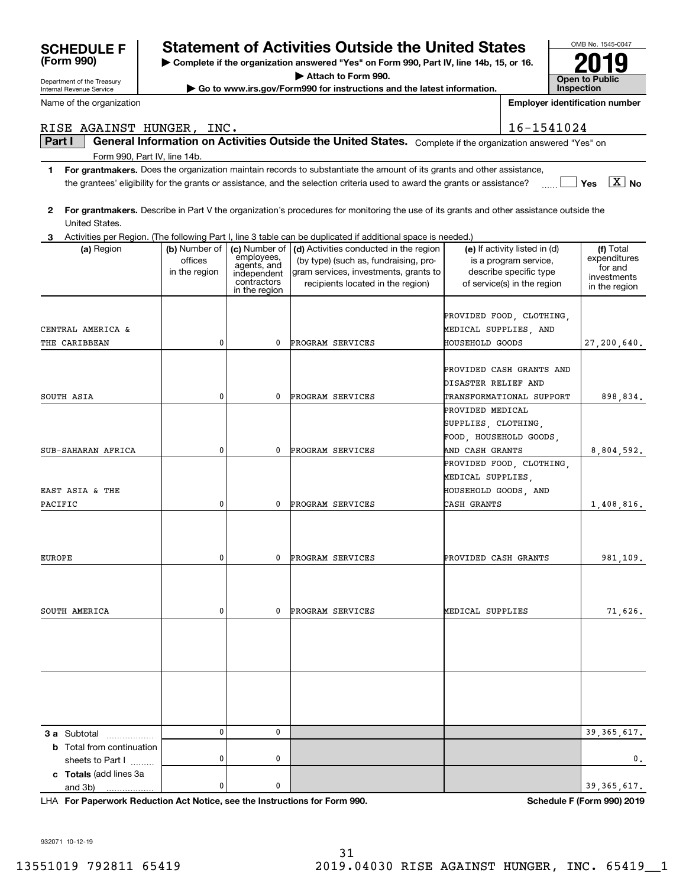| Department or the ricasury<br>Internal Revenue Service |               |                              | Go to www.irs.gov/Form990 for instructions and the latest information.                                                                  |                        |                                       | Inspection                   |
|--------------------------------------------------------|---------------|------------------------------|-----------------------------------------------------------------------------------------------------------------------------------------|------------------------|---------------------------------------|------------------------------|
| Name of the organization                               |               |                              |                                                                                                                                         |                        | <b>Employer identification number</b> |                              |
| RISE AGAINST HUNGER, INC.                              |               |                              |                                                                                                                                         |                        | 16-1541024                            |                              |
| Part I                                                 |               |                              | General Information on Activities Outside the United States. Complete if the organization answered "Yes" on                             |                        |                                       |                              |
| Form 990, Part IV, line 14b.                           |               |                              |                                                                                                                                         |                        |                                       |                              |
| 1                                                      |               |                              | For grantmakers. Does the organization maintain records to substantiate the amount of its grants and other assistance,                  |                        |                                       |                              |
|                                                        |               |                              | the grantees' eligibility for the grants or assistance, and the selection criteria used to award the grants or assistance?              |                        |                                       | $\boxed{\text{X}}$ No<br>Yes |
|                                                        |               |                              |                                                                                                                                         |                        |                                       |                              |
| $\mathbf{2}$                                           |               |                              | For grantmakers. Describe in Part V the organization's procedures for monitoring the use of its grants and other assistance outside the |                        |                                       |                              |
| United States.                                         |               |                              | Activities per Region. (The following Part I, line 3 table can be duplicated if additional space is needed.)                            |                        |                                       |                              |
| з<br>(a) Region                                        | (b) Number of | (c) Number of                | (d) Activities conducted in the region                                                                                                  |                        | (e) If activity listed in (d)         | (f) Total                    |
|                                                        | offices       | employees,<br>agents, and    | (by type) (such as, fundraising, pro-                                                                                                   |                        | is a program service,                 | expenditures                 |
|                                                        | in the region | independent                  | gram services, investments, grants to                                                                                                   |                        | describe specific type                | for and<br>investments       |
|                                                        |               | contractors<br>in the region | recipients located in the region)                                                                                                       |                        | of service(s) in the region           | in the region                |
|                                                        |               |                              |                                                                                                                                         |                        |                                       |                              |
|                                                        |               |                              |                                                                                                                                         |                        | PROVIDED FOOD, CLOTHING,              |                              |
| CENTRAL AMERICA &                                      |               |                              |                                                                                                                                         | MEDICAL SUPPLIES, AND  |                                       |                              |
| THE CARIBBEAN                                          | 0             | 0                            | PROGRAM SERVICES                                                                                                                        | HOUSEHOLD GOODS        |                                       | 27,200,640.                  |
|                                                        |               |                              |                                                                                                                                         |                        | PROVIDED CASH GRANTS AND              |                              |
|                                                        |               |                              |                                                                                                                                         | DISASTER RELIEF AND    |                                       |                              |
| SOUTH ASIA                                             | 0             | 0                            | PROGRAM SERVICES                                                                                                                        |                        | TRANSFORMATIONAL SUPPORT              | 898,834.                     |
|                                                        |               |                              |                                                                                                                                         | PROVIDED MEDICAL       |                                       |                              |
|                                                        |               |                              |                                                                                                                                         | SUPPLIES, CLOTHING,    |                                       |                              |
|                                                        |               |                              |                                                                                                                                         | FOOD, HOUSEHOLD GOODS, |                                       |                              |
| SUB-SAHARAN AFRICA                                     | 0             | 0                            | PROGRAM SERVICES                                                                                                                        | AND CASH GRANTS        |                                       | 8,804,592.                   |
|                                                        |               |                              |                                                                                                                                         |                        | PROVIDED FOOD, CLOTHING,              |                              |
|                                                        |               |                              |                                                                                                                                         | MEDICAL SUPPLIES,      |                                       |                              |
| EAST ASIA & THE                                        |               |                              |                                                                                                                                         | HOUSEHOLD GOODS, AND   |                                       |                              |
| PACIFIC                                                | 0             | 0                            | PROGRAM SERVICES                                                                                                                        | CASH GRANTS            |                                       | 1,408,816.                   |
|                                                        |               |                              |                                                                                                                                         |                        |                                       |                              |
|                                                        |               |                              |                                                                                                                                         |                        |                                       |                              |
| <b>EUROPE</b>                                          | 0             | 0                            | PROGRAM SERVICES                                                                                                                        | PROVIDED CASH GRANTS   |                                       | 981,109.                     |
|                                                        |               |                              |                                                                                                                                         |                        |                                       |                              |
|                                                        |               |                              |                                                                                                                                         |                        |                                       |                              |
|                                                        |               |                              |                                                                                                                                         |                        |                                       |                              |
| SOUTH AMERICA                                          | 0             | $^{\circ}$                   | PROGRAM SERVICES                                                                                                                        | MEDICAL SUPPLIES       |                                       | 71,626.                      |
|                                                        |               |                              |                                                                                                                                         |                        |                                       |                              |
|                                                        |               |                              |                                                                                                                                         |                        |                                       |                              |
|                                                        |               |                              |                                                                                                                                         |                        |                                       |                              |
|                                                        |               |                              |                                                                                                                                         |                        |                                       |                              |
|                                                        |               |                              |                                                                                                                                         |                        |                                       |                              |
|                                                        |               |                              |                                                                                                                                         |                        |                                       |                              |
|                                                        |               |                              |                                                                                                                                         |                        |                                       |                              |
| <b>3 a</b> Subtotal                                    | 0             | 0                            |                                                                                                                                         |                        |                                       | 39, 365, 617.                |
| <b>b</b> Total from continuation                       |               |                              |                                                                                                                                         |                        |                                       |                              |
| sheets to Part I                                       | 0             | 0                            |                                                                                                                                         |                        |                                       | 0.                           |
| c Totals (add lines 3a                                 |               |                              |                                                                                                                                         |                        |                                       |                              |
| and 3b)                                                | 0             | 0                            |                                                                                                                                         |                        |                                       | 39, 365, 617.                |

**| Complete if the organization answered "Yes" on Form 990, Part IV, line 14b, 15, or 16. | Attach to Form 990.**

**SCHEDULE F Statement of Activities Outside the United States**

**For Paperwork Reduction Act Notice, see the Instructions for Form 990. Schedule F (Form 990) 2019** LHA

932071 10-12-19

Department of the Treasury

**(Form 990)**

OMB No. 1545-0047

**2019**

**Open to Public**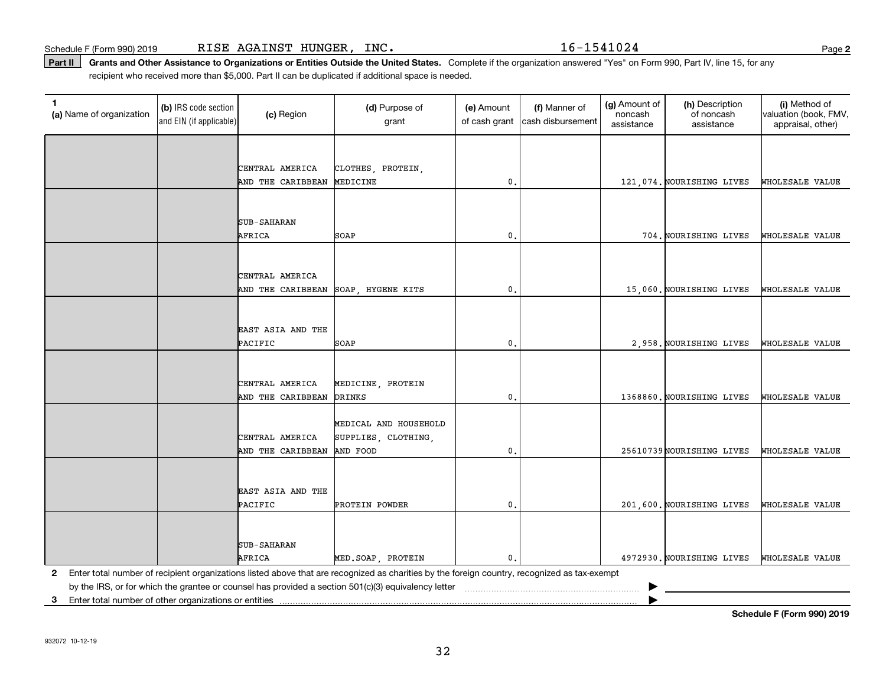Schedule F (Form 990) 2019 R $\rm I$ S $\rm E$   $\rm AGA$  $\rm INST$   $\rm HUNGER$  ,  $\rm~INC$  .  $\rm ~\,$   $\rm ~\,$   $\rm 16-1541024$   $\rm ~\,$   $\rm ~\,$   $\rm ~\,$   $\rm ~\,$   $\rm ~\,$   $\rm ~\,$   $\rm ~\,$   $\rm ~\,$   $\rm ~\,$   $\rm ~\,$   $\rm ~\,$   $\rm ~\,$   $\rm ~\,$   $\rm ~\,$   $\$ 

Part II | Grants and Other Assistance to Organizations or Entities Outside the United States. Complete if the organization answered "Yes" on Form 990, Part IV, line 15, for any recipient who received more than \$5,000. Part II can be duplicated if additional space is needed.

| 1.<br>(a) Name of organization                          | (b) IRS code section<br>and EIN (if applicable) | (c) Region         | (d) Purpose of<br>grant                                                                                                                                            | (e) Amount<br>of cash grant | (f) Manner of<br>cash disbursement | (g) Amount of<br>noncash<br>assistance | (h) Description<br>of noncash<br>assistance | (i) Method of<br>valuation (book, FMV,<br>appraisal, other) |
|---------------------------------------------------------|-------------------------------------------------|--------------------|--------------------------------------------------------------------------------------------------------------------------------------------------------------------|-----------------------------|------------------------------------|----------------------------------------|---------------------------------------------|-------------------------------------------------------------|
|                                                         |                                                 |                    |                                                                                                                                                                    |                             |                                    |                                        |                                             |                                                             |
|                                                         |                                                 | CENTRAL AMERICA    | CLOTHES, PROTEIN,                                                                                                                                                  |                             |                                    |                                        |                                             |                                                             |
|                                                         |                                                 | AND THE CARIBBEAN  | MEDICINE                                                                                                                                                           | $\mathfrak{o}$ .            |                                    |                                        | 121,074. NOURISHING LIVES                   | WHOLESALE VALUE                                             |
|                                                         |                                                 |                    |                                                                                                                                                                    |                             |                                    |                                        |                                             |                                                             |
|                                                         |                                                 |                    |                                                                                                                                                                    |                             |                                    |                                        |                                             |                                                             |
|                                                         |                                                 | <b>SUB-SAHARAN</b> |                                                                                                                                                                    |                             |                                    |                                        |                                             |                                                             |
|                                                         |                                                 | AFRICA             | SOAP                                                                                                                                                               | 0.                          |                                    |                                        | 704. NOURISHING LIVES                       | WHOLESALE VALUE                                             |
|                                                         |                                                 |                    |                                                                                                                                                                    |                             |                                    |                                        |                                             |                                                             |
|                                                         |                                                 | CENTRAL AMERICA    |                                                                                                                                                                    |                             |                                    |                                        |                                             |                                                             |
|                                                         |                                                 | AND THE CARIBBEAN  | SOAP, HYGENE KITS                                                                                                                                                  | $^{\rm o}$ .                |                                    |                                        | 15,060. NOURISHING LIVES                    | WHOLESALE VALUE                                             |
|                                                         |                                                 |                    |                                                                                                                                                                    |                             |                                    |                                        |                                             |                                                             |
|                                                         |                                                 |                    |                                                                                                                                                                    |                             |                                    |                                        |                                             |                                                             |
|                                                         |                                                 | EAST ASIA AND THE  |                                                                                                                                                                    |                             |                                    |                                        |                                             |                                                             |
|                                                         |                                                 | PACIFIC            | SOAP                                                                                                                                                               | $\mathbf{0}$ .              |                                    |                                        | 2,958. NOURISHING LIVES                     | WHOLESALE VALUE                                             |
|                                                         |                                                 |                    |                                                                                                                                                                    |                             |                                    |                                        |                                             |                                                             |
|                                                         |                                                 | CENTRAL AMERICA    | MEDICINE, PROTEIN                                                                                                                                                  |                             |                                    |                                        |                                             |                                                             |
|                                                         |                                                 | AND THE CARIBBEAN  | DRINKS                                                                                                                                                             | $\mathfrak o$ .             |                                    |                                        | 1368860. NOURISHING LIVES                   | WHOLESALE VALUE                                             |
|                                                         |                                                 |                    |                                                                                                                                                                    |                             |                                    |                                        |                                             |                                                             |
|                                                         |                                                 |                    | MEDICAL AND HOUSEHOLD                                                                                                                                              |                             |                                    |                                        |                                             |                                                             |
|                                                         |                                                 | CENTRAL AMERICA    | SUPPLIES, CLOTHING,                                                                                                                                                |                             |                                    |                                        |                                             |                                                             |
|                                                         |                                                 | AND THE CARIBBEAN  | AND FOOD                                                                                                                                                           | $\mathfrak o$ .             |                                    |                                        | 25610739 NOURISHING LIVES                   | WHOLESALE VALUE                                             |
|                                                         |                                                 |                    |                                                                                                                                                                    |                             |                                    |                                        |                                             |                                                             |
|                                                         |                                                 | EAST ASIA AND THE  |                                                                                                                                                                    |                             |                                    |                                        |                                             |                                                             |
|                                                         |                                                 | PACIFIC            | PROTEIN POWDER                                                                                                                                                     | $\mathbf 0$ .               |                                    |                                        | 201,600. NOURISHING LIVES                   | WHOLESALE VALUE                                             |
|                                                         |                                                 |                    |                                                                                                                                                                    |                             |                                    |                                        |                                             |                                                             |
|                                                         |                                                 |                    |                                                                                                                                                                    |                             |                                    |                                        |                                             |                                                             |
|                                                         |                                                 | <b>SUB-SAHARAN</b> |                                                                                                                                                                    |                             |                                    |                                        |                                             |                                                             |
| $\mathbf{2}$                                            |                                                 | AFRICA             | MED. SOAP, PROTEIN<br>Enter total number of recipient organizations listed above that are recognized as charities by the foreign country, recognized as tax-exempt | $\mathbf{0}$ .              |                                    |                                        | 4972930. NOURISHING LIVES                   | WHOLESALE VALUE                                             |
|                                                         |                                                 |                    |                                                                                                                                                                    |                             |                                    |                                        |                                             |                                                             |
| 3 Enter total number of other organizations or entities |                                                 |                    |                                                                                                                                                                    |                             |                                    |                                        |                                             |                                                             |

**Schedule F (Form 990) 2019**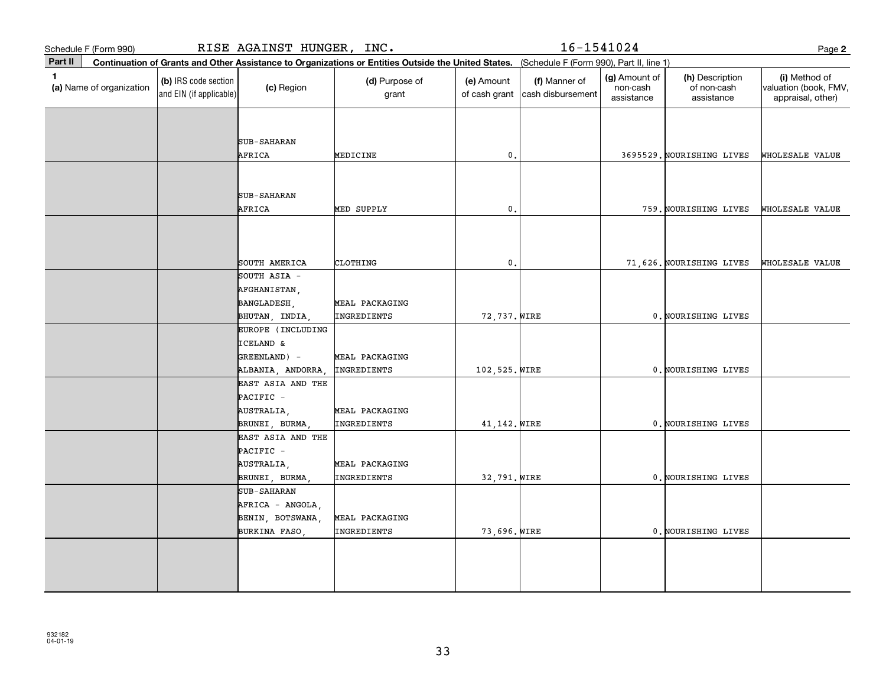|             | Schedule F (Form 990)    |                                                 | RISE AGAINST HUNGER, INC.                                                   |                                                                                                                                              |                             | 16-1541024                         |                                         |                                              | Page 2                                                      |
|-------------|--------------------------|-------------------------------------------------|-----------------------------------------------------------------------------|----------------------------------------------------------------------------------------------------------------------------------------------|-----------------------------|------------------------------------|-----------------------------------------|----------------------------------------------|-------------------------------------------------------------|
| Part II     |                          |                                                 |                                                                             | Continuation of Grants and Other Assistance to Organizations or Entities Outside the United States. (Schedule F (Form 990), Part II, line 1) |                             |                                    |                                         |                                              |                                                             |
| $\mathbf 1$ | (a) Name of organization | (b) IRS code section<br>and EIN (if applicable) | (c) Region                                                                  | (d) Purpose of<br>grant                                                                                                                      | (e) Amount<br>of cash grant | (f) Manner of<br>cash disbursement | (g) Amount of<br>non-cash<br>assistance | (h) Description<br>of non-cash<br>assistance | (i) Method of<br>valuation (book, FMV,<br>appraisal, other) |
|             |                          |                                                 | <b>SUB-SAHARAN</b><br>AFRICA                                                | MEDICINE                                                                                                                                     | $\mathbf{0}$ .              |                                    |                                         | 3695529. NOURISHING LIVES                    | WHOLESALE VALUE                                             |
|             |                          |                                                 | <b>SUB-SAHARAN</b><br>AFRICA                                                | MED SUPPLY                                                                                                                                   | $\mathfrak{o}$ .            |                                    |                                         | 759. NOURISHING LIVES                        | WHOLESALE VALUE                                             |
|             |                          |                                                 | SOUTH AMERICA                                                               | CLOTHING                                                                                                                                     | $\mathbf 0$ .               |                                    |                                         | 71,626. NOURISHING LIVES                     | WHOLESALE VALUE                                             |
|             |                          |                                                 | SOUTH ASIA -<br>AFGHANISTAN,<br>BANGLADESH,<br>BHUTAN, INDIA,               | MEAL PACKAGING<br>INGREDIENTS                                                                                                                | 72,737. WIRE                |                                    |                                         | 0. NOURISHING LIVES                          |                                                             |
|             |                          |                                                 | EUROPE (INCLUDING<br>ICELAND &<br>GREENLAND) -<br>ALBANIA, ANDORRA          | MEAL PACKAGING<br>INGREDIENTS                                                                                                                | 102,525. WIRE               |                                    |                                         | 0. NOURISHING LIVES                          |                                                             |
|             |                          |                                                 | EAST ASIA AND THE<br>PACIFIC -<br>AUSTRALIA,<br>BRUNEI, BURMA               | MEAL PACKAGING<br>INGREDIENTS                                                                                                                | 41, 142. WIRE               |                                    |                                         | 0. NOURISHING LIVES                          |                                                             |
|             |                          |                                                 | EAST ASIA AND THE<br>PACIFIC -<br>AUSTRALIA,<br>BRUNEI, BURMA,              | MEAL PACKAGING<br>INGREDIENTS                                                                                                                | 32,791. WIRE                |                                    |                                         | 0. NOURISHING LIVES                          |                                                             |
|             |                          |                                                 | <b>SUB-SAHARAN</b><br>AFRICA - ANGOLA,<br>BENIN, BOTSWANA,<br>BURKINA FASO, | MEAL PACKAGING<br>INGREDIENTS                                                                                                                | 73,696. WIRE                |                                    |                                         | 0. NOURISHING LIVES                          |                                                             |
|             |                          |                                                 |                                                                             |                                                                                                                                              |                             |                                    |                                         |                                              |                                                             |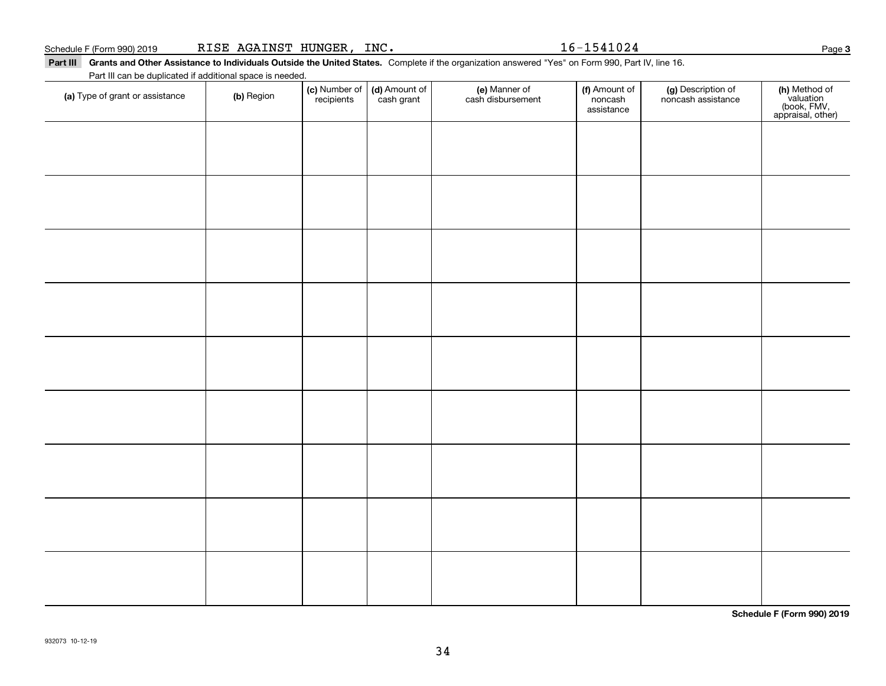#### Schedule F (Form 990) 2019 R ${\tt ISE}$   ${\tt AGAINST}$   ${\tt HUNGER}$  ,  ${\tt INC.}$   ${\tt NCC}$   ${\tt NSC}$   ${\tt NSC}$   ${\tt NSC}$   ${\tt NSC}$   ${\tt NSC}$   ${\tt NSC}$   ${\tt NSC}$   ${\tt NSC}$   ${\tt NSC}$   ${\tt NSC}$   ${\tt NSC}$   ${\tt NSC}$   ${\tt NSC}$   ${\tt NSC}$   ${\tt NSC}$   ${\tt NSC}$   ${\tt NSC}$   ${\tt NSC}$

Part III Grants and Other Assistance to Individuals Outside the United States. Complete if the organization answered "Yes" on Form 990, Part IV, line 16. Part III can be duplicated if additional space is needed.

| (a) Type of grant or assistance | (b) Region | (c) Number of<br>recipients | (d) Amount of<br>cash grant | (e) Manner of<br>cash disbursement | (f) Amount of<br>noncash<br>assistance | (g) Description of<br>noncash assistance | (h) Method of<br>valuation<br>(book, FMV,<br>appraisal, other) |
|---------------------------------|------------|-----------------------------|-----------------------------|------------------------------------|----------------------------------------|------------------------------------------|----------------------------------------------------------------|
|                                 |            |                             |                             |                                    |                                        |                                          |                                                                |
|                                 |            |                             |                             |                                    |                                        |                                          |                                                                |
|                                 |            |                             |                             |                                    |                                        |                                          |                                                                |
|                                 |            |                             |                             |                                    |                                        |                                          |                                                                |
|                                 |            |                             |                             |                                    |                                        |                                          |                                                                |
|                                 |            |                             |                             |                                    |                                        |                                          |                                                                |
|                                 |            |                             |                             |                                    |                                        |                                          |                                                                |
|                                 |            |                             |                             |                                    |                                        |                                          |                                                                |
|                                 |            |                             |                             |                                    |                                        |                                          |                                                                |
|                                 |            |                             |                             |                                    |                                        |                                          |                                                                |
|                                 |            |                             |                             |                                    |                                        |                                          |                                                                |
|                                 |            |                             |                             |                                    |                                        |                                          |                                                                |
|                                 |            |                             |                             |                                    |                                        |                                          |                                                                |
|                                 |            |                             |                             |                                    |                                        |                                          |                                                                |
|                                 |            |                             |                             |                                    |                                        |                                          |                                                                |

**Schedule F (Form 990) 2019**

**3**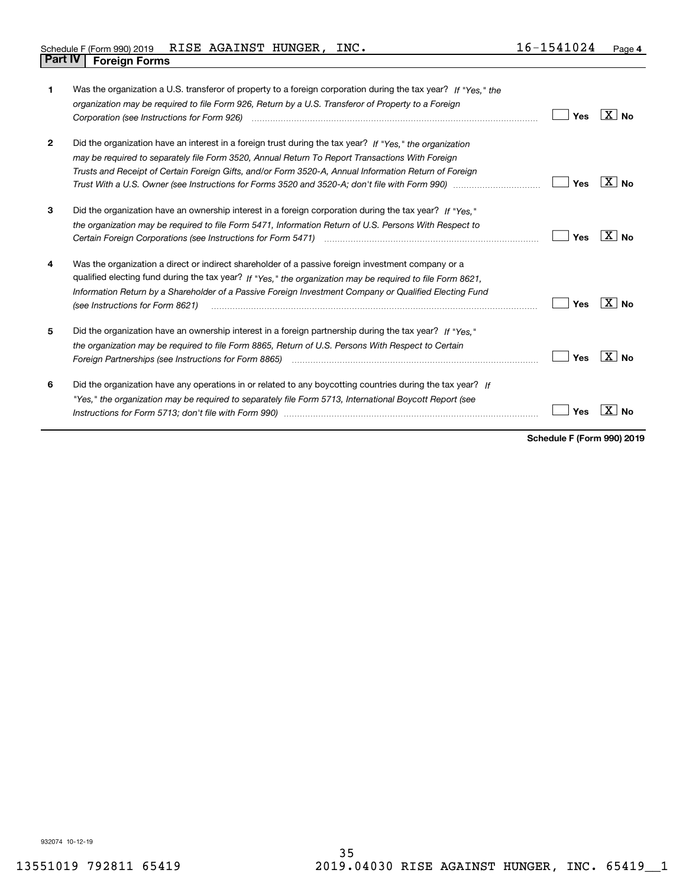| 1            | Was the organization a U.S. transferor of property to a foreign corporation during the tax year? If "Yes," the<br>organization may be required to file Form 926, Return by a U.S. Transferor of Property to a Foreign<br>Corporation (see Instructions for Form 926) <i>manual content content corporation</i> (see Instructions for Form 926)                 | Yes | $X \mid N_0$ |
|--------------|----------------------------------------------------------------------------------------------------------------------------------------------------------------------------------------------------------------------------------------------------------------------------------------------------------------------------------------------------------------|-----|--------------|
| $\mathbf{2}$ | Did the organization have an interest in a foreign trust during the tax year? If "Yes," the organization<br>may be required to separately file Form 3520, Annual Return To Report Transactions With Foreign<br>Trusts and Receipt of Certain Foreign Gifts, and/or Form 3520-A, Annual Information Return of Foreign                                           | Yes | $X $ No      |
| 3            | Did the organization have an ownership interest in a foreign corporation during the tax year? If "Yes."<br>the organization may be required to file Form 5471, Information Return of U.S. Persons With Respect to<br>Certain Foreign Corporations (see Instructions for Form 5471) <i>manual containant container corporation</i> container                    | Yes | $X \mid N_0$ |
| 4            | Was the organization a direct or indirect shareholder of a passive foreign investment company or a<br>qualified electing fund during the tax year? If "Yes," the organization may be required to file Form 8621,<br>Information Return by a Shareholder of a Passive Foreign Investment Company or Qualified Electing Fund<br>(see Instructions for Form 8621) | Yes | $X $ No      |
| 5            | Did the organization have an ownership interest in a foreign partnership during the tax year? If "Yes."<br>the organization may be required to file Form 8865, Return of U.S. Persons With Respect to Certain<br>Foreign Partnerships (see Instructions for Form 8865)                                                                                         | Yes | $X \mid N_0$ |
| 6            | Did the organization have any operations in or related to any boycotting countries during the tax year? If<br>"Yes," the organization may be required to separately file Form 5713, International Boycott Report (see                                                                                                                                          | Yes |              |

**Schedule F (Form 990) 2019**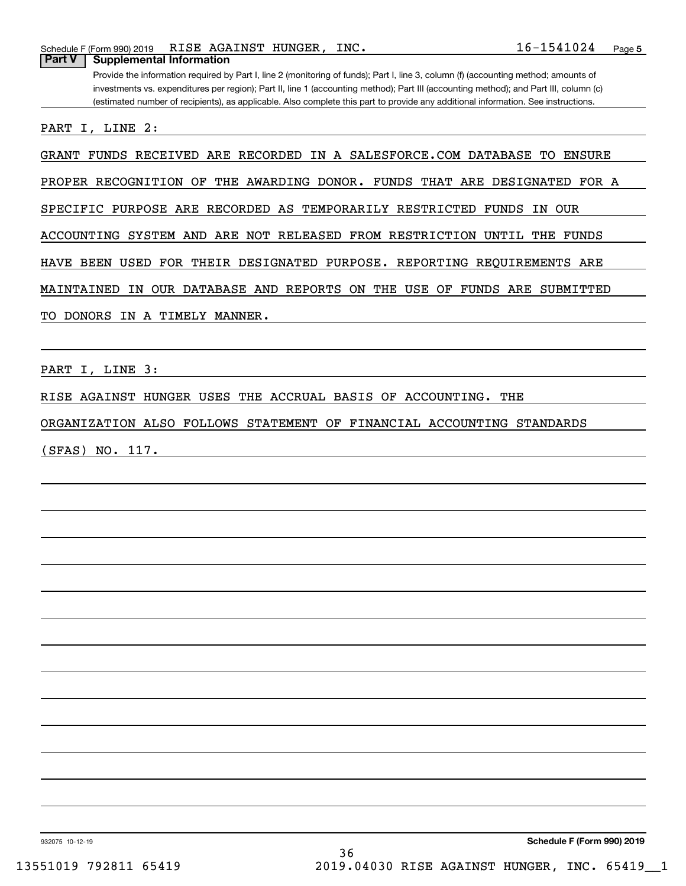**Part V Supplemental Information**

Provide the information required by Part I, line 2 (monitoring of funds); Part I, line 3, column (f) (accounting method; amounts of investments vs. expenditures per region); Part II, line 1 (accounting method); Part III (accounting method); and Part III, column (c) (estimated number of recipients), as applicable. Also complete this part to provide any additional information. See instructions.

PART I, LINE 2:

GRANT FUNDS RECEIVED ARE RECORDED IN A SALESFORCE.COM DATABASE TO ENSURE

PROPER RECOGNITION OF THE AWARDING DONOR. FUNDS THAT ARE DESIGNATED FOR A

SPECIFIC PURPOSE ARE RECORDED AS TEMPORARILY RESTRICTED FUNDS IN OUR

ACCOUNTING SYSTEM AND ARE NOT RELEASED FROM RESTRICTION UNTIL THE FUNDS

HAVE BEEN USED FOR THEIR DESIGNATED PURPOSE. REPORTING REQUIREMENTS ARE

MAINTAINED IN OUR DATABASE AND REPORTS ON THE USE OF FUNDS ARE SUBMITTED

TO DONORS IN A TIMELY MANNER.

PART I, LINE 3:

RISE AGAINST HUNGER USES THE ACCRUAL BASIS OF ACCOUNTING. THE

ORGANIZATION ALSO FOLLOWS STATEMENT OF FINANCIAL ACCOUNTING STANDARDS

(SFAS) NO. 117.

932075 10-12-19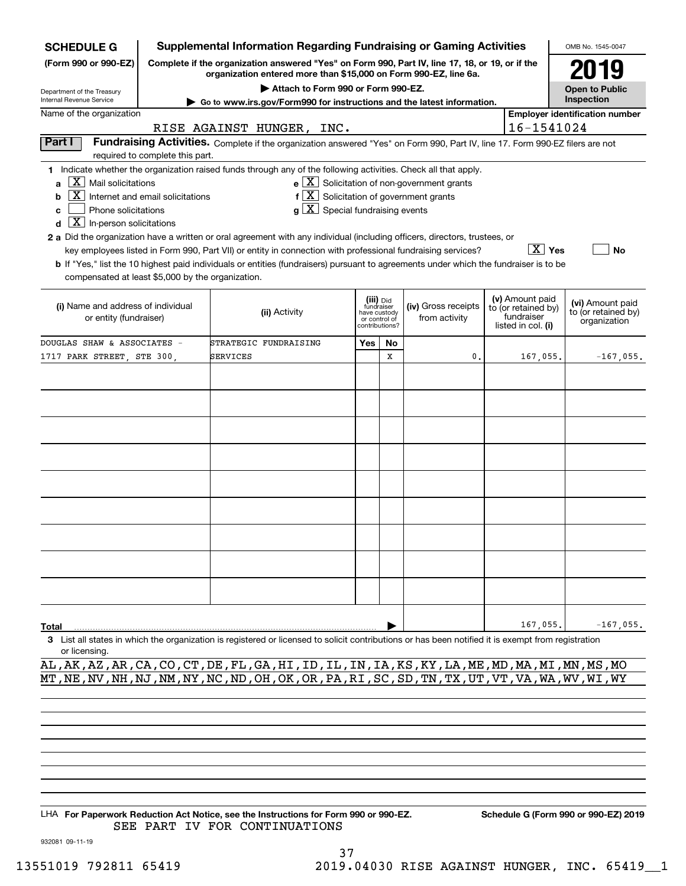| <b>SCHEDULE G</b>                                 |                                                                                 | <b>Supplemental Information Regarding Fundraising or Gaming Activities</b>                                                                                          |     |                                         |                     |  |                                  | OMB No. 1545-0047                       |  |  |  |  |
|---------------------------------------------------|---------------------------------------------------------------------------------|---------------------------------------------------------------------------------------------------------------------------------------------------------------------|-----|-----------------------------------------|---------------------|--|----------------------------------|-----------------------------------------|--|--|--|--|
| (Form 990 or 990-EZ)                              |                                                                                 | Complete if the organization answered "Yes" on Form 990, Part IV, line 17, 18, or 19, or if the<br>organization entered more than \$15,000 on Form 990-EZ, line 6a. |     | 2019                                    |                     |  |                                  |                                         |  |  |  |  |
| Department of the Treasury                        |                                                                                 | Attach to Form 990 or Form 990-EZ.                                                                                                                                  |     |                                         |                     |  |                                  | <b>Open to Public</b>                   |  |  |  |  |
| Internal Revenue Service                          |                                                                                 | Inspection                                                                                                                                                          |     |                                         |                     |  |                                  |                                         |  |  |  |  |
| Name of the organization                          |                                                                                 | <b>Employer identification number</b>                                                                                                                               |     |                                         |                     |  |                                  |                                         |  |  |  |  |
| 16-1541024<br>RISE AGAINST HUNGER, INC.           |                                                                                 |                                                                                                                                                                     |     |                                         |                     |  |                                  |                                         |  |  |  |  |
| Part I                                            | required to complete this part.                                                 | Fundraising Activities. Complete if the organization answered "Yes" on Form 990, Part IV, line 17. Form 990-EZ filers are not                                       |     |                                         |                     |  |                                  |                                         |  |  |  |  |
|                                                   |                                                                                 | 1 Indicate whether the organization raised funds through any of the following activities. Check all that apply.                                                     |     |                                         |                     |  |                                  |                                         |  |  |  |  |
| a                                                 | $e$ $\boxed{X}$ Solicitation of non-government grants<br>$X$ Mail solicitations |                                                                                                                                                                     |     |                                         |                     |  |                                  |                                         |  |  |  |  |
| b                                                 | Internet and email solicitations                                                | $f[\overline{X}]$ Solicitation of government grants                                                                                                                 |     |                                         |                     |  |                                  |                                         |  |  |  |  |
| Phone solicitations<br>c                          |                                                                                 | $g\mid X$ Special fundraising events                                                                                                                                |     |                                         |                     |  |                                  |                                         |  |  |  |  |
| $\boxed{\text{X}}$ In-person solicitations<br>d   |                                                                                 |                                                                                                                                                                     |     |                                         |                     |  |                                  |                                         |  |  |  |  |
|                                                   |                                                                                 | 2 a Did the organization have a written or oral agreement with any individual (including officers, directors, trustees, or                                          |     |                                         |                     |  |                                  |                                         |  |  |  |  |
|                                                   |                                                                                 | key employees listed in Form 990, Part VII) or entity in connection with professional fundraising services?                                                         |     |                                         |                     |  | $\overline{X}$ Yes               | <b>No</b>                               |  |  |  |  |
|                                                   |                                                                                 | b If "Yes," list the 10 highest paid individuals or entities (fundraisers) pursuant to agreements under which the fundraiser is to be                               |     |                                         |                     |  |                                  |                                         |  |  |  |  |
| compensated at least \$5,000 by the organization. |                                                                                 |                                                                                                                                                                     |     |                                         |                     |  |                                  |                                         |  |  |  |  |
|                                                   |                                                                                 |                                                                                                                                                                     |     |                                         |                     |  | (v) Amount paid                  |                                         |  |  |  |  |
| (i) Name and address of individual                |                                                                                 | (ii) Activity                                                                                                                                                       |     | (iii) Did<br>fundraiser<br>have custody | (iv) Gross receipts |  | to (or retained by)              | (vi) Amount paid<br>to (or retained by) |  |  |  |  |
| or entity (fundraiser)                            |                                                                                 |                                                                                                                                                                     |     | or control of<br>contributions?         | from activity       |  | fundraiser<br>listed in col. (i) | organization                            |  |  |  |  |
| DOUGLAS SHAW & ASSOCIATES -                       |                                                                                 | STRATEGIC FUNDRAISING                                                                                                                                               | Yes | No                                      |                     |  |                                  |                                         |  |  |  |  |
| 1717 PARK STREET, STE 300,                        |                                                                                 | SERVICES                                                                                                                                                            |     | X                                       | 0.                  |  | 167,055.                         | $-167,055$ .                            |  |  |  |  |
|                                                   |                                                                                 |                                                                                                                                                                     |     |                                         |                     |  |                                  |                                         |  |  |  |  |
|                                                   |                                                                                 |                                                                                                                                                                     |     |                                         |                     |  |                                  |                                         |  |  |  |  |
|                                                   |                                                                                 |                                                                                                                                                                     |     |                                         |                     |  |                                  |                                         |  |  |  |  |
|                                                   |                                                                                 |                                                                                                                                                                     |     |                                         |                     |  |                                  |                                         |  |  |  |  |
|                                                   |                                                                                 |                                                                                                                                                                     |     |                                         |                     |  |                                  |                                         |  |  |  |  |
|                                                   |                                                                                 |                                                                                                                                                                     |     |                                         |                     |  |                                  |                                         |  |  |  |  |
|                                                   |                                                                                 |                                                                                                                                                                     |     |                                         |                     |  |                                  |                                         |  |  |  |  |
|                                                   |                                                                                 |                                                                                                                                                                     |     |                                         |                     |  |                                  |                                         |  |  |  |  |
|                                                   |                                                                                 |                                                                                                                                                                     |     |                                         |                     |  |                                  |                                         |  |  |  |  |
|                                                   |                                                                                 |                                                                                                                                                                     |     |                                         |                     |  |                                  |                                         |  |  |  |  |
|                                                   |                                                                                 |                                                                                                                                                                     |     |                                         |                     |  |                                  |                                         |  |  |  |  |
|                                                   |                                                                                 |                                                                                                                                                                     |     |                                         |                     |  |                                  |                                         |  |  |  |  |
|                                                   |                                                                                 |                                                                                                                                                                     |     |                                         |                     |  |                                  |                                         |  |  |  |  |
|                                                   |                                                                                 |                                                                                                                                                                     |     |                                         |                     |  |                                  |                                         |  |  |  |  |
|                                                   |                                                                                 |                                                                                                                                                                     |     |                                         |                     |  |                                  |                                         |  |  |  |  |
|                                                   |                                                                                 |                                                                                                                                                                     |     |                                         |                     |  |                                  |                                         |  |  |  |  |
|                                                   |                                                                                 |                                                                                                                                                                     |     |                                         |                     |  |                                  |                                         |  |  |  |  |
|                                                   |                                                                                 |                                                                                                                                                                     |     |                                         |                     |  |                                  |                                         |  |  |  |  |
| Total                                             |                                                                                 |                                                                                                                                                                     |     |                                         |                     |  | 167,055                          | $-167,055.$                             |  |  |  |  |
|                                                   |                                                                                 | 3 List all states in which the organization is registered or licensed to solicit contributions or has been notified it is exempt from registration                  |     |                                         |                     |  |                                  |                                         |  |  |  |  |
| or licensing.                                     |                                                                                 |                                                                                                                                                                     |     |                                         |                     |  |                                  |                                         |  |  |  |  |

AL,AK,AZ,AR,CA,CO,CT,DE,FL,GA,HI,ID,IL,IN,IA,KS,KY,LA,ME,MD,MA,MI,MN,MS,MO MT,NE,NV,NH,NJ,NM,NY,NC,ND,OH,OK,OR,PA,RI,SC,SD,TN,TX,UT,VT,VA,WA,WV,WI,WY

LHA For Paperwork Reduction Act Notice, see the Instructions for Form 990 or 990-EZ. Schedule G (Form 990 or 990-EZ) 2019 SEE PART IV FOR CONTINUATIONS

932081 09-11-19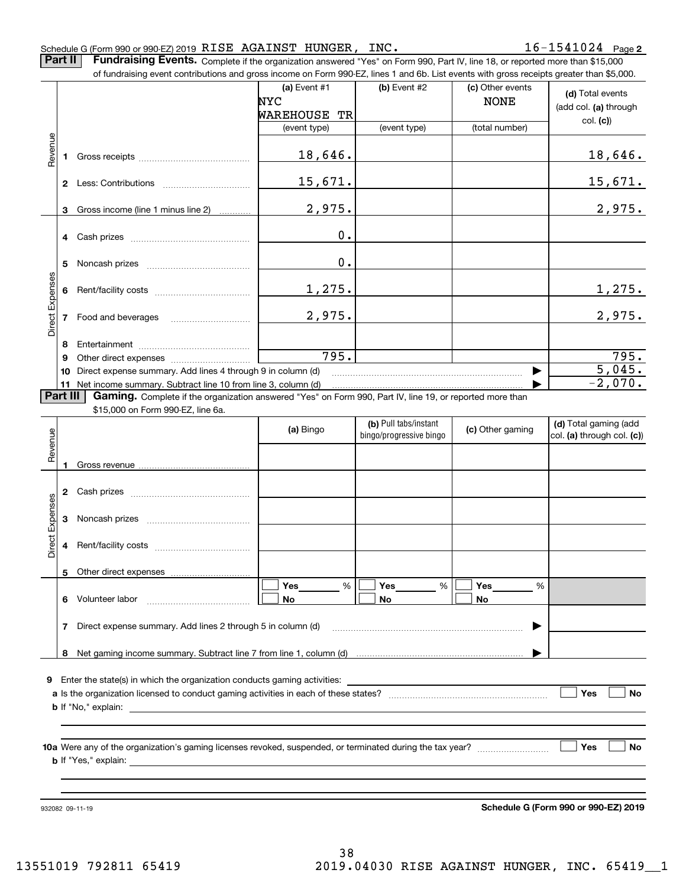**Part II** | Fundraising Events. Complete if the organization answered "Yes" on Form 990, Part IV, line 18, or reported more than \$15,000

|                 |          | of fundraising event contributions and gross income on Form 990-EZ, lines 1 and 6b. List events with gross receipts greater than \$5,000. |                 |                         |                  |                                      |
|-----------------|----------|-------------------------------------------------------------------------------------------------------------------------------------------|-----------------|-------------------------|------------------|--------------------------------------|
|                 |          |                                                                                                                                           | (a) Event $#1$  | $(b)$ Event #2          | (c) Other events | (d) Total events                     |
|                 |          |                                                                                                                                           | NYC             |                         | <b>NONE</b>      | (add col. (a) through                |
|                 |          |                                                                                                                                           | WAREHOUSE<br>ТR |                         |                  | col. (c)                             |
|                 |          |                                                                                                                                           | (event type)    | (event type)            | (total number)   |                                      |
| Revenue         | 1        |                                                                                                                                           | 18,646.         |                         |                  | <u>18,646.</u>                       |
|                 |          |                                                                                                                                           | 15,671.         |                         |                  | <u>15,671.</u>                       |
|                 | 3        | Gross income (line 1 minus line 2)                                                                                                        | 2,975.          |                         |                  | 2,975.                               |
|                 | 4        |                                                                                                                                           | 0.              |                         |                  |                                      |
|                 | 5        |                                                                                                                                           | 0.              |                         |                  |                                      |
|                 | 6        |                                                                                                                                           | 1,275.          |                         |                  | <u>1,275.</u>                        |
| Direct Expenses | 7        | Food and beverages                                                                                                                        | 2,975.          |                         |                  | 2,975.                               |
|                 |          |                                                                                                                                           |                 |                         |                  |                                      |
|                 | 8<br>9   |                                                                                                                                           | 795.            |                         |                  | 795.                                 |
|                 | 10       | Direct expense summary. Add lines 4 through 9 in column (d)                                                                               |                 |                         |                  | 5,045.                               |
|                 |          | 11 Net income summary. Subtract line 10 from line 3, column (d)                                                                           |                 |                         |                  | $-2,070.$                            |
|                 | Part III | Gaming. Complete if the organization answered "Yes" on Form 990, Part IV, line 19, or reported more than                                  |                 |                         |                  |                                      |
|                 |          | \$15,000 on Form 990-EZ, line 6a.                                                                                                         |                 |                         |                  |                                      |
|                 |          |                                                                                                                                           | (a) Bingo       | (b) Pull tabs/instant   | (c) Other gaming | (d) Total gaming (add                |
| Revenue         |          |                                                                                                                                           |                 | bingo/progressive bingo |                  | col. (a) through col. (c))           |
|                 |          |                                                                                                                                           |                 |                         |                  |                                      |
|                 | 1        |                                                                                                                                           |                 |                         |                  |                                      |
|                 |          |                                                                                                                                           |                 |                         |                  |                                      |
|                 | 2        |                                                                                                                                           |                 |                         |                  |                                      |
| Expenses        |          |                                                                                                                                           |                 |                         |                  |                                      |
|                 | 3        |                                                                                                                                           |                 |                         |                  |                                      |
| Direct          | 4        |                                                                                                                                           |                 |                         |                  |                                      |
|                 |          | 5 Other direct expenses                                                                                                                   |                 |                         |                  |                                      |
|                 |          |                                                                                                                                           | %<br>Yes        | %<br>Yes                | Yes<br>%         |                                      |
|                 |          | 6 Volunteer labor                                                                                                                         | No              | No                      | No               |                                      |
|                 |          |                                                                                                                                           |                 |                         |                  |                                      |
|                 | 7        | Direct expense summary. Add lines 2 through 5 in column (d)                                                                               |                 |                         |                  |                                      |
|                 |          |                                                                                                                                           |                 |                         |                  |                                      |
|                 |          |                                                                                                                                           |                 |                         |                  |                                      |
|                 |          | 9 Enter the state(s) in which the organization conducts gaming activities:                                                                |                 |                         |                  |                                      |
|                 |          |                                                                                                                                           |                 |                         |                  | Yes<br>No                            |
|                 |          |                                                                                                                                           |                 |                         |                  |                                      |
|                 |          |                                                                                                                                           |                 |                         |                  |                                      |
|                 |          |                                                                                                                                           |                 |                         |                  | Yes<br>No                            |
|                 |          |                                                                                                                                           |                 |                         |                  |                                      |
|                 |          |                                                                                                                                           |                 |                         |                  |                                      |
|                 |          |                                                                                                                                           |                 |                         |                  |                                      |
|                 |          |                                                                                                                                           |                 |                         |                  | Schedule G (Form 990 or 990-EZ) 2019 |
|                 |          | 932082 09-11-19                                                                                                                           |                 |                         |                  |                                      |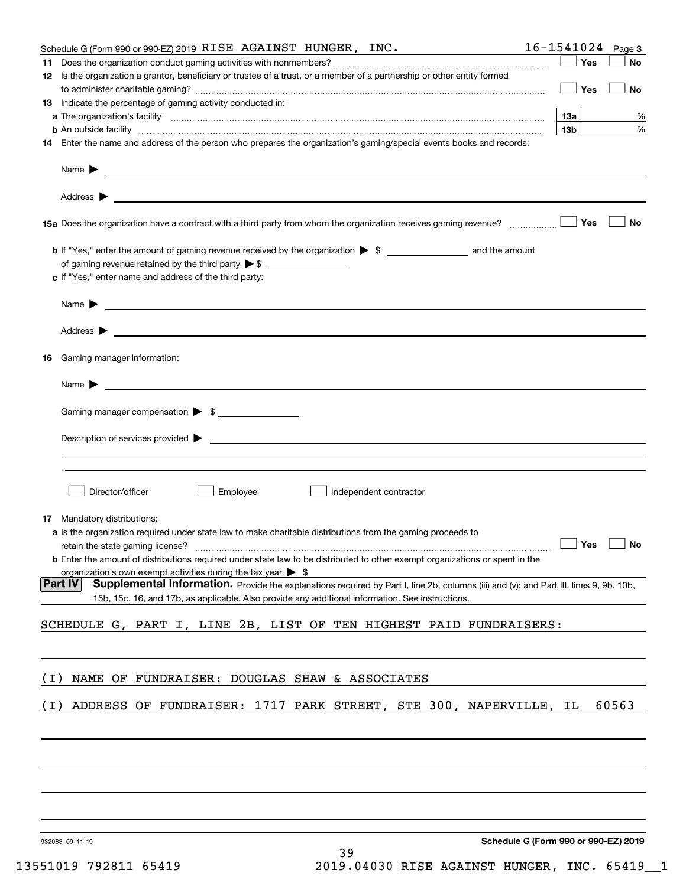|       | Schedule G (Form 990 or 990-EZ) 2019 RISE AGAINST HUNGER, INC.                                                                                                                                                                             | 16-1541024<br>Page 3                               |
|-------|--------------------------------------------------------------------------------------------------------------------------------------------------------------------------------------------------------------------------------------------|----------------------------------------------------|
|       |                                                                                                                                                                                                                                            | Yes<br>No                                          |
|       | 12 Is the organization a grantor, beneficiary or trustee of a trust, or a member of a partnership or other entity formed                                                                                                                   | Yes<br>No                                          |
|       | <b>13</b> Indicate the percentage of gaming activity conducted in:                                                                                                                                                                         |                                                    |
|       |                                                                                                                                                                                                                                            | 13а<br>%                                           |
|       | <b>b</b> An outside facility <i>www.communicality communicality communicality communicality communicality communicality</i>                                                                                                                | 13 <sub>b</sub><br>$\%$                            |
|       | 14 Enter the name and address of the person who prepares the organization's gaming/special events books and records:                                                                                                                       |                                                    |
|       | Name $\blacktriangleright$<br><u> 1989 - Andrea Stadt Britain, amerikansk politik (</u>                                                                                                                                                    |                                                    |
|       | Address $\blacktriangleright$<br><u> 1989 - Andrea Stadt Britain, amerikansk politik (</u>                                                                                                                                                 |                                                    |
|       |                                                                                                                                                                                                                                            | Yes<br>No                                          |
|       |                                                                                                                                                                                                                                            |                                                    |
|       |                                                                                                                                                                                                                                            |                                                    |
|       | c If "Yes," enter name and address of the third party:                                                                                                                                                                                     |                                                    |
|       | <u> 1989 - Johann Stoff, amerikansk politiker (</u> † 1908)<br>Name $\blacktriangleright$                                                                                                                                                  |                                                    |
|       |                                                                                                                                                                                                                                            |                                                    |
| 16    | Gaming manager information:                                                                                                                                                                                                                |                                                    |
|       |                                                                                                                                                                                                                                            |                                                    |
|       | Gaming manager compensation > \$                                                                                                                                                                                                           |                                                    |
|       |                                                                                                                                                                                                                                            |                                                    |
|       | $\blacksquare$ Description of services provided $\blacktriangleright$                                                                                                                                                                      |                                                    |
|       |                                                                                                                                                                                                                                            |                                                    |
|       | Employee<br>Director/officer<br>Independent contractor                                                                                                                                                                                     |                                                    |
|       | <b>17</b> Mandatory distributions:                                                                                                                                                                                                         |                                                    |
|       | a Is the organization required under state law to make charitable distributions from the gaming proceeds to                                                                                                                                |                                                    |
|       |                                                                                                                                                                                                                                            | $\boxed{\phantom{0}}$ Yes $\boxed{\phantom{0}}$ No |
|       | <b>b</b> Enter the amount of distributions required under state law to be distributed to other exempt organizations or spent in the                                                                                                        |                                                    |
|       | organization's own exempt activities during the tax year $\triangleright$ \$<br> Part IV                                                                                                                                                   |                                                    |
|       | Supplemental Information. Provide the explanations required by Part I, line 2b, columns (iii) and (v); and Part III, lines 9, 9b, 10b,<br>15b, 15c, 16, and 17b, as applicable. Also provide any additional information. See instructions. |                                                    |
|       | SCHEDULE G, PART I, LINE 2B, LIST OF TEN HIGHEST PAID FUNDRAISERS:                                                                                                                                                                         |                                                    |
|       |                                                                                                                                                                                                                                            |                                                    |
|       |                                                                                                                                                                                                                                            |                                                    |
| ( I ) | NAME OF FUNDRAISER: DOUGLAS SHAW & ASSOCIATES                                                                                                                                                                                              |                                                    |
| ( I ) | ADDRESS OF FUNDRAISER: 1717 PARK STREET, STE 300, NAPERVILLE, IL                                                                                                                                                                           | 60563                                              |
|       |                                                                                                                                                                                                                                            |                                                    |
|       |                                                                                                                                                                                                                                            |                                                    |
|       |                                                                                                                                                                                                                                            |                                                    |
|       |                                                                                                                                                                                                                                            |                                                    |
|       | JRONRR NO 11 10                                                                                                                                                                                                                            | Schedule G (Form 990 or 990-F7) 2019               |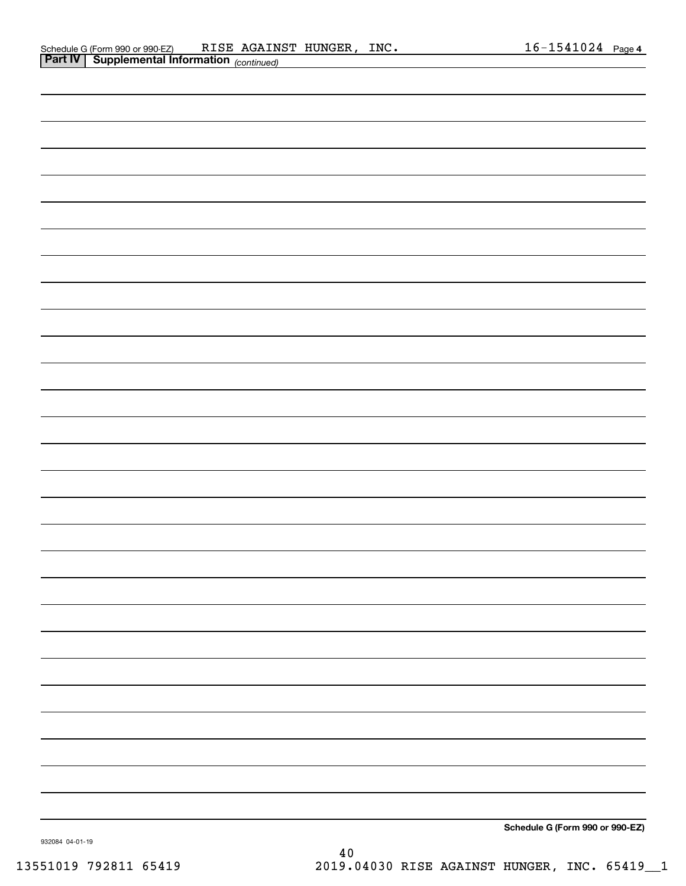|                | Schedule G (Form 990 or 990-EZ)                   | RISE | AGAINST HUNGER | INC. | 1541024<br>$h -$ | Page 4 |
|----------------|---------------------------------------------------|------|----------------|------|------------------|--------|
| <b>Part IV</b> | <sup>1</sup> Supplemental Information (continued) |      |                |      |                  |        |

| . . | [commaray]                      |
|-----|---------------------------------|
|     |                                 |
|     |                                 |
|     |                                 |
|     |                                 |
|     |                                 |
|     |                                 |
|     |                                 |
|     |                                 |
|     |                                 |
|     |                                 |
|     |                                 |
|     |                                 |
|     |                                 |
|     |                                 |
|     |                                 |
|     |                                 |
|     |                                 |
|     |                                 |
|     |                                 |
|     |                                 |
|     |                                 |
|     |                                 |
|     |                                 |
|     |                                 |
|     |                                 |
|     |                                 |
|     |                                 |
|     |                                 |
|     |                                 |
|     |                                 |
|     |                                 |
|     |                                 |
|     |                                 |
|     |                                 |
|     |                                 |
|     |                                 |
|     |                                 |
|     |                                 |
|     |                                 |
|     |                                 |
|     |                                 |
|     |                                 |
|     |                                 |
|     | Schedule G (Form 990 or 990-EZ) |

932084 04-01-19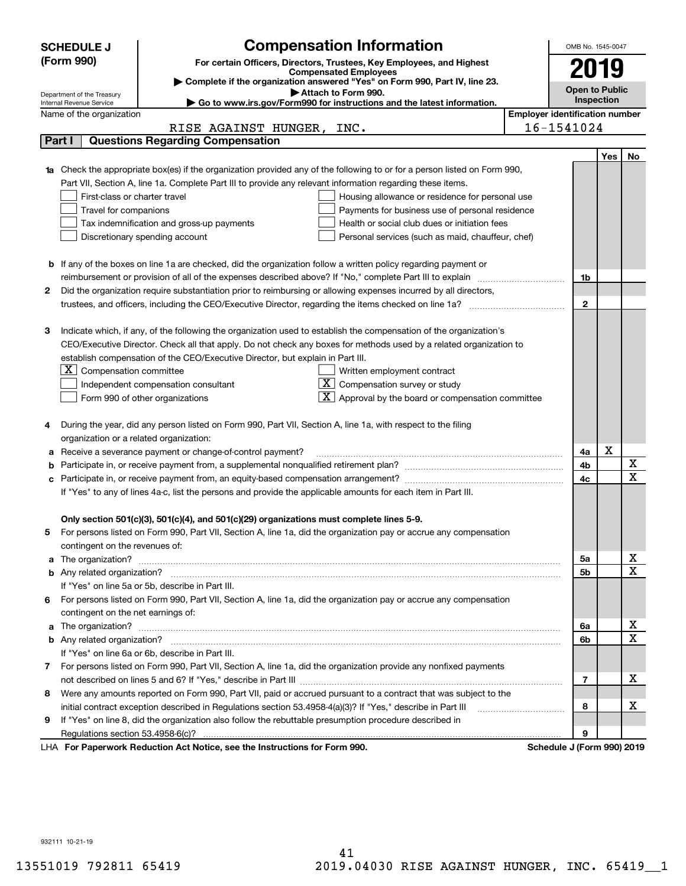|    | <b>Compensation Information</b><br><b>SCHEDULE J</b>                                                                                                    |                                       | OMB No. 1545-0047     |            |                              |
|----|---------------------------------------------------------------------------------------------------------------------------------------------------------|---------------------------------------|-----------------------|------------|------------------------------|
|    | (Form 990)<br>For certain Officers, Directors, Trustees, Key Employees, and Highest                                                                     |                                       |                       |            |                              |
|    | <b>Compensated Employees</b>                                                                                                                            |                                       | 2019                  |            |                              |
|    | Complete if the organization answered "Yes" on Form 990, Part IV, line 23.                                                                              |                                       | <b>Open to Public</b> |            |                              |
|    | Attach to Form 990.<br>Department of the Treasury<br>Go to www.irs.gov/Form990 for instructions and the latest information.<br>Internal Revenue Service |                                       | Inspection            |            |                              |
|    | Name of the organization                                                                                                                                | <b>Employer identification number</b> |                       |            |                              |
|    | RISE AGAINST HUNGER, INC.                                                                                                                               | 16-1541024                            |                       |            |                              |
|    | <b>Questions Regarding Compensation</b><br>Part I                                                                                                       |                                       |                       |            |                              |
|    |                                                                                                                                                         |                                       |                       | <b>Yes</b> | No                           |
|    | <b>1a</b> Check the appropriate box(es) if the organization provided any of the following to or for a person listed on Form 990,                        |                                       |                       |            |                              |
|    | Part VII, Section A, line 1a. Complete Part III to provide any relevant information regarding these items.                                              |                                       |                       |            |                              |
|    | First-class or charter travel<br>Housing allowance or residence for personal use                                                                        |                                       |                       |            |                              |
|    | Travel for companions<br>Payments for business use of personal residence                                                                                |                                       |                       |            |                              |
|    | Tax indemnification and gross-up payments<br>Health or social club dues or initiation fees                                                              |                                       |                       |            |                              |
|    | Discretionary spending account<br>Personal services (such as maid, chauffeur, chef)                                                                     |                                       |                       |            |                              |
|    |                                                                                                                                                         |                                       |                       |            |                              |
|    | <b>b</b> If any of the boxes on line 1a are checked, did the organization follow a written policy regarding payment or                                  |                                       |                       |            |                              |
|    | reimbursement or provision of all of the expenses described above? If "No," complete Part III to explain                                                |                                       | 1b                    |            |                              |
| 2  | Did the organization require substantiation prior to reimbursing or allowing expenses incurred by all directors,                                        |                                       |                       |            |                              |
|    | trustees, and officers, including the CEO/Executive Director, regarding the items checked on line 1a?                                                   |                                       | $\mathbf{2}$          |            |                              |
|    |                                                                                                                                                         |                                       |                       |            |                              |
| з  | Indicate which, if any, of the following the organization used to establish the compensation of the organization's                                      |                                       |                       |            |                              |
|    | CEO/Executive Director. Check all that apply. Do not check any boxes for methods used by a related organization to                                      |                                       |                       |            |                              |
|    | establish compensation of the CEO/Executive Director, but explain in Part III.                                                                          |                                       |                       |            |                              |
|    | $X$ Compensation committee<br>Written employment contract                                                                                               |                                       |                       |            |                              |
|    | $X$ Compensation survey or study<br>Independent compensation consultant                                                                                 |                                       |                       |            |                              |
|    | $\lfloor x \rfloor$ Approval by the board or compensation committee<br>Form 990 of other organizations                                                  |                                       |                       |            |                              |
|    |                                                                                                                                                         |                                       |                       |            |                              |
|    | During the year, did any person listed on Form 990, Part VII, Section A, line 1a, with respect to the filing                                            |                                       |                       |            |                              |
|    | organization or a related organization:                                                                                                                 |                                       |                       |            |                              |
| а  | Receive a severance payment or change-of-control payment?                                                                                               |                                       | 4a                    | X          |                              |
| b  |                                                                                                                                                         |                                       | 4b                    |            | X                            |
| с  |                                                                                                                                                         |                                       | 4c                    |            | $\overline{\mathbf{x}}$      |
|    | If "Yes" to any of lines 4a-c, list the persons and provide the applicable amounts for each item in Part III.                                           |                                       |                       |            |                              |
|    |                                                                                                                                                         |                                       |                       |            |                              |
|    | Only section 501(c)(3), 501(c)(4), and 501(c)(29) organizations must complete lines 5-9.                                                                |                                       |                       |            |                              |
|    | For persons listed on Form 990, Part VII, Section A, line 1a, did the organization pay or accrue any compensation                                       |                                       |                       |            |                              |
|    | contingent on the revenues of:                                                                                                                          |                                       |                       |            |                              |
| a  |                                                                                                                                                         |                                       | 5a                    |            | x                            |
|    |                                                                                                                                                         |                                       | 5b                    |            | $\overline{\mathbf{x}}$      |
|    | If "Yes" on line 5a or 5b, describe in Part III.                                                                                                        |                                       |                       |            |                              |
| 6. | For persons listed on Form 990, Part VII, Section A, line 1a, did the organization pay or accrue any compensation                                       |                                       |                       |            |                              |
|    | contingent on the net earnings of:                                                                                                                      |                                       |                       |            |                              |
| a  |                                                                                                                                                         |                                       | 6a                    |            | х<br>$\overline{\mathbf{x}}$ |
|    |                                                                                                                                                         |                                       | 6b                    |            |                              |
|    | If "Yes" on line 6a or 6b, describe in Part III.                                                                                                        |                                       |                       |            |                              |
|    | 7 For persons listed on Form 990, Part VII, Section A, line 1a, did the organization provide any nonfixed payments                                      |                                       |                       |            |                              |
|    |                                                                                                                                                         |                                       | 7                     |            | х                            |
| 8  | Were any amounts reported on Form 990, Part VII, paid or accrued pursuant to a contract that was subject to the                                         |                                       |                       |            |                              |
|    | initial contract exception described in Regulations section 53.4958-4(a)(3)? If "Yes," describe in Part III                                             |                                       | 8                     |            | х                            |
| 9  | If "Yes" on line 8, did the organization also follow the rebuttable presumption procedure described in                                                  |                                       |                       |            |                              |
|    | Regulations section 53.4958-6(c)?<br><b>Departments Reduction Act Notice, can the Instructions for Form 000</b><br>Schodule I (Form 000) 2010           |                                       | 9                     |            |                              |

LHA For Paperwork Reduction Act Notice, see the Instructions for Form 990. Schedule J (Form 990) 2019

932111 10-21-19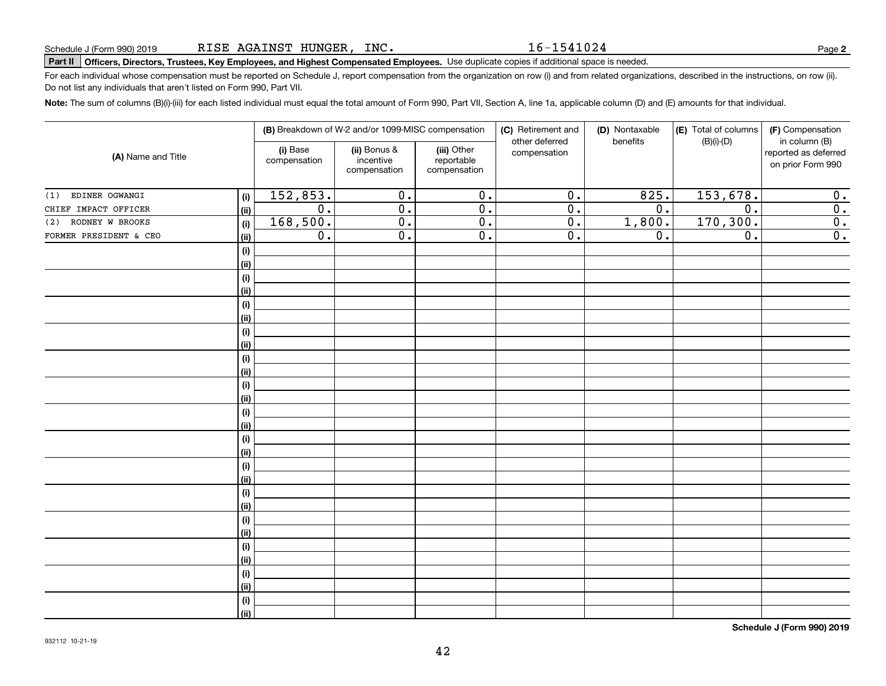16-1541024

# **Part II Officers, Directors, Trustees, Key Employees, and Highest Compensated Employees.**  Schedule J (Form 990) 2019 Page Use duplicate copies if additional space is needed.

For each individual whose compensation must be reported on Schedule J, report compensation from the organization on row (i) and from related organizations, described in the instructions, on row (ii). Do not list any individuals that aren't listed on Form 990, Part VII.

**Note:**  The sum of columns (B)(i)-(iii) for each listed individual must equal the total amount of Form 990, Part VII, Section A, line 1a, applicable column (D) and (E) amounts for that individual.

|                        |      |                          | (B) Breakdown of W-2 and/or 1099-MISC compensation |                                           | (C) Retirement and<br>other deferred | (D) Nontaxable<br>benefits | (E) Total of columns<br>$(B)(i)-(D)$ | (F) Compensation<br>in column (B)         |
|------------------------|------|--------------------------|----------------------------------------------------|-------------------------------------------|--------------------------------------|----------------------------|--------------------------------------|-------------------------------------------|
| (A) Name and Title     |      | (i) Base<br>compensation | (ii) Bonus &<br>incentive<br>compensation          | (iii) Other<br>reportable<br>compensation | compensation                         |                            |                                      | reported as deferred<br>on prior Form 990 |
| EDINER OGWANGI<br>(1)  | (i)  | 152,853.                 | $\overline{0}$ .                                   | $\overline{0}$ .                          | $\overline{0}$ .                     | 825.                       | 153,678.                             | 0.                                        |
| CHIEF IMPACT OFFICER   | (ii) | $\overline{0}$ .         | $\overline{0}$ .                                   | $\overline{0}$ .                          | $\overline{0}$ .                     | $\overline{0}$ .           | $\overline{0}$ .                     | $\overline{0}$ .                          |
| RODNEY W BROOKS<br>(2) | (i)  | 168,500.                 | $\overline{0}$ .                                   | $\overline{0}$ .                          | $\overline{0}$ .                     | 1,800.                     | 170,300.                             | $\overline{0}$ .                          |
| FORMER PRESIDENT & CEO | (ii) | $\overline{0}$ .         | $\overline{0}$ .                                   | $\overline{0}$ .                          | $\overline{0}$ .                     | $\overline{0}$ .           | $\overline{0}$ .                     | $\overline{0}$ .                          |
|                        | (i)  |                          |                                                    |                                           |                                      |                            |                                      |                                           |
|                        | (ii) |                          |                                                    |                                           |                                      |                            |                                      |                                           |
|                        | (i)  |                          |                                                    |                                           |                                      |                            |                                      |                                           |
|                        | (ii) |                          |                                                    |                                           |                                      |                            |                                      |                                           |
|                        | (i)  |                          |                                                    |                                           |                                      |                            |                                      |                                           |
|                        | (ii) |                          |                                                    |                                           |                                      |                            |                                      |                                           |
|                        | (i)  |                          |                                                    |                                           |                                      |                            |                                      |                                           |
|                        | (ii) |                          |                                                    |                                           |                                      |                            |                                      |                                           |
|                        | (i)  |                          |                                                    |                                           |                                      |                            |                                      |                                           |
|                        | (ii) |                          |                                                    |                                           |                                      |                            |                                      |                                           |
|                        | (i)  |                          |                                                    |                                           |                                      |                            |                                      |                                           |
|                        | (ii) |                          |                                                    |                                           |                                      |                            |                                      |                                           |
|                        | (i)  |                          |                                                    |                                           |                                      |                            |                                      |                                           |
|                        | (ii) |                          |                                                    |                                           |                                      |                            |                                      |                                           |
|                        | (i)  |                          |                                                    |                                           |                                      |                            |                                      |                                           |
|                        | (ii) |                          |                                                    |                                           |                                      |                            |                                      |                                           |
|                        | (i)  |                          |                                                    |                                           |                                      |                            |                                      |                                           |
|                        | (ii) |                          |                                                    |                                           |                                      |                            |                                      |                                           |
|                        | (i)  |                          |                                                    |                                           |                                      |                            |                                      |                                           |
|                        | (ii) |                          |                                                    |                                           |                                      |                            |                                      |                                           |
|                        | (i)  |                          |                                                    |                                           |                                      |                            |                                      |                                           |
|                        | (ii) |                          |                                                    |                                           |                                      |                            |                                      |                                           |
|                        | (i)  |                          |                                                    |                                           |                                      |                            |                                      |                                           |
|                        | (ii) |                          |                                                    |                                           |                                      |                            |                                      |                                           |
|                        | (i)  |                          |                                                    |                                           |                                      |                            |                                      |                                           |
|                        | (ii) |                          |                                                    |                                           |                                      |                            |                                      |                                           |
|                        | (i)  |                          |                                                    |                                           |                                      |                            |                                      |                                           |
|                        | (ii) |                          |                                                    |                                           |                                      |                            |                                      |                                           |

**Schedule J (Form 990) 2019**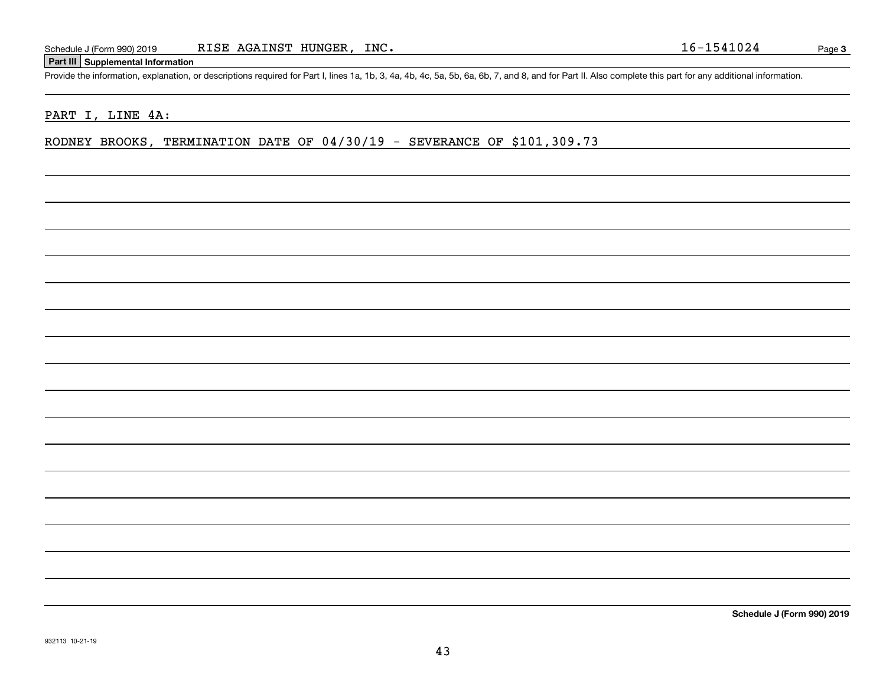#### **Part III Supplemental Information**

Schedule J (Form 990) 2019 RISE AGAINST HUNGER, INC.<br>Part III Supplemental Information<br>Provide the information, explanation, or descriptions required for Part I, lines 1a, 1b, 3, 4a, 4b, 4c, 5a, 5b, 6a, 6b, 7, and 8, and f

#### PART I, LINE 4A:

RODNEY BROOKS, TERMINATION DATE OF 04/30/19 - SEVERANCE OF \$101,309.73

**Schedule J (Form 990) 2019**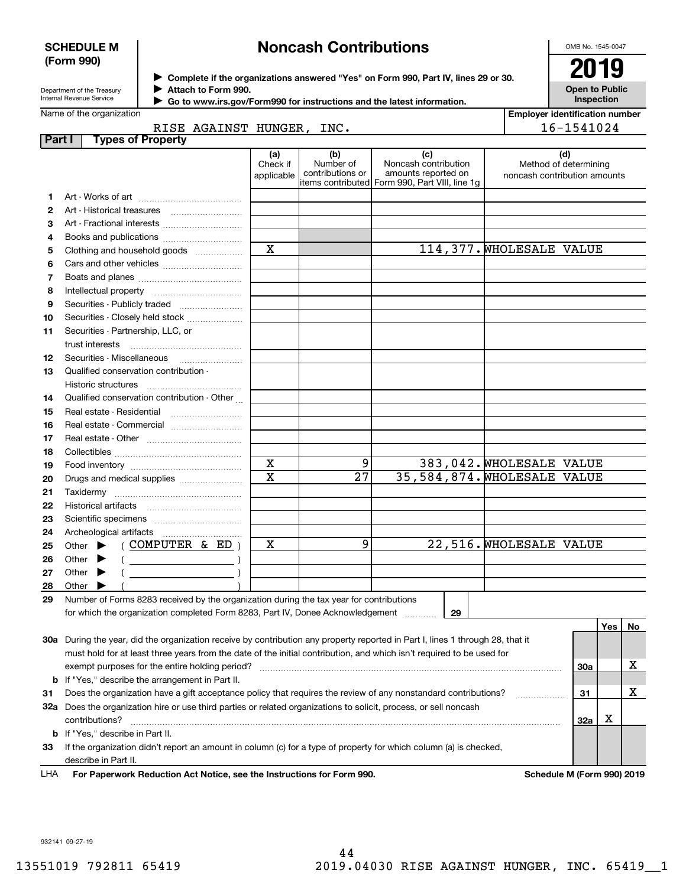#### **SCHEDULE M (Form 990)**

## **Noncash Contributions**

OMB No. 1545-0047

**Open to Public Inspection**

| Department of the Treasury |
|----------------------------|
| Internal Revenue Service   |

**Complete if the organizations answered "Yes" on Form 990, Part IV, lines 29 or 30.** <sup>J</sup>**2019 Attach to Form 990.** J

 **Go to www.irs.gov/Form990 for instructions and the latest information.** J

|        | Name of the organization                                                                                                       |                         |                  |                                                | <b>Employer identification number</b>                 |            |     |    |
|--------|--------------------------------------------------------------------------------------------------------------------------------|-------------------------|------------------|------------------------------------------------|-------------------------------------------------------|------------|-----|----|
|        | RISE AGAINST HUNGER, INC.                                                                                                      |                         |                  |                                                |                                                       | 16-1541024 |     |    |
| Part I | <b>Types of Property</b>                                                                                                       |                         |                  |                                                |                                                       |            |     |    |
|        |                                                                                                                                | (a)                     | (b)<br>Number of | (c)                                            |                                                       | (d)        |     |    |
|        |                                                                                                                                | Check if<br>applicable  | contributions or | Noncash contribution<br>amounts reported on    | Method of determining<br>noncash contribution amounts |            |     |    |
|        |                                                                                                                                |                         |                  | items contributed Form 990, Part VIII, line 1q |                                                       |            |     |    |
| 1.     |                                                                                                                                |                         |                  |                                                |                                                       |            |     |    |
| 2      |                                                                                                                                |                         |                  |                                                |                                                       |            |     |    |
| з      | Art - Fractional interests                                                                                                     |                         |                  |                                                |                                                       |            |     |    |
| 4      |                                                                                                                                |                         |                  |                                                |                                                       |            |     |    |
| 5      | Clothing and household goods                                                                                                   | $\mathbf x$             |                  | 114,377. WHOLESALE VALUE                       |                                                       |            |     |    |
| 6      |                                                                                                                                |                         |                  |                                                |                                                       |            |     |    |
| 7      |                                                                                                                                |                         |                  |                                                |                                                       |            |     |    |
| 8      | Intellectual property                                                                                                          |                         |                  |                                                |                                                       |            |     |    |
| 9      | Securities - Publicly traded                                                                                                   |                         |                  |                                                |                                                       |            |     |    |
| 10     | Securities - Closely held stock                                                                                                |                         |                  |                                                |                                                       |            |     |    |
| 11     | Securities - Partnership, LLC, or                                                                                              |                         |                  |                                                |                                                       |            |     |    |
|        | trust interests                                                                                                                |                         |                  |                                                |                                                       |            |     |    |
| 12     |                                                                                                                                |                         |                  |                                                |                                                       |            |     |    |
| 13     | Qualified conservation contribution -                                                                                          |                         |                  |                                                |                                                       |            |     |    |
|        | Historic structures                                                                                                            |                         |                  |                                                |                                                       |            |     |    |
| 14     | Qualified conservation contribution - Other                                                                                    |                         |                  |                                                |                                                       |            |     |    |
| 15     |                                                                                                                                |                         |                  |                                                |                                                       |            |     |    |
| 16     | Real estate - Commercial                                                                                                       |                         |                  |                                                |                                                       |            |     |    |
| 17     |                                                                                                                                |                         |                  |                                                |                                                       |            |     |    |
| 18     |                                                                                                                                |                         |                  |                                                |                                                       |            |     |    |
| 19     |                                                                                                                                | $\mathbf X$             | $\overline{9}$   | 383,042. WHOLESALE VALUE                       |                                                       |            |     |    |
| 20     | Drugs and medical supplies                                                                                                     | $\overline{\mathbf{x}}$ | $\overline{27}$  | 35,584,874. WHOLESALE VALUE                    |                                                       |            |     |    |
| 21     |                                                                                                                                |                         |                  |                                                |                                                       |            |     |    |
| 22     |                                                                                                                                |                         |                  |                                                |                                                       |            |     |    |
| 23     |                                                                                                                                |                         |                  |                                                |                                                       |            |     |    |
| 24     |                                                                                                                                |                         |                  |                                                |                                                       |            |     |    |
| 25     | (COMPUTER & ED)<br>Other $\blacktriangleright$                                                                                 | х                       | 9                | 22,516. WHOLESALE VALUE                        |                                                       |            |     |    |
| 26     | Other $\blacktriangleright$<br>$($ $)$                                                                                         |                         |                  |                                                |                                                       |            |     |    |
| 27     | $($ $)$<br>Other<br>▸                                                                                                          |                         |                  |                                                |                                                       |            |     |    |
| 28     | Other                                                                                                                          |                         |                  |                                                |                                                       |            |     |    |
| 29     | Number of Forms 8283 received by the organization during the tax year for contributions                                        |                         |                  |                                                |                                                       |            |     |    |
|        |                                                                                                                                |                         |                  |                                                |                                                       |            |     |    |
|        |                                                                                                                                |                         |                  |                                                |                                                       |            | Yes | No |
|        | 30a During the year, did the organization receive by contribution any property reported in Part I, lines 1 through 28, that it |                         |                  |                                                |                                                       |            |     |    |
|        | must hold for at least three years from the date of the initial contribution, and which isn't required to be used for          |                         |                  |                                                |                                                       |            |     |    |
|        |                                                                                                                                |                         |                  |                                                |                                                       | <b>30a</b> |     | х  |
|        | <b>b</b> If "Yes," describe the arrangement in Part II.                                                                        |                         |                  |                                                |                                                       |            |     |    |
| 31     | Does the organization have a gift acceptance policy that requires the review of any nonstandard contributions?                 |                         |                  |                                                |                                                       | 31         |     | х  |
|        | 32a Does the organization hire or use third parties or related organizations to solicit, process, or sell noncash              |                         |                  |                                                |                                                       |            |     |    |
|        | contributions?                                                                                                                 |                         |                  |                                                |                                                       | 32a        | X   |    |
|        | <b>b</b> If "Yes," describe in Part II.                                                                                        |                         |                  |                                                |                                                       |            |     |    |
| 33     | If the organization didn't report an amount in column (c) for a type of property for which column (a) is checked,              |                         |                  |                                                |                                                       |            |     |    |
|        | describe in Part II.                                                                                                           |                         |                  |                                                |                                                       |            |     |    |

For Paperwork Reduction Act Notice, see the Instructions for Form 990. Schedule M (Form 990) 2019 LHA

932141 09-27-19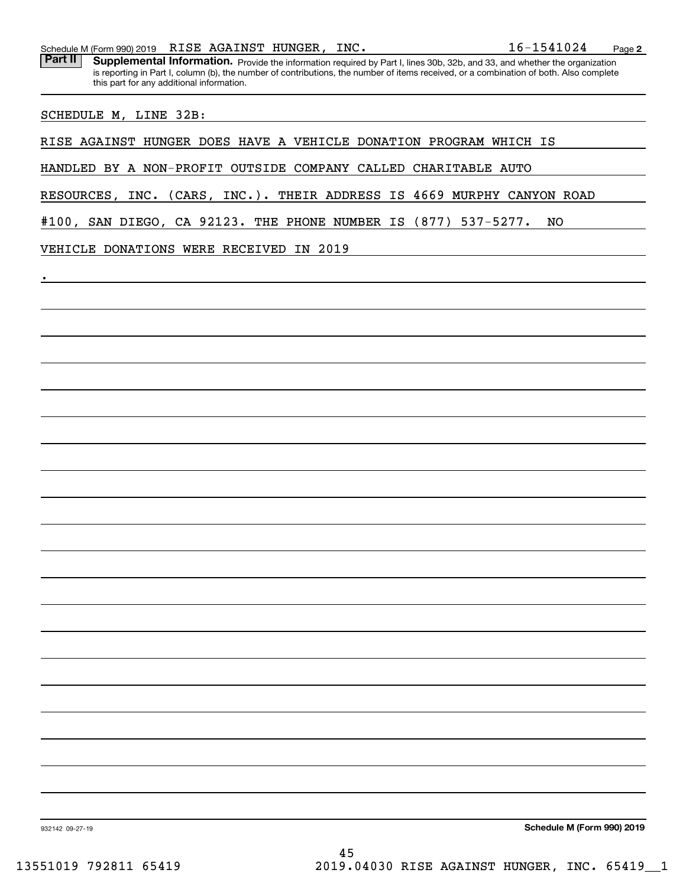| 1541024<br>RISE AGAINST<br>HUNGER,<br>INC.<br>L 6 –<br>Schedule M (Form 990) 2019 |  | Page |
|-----------------------------------------------------------------------------------|--|------|
|-----------------------------------------------------------------------------------|--|------|

Part II | Supplemental Information. Provide the information required by Part I, lines 30b, 32b, and 33, and whether the organization is reporting in Part I, column (b), the number of contributions, the number of items received, or a combination of both. Also complete this part for any additional information.

SCHEDULE M, LINE 32B:

.

RISE AGAINST HUNGER DOES HAVE A VEHICLE DONATION PROGRAM WHICH IS

HANDLED BY A NON-PROFIT OUTSIDE COMPANY CALLED CHARITABLE AUTO

RESOURCES, INC. (CARS, INC.). THEIR ADDRESS IS 4669 MURPHY CANYON ROAD

#100, SAN DIEGO, CA 92123. THE PHONE NUMBER IS (877) 537-5277. NO

VEHICLE DONATIONS WERE RECEIVED IN 2019

**Schedule M (Form 990) 2019**

932142 09-27-19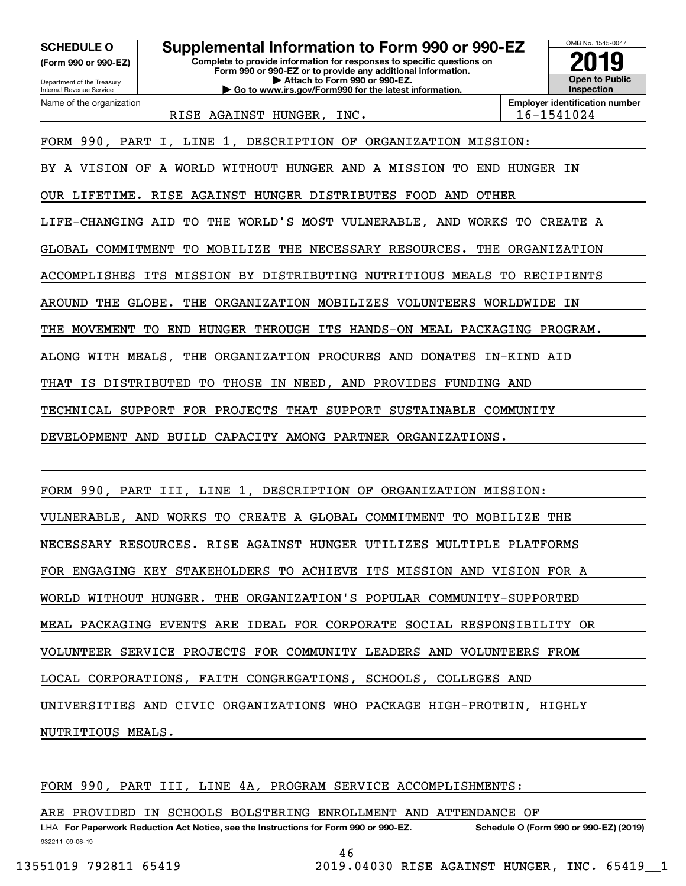**(Form 990 or 990-EZ)**

Department of the Treasury Internal Revenue Service Name of the organization

**Complete to provide information for responses to specific questions on Form 990 or 990-EZ or to provide any additional information. | Attach to Form 990 or 990-EZ. | Go to www.irs.gov/Form990 for the latest information. SCHEDULE O Supplemental Information to Form 990 or 990-EZ**



RISE AGAINST HUNGER, INC. | 16-1541024

**Employer identification number**

FORM 990, PART I, LINE 1, DESCRIPTION OF ORGANIZATION MISSION:

BY A VISION OF A WORLD WITHOUT HUNGER AND A MISSION TO END HUNGER IN

OUR LIFETIME. RISE AGAINST HUNGER DISTRIBUTES FOOD AND OTHER

LIFE-CHANGING AID TO THE WORLD'S MOST VULNERABLE, AND WORKS TO CREATE A

GLOBAL COMMITMENT TO MOBILIZE THE NECESSARY RESOURCES. THE ORGANIZATION

ACCOMPLISHES ITS MISSION BY DISTRIBUTING NUTRITIOUS MEALS TO RECIPIENTS

AROUND THE GLOBE. THE ORGANIZATION MOBILIZES VOLUNTEERS WORLDWIDE IN

THE MOVEMENT TO END HUNGER THROUGH ITS HANDS-ON MEAL PACKAGING PROGRAM.

ALONG WITH MEALS, THE ORGANIZATION PROCURES AND DONATES IN-KIND AID

THAT IS DISTRIBUTED TO THOSE IN NEED, AND PROVIDES FUNDING AND

TECHNICAL SUPPORT FOR PROJECTS THAT SUPPORT SUSTAINABLE COMMUNITY

DEVELOPMENT AND BUILD CAPACITY AMONG PARTNER ORGANIZATIONS.

FORM 990, PART III, LINE 1, DESCRIPTION OF ORGANIZATION MISSION:

VULNERABLE, AND WORKS TO CREATE A GLOBAL COMMITMENT TO MOBILIZE THE

NECESSARY RESOURCES. RISE AGAINST HUNGER UTILIZES MULTIPLE PLATFORMS

FOR ENGAGING KEY STAKEHOLDERS TO ACHIEVE ITS MISSION AND VISION FOR A

WORLD WITHOUT HUNGER. THE ORGANIZATION'S POPULAR COMMUNITY-SUPPORTED

MEAL PACKAGING EVENTS ARE IDEAL FOR CORPORATE SOCIAL RESPONSIBILITY OR

VOLUNTEER SERVICE PROJECTS FOR COMMUNITY LEADERS AND VOLUNTEERS FROM

LOCAL CORPORATIONS, FAITH CONGREGATIONS, SCHOOLS, COLLEGES AND

UNIVERSITIES AND CIVIC ORGANIZATIONS WHO PACKAGE HIGH-PROTEIN, HIGHLY

NUTRITIOUS MEALS.

FORM 990, PART III, LINE 4A, PROGRAM SERVICE ACCOMPLISHMENTS:

ARE PROVIDED IN SCHOOLS BOLSTERING ENROLLMENT AND ATTENDANCE OF

932211 09-06-19 LHA For Paperwork Reduction Act Notice, see the Instructions for Form 990 or 990-EZ. Schedule O (Form 990 or 990-EZ) (2019)

46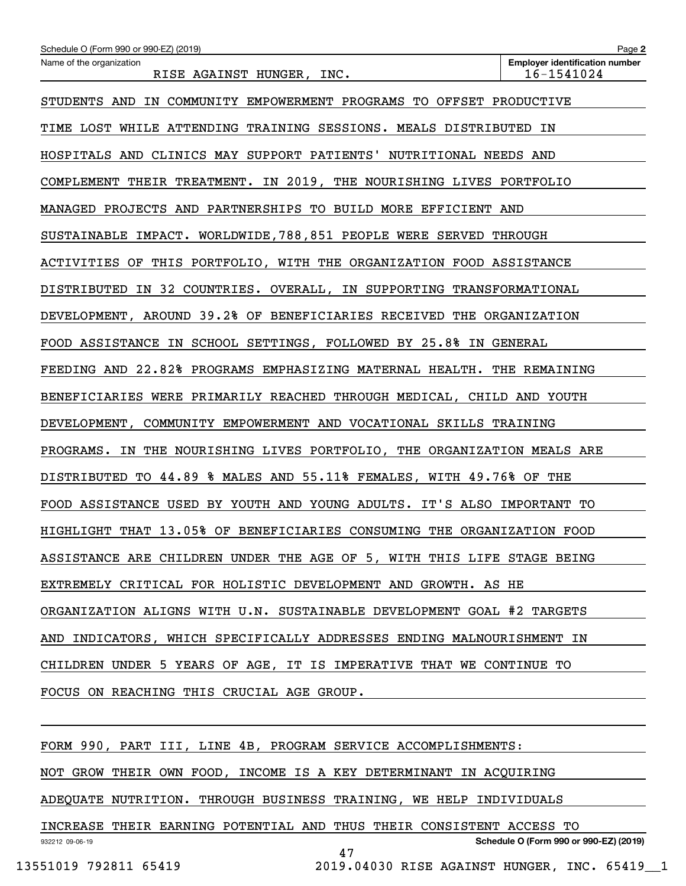| Schedule O (Form 990 or 990-EZ) (2019)                                  | Page 2                                              |  |  |  |  |
|-------------------------------------------------------------------------|-----------------------------------------------------|--|--|--|--|
| Name of the organization<br>RISE AGAINST HUNGER, INC.                   | <b>Employer identification number</b><br>16-1541024 |  |  |  |  |
| STUDENTS AND IN COMMUNITY EMPOWERMENT PROGRAMS TO OFFSET PRODUCTIVE     |                                                     |  |  |  |  |
| TIME LOST WHILE ATTENDING TRAINING SESSIONS. MEALS DISTRIBUTED IN       |                                                     |  |  |  |  |
| HOSPITALS AND CLINICS MAY SUPPORT PATIENTS' NUTRITIONAL NEEDS AND       |                                                     |  |  |  |  |
| COMPLEMENT THEIR TREATMENT. IN 2019, THE NOURISHING LIVES PORTFOLIO     |                                                     |  |  |  |  |
| MANAGED PROJECTS AND PARTNERSHIPS TO BUILD MORE EFFICIENT AND           |                                                     |  |  |  |  |
| SUSTAINABLE IMPACT. WORLDWIDE, 788, 851 PEOPLE WERE SERVED THROUGH      |                                                     |  |  |  |  |
| ACTIVITIES OF THIS PORTFOLIO, WITH THE ORGANIZATION FOOD ASSISTANCE     |                                                     |  |  |  |  |
| DISTRIBUTED IN 32 COUNTRIES. OVERALL, IN SUPPORTING TRANSFORMATIONAL    |                                                     |  |  |  |  |
| DEVELOPMENT, AROUND 39.2% OF BENEFICIARIES RECEIVED THE ORGANIZATION    |                                                     |  |  |  |  |
| FOOD ASSISTANCE IN SCHOOL SETTINGS, FOLLOWED BY 25.8% IN GENERAL        |                                                     |  |  |  |  |
| FEEDING AND 22.82% PROGRAMS EMPHASIZING MATERNAL HEALTH. THE REMAINING  |                                                     |  |  |  |  |
| BENEFICIARIES WERE PRIMARILY REACHED THROUGH MEDICAL, CHILD AND YOUTH   |                                                     |  |  |  |  |
| DEVELOPMENT, COMMUNITY EMPOWERMENT AND VOCATIONAL SKILLS TRAINING       |                                                     |  |  |  |  |
| PROGRAMS. IN THE NOURISHING LIVES PORTFOLIO, THE ORGANIZATION MEALS ARE |                                                     |  |  |  |  |
| DISTRIBUTED TO 44.89 % MALES AND 55.11% FEMALES, WITH 49.76% OF THE     |                                                     |  |  |  |  |
| FOOD ASSISTANCE USED BY YOUTH AND YOUNG ADULTS. IT'S ALSO IMPORTANT TO  |                                                     |  |  |  |  |
| HIGHLIGHT THAT 13.05% OF BENEFICIARIES CONSUMING THE ORGANIZATION FOOD  |                                                     |  |  |  |  |
| ASSISTANCE ARE CHILDREN UNDER THE AGE OF 5, WITH THIS LIFE STAGE BEING  |                                                     |  |  |  |  |
| EXTREMELY CRITICAL FOR HOLISTIC DEVELOPMENT AND GROWTH. AS HE           |                                                     |  |  |  |  |
| ORGANIZATION ALIGNS WITH U.N. SUSTAINABLE DEVELOPMENT GOAL #2 TARGETS   |                                                     |  |  |  |  |
| AND INDICATORS, WHICH SPECIFICALLY ADDRESSES ENDING MALNOURISHMENT IN   |                                                     |  |  |  |  |
| CHILDREN UNDER 5 YEARS OF AGE, IT IS IMPERATIVE THAT WE CONTINUE TO     |                                                     |  |  |  |  |
| FOCUS ON REACHING THIS CRUCIAL AGE GROUP.                               |                                                     |  |  |  |  |
|                                                                         |                                                     |  |  |  |  |
| FORM 990, PART III, LINE 4B, PROGRAM SERVICE ACCOMPLISHMENTS:           |                                                     |  |  |  |  |
| NOT GROW THEIR OWN FOOD, INCOME IS A KEY DETERMINANT IN ACQUIRING       |                                                     |  |  |  |  |

ADEQUATE NUTRITION. THROUGH BUSINESS TRAINING, WE HELP INDIVIDUALS

932212 09-06-19 **Schedule O (Form 990 or 990-EZ) (2019)** INCREASE THEIR EARNING POTENTIAL AND THUS THEIR CONSISTENT ACCESS TO 47

13551019 792811 65419 2019.04030 RISE AGAINST HUNGER, INC. 65419\_\_1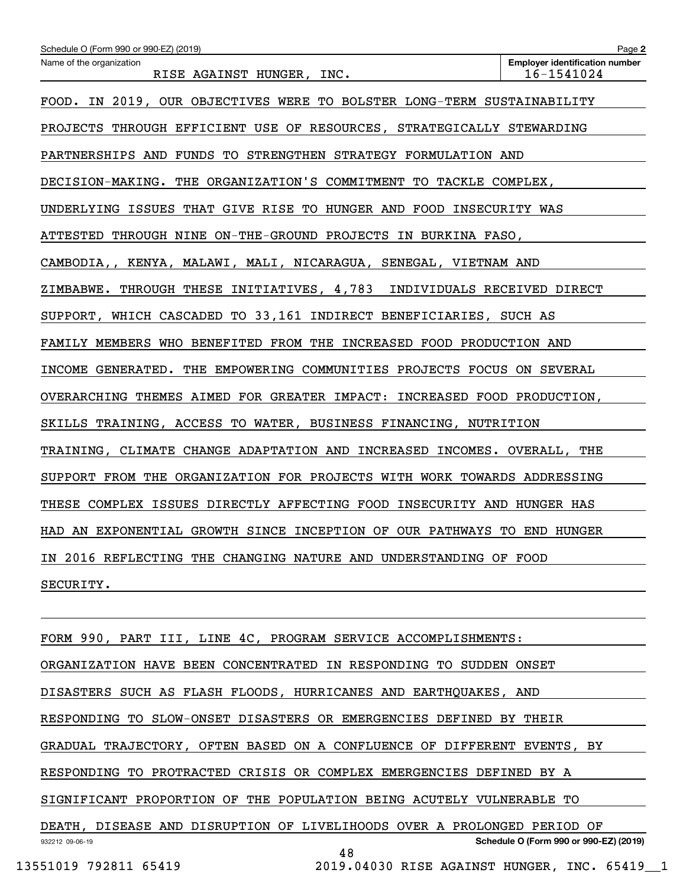| Schedule O (Form 990 or 990-EZ) (2019)                                  | Page 2                                              |
|-------------------------------------------------------------------------|-----------------------------------------------------|
| Name of the organization<br>RISE AGAINST HUNGER, INC.                   | <b>Employer identification number</b><br>16-1541024 |
| FOOD. IN 2019, OUR OBJECTIVES WERE TO BOLSTER LONG-TERM SUSTAINABILITY  |                                                     |
| PROJECTS THROUGH EFFICIENT USE OF RESOURCES, STRATEGICALLY STEWARDING   |                                                     |
| PARTNERSHIPS AND FUNDS TO STRENGTHEN STRATEGY FORMULATION AND           |                                                     |
| DECISION-MAKING. THE ORGANIZATION'S COMMITMENT TO TACKLE COMPLEX,       |                                                     |
| UNDERLYING ISSUES THAT GIVE RISE TO HUNGER AND FOOD INSECURITY WAS      |                                                     |
| ATTESTED THROUGH NINE ON-THE-GROUND PROJECTS IN BURKINA FASO,           |                                                     |
| CAMBODIA,, KENYA, MALAWI, MALI, NICARAGUA, SENEGAL, VIETNAM AND         |                                                     |
| ZIMBABWE. THROUGH THESE INITIATIVES, 4,783 INDIVIDUALS RECEIVED DIRECT  |                                                     |
| SUPPORT, WHICH CASCADED TO 33,161 INDIRECT BENEFICIARIES, SUCH AS       |                                                     |
| FAMILY MEMBERS WHO BENEFITED FROM THE INCREASED FOOD PRODUCTION AND     |                                                     |
| INCOME GENERATED. THE EMPOWERING COMMUNITIES PROJECTS FOCUS ON SEVERAL  |                                                     |
| OVERARCHING THEMES AIMED FOR GREATER IMPACT: INCREASED FOOD PRODUCTION, |                                                     |
| SKILLS TRAINING, ACCESS TO WATER, BUSINESS FINANCING, NUTRITION         |                                                     |
| TRAINING, CLIMATE CHANGE ADAPTATION AND INCREASED INCOMES. OVERALL, THE |                                                     |
| SUPPORT FROM THE ORGANIZATION FOR PROJECTS WITH WORK TOWARDS ADDRESSING |                                                     |
| THESE COMPLEX ISSUES DIRECTLY AFFECTING FOOD INSECURITY AND HUNGER HAS  |                                                     |
| HAD AN EXPONENTIAL GROWTH SINCE INCEPTION OF OUR PATHWAYS TO END HUNGER |                                                     |
| IN 2016 REFLECTING THE CHANGING NATURE AND UNDERSTANDING OF FOOD        |                                                     |
| SECURITY.                                                               |                                                     |
|                                                                         |                                                     |
| FORM 990, PART III, LINE 4C, PROGRAM SERVICE ACCOMPLISHMENTS:           |                                                     |

ORGANIZATION HAVE BEEN CONCENTRATED IN RESPONDING TO SUDDEN ONSET

DISASTERS SUCH AS FLASH FLOODS, HURRICANES AND EARTHQUAKES, AND

RESPONDING TO SLOW-ONSET DISASTERS OR EMERGENCIES DEFINED BY THEIR

GRADUAL TRAJECTORY, OFTEN BASED ON A CONFLUENCE OF DIFFERENT EVENTS, BY

RESPONDING TO PROTRACTED CRISIS OR COMPLEX EMERGENCIES DEFINED BY A

SIGNIFICANT PROPORTION OF THE POPULATION BEING ACUTELY VULNERABLE TO

932212 09-06-19 **Schedule O (Form 990 or 990-EZ) (2019)** DEATH, DISEASE AND DISRUPTION OF LIVELIHOODS OVER A PROLONGED PERIOD OF 48

13551019 792811 65419 2019.04030 RISE AGAINST HUNGER, INC. 65419\_\_1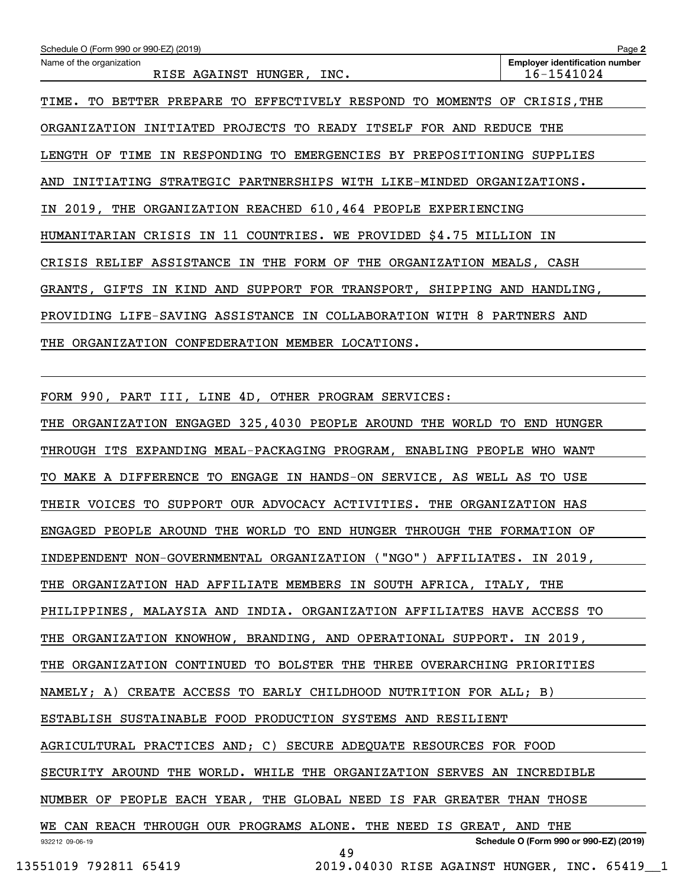| Schedule O (Form 990 or 990-EZ) (2019)                                   |                                              | Page 2                                              |
|--------------------------------------------------------------------------|----------------------------------------------|-----------------------------------------------------|
| Name of the organization<br>RISE AGAINST HUNGER, INC.                    |                                              | <b>Employer identification number</b><br>16-1541024 |
| TIME. TO BETTER PREPARE TO EFFECTIVELY RESPOND TO MOMENTS OF CRISIS, THE |                                              |                                                     |
| ORGANIZATION INITIATED PROJECTS TO READY ITSELF FOR AND REDUCE THE       |                                              |                                                     |
| LENGTH OF TIME IN RESPONDING TO EMERGENCIES BY PREPOSITIONING SUPPLIES   |                                              |                                                     |
| AND INITIATING STRATEGIC PARTNERSHIPS WITH LIKE-MINDED ORGANIZATIONS.    |                                              |                                                     |
| IN 2019, THE ORGANIZATION REACHED 610, 464 PEOPLE EXPERIENCING           |                                              |                                                     |
| HUMANITARIAN CRISIS IN 11 COUNTRIES. WE PROVIDED \$4.75 MILLION IN       |                                              |                                                     |
| CRISIS RELIEF ASSISTANCE IN THE FORM OF THE ORGANIZATION MEALS, CASH     |                                              |                                                     |
| GRANTS, GIFTS IN KIND AND SUPPORT FOR TRANSPORT, SHIPPING AND HANDLING,  |                                              |                                                     |
| PROVIDING LIFE-SAVING ASSISTANCE IN COLLABORATION WITH 8 PARTNERS AND    |                                              |                                                     |
| THE ORGANIZATION CONFEDERATION MEMBER LOCATIONS.                         |                                              |                                                     |
|                                                                          |                                              |                                                     |
| FORM 990, PART III, LINE 4D, OTHER PROGRAM SERVICES:                     |                                              |                                                     |
| THE ORGANIZATION ENGAGED 325, 4030 PEOPLE AROUND THE WORLD TO END HUNGER |                                              |                                                     |
| THROUGH ITS EXPANDING MEAL-PACKAGING PROGRAM, ENABLING PEOPLE WHO WANT   |                                              |                                                     |
| TO MAKE A DIFFERENCE TO ENGAGE IN HANDS-ON SERVICE, AS WELL AS TO USE    |                                              |                                                     |
| THEIR VOICES TO SUPPORT OUR ADVOCACY ACTIVITIES. THE ORGANIZATION HAS    |                                              |                                                     |
| ENGAGED PEOPLE AROUND THE WORLD TO END HUNGER THROUGH THE FORMATION OF   |                                              |                                                     |
| INDEPENDENT NON-GOVERNMENTAL ORGANIZATION ("NGO") AFFILIATES. IN 2019,   |                                              |                                                     |
| THE ORGANIZATION HAD AFFILIATE MEMBERS IN SOUTH AFRICA, ITALY, THE       |                                              |                                                     |
| PHILIPPINES, MALAYSIA AND INDIA. ORGANIZATION AFFILIATES HAVE ACCESS TO  |                                              |                                                     |
| THE ORGANIZATION KNOWHOW, BRANDING, AND OPERATIONAL SUPPORT. IN 2019,    |                                              |                                                     |
| THE ORGANIZATION CONTINUED TO BOLSTER THE THREE OVERARCHING PRIORITIES   |                                              |                                                     |
| NAMELY; A) CREATE ACCESS TO EARLY CHILDHOOD NUTRITION FOR ALL; B)        |                                              |                                                     |
| ESTABLISH SUSTAINABLE FOOD PRODUCTION SYSTEMS AND RESILIENT              |                                              |                                                     |
| AGRICULTURAL PRACTICES AND; C) SECURE ADEQUATE RESOURCES FOR FOOD        |                                              |                                                     |
| SECURITY AROUND THE WORLD. WHILE THE ORGANIZATION SERVES AN INCREDIBLE   |                                              |                                                     |
| NUMBER OF PEOPLE EACH YEAR, THE GLOBAL NEED IS FAR GREATER THAN THOSE    |                                              |                                                     |
| WE CAN REACH THROUGH OUR PROGRAMS ALONE. THE NEED IS GREAT, AND THE      |                                              |                                                     |
| 932212 09-06-19                                                          | 49                                           | Schedule O (Form 990 or 990-EZ) (2019)              |
| 13551019 792811 65419                                                    | 2019.04030 RISE AGAINST HUNGER, INC. 65419 1 |                                                     |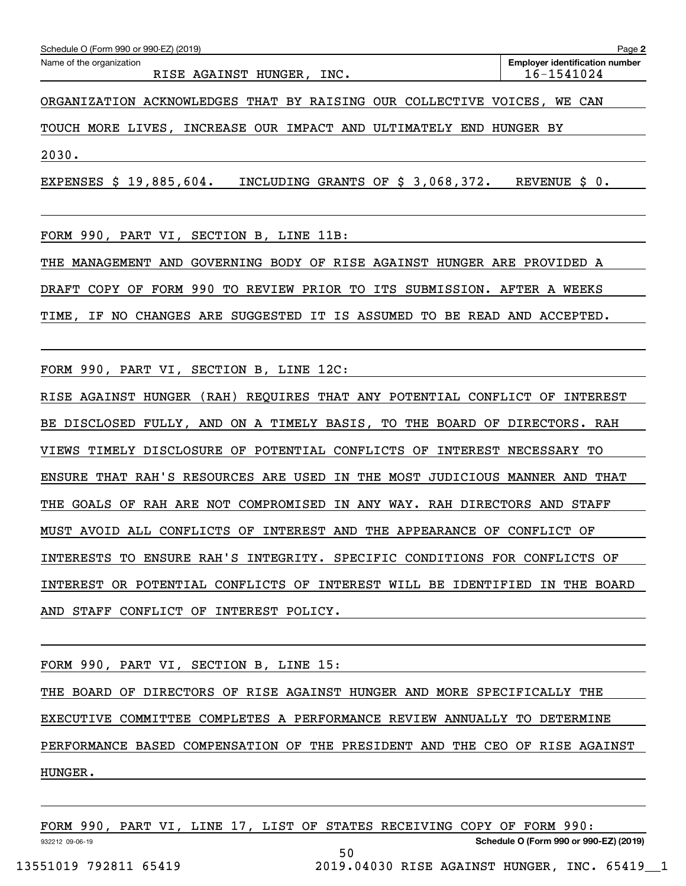| Schedule O (Form 990 or 990-EZ) (2019)<br>Page 2                        |                                                     |  |  |  |  |  |
|-------------------------------------------------------------------------|-----------------------------------------------------|--|--|--|--|--|
| Name of the organization<br>RISE AGAINST HUNGER, INC.                   | <b>Employer identification number</b><br>16-1541024 |  |  |  |  |  |
| ORGANIZATION ACKNOWLEDGES THAT BY RAISING OUR COLLECTIVE VOICES, WE CAN |                                                     |  |  |  |  |  |
| TOUCH MORE LIVES, INCREASE OUR IMPACT AND ULTIMATELY END HUNGER BY      |                                                     |  |  |  |  |  |
| 2030.                                                                   |                                                     |  |  |  |  |  |

EXPENSES \$ 19,885,604. INCLUDING GRANTS OF \$ 3,068,372. REVENUE \$ 0.

FORM 990, PART VI, SECTION B, LINE 11B:

THE MANAGEMENT AND GOVERNING BODY OF RISE AGAINST HUNGER ARE PROVIDED A DRAFT COPY OF FORM 990 TO REVIEW PRIOR TO ITS SUBMISSION. AFTER A WEEKS TIME, IF NO CHANGES ARE SUGGESTED IT IS ASSUMED TO BE READ AND ACCEPTED.

FORM 990, PART VI, SECTION B, LINE 12C:

RISE AGAINST HUNGER (RAH) REQUIRES THAT ANY POTENTIAL CONFLICT OF INTEREST BE DISCLOSED FULLY, AND ON A TIMELY BASIS, TO THE BOARD OF DIRECTORS. RAH VIEWS TIMELY DISCLOSURE OF POTENTIAL CONFLICTS OF INTEREST NECESSARY TO ENSURE THAT RAH'S RESOURCES ARE USED IN THE MOST JUDICIOUS MANNER AND THAT THE GOALS OF RAH ARE NOT COMPROMISED IN ANY WAY. RAH DIRECTORS AND STAFF MUST AVOID ALL CONFLICTS OF INTEREST AND THE APPEARANCE OF CONFLICT OF INTERESTS TO ENSURE RAH'S INTEGRITY. SPECIFIC CONDITIONS FOR CONFLICTS OF INTEREST OR POTENTIAL CONFLICTS OF INTEREST WILL BE IDENTIFIED IN THE BOARD AND STAFF CONFLICT OF INTEREST POLICY.

FORM 990, PART VI, SECTION B, LINE 15:

THE BOARD OF DIRECTORS OF RISE AGAINST HUNGER AND MORE SPECIFICALLY THE EXECUTIVE COMMITTEE COMPLETES A PERFORMANCE REVIEW ANNUALLY TO DETERMINE PERFORMANCE BASED COMPENSATION OF THE PRESIDENT AND THE CEO OF RISE AGAINST HUNGER.

932212 09-06-19 **Schedule O (Form 990 or 990-EZ) (2019)** FORM 990, PART VI, LINE 17, LIST OF STATES RECEIVING COPY OF FORM 990: 50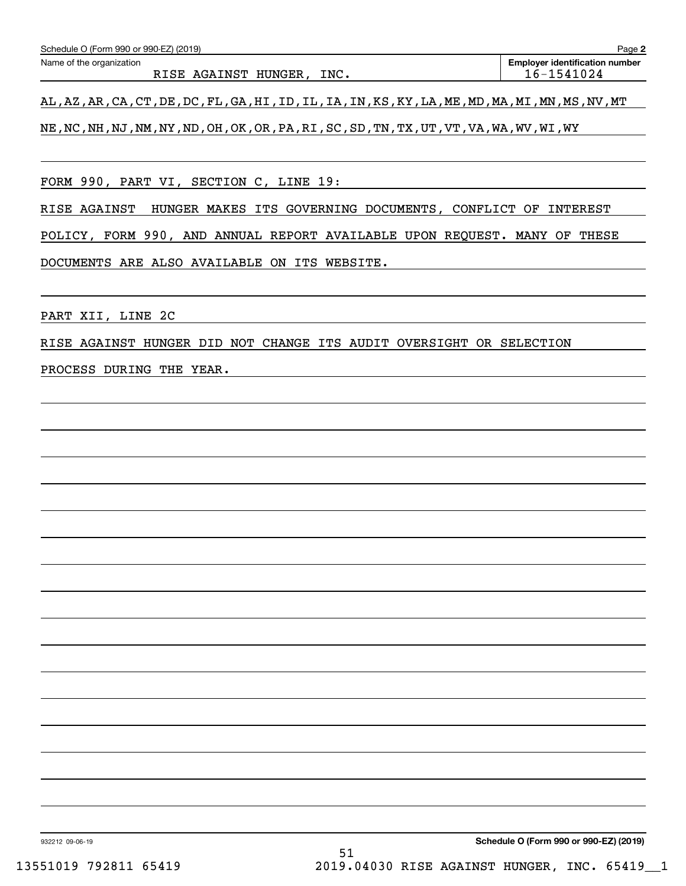| Schedule O (Form 990 or 990-EZ) (2019) | Page 2                                |
|----------------------------------------|---------------------------------------|
| Name of the organization               | <b>Employer identification number</b> |
| INC.<br>RISE AGAINST HUNGER,           | 16-1541024                            |
|                                        |                                       |

AL,AZ,AR,CA,CT,DE,DC,FL,GA,HI,ID,IL,IA,IN,KS,KY,LA,ME,MD,MA,MI,MN,MS,NV,MT

NE,NC,NH,NJ,NM,NY,ND,OH,OK,OR,PA,RI,SC,SD,TN,TX,UT,VT,VA,WA,WV,WI,WY

FORM 990, PART VI, SECTION C, LINE 19:

RISE AGAINST HUNGER MAKES ITS GOVERNING DOCUMENTS, CONFLICT OF INTEREST

POLICY, FORM 990, AND ANNUAL REPORT AVAILABLE UPON REQUEST. MANY OF THESE

DOCUMENTS ARE ALSO AVAILABLE ON ITS WEBSITE.

PART XII, LINE 2C

RISE AGAINST HUNGER DID NOT CHANGE ITS AUDIT OVERSIGHT OR SELECTION

PROCESS DURING THE YEAR.